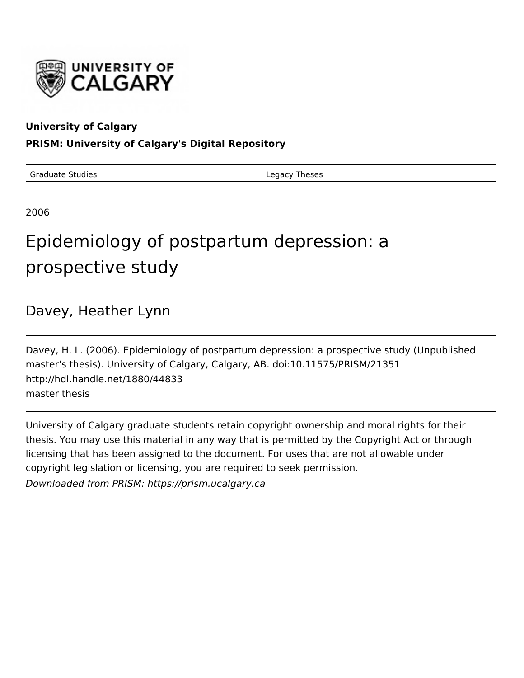

## **University of Calgary**

## **PRISM: University of Calgary's Digital Repository**

Graduate Studies **Legacy Theses** 

2006

# Epidemiology of postpartum depression: a prospective study

## Davey, Heather Lynn

Davey, H. L. (2006). Epidemiology of postpartum depression: a prospective study (Unpublished master's thesis). University of Calgary, Calgary, AB. doi:10.11575/PRISM/21351 http://hdl.handle.net/1880/44833 master thesis

University of Calgary graduate students retain copyright ownership and moral rights for their thesis. You may use this material in any way that is permitted by the Copyright Act or through licensing that has been assigned to the document. For uses that are not allowable under copyright legislation or licensing, you are required to seek permission.

Downloaded from PRISM: https://prism.ucalgary.ca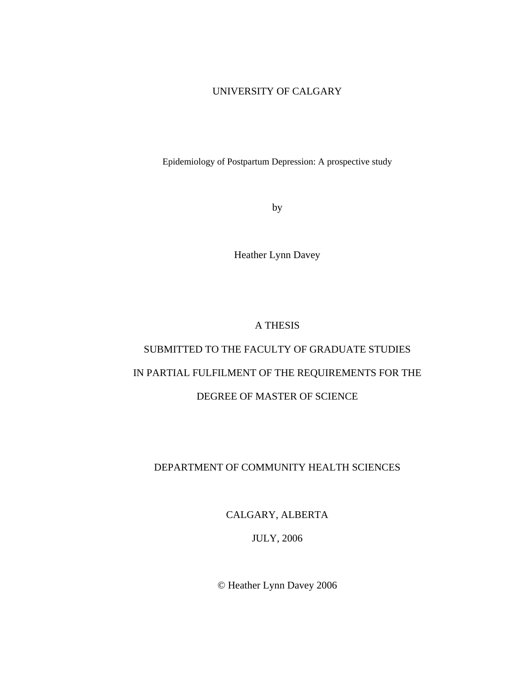#### UNIVERSITY OF CALGARY

Epidemiology of Postpartum Depression: A prospective study

by

Heather Lynn Davey

A THESIS

## SUBMITTED TO THE FACULTY OF GRADUATE STUDIES IN PARTIAL FULFILMENT OF THE REQUIREMENTS FOR THE DEGREE OF MASTER OF SCIENCE

### DEPARTMENT OF COMMUNITY HEALTH SCIENCES

CALGARY, ALBERTA

JULY, 2006

© Heather Lynn Davey 2006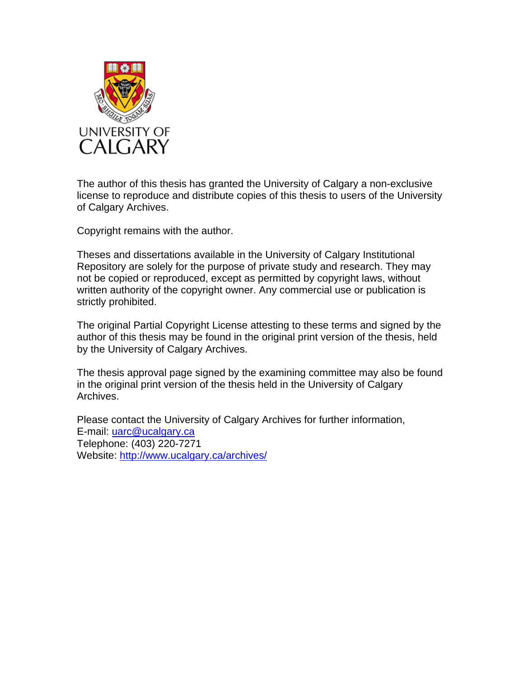

The author of this thesis has granted the University of Calgary a non-exclusive license to reproduce and distribute copies of this thesis to users of the University of Calgary Archives.

Copyright remains with the author.

Theses and dissertations available in the University of Calgary Institutional Repository are solely for the purpose of private study and research. They may not be copied or reproduced, except as permitted by copyright laws, without written authority of the copyright owner. Any commercial use or publication is strictly prohibited.

The original Partial Copyright License attesting to these terms and signed by the author of this thesis may be found in the original print version of the thesis, held by the University of Calgary Archives.

The thesis approval page signed by the examining committee may also be found in the original print version of the thesis held in the University of Calgary Archives.

Please contact the University of Calgary Archives for further information, E-mail: uarc@ucalgary.ca Telephone: (403) 220-7271 Website: http://www.ucalgary.ca/archives/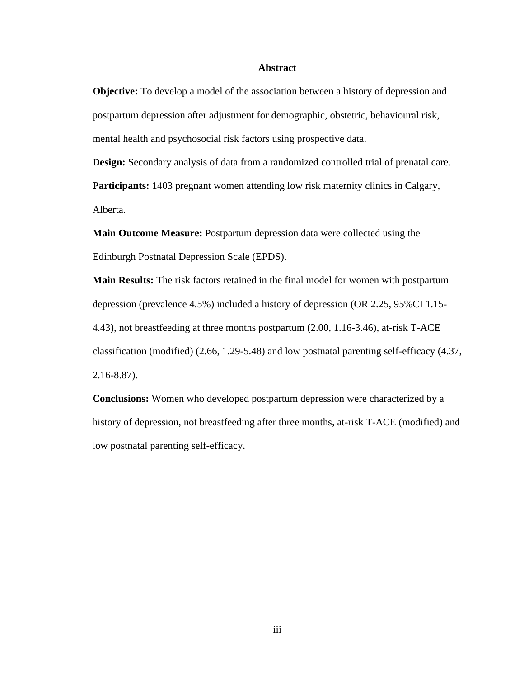#### **Abstract**

**Objective:** To develop a model of the association between a history of depression and postpartum depression after adjustment for demographic, obstetric, behavioural risk, mental health and psychosocial risk factors using prospective data.

**Design:** Secondary analysis of data from a randomized controlled trial of prenatal care. **Participants:** 1403 pregnant women attending low risk maternity clinics in Calgary, Alberta.

**Main Outcome Measure:** Postpartum depression data were collected using the Edinburgh Postnatal Depression Scale (EPDS).

**Main Results:** The risk factors retained in the final model for women with postpartum depression (prevalence 4.5%) included a history of depression (OR 2.25, 95%CI 1.15- 4.43), not breastfeeding at three months postpartum (2.00, 1.16-3.46), at-risk T-ACE classification (modified) (2.66, 1.29-5.48) and low postnatal parenting self-efficacy (4.37, 2.16-8.87).

**Conclusions:** Women who developed postpartum depression were characterized by a history of depression, not breastfeeding after three months, at-risk T-ACE (modified) and low postnatal parenting self-efficacy.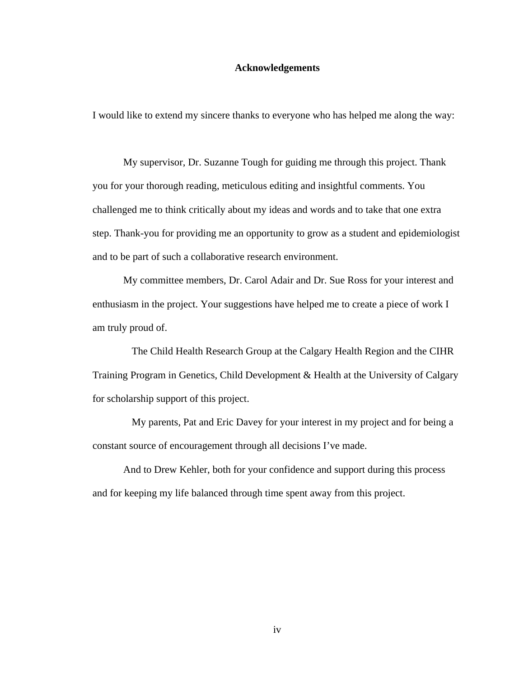#### **Acknowledgements**

I would like to extend my sincere thanks to everyone who has helped me along the way:

My supervisor, Dr. Suzanne Tough for guiding me through this project. Thank you for your thorough reading, meticulous editing and insightful comments. You challenged me to think critically about my ideas and words and to take that one extra step. Thank-you for providing me an opportunity to grow as a student and epidemiologist and to be part of such a collaborative research environment.

My committee members, Dr. Carol Adair and Dr. Sue Ross for your interest and enthusiasm in the project. Your suggestions have helped me to create a piece of work I am truly proud of.

The Child Health Research Group at the Calgary Health Region and the CIHR Training Program in Genetics, Child Development & Health at the University of Calgary for scholarship support of this project.

My parents, Pat and Eric Davey for your interest in my project and for being a constant source of encouragement through all decisions I've made.

And to Drew Kehler, both for your confidence and support during this process and for keeping my life balanced through time spent away from this project.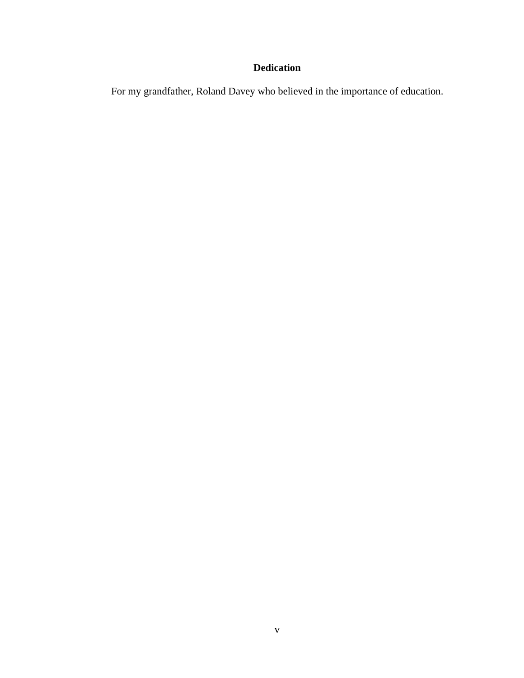## **Dedication**

For my grandfather, Roland Davey who believed in the importance of education.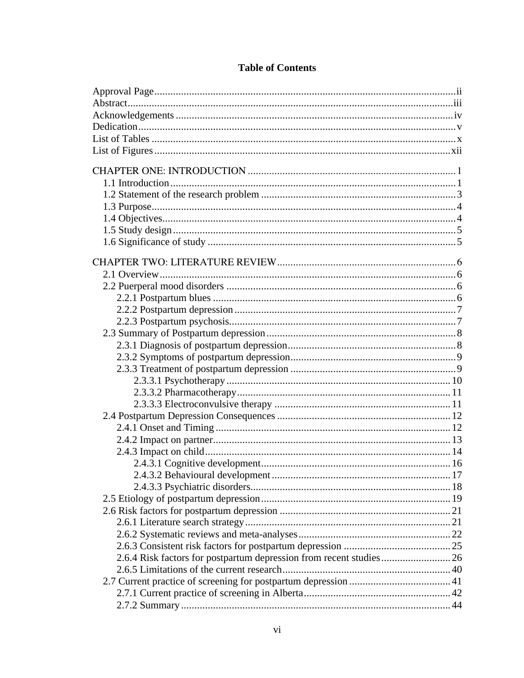## **Table of Contents**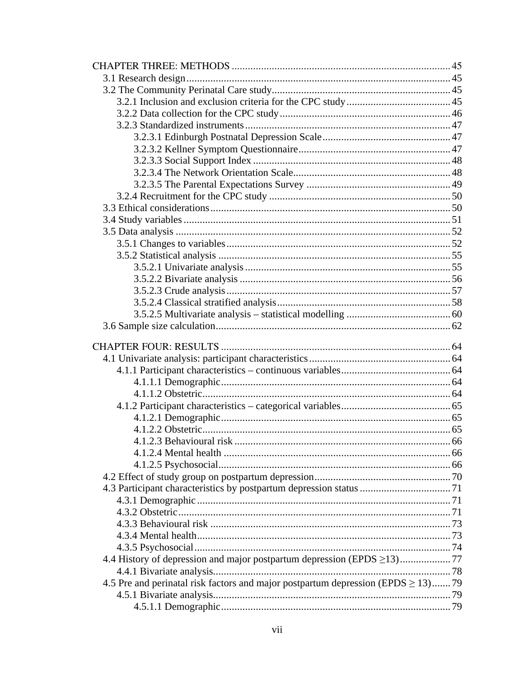| 4.5 Pre and perinatal risk factors and major postpartum depression (EPDS $\geq$ 13)79 |  |  |  |  |
|---------------------------------------------------------------------------------------|--|--|--|--|
|                                                                                       |  |  |  |  |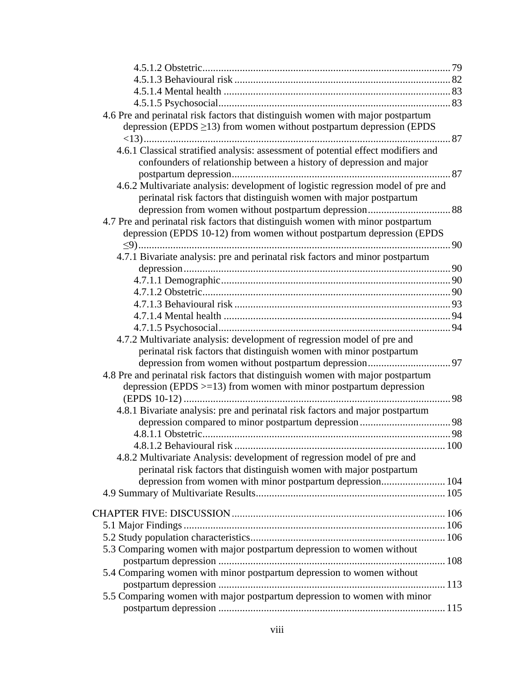| 4.6 Pre and perinatal risk factors that distinguish women with major postpartum   |  |
|-----------------------------------------------------------------------------------|--|
| depression (EPDS $\geq$ 13) from women without postpartum depression (EPDS        |  |
|                                                                                   |  |
| 4.6.1 Classical stratified analysis: assessment of potential effect modifiers and |  |
| confounders of relationship between a history of depression and major             |  |
|                                                                                   |  |
| 4.6.2 Multivariate analysis: development of logistic regression model of pre and  |  |
| perinatal risk factors that distinguish women with major postpartum               |  |
|                                                                                   |  |
| 4.7 Pre and perinatal risk factors that distinguish women with minor postpartum   |  |
| depression (EPDS 10-12) from women without postpartum depression (EPDS            |  |
|                                                                                   |  |
| 4.7.1 Bivariate analysis: pre and perinatal risk factors and minor postpartum     |  |
|                                                                                   |  |
|                                                                                   |  |
|                                                                                   |  |
|                                                                                   |  |
|                                                                                   |  |
|                                                                                   |  |
| 4.7.2 Multivariate analysis: development of regression model of pre and           |  |
| perinatal risk factors that distinguish women with minor postpartum               |  |
|                                                                                   |  |
| 4.8 Pre and perinatal risk factors that distinguish women with major postpartum   |  |
| depression (EPDS $>=$ 13) from women with minor postpartum depression             |  |
|                                                                                   |  |
| 4.8.1 Bivariate analysis: pre and perinatal risk factors and major postpartum     |  |
|                                                                                   |  |
|                                                                                   |  |
|                                                                                   |  |
| 4.8.2 Multivariate Analysis: development of regression model of pre and           |  |
| perinatal risk factors that distinguish women with major postpartum               |  |
| depression from women with minor postpartum depression 104                        |  |
|                                                                                   |  |
|                                                                                   |  |
|                                                                                   |  |
|                                                                                   |  |
| 5.3 Comparing women with major postpartum depression to women without             |  |
|                                                                                   |  |
| 5.4 Comparing women with minor postpartum depression to women without             |  |
|                                                                                   |  |
| 5.5 Comparing women with major postpartum depression to women with minor          |  |
|                                                                                   |  |
|                                                                                   |  |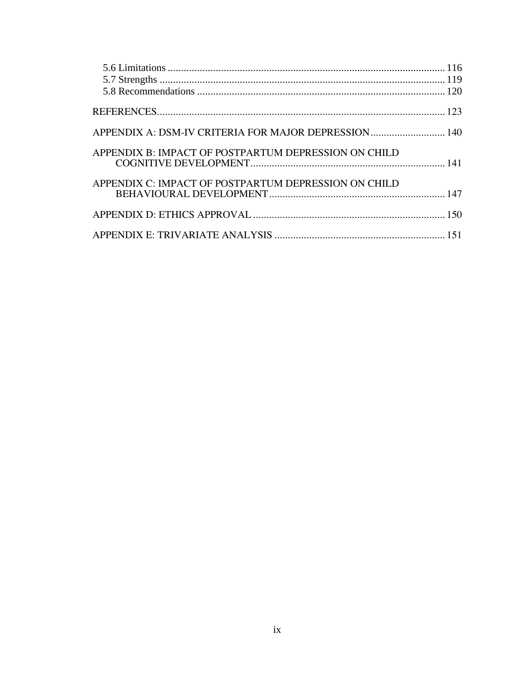| APPENDIX A: DSM-IV CRITERIA FOR MAJOR DEPRESSION 140 |  |
|------------------------------------------------------|--|
| APPENDIX B: IMPACT OF POSTPARTUM DEPRESSION ON CHILD |  |
| APPENDIX C: IMPACT OF POSTPARTUM DEPRESSION ON CHILD |  |
|                                                      |  |
|                                                      |  |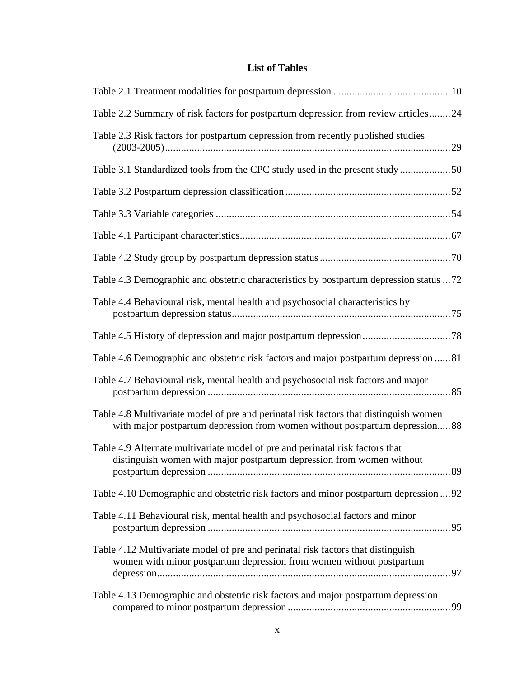## **List of Tables**

| Table 2.2 Summary of risk factors for postpartum depression from review articles24                                                                                   |  |
|----------------------------------------------------------------------------------------------------------------------------------------------------------------------|--|
| Table 2.3 Risk factors for postpartum depression from recently published studies                                                                                     |  |
| Table 3.1 Standardized tools from the CPC study used in the present study50                                                                                          |  |
|                                                                                                                                                                      |  |
|                                                                                                                                                                      |  |
|                                                                                                                                                                      |  |
|                                                                                                                                                                      |  |
| Table 4.3 Demographic and obstetric characteristics by postpartum depression status 72                                                                               |  |
| Table 4.4 Behavioural risk, mental health and psychosocial characteristics by                                                                                        |  |
|                                                                                                                                                                      |  |
| Table 4.6 Demographic and obstetric risk factors and major postpartum depression 81                                                                                  |  |
| Table 4.7 Behavioural risk, mental health and psychosocial risk factors and major                                                                                    |  |
| Table 4.8 Multivariate model of pre and perinatal risk factors that distinguish women<br>with major postpartum depression from women without postpartum depression88 |  |
| Table 4.9 Alternate multivariate model of pre and perinatal risk factors that<br>distinguish women with major postpartum depression from women without               |  |
| Table 4.10 Demographic and obstetric risk factors and minor postpartum depression  92                                                                                |  |
| Table 4.11 Behavioural risk, mental health and psychosocial factors and minor                                                                                        |  |
| Table 4.12 Multivariate model of pre and perinatal risk factors that distinguish<br>women with minor postpartum depression from women without postpartum             |  |
| Table 4.13 Demographic and obstetric risk factors and major postpartum depression                                                                                    |  |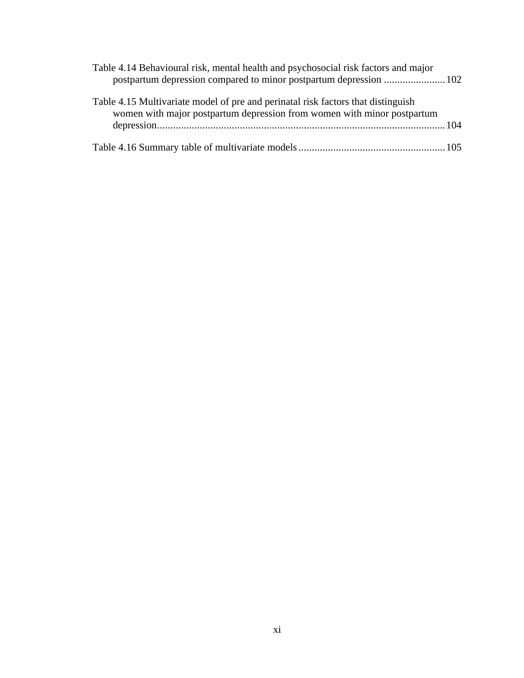| Table 4.14 Behavioural risk, mental health and psychosocial risk factors and major                                                                          |  |
|-------------------------------------------------------------------------------------------------------------------------------------------------------------|--|
| Table 4.15 Multivariate model of pre and perinatal risk factors that distinguish<br>women with major postpartum depression from women with minor postpartum |  |
|                                                                                                                                                             |  |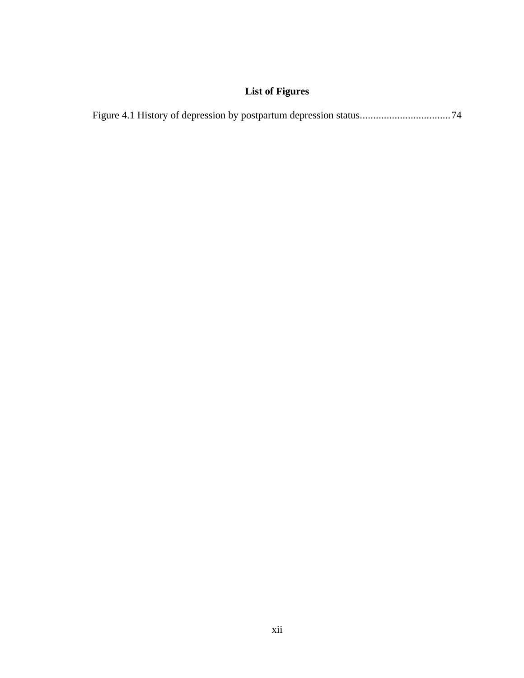## **List of Figures**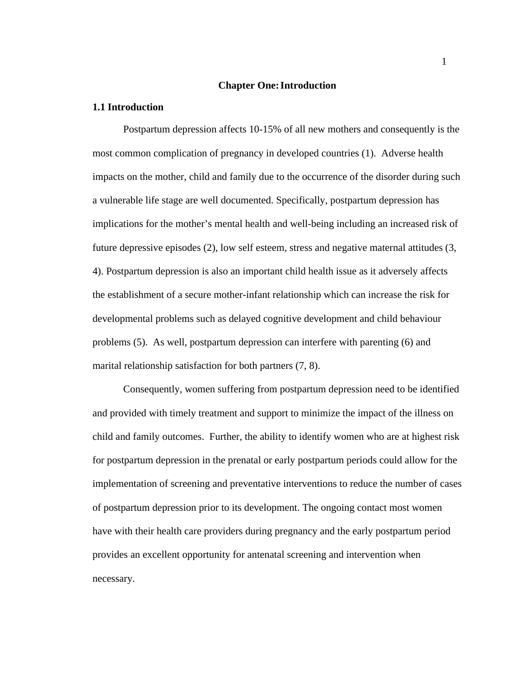#### **Chapter One:Introduction**

#### **1.1 Introduction**

Postpartum depression affects 10-15% of all new mothers and consequently is the most common complication of pregnancy in developed countries (1). Adverse health impacts on the mother, child and family due to the occurrence of the disorder during such a vulnerable life stage are well documented. Specifically, postpartum depression has implications for the mother's mental health and well-being including an increased risk of future depressive episodes (2), low self esteem, stress and negative maternal attitudes (3, 4). Postpartum depression is also an important child health issue as it adversely affects the establishment of a secure mother-infant relationship which can increase the risk for developmental problems such as delayed cognitive development and child behaviour problems (5). As well, postpartum depression can interfere with parenting (6) and marital relationship satisfaction for both partners (7, 8).

Consequently, women suffering from postpartum depression need to be identified and provided with timely treatment and support to minimize the impact of the illness on child and family outcomes. Further, the ability to identify women who are at highest risk for postpartum depression in the prenatal or early postpartum periods could allow for the implementation of screening and preventative interventions to reduce the number of cases of postpartum depression prior to its development. The ongoing contact most women have with their health care providers during pregnancy and the early postpartum period provides an excellent opportunity for antenatal screening and intervention when necessary.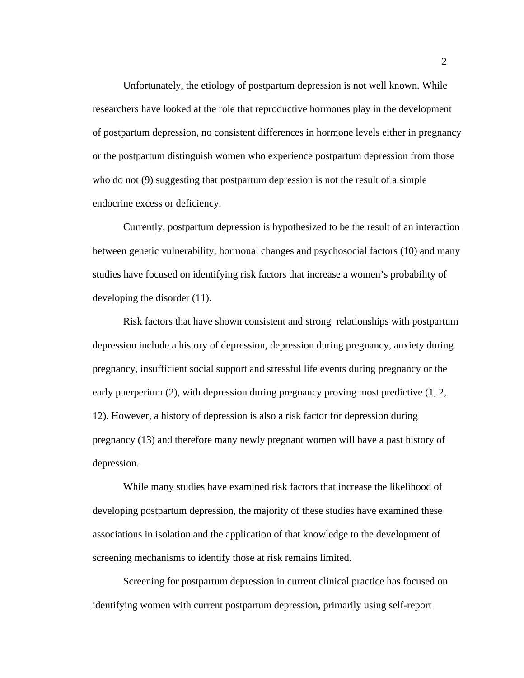Unfortunately, the etiology of postpartum depression is not well known. While researchers have looked at the role that reproductive hormones play in the development of postpartum depression, no consistent differences in hormone levels either in pregnancy or the postpartum distinguish women who experience postpartum depression from those who do not (9) suggesting that postpartum depression is not the result of a simple endocrine excess or deficiency.

Currently, postpartum depression is hypothesized to be the result of an interaction between genetic vulnerability, hormonal changes and psychosocial factors (10) and many studies have focused on identifying risk factors that increase a women's probability of developing the disorder (11).

Risk factors that have shown consistent and strong relationships with postpartum depression include a history of depression, depression during pregnancy, anxiety during pregnancy, insufficient social support and stressful life events during pregnancy or the early puerperium (2), with depression during pregnancy proving most predictive (1, 2, 12). However, a history of depression is also a risk factor for depression during pregnancy (13) and therefore many newly pregnant women will have a past history of depression.

While many studies have examined risk factors that increase the likelihood of developing postpartum depression, the majority of these studies have examined these associations in isolation and the application of that knowledge to the development of screening mechanisms to identify those at risk remains limited.

Screening for postpartum depression in current clinical practice has focused on identifying women with current postpartum depression, primarily using self-report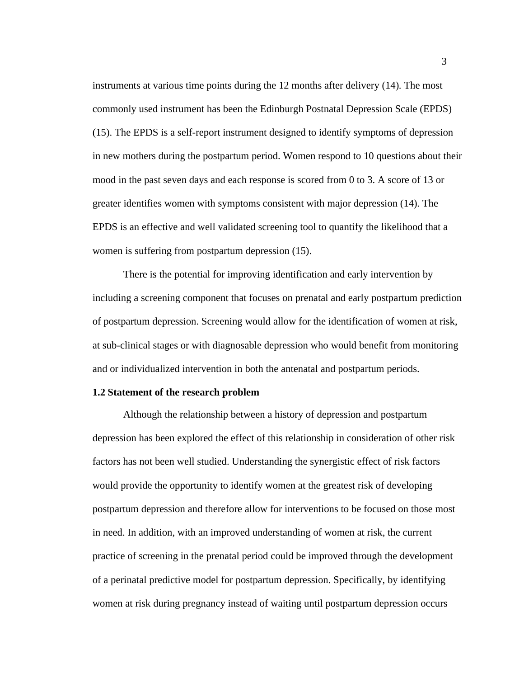instruments at various time points during the 12 months after delivery (14). The most commonly used instrument has been the Edinburgh Postnatal Depression Scale (EPDS) (15). The EPDS is a self-report instrument designed to identify symptoms of depression in new mothers during the postpartum period. Women respond to 10 questions about their mood in the past seven days and each response is scored from 0 to 3. A score of 13 or greater identifies women with symptoms consistent with major depression (14). The EPDS is an effective and well validated screening tool to quantify the likelihood that a women is suffering from postpartum depression (15).

There is the potential for improving identification and early intervention by including a screening component that focuses on prenatal and early postpartum prediction of postpartum depression. Screening would allow for the identification of women at risk, at sub-clinical stages or with diagnosable depression who would benefit from monitoring and or individualized intervention in both the antenatal and postpartum periods.

#### **1.2 Statement of the research problem**

Although the relationship between a history of depression and postpartum depression has been explored the effect of this relationship in consideration of other risk factors has not been well studied. Understanding the synergistic effect of risk factors would provide the opportunity to identify women at the greatest risk of developing postpartum depression and therefore allow for interventions to be focused on those most in need. In addition, with an improved understanding of women at risk, the current practice of screening in the prenatal period could be improved through the development of a perinatal predictive model for postpartum depression. Specifically, by identifying women at risk during pregnancy instead of waiting until postpartum depression occurs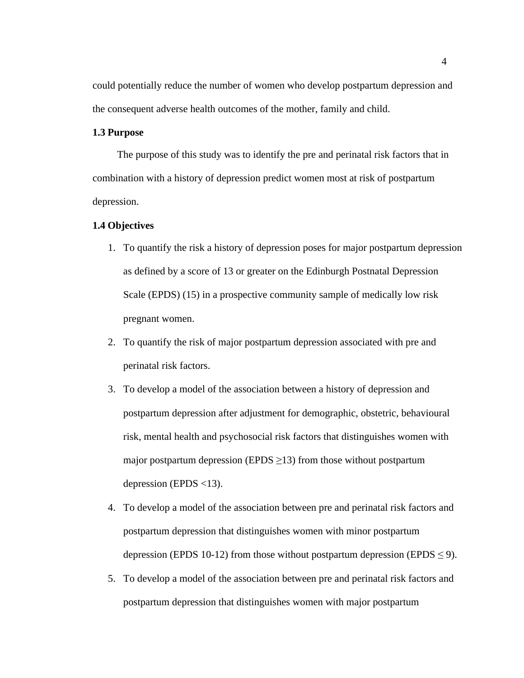could potentially reduce the number of women who develop postpartum depression and the consequent adverse health outcomes of the mother, family and child.

#### **1.3 Purpose**

The purpose of this study was to identify the pre and perinatal risk factors that in combination with a history of depression predict women most at risk of postpartum depression.

#### **1.4 Objectives**

- 1. To quantify the risk a history of depression poses for major postpartum depression as defined by a score of 13 or greater on the Edinburgh Postnatal Depression Scale (EPDS) (15) in a prospective community sample of medically low risk pregnant women.
- 2. To quantify the risk of major postpartum depression associated with pre and perinatal risk factors.
- 3. To develop a model of the association between a history of depression and postpartum depression after adjustment for demographic, obstetric, behavioural risk, mental health and psychosocial risk factors that distinguishes women with major postpartum depression (EPDS  $\geq$ 13) from those without postpartum depression (EPDS  $<$ 13).
- 4. To develop a model of the association between pre and perinatal risk factors and postpartum depression that distinguishes women with minor postpartum depression (EPDS 10-12) from those without postpartum depression (EPDS  $\leq$  9).
- 5. To develop a model of the association between pre and perinatal risk factors and postpartum depression that distinguishes women with major postpartum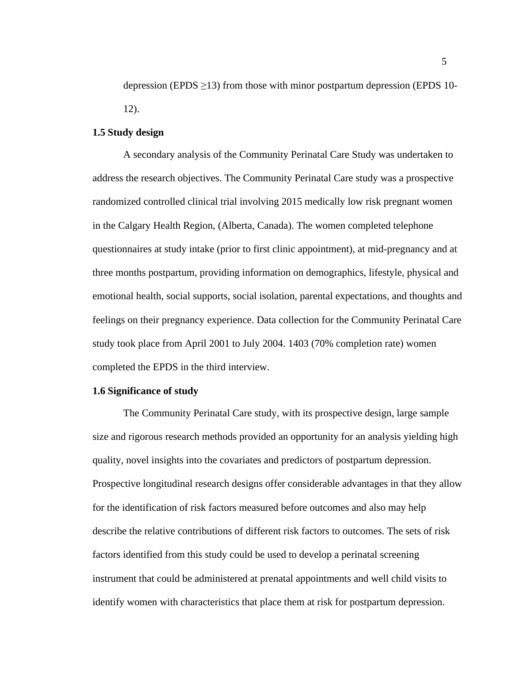depression (EPDS  $\geq$ 13) from those with minor postpartum depression (EPDS 10-12).

#### **1.5 Study design**

A secondary analysis of the Community Perinatal Care Study was undertaken to address the research objectives. The Community Perinatal Care study was a prospective randomized controlled clinical trial involving 2015 medically low risk pregnant women in the Calgary Health Region, (Alberta, Canada). The women completed telephone questionnaires at study intake (prior to first clinic appointment), at mid-pregnancy and at three months postpartum, providing information on demographics, lifestyle, physical and emotional health, social supports, social isolation, parental expectations, and thoughts and feelings on their pregnancy experience. Data collection for the Community Perinatal Care study took place from April 2001 to July 2004. 1403 (70% completion rate) women completed the EPDS in the third interview.

#### **1.6 Significance of study**

The Community Perinatal Care study, with its prospective design, large sample size and rigorous research methods provided an opportunity for an analysis yielding high quality, novel insights into the covariates and predictors of postpartum depression. Prospective longitudinal research designs offer considerable advantages in that they allow for the identification of risk factors measured before outcomes and also may help describe the relative contributions of different risk factors to outcomes. The sets of risk factors identified from this study could be used to develop a perinatal screening instrument that could be administered at prenatal appointments and well child visits to identify women with characteristics that place them at risk for postpartum depression.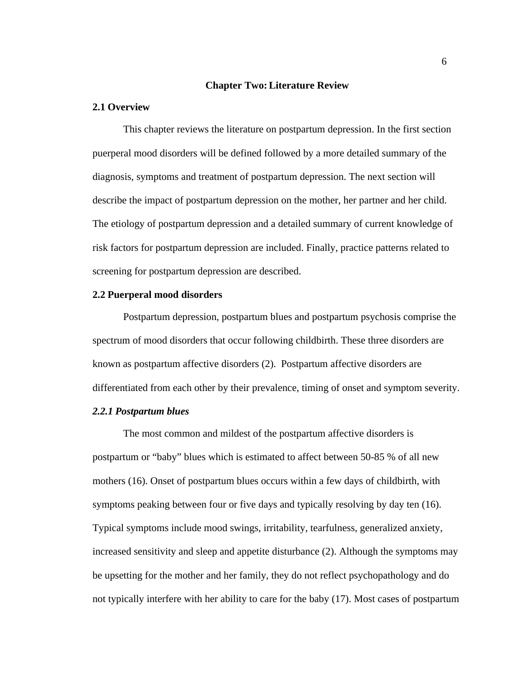#### **Chapter Two:Literature Review**

#### **2.1 Overview**

This chapter reviews the literature on postpartum depression. In the first section puerperal mood disorders will be defined followed by a more detailed summary of the diagnosis, symptoms and treatment of postpartum depression. The next section will describe the impact of postpartum depression on the mother, her partner and her child. The etiology of postpartum depression and a detailed summary of current knowledge of risk factors for postpartum depression are included. Finally, practice patterns related to screening for postpartum depression are described.

#### **2.2 Puerperal mood disorders**

Postpartum depression, postpartum blues and postpartum psychosis comprise the spectrum of mood disorders that occur following childbirth. These three disorders are known as postpartum affective disorders (2). Postpartum affective disorders are differentiated from each other by their prevalence, timing of onset and symptom severity.

#### *2.2.1 Postpartum blues*

The most common and mildest of the postpartum affective disorders is postpartum or "baby" blues which is estimated to affect between 50-85 % of all new mothers (16). Onset of postpartum blues occurs within a few days of childbirth, with symptoms peaking between four or five days and typically resolving by day ten (16). Typical symptoms include mood swings, irritability, tearfulness, generalized anxiety, increased sensitivity and sleep and appetite disturbance (2). Although the symptoms may be upsetting for the mother and her family, they do not reflect psychopathology and do not typically interfere with her ability to care for the baby (17). Most cases of postpartum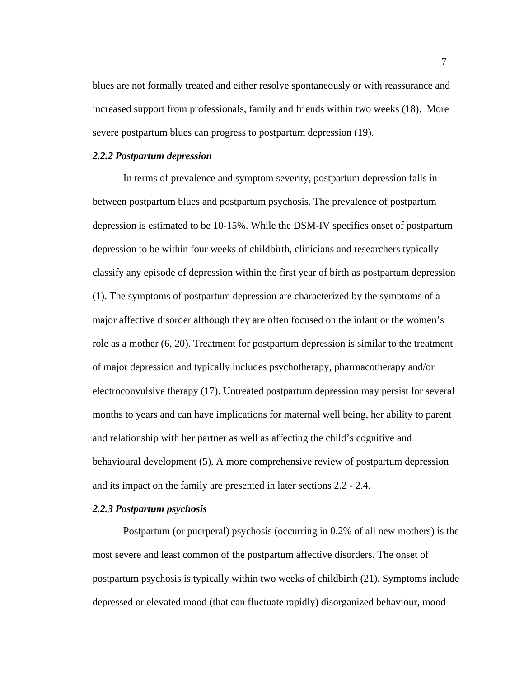blues are not formally treated and either resolve spontaneously or with reassurance and increased support from professionals, family and friends within two weeks (18). More severe postpartum blues can progress to postpartum depression (19).

#### *2.2.2 Postpartum depression*

In terms of prevalence and symptom severity, postpartum depression falls in between postpartum blues and postpartum psychosis. The prevalence of postpartum depression is estimated to be 10-15%. While the DSM-IV specifies onset of postpartum depression to be within four weeks of childbirth, clinicians and researchers typically classify any episode of depression within the first year of birth as postpartum depression (1). The symptoms of postpartum depression are characterized by the symptoms of a major affective disorder although they are often focused on the infant or the women's role as a mother (6, 20). Treatment for postpartum depression is similar to the treatment of major depression and typically includes psychotherapy, pharmacotherapy and/or electroconvulsive therapy (17). Untreated postpartum depression may persist for several months to years and can have implications for maternal well being, her ability to parent and relationship with her partner as well as affecting the child's cognitive and behavioural development (5). A more comprehensive review of postpartum depression and its impact on the family are presented in later sections 2.2 - 2.4.

#### *2.2.3 Postpartum psychosis*

Postpartum (or puerperal) psychosis (occurring in 0.2% of all new mothers) is the most severe and least common of the postpartum affective disorders. The onset of postpartum psychosis is typically within two weeks of childbirth (21). Symptoms include depressed or elevated mood (that can fluctuate rapidly) disorganized behaviour, mood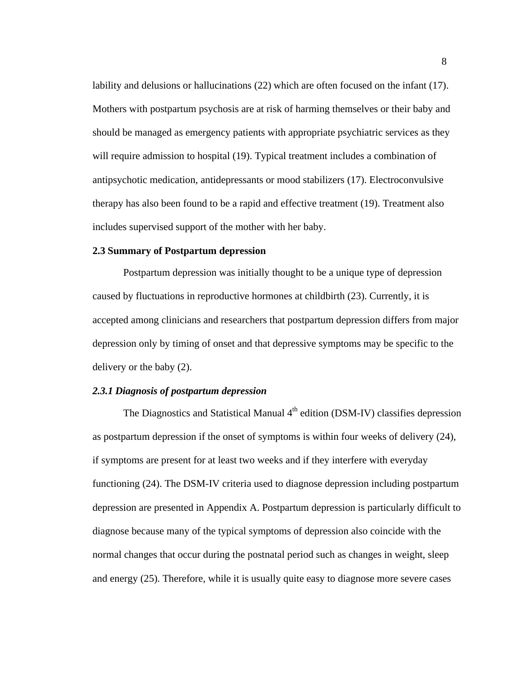lability and delusions or hallucinations (22) which are often focused on the infant (17). Mothers with postpartum psychosis are at risk of harming themselves or their baby and should be managed as emergency patients with appropriate psychiatric services as they will require admission to hospital (19). Typical treatment includes a combination of antipsychotic medication, antidepressants or mood stabilizers (17). Electroconvulsive therapy has also been found to be a rapid and effective treatment (19). Treatment also includes supervised support of the mother with her baby.

#### **2.3 Summary of Postpartum depression**

Postpartum depression was initially thought to be a unique type of depression caused by fluctuations in reproductive hormones at childbirth (23). Currently, it is accepted among clinicians and researchers that postpartum depression differs from major depression only by timing of onset and that depressive symptoms may be specific to the delivery or the baby (2).

#### *2.3.1 Diagnosis of postpartum depression*

The Diagnostics and Statistical Manual  $4<sup>th</sup>$  edition (DSM-IV) classifies depression as postpartum depression if the onset of symptoms is within four weeks of delivery (24), if symptoms are present for at least two weeks and if they interfere with everyday functioning (24). The DSM-IV criteria used to diagnose depression including postpartum depression are presented in Appendix A. Postpartum depression is particularly difficult to diagnose because many of the typical symptoms of depression also coincide with the normal changes that occur during the postnatal period such as changes in weight, sleep and energy (25). Therefore, while it is usually quite easy to diagnose more severe cases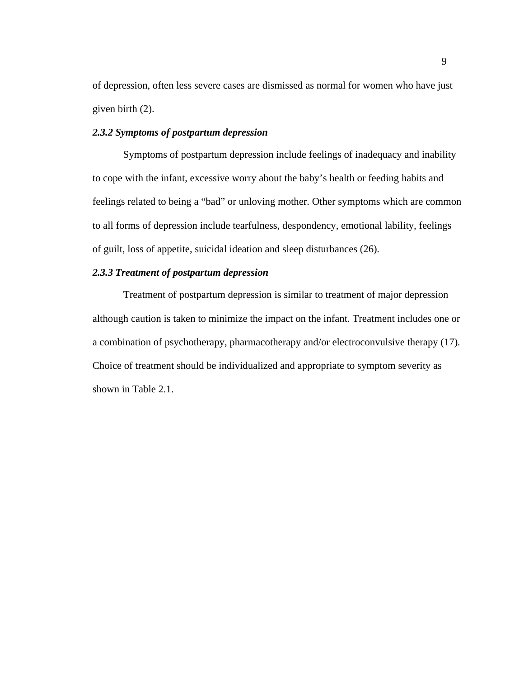of depression, often less severe cases are dismissed as normal for women who have just given birth (2).

#### *2.3.2 Symptoms of postpartum depression*

Symptoms of postpartum depression include feelings of inadequacy and inability to cope with the infant, excessive worry about the baby's health or feeding habits and feelings related to being a "bad" or unloving mother. Other symptoms which are common to all forms of depression include tearfulness, despondency, emotional lability, feelings of guilt, loss of appetite, suicidal ideation and sleep disturbances (26).

#### *2.3.3 Treatment of postpartum depression*

Treatment of postpartum depression is similar to treatment of major depression although caution is taken to minimize the impact on the infant. Treatment includes one or a combination of psychotherapy, pharmacotherapy and/or electroconvulsive therapy (17). Choice of treatment should be individualized and appropriate to symptom severity as shown in Table 2.1.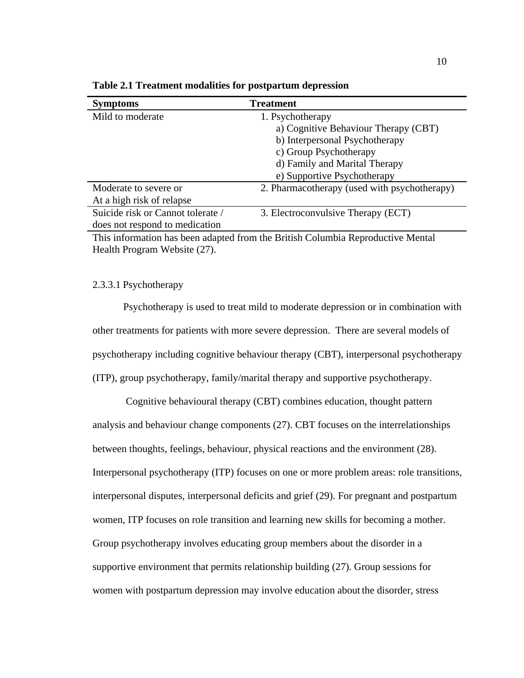| <b>Symptoms</b>                   | <b>Treatment</b>                             |
|-----------------------------------|----------------------------------------------|
| Mild to moderate                  | 1. Psychotherapy                             |
|                                   | a) Cognitive Behaviour Therapy (CBT)         |
|                                   | b) Interpersonal Psychotherapy               |
|                                   | c) Group Psychotherapy                       |
|                                   | d) Family and Marital Therapy                |
|                                   | e) Supportive Psychotherapy                  |
| Moderate to severe or             | 2. Pharmacotherapy (used with psychotherapy) |
| At a high risk of relapse         |                                              |
| Suicide risk or Cannot tolerate / | 3. Electroconvulsive Therapy (ECT)           |
| does not respond to medication    |                                              |

**Table 2.1 Treatment modalities for postpartum depression**

This information has been adapted from the British Columbia Reproductive Mental Health Program Website (27).

#### 2.3.3.1 Psychotherapy

Psychotherapy is used to treat mild to moderate depression or in combination with other treatments for patients with more severe depression. There are several models of psychotherapy including cognitive behaviour therapy (CBT), interpersonal psychotherapy (ITP), group psychotherapy, family/marital therapy and supportive psychotherapy.

 Cognitive behavioural therapy (CBT) combines education, thought pattern analysis and behaviour change components (27). CBT focuses on the interrelationships between thoughts, feelings, behaviour, physical reactions and the environment (28). Interpersonal psychotherapy (ITP) focuses on one or more problem areas: role transitions, interpersonal disputes, interpersonal deficits and grief (29). For pregnant and postpartum women, ITP focuses on role transition and learning new skills for becoming a mother. Group psychotherapy involves educating group members about the disorder in a supportive environment that permits relationship building (27). Group sessions for women with postpartum depression may involve education about the disorder, stress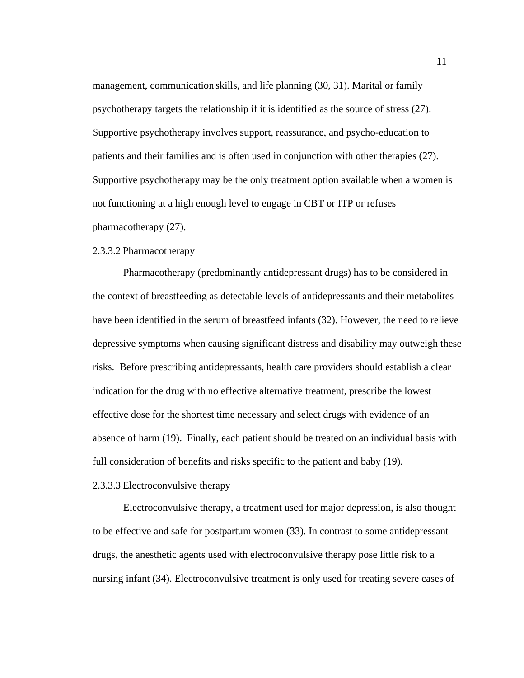management, communication skills, and life planning (30, 31). Marital or family psychotherapy targets the relationship if it is identified as the source of stress (27). Supportive psychotherapy involves support, reassurance, and psycho-education to patients and their families and is often used in conjunction with other therapies (27). Supportive psychotherapy may be the only treatment option available when a women is not functioning at a high enough level to engage in CBT or ITP or refuses pharmacotherapy (27).

#### 2.3.3.2 Pharmacotherapy

Pharmacotherapy (predominantly antidepressant drugs) has to be considered in the context of breastfeeding as detectable levels of antidepressants and their metabolites have been identified in the serum of breastfeed infants (32). However, the need to relieve depressive symptoms when causing significant distress and disability may outweigh these risks. Before prescribing antidepressants, health care providers should establish a clear indication for the drug with no effective alternative treatment, prescribe the lowest effective dose for the shortest time necessary and select drugs with evidence of an absence of harm (19). Finally, each patient should be treated on an individual basis with full consideration of benefits and risks specific to the patient and baby (19).

#### 2.3.3.3 Electroconvulsive therapy

Electroconvulsive therapy, a treatment used for major depression, is also thought to be effective and safe for postpartum women (33). In contrast to some antidepressant drugs, the anesthetic agents used with electroconvulsive therapy pose little risk to a nursing infant (34). Electroconvulsive treatment is only used for treating severe cases of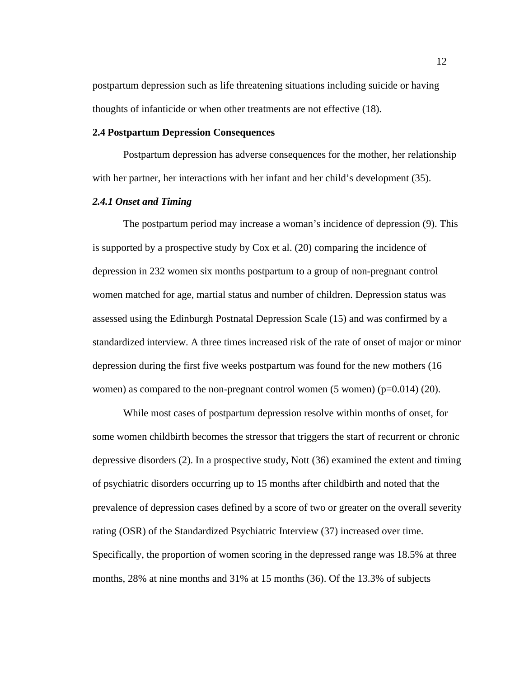postpartum depression such as life threatening situations including suicide or having thoughts of infanticide or when other treatments are not effective (18).

#### **2.4 Postpartum Depression Consequences**

Postpartum depression has adverse consequences for the mother, her relationship with her partner, her interactions with her infant and her child's development (35).

#### *2.4.1 Onset and Timing*

The postpartum period may increase a woman's incidence of depression (9). This is supported by a prospective study by Cox et al. (20) comparing the incidence of depression in 232 women six months postpartum to a group of non-pregnant control women matched for age, martial status and number of children. Depression status was assessed using the Edinburgh Postnatal Depression Scale (15) and was confirmed by a standardized interview. A three times increased risk of the rate of onset of major or minor depression during the first five weeks postpartum was found for the new mothers (16 women) as compared to the non-pregnant control women  $(5 \text{ women})$  (p=0.014) (20).

While most cases of postpartum depression resolve within months of onset, for some women childbirth becomes the stressor that triggers the start of recurrent or chronic depressive disorders (2). In a prospective study, Nott (36) examined the extent and timing of psychiatric disorders occurring up to 15 months after childbirth and noted that the prevalence of depression cases defined by a score of two or greater on the overall severity rating (OSR) of the Standardized Psychiatric Interview (37) increased over time. Specifically, the proportion of women scoring in the depressed range was 18.5% at three months, 28% at nine months and 31% at 15 months (36). Of the 13.3% of subjects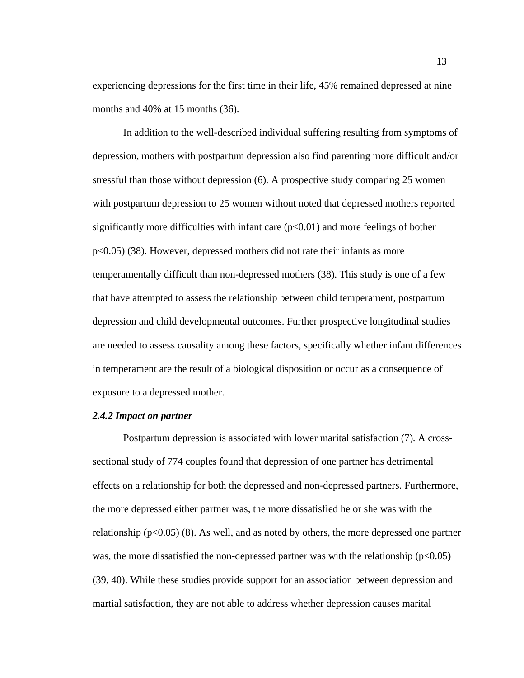experiencing depressions for the first time in their life, 45% remained depressed at nine months and 40% at 15 months (36).

In addition to the well-described individual suffering resulting from symptoms of depression, mothers with postpartum depression also find parenting more difficult and/or stressful than those without depression (6). A prospective study comparing 25 women with postpartum depression to 25 women without noted that depressed mothers reported significantly more difficulties with infant care  $(p<0.01)$  and more feelings of bother p<0.05) (38). However, depressed mothers did not rate their infants as more temperamentally difficult than non-depressed mothers (38). This study is one of a few that have attempted to assess the relationship between child temperament, postpartum depression and child developmental outcomes. Further prospective longitudinal studies are needed to assess causality among these factors, specifically whether infant differences in temperament are the result of a biological disposition or occur as a consequence of exposure to a depressed mother.

#### *2.4.2 Impact on partner*

Postpartum depression is associated with lower marital satisfaction (7). A crosssectional study of 774 couples found that depression of one partner has detrimental effects on a relationship for both the depressed and non-depressed partners. Furthermore, the more depressed either partner was, the more dissatisfied he or she was with the relationship  $(p<0.05)$  (8). As well, and as noted by others, the more depressed one partner was, the more dissatisfied the non-depressed partner was with the relationship  $(p<0.05)$ (39, 40). While these studies provide support for an association between depression and martial satisfaction, they are not able to address whether depression causes marital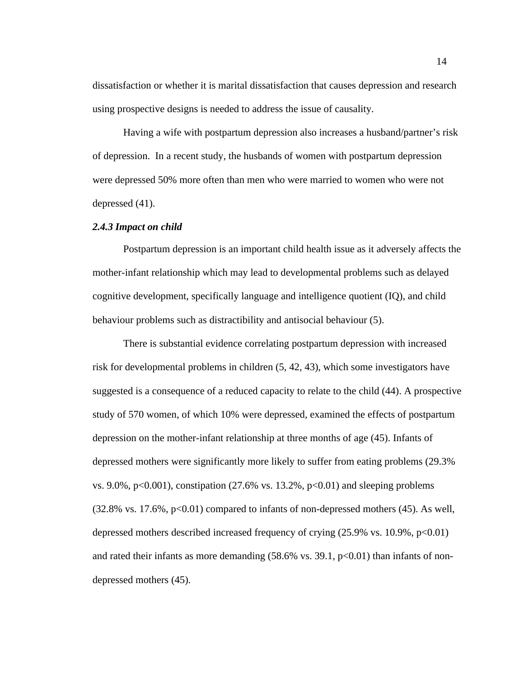dissatisfaction or whether it is marital dissatisfaction that causes depression and research using prospective designs is needed to address the issue of causality.

Having a wife with postpartum depression also increases a husband/partner's risk of depression. In a recent study, the husbands of women with postpartum depression were depressed 50% more often than men who were married to women who were not depressed (41).

#### *2.4.3 Impact on child*

Postpartum depression is an important child health issue as it adversely affects the mother-infant relationship which may lead to developmental problems such as delayed cognitive development, specifically language and intelligence quotient (IQ), and child behaviour problems such as distractibility and antisocial behaviour (5).

There is substantial evidence correlating postpartum depression with increased risk for developmental problems in children (5, 42, 43), which some investigators have suggested is a consequence of a reduced capacity to relate to the child (44). A prospective study of 570 women, of which 10% were depressed, examined the effects of postpartum depression on the mother-infant relationship at three months of age (45). Infants of depressed mothers were significantly more likely to suffer from eating problems (29.3% vs.  $9.0\%$ ,  $p<0.001$ ), constipation (27.6% vs. 13.2%,  $p<0.01$ ) and sleeping problems  $(32.8\%$  vs.  $17.6\%, p<0.01)$  compared to infants of non-depressed mothers (45). As well, depressed mothers described increased frequency of crying  $(25.9\% \text{ vs. } 10.9\%, \text{ p} < 0.01)$ and rated their infants as more demanding  $(58.6\% \text{ vs. } 39.1, \text{ p} < 0.01)$  than infants of nondepressed mothers (45).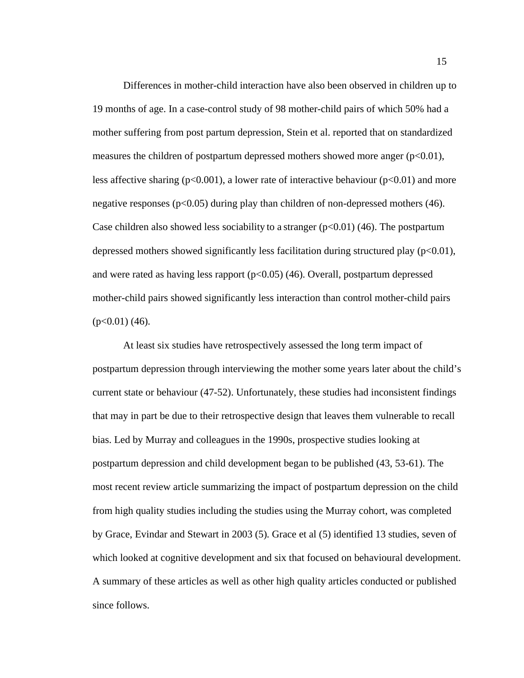Differences in mother-child interaction have also been observed in children up to 19 months of age. In a case-control study of 98 mother-child pairs of which 50% had a mother suffering from post partum depression, Stein et al. reported that on standardized measures the children of postpartum depressed mothers showed more anger  $(p<0.01)$ , less affective sharing ( $p<0.001$ ), a lower rate of interactive behaviour ( $p<0.01$ ) and more negative responses ( $p<0.05$ ) during play than children of non-depressed mothers (46). Case children also showed less sociability to a stranger  $(p<0.01)$  (46). The postpartum depressed mothers showed significantly less facilitation during structured play  $(p<0.01)$ , and were rated as having less rapport  $(p<0.05)$  (46). Overall, postpartum depressed mother-child pairs showed significantly less interaction than control mother-child pairs  $(p<0.01)$  (46).

At least six studies have retrospectively assessed the long term impact of postpartum depression through interviewing the mother some years later about the child's current state or behaviour (47-52). Unfortunately, these studies had inconsistent findings that may in part be due to their retrospective design that leaves them vulnerable to recall bias. Led by Murray and colleagues in the 1990s, prospective studies looking at postpartum depression and child development began to be published (43, 53-61). The most recent review article summarizing the impact of postpartum depression on the child from high quality studies including the studies using the Murray cohort, was completed by Grace, Evindar and Stewart in 2003 (5). Grace et al (5) identified 13 studies, seven of which looked at cognitive development and six that focused on behavioural development. A summary of these articles as well as other high quality articles conducted or published since follows.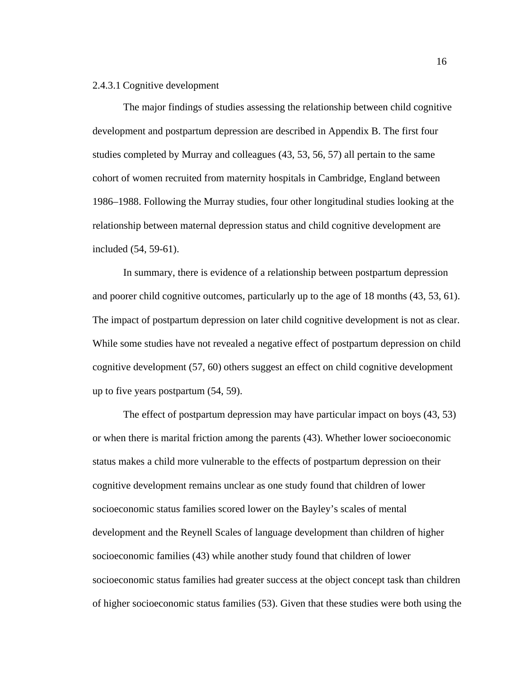#### 2.4.3.1 Cognitive development

The major findings of studies assessing the relationship between child cognitive development and postpartum depression are described in Appendix B. The first four studies completed by Murray and colleagues (43, 53, 56, 57) all pertain to the same cohort of women recruited from maternity hospitals in Cambridge, England between 1986–1988. Following the Murray studies, four other longitudinal studies looking at the relationship between maternal depression status and child cognitive development are included (54, 59-61).

In summary, there is evidence of a relationship between postpartum depression and poorer child cognitive outcomes, particularly up to the age of 18 months (43, 53, 61). The impact of postpartum depression on later child cognitive development is not as clear. While some studies have not revealed a negative effect of postpartum depression on child cognitive development (57, 60) others suggest an effect on child cognitive development up to five years postpartum (54, 59).

The effect of postpartum depression may have particular impact on boys (43, 53) or when there is marital friction among the parents (43). Whether lower socioeconomic status makes a child more vulnerable to the effects of postpartum depression on their cognitive development remains unclear as one study found that children of lower socioeconomic status families scored lower on the Bayley's scales of mental development and the Reynell Scales of language development than children of higher socioeconomic families (43) while another study found that children of lower socioeconomic status families had greater success at the object concept task than children of higher socioeconomic status families (53). Given that these studies were both using the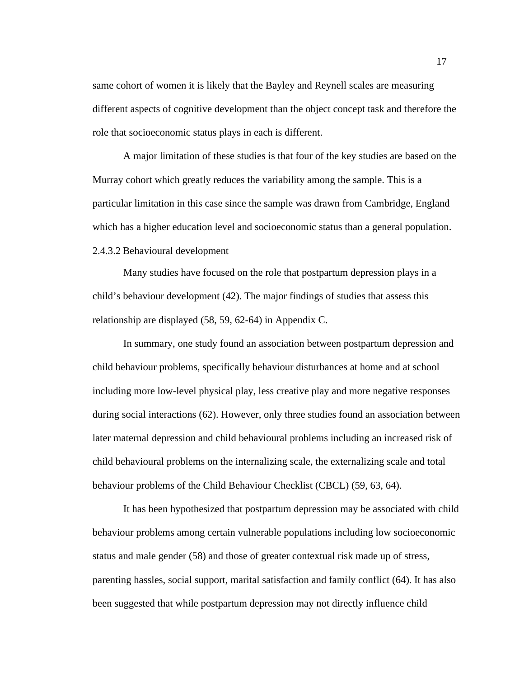same cohort of women it is likely that the Bayley and Reynell scales are measuring different aspects of cognitive development than the object concept task and therefore the role that socioeconomic status plays in each is different.

A major limitation of these studies is that four of the key studies are based on the Murray cohort which greatly reduces the variability among the sample. This is a particular limitation in this case since the sample was drawn from Cambridge, England which has a higher education level and socioeconomic status than a general population. 2.4.3.2 Behavioural development

Many studies have focused on the role that postpartum depression plays in a child's behaviour development (42). The major findings of studies that assess this relationship are displayed (58, 59, 62-64) in Appendix C.

In summary, one study found an association between postpartum depression and child behaviour problems, specifically behaviour disturbances at home and at school including more low-level physical play, less creative play and more negative responses during social interactions (62). However, only three studies found an association between later maternal depression and child behavioural problems including an increased risk of child behavioural problems on the internalizing scale, the externalizing scale and total behaviour problems of the Child Behaviour Checklist (CBCL) (59, 63, 64).

It has been hypothesized that postpartum depression may be associated with child behaviour problems among certain vulnerable populations including low socioeconomic status and male gender (58) and those of greater contextual risk made up of stress, parenting hassles, social support, marital satisfaction and family conflict (64). It has also been suggested that while postpartum depression may not directly influence child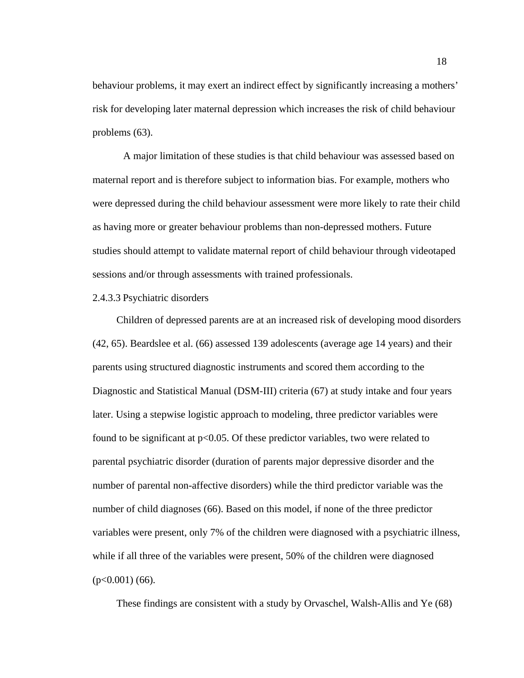behaviour problems, it may exert an indirect effect by significantly increasing a mothers' risk for developing later maternal depression which increases the risk of child behaviour problems (63).

A major limitation of these studies is that child behaviour was assessed based on maternal report and is therefore subject to information bias. For example, mothers who were depressed during the child behaviour assessment were more likely to rate their child as having more or greater behaviour problems than non-depressed mothers. Future studies should attempt to validate maternal report of child behaviour through videotaped sessions and/or through assessments with trained professionals.

#### 2.4.3.3 Psychiatric disorders

Children of depressed parents are at an increased risk of developing mood disorders (42, 65). Beardslee et al. (66) assessed 139 adolescents (average age 14 years) and their parents using structured diagnostic instruments and scored them according to the Diagnostic and Statistical Manual (DSM-III) criteria (67) at study intake and four years later. Using a stepwise logistic approach to modeling, three predictor variables were found to be significant at  $p<0.05$ . Of these predictor variables, two were related to parental psychiatric disorder (duration of parents major depressive disorder and the number of parental non-affective disorders) while the third predictor variable was the number of child diagnoses (66). Based on this model, if none of the three predictor variables were present, only 7% of the children were diagnosed with a psychiatric illness, while if all three of the variables were present, 50% of the children were diagnosed  $(p<0.001)$  (66).

These findings are consistent with a study by Orvaschel, Walsh-Allis and Ye (68)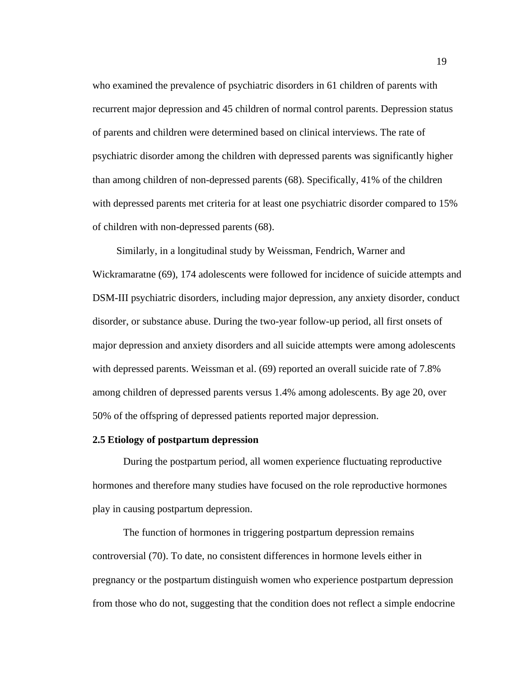who examined the prevalence of psychiatric disorders in 61 children of parents with recurrent major depression and 45 children of normal control parents. Depression status of parents and children were determined based on clinical interviews. The rate of psychiatric disorder among the children with depressed parents was significantly higher than among children of non-depressed parents (68). Specifically, 41% of the children with depressed parents met criteria for at least one psychiatric disorder compared to 15% of children with non-depressed parents (68).

Similarly, in a longitudinal study by Weissman, Fendrich, Warner and Wickramaratne (69), 174 adolescents were followed for incidence of suicide attempts and DSM-III psychiatric disorders, including major depression, any anxiety disorder, conduct disorder, or substance abuse. During the two-year follow-up period, all first onsets of major depression and anxiety disorders and all suicide attempts were among adolescents with depressed parents. Weissman et al.  $(69)$  reported an overall suicide rate of 7.8% among children of depressed parents versus 1.4% among adolescents. By age 20, over 50% of the offspring of depressed patients reported major depression.

#### **2.5 Etiology of postpartum depression**

During the postpartum period, all women experience fluctuating reproductive hormones and therefore many studies have focused on the role reproductive hormones play in causing postpartum depression.

The function of hormones in triggering postpartum depression remains controversial (70). To date, no consistent differences in hormone levels either in pregnancy or the postpartum distinguish women who experience postpartum depression from those who do not, suggesting that the condition does not reflect a simple endocrine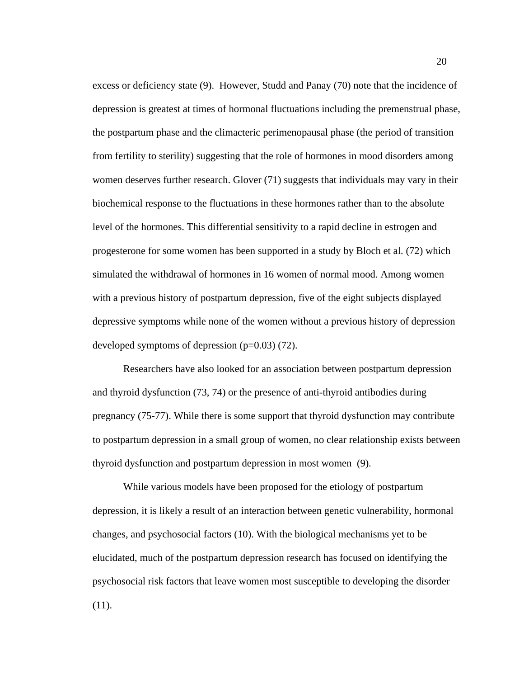excess or deficiency state (9). However, Studd and Panay (70) note that the incidence of depression is greatest at times of hormonal fluctuations including the premenstrual phase, the postpartum phase and the climacteric perimenopausal phase (the period of transition from fertility to sterility) suggesting that the role of hormones in mood disorders among women deserves further research. Glover (71) suggests that individuals may vary in their biochemical response to the fluctuations in these hormones rather than to the absolute level of the hormones. This differential sensitivity to a rapid decline in estrogen and progesterone for some women has been supported in a study by Bloch et al. (72) which simulated the withdrawal of hormones in 16 women of normal mood. Among women with a previous history of postpartum depression, five of the eight subjects displayed depressive symptoms while none of the women without a previous history of depression developed symptoms of depression  $(p=0.03)$  (72).

Researchers have also looked for an association between postpartum depression and thyroid dysfunction (73, 74) or the presence of anti-thyroid antibodies during pregnancy (75-77). While there is some support that thyroid dysfunction may contribute to postpartum depression in a small group of women, no clear relationship exists between thyroid dysfunction and postpartum depression in most women (9).

While various models have been proposed for the etiology of postpartum depression, it is likely a result of an interaction between genetic vulnerability, hormonal changes, and psychosocial factors (10). With the biological mechanisms yet to be elucidated, much of the postpartum depression research has focused on identifying the psychosocial risk factors that leave women most susceptible to developing the disorder (11).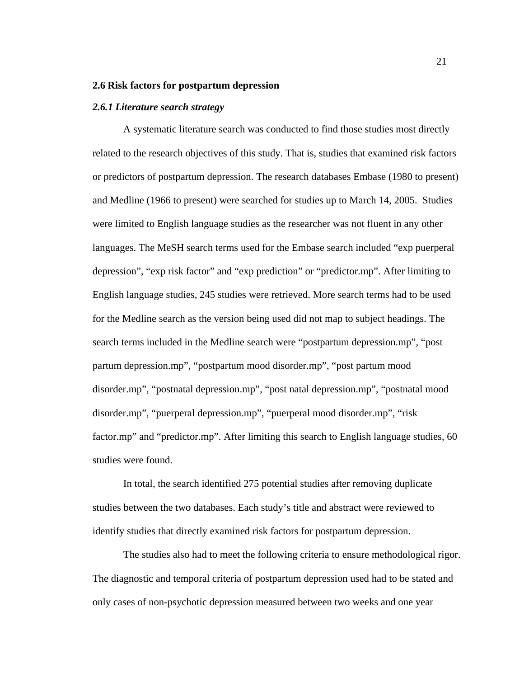#### **2.6 Risk factors for postpartum depression**

#### *2.6.1 Literature search strategy*

A systematic literature search was conducted to find those studies most directly related to the research objectives of this study. That is, studies that examined risk factors or predictors of postpartum depression. The research databases Embase (1980 to present) and Medline (1966 to present) were searched for studies up to March 14, 2005. Studies were limited to English language studies as the researcher was not fluent in any other languages. The MeSH search terms used for the Embase search included "exp puerperal depression", "exp risk factor" and "exp prediction" or "predictor.mp". After limiting to English language studies, 245 studies were retrieved. More search terms had to be used for the Medline search as the version being used did not map to subject headings. The search terms included in the Medline search were "postpartum depression.mp", "post partum depression.mp", "postpartum mood disorder.mp", "post partum mood disorder.mp", "postnatal depression.mp", "post natal depression.mp", "postnatal mood disorder.mp", "puerperal depression.mp", "puerperal mood disorder.mp", "risk factor.mp" and "predictor.mp". After limiting this search to English language studies, 60 studies were found.

In total, the search identified 275 potential studies after removing duplicate studies between the two databases. Each study's title and abstract were reviewed to identify studies that directly examined risk factors for postpartum depression.

The studies also had to meet the following criteria to ensure methodological rigor. The diagnostic and temporal criteria of postpartum depression used had to be stated and only cases of non-psychotic depression measured between two weeks and one year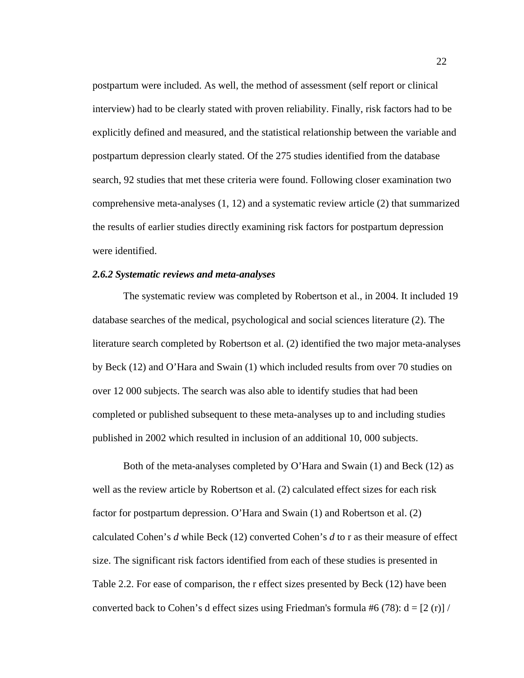postpartum were included. As well, the method of assessment (self report or clinical interview) had to be clearly stated with proven reliability. Finally, risk factors had to be explicitly defined and measured, and the statistical relationship between the variable and postpartum depression clearly stated. Of the 275 studies identified from the database search, 92 studies that met these criteria were found. Following closer examination two comprehensive meta-analyses (1, 12) and a systematic review article (2) that summarized the results of earlier studies directly examining risk factors for postpartum depression were identified.

#### *2.6.2 Systematic reviews and meta-analyses*

The systematic review was completed by Robertson et al., in 2004. It included 19 database searches of the medical, psychological and social sciences literature (2). The literature search completed by Robertson et al. (2) identified the two major meta-analyses by Beck (12) and O'Hara and Swain (1) which included results from over 70 studies on over 12 000 subjects. The search was also able to identify studies that had been completed or published subsequent to these meta-analyses up to and including studies published in 2002 which resulted in inclusion of an additional 10, 000 subjects.

Both of the meta-analyses completed by O'Hara and Swain (1) and Beck (12) as well as the review article by Robertson et al. (2) calculated effect sizes for each risk factor for postpartum depression. O'Hara and Swain (1) and Robertson et al. (2) calculated Cohen's *d* while Beck (12) converted Cohen's *d* to r as their measure of effect size. The significant risk factors identified from each of these studies is presented in Table 2.2. For ease of comparison, the r effect sizes presented by Beck (12) have been converted back to Cohen's d effect sizes using Friedman's formula #6 (78):  $d = [2 (r)] /$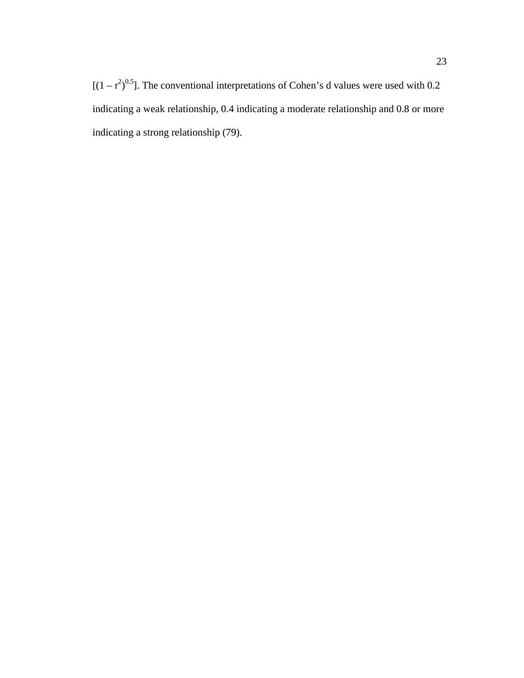$[(1 - r^2)^{0.5}]$ . The conventional interpretations of Cohen's d values were used with 0.2 indicating a weak relationship, 0.4 indicating a moderate relationship and 0.8 or more indicating a strong relationship (79).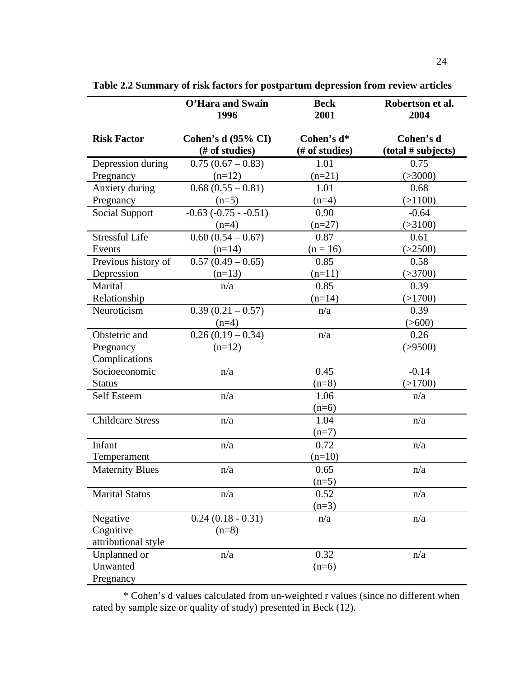|                         | O'Hara and Swain<br>1996                    | <b>Beck</b><br>2001          | Robertson et al.<br>2004        |
|-------------------------|---------------------------------------------|------------------------------|---------------------------------|
| <b>Risk Factor</b>      | <b>Cohen's d (95% CI)</b><br>(# of studies) | Cohen's d*<br>(# of studies) | Cohen's d<br>(total # subjects) |
| Depression during       | $0.75(0.67 - 0.83)$                         | 1.01                         | 0.75                            |
| Pregnancy               | $(n=12)$                                    | $(n=21)$                     | ( > 3000)                       |
| Anxiety during          | $0.68(0.55-0.81)$                           | 1.01                         | 0.68                            |
| Pregnancy               | $(n=5)$                                     | $(n=4)$                      | (>1100)                         |
| Social Support          | $-0.63$ $(-0.75 - 0.51)$                    | 0.90                         | $-0.64$                         |
|                         | $(n=4)$                                     | $(n=27)$                     | ( > 3100)                       |
| <b>Stressful Life</b>   | $0.60(0.54 - 0.67)$                         | 0.87                         | 0.61                            |
| Events                  | $(n=14)$                                    | $(n = 16)$                   | (>2500)                         |
| Previous history of     | $0.57(0.49-0.65)$                           | 0.85                         | 0.58                            |
| Depression              | $(n=13)$                                    | $(n=11)$                     | ( > 3700)                       |
| Marital                 | n/a                                         | 0.85                         | 0.39                            |
| Relationship            |                                             | $(n=14)$                     | (>1700)                         |
| Neuroticism             | $0.39(0.21-0.57)$                           | n/a                          | 0.39                            |
|                         | $(n=4)$                                     |                              | $($ >600)                       |
| Obstetric and           | $0.26(0.19-0.34)$                           | n/a                          | 0.26                            |
| Pregnancy               | $(n=12)$                                    |                              | ( > 9500)                       |
| Complications           |                                             |                              |                                 |
| Socioeconomic           | n/a                                         | 0.45                         | $-0.14$                         |
| <b>Status</b>           |                                             | $(n=8)$                      | (>1700)                         |
| <b>Self Esteem</b>      | n/a                                         | 1.06                         | n/a                             |
|                         |                                             | $(n=6)$                      |                                 |
| <b>Childcare Stress</b> | n/a                                         | 1.04                         | n/a                             |
|                         |                                             | $(n=7)$                      |                                 |
| Infant                  | n/a                                         | 0.72                         | n/a                             |
| Temperament             |                                             | $(n=10)$                     |                                 |
| <b>Maternity Blues</b>  | n/a                                         | 0.65                         | n/a                             |
|                         |                                             | $(n=5)$                      |                                 |
| <b>Marital Status</b>   | n/a                                         | 0.52                         | n/a                             |
|                         |                                             | $(n=3)$                      |                                 |
| Negative                | $0.24(0.18 - 0.31)$                         | n/a                          | n/a                             |
| Cognitive               | $(n=8)$                                     |                              |                                 |
| attributional style     |                                             |                              |                                 |
| Unplanned or            | n/a                                         | 0.32                         | n/a                             |
| Unwanted                |                                             | $(n=6)$                      |                                 |
| Pregnancy               |                                             |                              |                                 |

**Table 2.2 Summary of risk factors for postpartum depression from review articles**

\* Cohen's d values calculated from un-weighted r values (since no different when rated by sample size or quality of study) presented in Beck (12).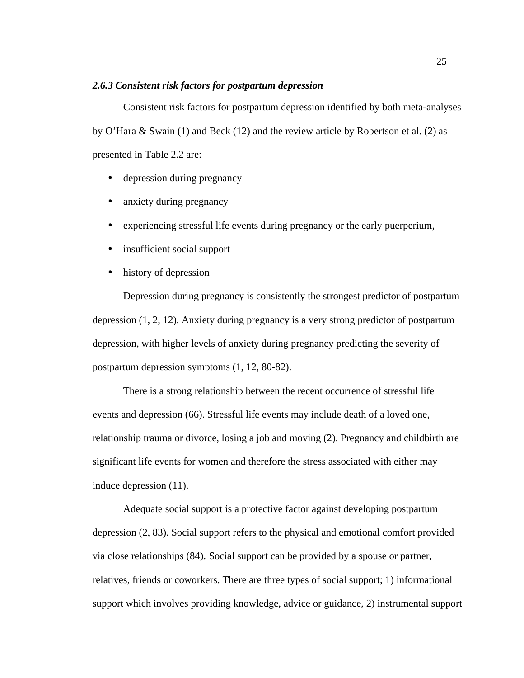# *2.6.3 Consistent risk factors for postpartum depression*

Consistent risk factors for postpartum depression identified by both meta-analyses by O'Hara & Swain (1) and Beck (12) and the review article by Robertson et al. (2) as presented in Table 2.2 are:

- depression during pregnancy
- anxiety during pregnancy
- experiencing stressful life events during pregnancy or the early puerperium,
- insufficient social support
- history of depression

Depression during pregnancy is consistently the strongest predictor of postpartum depression (1, 2, 12). Anxiety during pregnancy is a very strong predictor of postpartum depression, with higher levels of anxiety during pregnancy predicting the severity of postpartum depression symptoms (1, 12, 80-82).

There is a strong relationship between the recent occurrence of stressful life events and depression (66). Stressful life events may include death of a loved one, relationship trauma or divorce, losing a job and moving (2). Pregnancy and childbirth are significant life events for women and therefore the stress associated with either may induce depression (11).

Adequate social support is a protective factor against developing postpartum depression (2, 83). Social support refers to the physical and emotional comfort provided via close relationships (84). Social support can be provided by a spouse or partner, relatives, friends or coworkers. There are three types of social support; 1) informational support which involves providing knowledge, advice or guidance, 2) instrumental support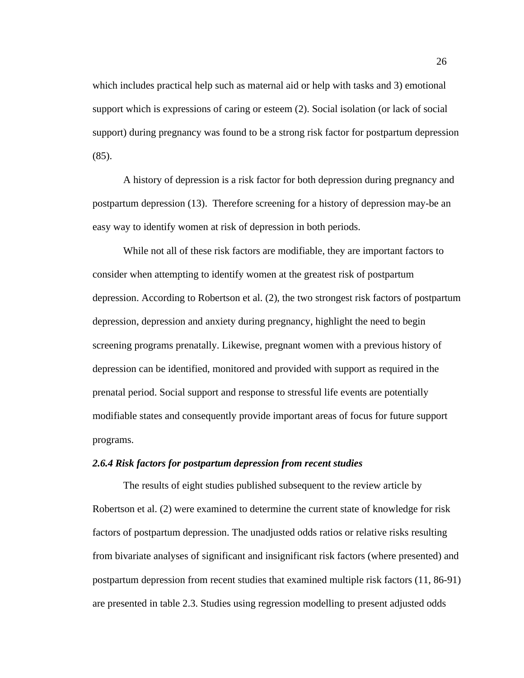which includes practical help such as maternal aid or help with tasks and 3) emotional support which is expressions of caring or esteem (2). Social isolation (or lack of social support) during pregnancy was found to be a strong risk factor for postpartum depression (85).

A history of depression is a risk factor for both depression during pregnancy and postpartum depression (13). Therefore screening for a history of depression may-be an easy way to identify women at risk of depression in both periods.

While not all of these risk factors are modifiable, they are important factors to consider when attempting to identify women at the greatest risk of postpartum depression. According to Robertson et al. (2), the two strongest risk factors of postpartum depression, depression and anxiety during pregnancy, highlight the need to begin screening programs prenatally. Likewise, pregnant women with a previous history of depression can be identified, monitored and provided with support as required in the prenatal period. Social support and response to stressful life events are potentially modifiable states and consequently provide important areas of focus for future support programs.

# *2.6.4 Risk factors for postpartum depression from recent studies*

The results of eight studies published subsequent to the review article by Robertson et al. (2) were examined to determine the current state of knowledge for risk factors of postpartum depression. The unadjusted odds ratios or relative risks resulting from bivariate analyses of significant and insignificant risk factors (where presented) and postpartum depression from recent studies that examined multiple risk factors (11, 86-91) are presented in table 2.3. Studies using regression modelling to present adjusted odds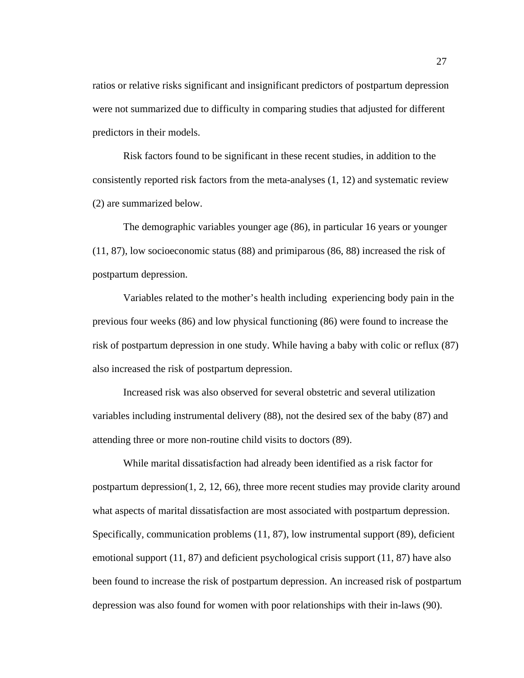ratios or relative risks significant and insignificant predictors of postpartum depression were not summarized due to difficulty in comparing studies that adjusted for different predictors in their models.

Risk factors found to be significant in these recent studies, in addition to the consistently reported risk factors from the meta-analyses (1, 12) and systematic review (2) are summarized below.

The demographic variables younger age (86), in particular 16 years or younger (11, 87), low socioeconomic status (88) and primiparous (86, 88) increased the risk of postpartum depression.

Variables related to the mother's health including experiencing body pain in the previous four weeks (86) and low physical functioning (86) were found to increase the risk of postpartum depression in one study. While having a baby with colic or reflux (87) also increased the risk of postpartum depression.

Increased risk was also observed for several obstetric and several utilization variables including instrumental delivery (88), not the desired sex of the baby (87) and attending three or more non-routine child visits to doctors (89).

While marital dissatisfaction had already been identified as a risk factor for postpartum depression(1, 2, 12, 66), three more recent studies may provide clarity around what aspects of marital dissatisfaction are most associated with postpartum depression. Specifically, communication problems (11, 87), low instrumental support (89), deficient emotional support (11, 87) and deficient psychological crisis support (11, 87) have also been found to increase the risk of postpartum depression. An increased risk of postpartum depression was also found for women with poor relationships with their in-laws (90).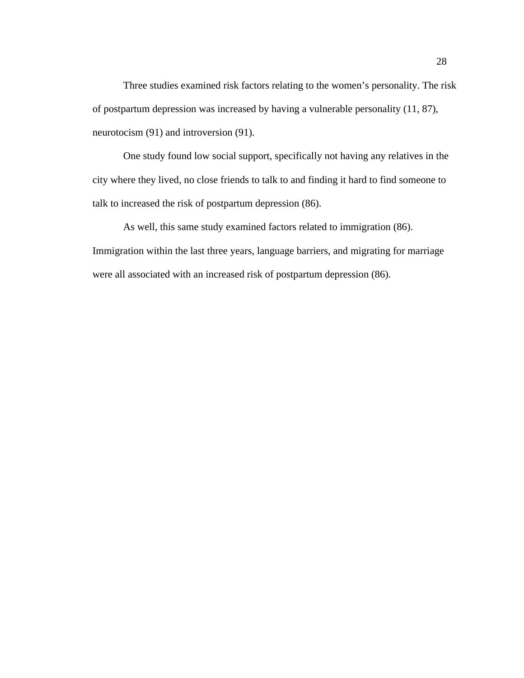Three studies examined risk factors relating to the women's personality. The risk of postpartum depression was increased by having a vulnerable personality (11, 87), neurotocism (91) and introversion (91).

One study found low social support, specifically not having any relatives in the city where they lived, no close friends to talk to and finding it hard to find someone to talk to increased the risk of postpartum depression (86).

As well, this same study examined factors related to immigration (86). Immigration within the last three years, language barriers, and migrating for marriage were all associated with an increased risk of postpartum depression (86).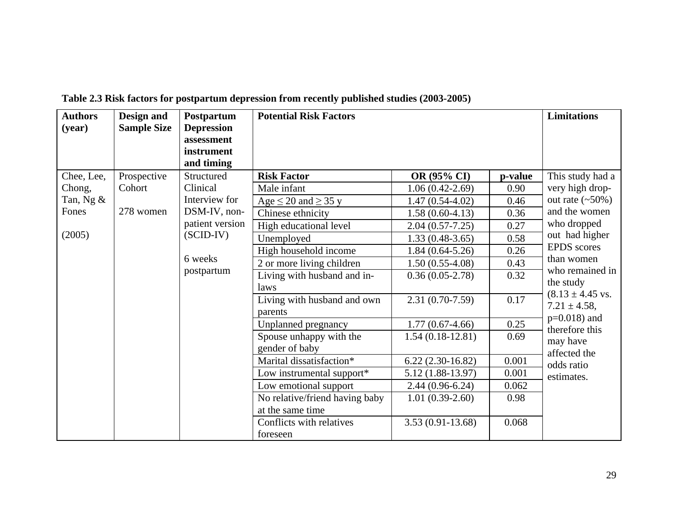| <b>Authors</b><br>(year)                               | Design and<br><b>Sample Size</b>   | Postpartum<br><b>Depression</b><br>assessment<br>instrument                                                                      | <b>Potential Risk Factors</b>                                                                                                                                                                                                                                                                                                                                                                                    |                                                                                                                                                                                                                                                                                                 |                                                                                                                   | <b>Limitations</b>                                                                                                                                                                                                                                                                                                                    |
|--------------------------------------------------------|------------------------------------|----------------------------------------------------------------------------------------------------------------------------------|------------------------------------------------------------------------------------------------------------------------------------------------------------------------------------------------------------------------------------------------------------------------------------------------------------------------------------------------------------------------------------------------------------------|-------------------------------------------------------------------------------------------------------------------------------------------------------------------------------------------------------------------------------------------------------------------------------------------------|-------------------------------------------------------------------------------------------------------------------|---------------------------------------------------------------------------------------------------------------------------------------------------------------------------------------------------------------------------------------------------------------------------------------------------------------------------------------|
| Chee, Lee,<br>Chong,<br>Tan, Ng $&$<br>Fones<br>(2005) | Prospective<br>Cohort<br>278 women | and timing<br>Structured<br>Clinical<br>Interview for<br>DSM-IV, non-<br>patient version<br>$(SCID-IV)$<br>6 weeks<br>postpartum | <b>Risk Factor</b><br>Male infant<br>Age $\leq$ 20 and $\geq$ 35 y<br>Chinese ethnicity<br>High educational level<br>Unemployed<br>High household income<br>$\overline{2}$ or more living children<br>Living with husband and in-<br>laws<br>Living with husband and own<br>parents<br>Unplanned pregnancy<br>Spouse unhappy with the<br>gender of baby<br>Marital dissatisfaction*<br>Low instrumental support* | OR (95% CI)<br>$1.06(0.42-2.69)$<br>$1.47(0.54-4.02)$<br>$1.58(0.60-4.13)$<br>$2.04(0.57-7.25)$<br>$1.33(0.48-3.65)$<br>$1.84(0.64-5.26)$<br>$1.50(0.55-4.08)$<br>$0.36(0.05-2.78)$<br>$2.31(0.70-7.59)$<br>$1.77(0.67-4.66)$<br>$1.54(0.18-12.81)$<br>$6.22(2.30-16.82)$<br>$5.12(1.88-13.97)$ | p-value<br>0.90<br>0.46<br>0.36<br>0.27<br>0.58<br>0.26<br>0.43<br>0.32<br>0.17<br>0.25<br>0.69<br>0.001<br>0.001 | This study had a<br>very high drop-<br>out rate $(\sim 50\%)$<br>and the women<br>who dropped<br>out had higher<br><b>EPDS</b> scores<br>than women<br>who remained in<br>the study<br>$(8.13 \pm 4.45 \text{ vs.}$<br>$7.21 \pm 4.58$ ,<br>$p=0.018$ ) and<br>therefore this<br>may have<br>affected the<br>odds ratio<br>estimates. |
|                                                        |                                    |                                                                                                                                  | Low emotional support<br>No relative/friend having baby<br>at the same time<br>Conflicts with relatives<br>foreseen                                                                                                                                                                                                                                                                                              | $2.44(0.96-6.24)$<br>$1.01(0.39-2.60)$<br>$3.53(0.91-13.68)$                                                                                                                                                                                                                                    | 0.062<br>0.98<br>0.068                                                                                            |                                                                                                                                                                                                                                                                                                                                       |

**Table 2.3 Risk factors for postpartum depression from recently published studies (2003-2005)**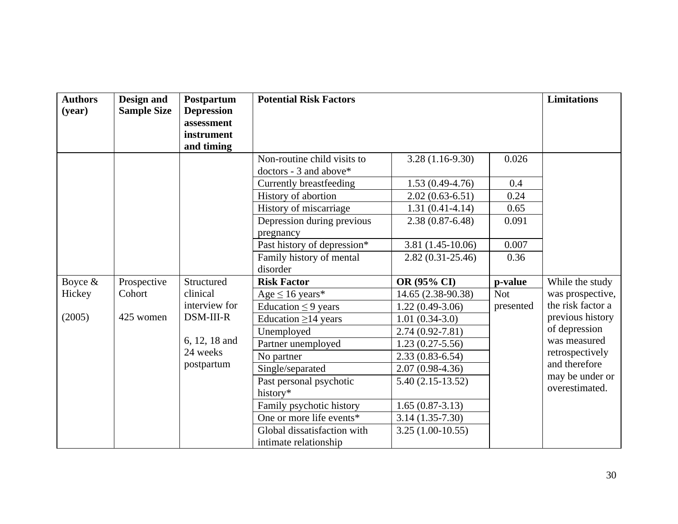| <b>Authors</b><br>(year) | Design and<br><b>Sample Size</b> | Postpartum<br><b>Depression</b><br>assessment<br>instrument<br>and timing | <b>Potential Risk Factors</b>                                                    |                                            |                         | <b>Limitations</b>                               |
|--------------------------|----------------------------------|---------------------------------------------------------------------------|----------------------------------------------------------------------------------|--------------------------------------------|-------------------------|--------------------------------------------------|
|                          |                                  |                                                                           | Non-routine child visits to<br>doctors - 3 and above*<br>Currently breastfeeding | $3.28(1.16-9.30)$<br>$1.53(0.49-4.76)$     | 0.026<br>0.4            |                                                  |
|                          |                                  |                                                                           | History of abortion<br>History of miscarriage                                    | $2.02(0.63-6.51)$<br>$1.31(0.41-4.14)$     | 0.24<br>0.65            |                                                  |
|                          |                                  |                                                                           | Depression during previous<br>pregnancy                                          | $2.38(0.87 - 6.48)$                        | 0.091                   |                                                  |
|                          |                                  |                                                                           | Past history of depression*<br>Family history of mental<br>disorder              | $3.81(1.45-10.06)$<br>$2.82(0.31 - 25.46)$ | 0.007<br>0.36           |                                                  |
| Boyce $\&$               | Prospective                      | Structured                                                                | <b>Risk Factor</b>                                                               | OR (95% CI)                                | p-value                 | While the study                                  |
| Hickey                   | Cohort                           | clinical<br>interview for                                                 | Age $\leq 16$ years*<br>Education $\leq$ 9 years                                 | 14.65 (2.38-90.38)<br>$1.22(0.49-3.06)$    | <b>Not</b><br>presented | was prospective,<br>the risk factor a            |
| (2005)                   | 425 women                        | DSM-III-R                                                                 | Education $\geq$ 14 years<br>Unemployed                                          | $1.01(0.34-3.0)$<br>$2.74(0.92 - 7.81)$    |                         | previous history<br>of depression                |
|                          |                                  | 6, 12, 18 and<br>24 weeks                                                 | Partner unemployed<br>No partner                                                 | $1.23(0.27 - 5.56)$<br>$2.33(0.83 - 6.54)$ |                         | was measured<br>retrospectively<br>and therefore |
|                          |                                  | postpartum                                                                | Single/separated<br>Past personal psychotic<br>history*                          | $2.07(0.98-4.36)$<br>$5.40(2.15-13.52)$    |                         | may be under or<br>overestimated.                |
|                          |                                  |                                                                           | Family psychotic history<br>One or more life events*                             | $1.65(0.87-3.13)$<br>$3.14(1.35-7.30)$     |                         |                                                  |
|                          |                                  |                                                                           | Global dissatisfaction with<br>intimate relationship                             | $3.25(1.00-10.55)$                         |                         |                                                  |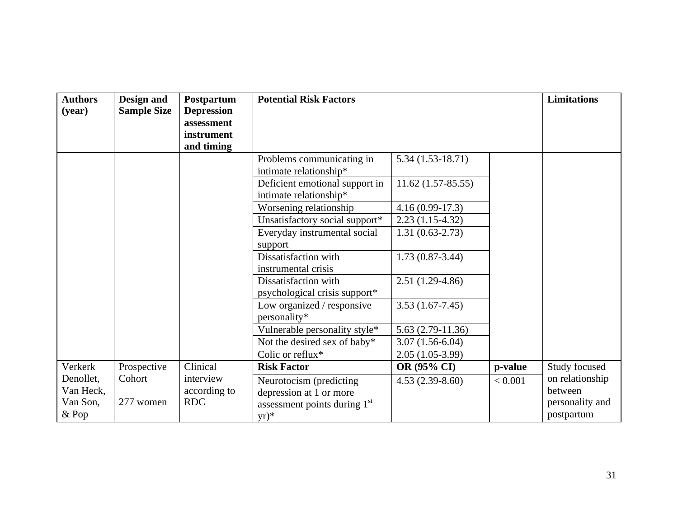| <b>Authors</b><br>(year) | Design and<br><b>Sample Size</b> | Postpartum<br><b>Depression</b><br>assessment<br>instrument<br>and timing | <b>Potential Risk Factors</b>                            |                     |         | <b>Limitations</b>            |
|--------------------------|----------------------------------|---------------------------------------------------------------------------|----------------------------------------------------------|---------------------|---------|-------------------------------|
|                          |                                  |                                                                           | Problems communicating in<br>intimate relationship*      | $5.34(1.53-18.71)$  |         |                               |
|                          |                                  |                                                                           | Deficient emotional support in<br>intimate relationship* | $11.62(1.57-85.55)$ |         |                               |
|                          |                                  |                                                                           | Worsening relationship                                   | $4.16(0.99-17.3)$   |         |                               |
|                          |                                  |                                                                           | Unsatisfactory social support*                           | $2.23(1.15-4.32)$   |         |                               |
|                          |                                  |                                                                           | Everyday instrumental social<br>support                  | $1.31(0.63 - 2.73)$ |         |                               |
|                          |                                  |                                                                           | Dissatisfaction with<br>instrumental crisis              | $1.73(0.87-3.44)$   |         |                               |
|                          |                                  |                                                                           | Dissatisfaction with<br>psychological crisis support*    | $2.51(1.29-4.86)$   |         |                               |
|                          |                                  |                                                                           | Low organized / responsive<br>personality*               | $3.53(1.67-7.45)$   |         |                               |
|                          |                                  |                                                                           | Vulnerable personality style*                            | $5.63(2.79-11.36)$  |         |                               |
|                          |                                  |                                                                           | Not the desired sex of baby*                             | $3.07(1.56-6.04)$   |         |                               |
|                          |                                  |                                                                           | Colic or reflux*                                         | $2.05(1.05-3.99)$   |         |                               |
| Verkerk                  | Prospective                      | Clinical                                                                  | <b>Risk Factor</b>                                       | OR (95% CI)         | p-value | Study focused                 |
| Denollet,<br>Van Heck,   | Cohort                           | interview<br>according to                                                 | Neurotocism (predicting<br>depression at 1 or more       | $4.53(2.39-8.60)$   | < 0.001 | on relationship<br>between    |
| Van Son,<br>& Pop        | 277 women                        | <b>RDC</b>                                                                | assessment points during 1 <sup>st</sup><br>$yr)^*$      |                     |         | personality and<br>postpartum |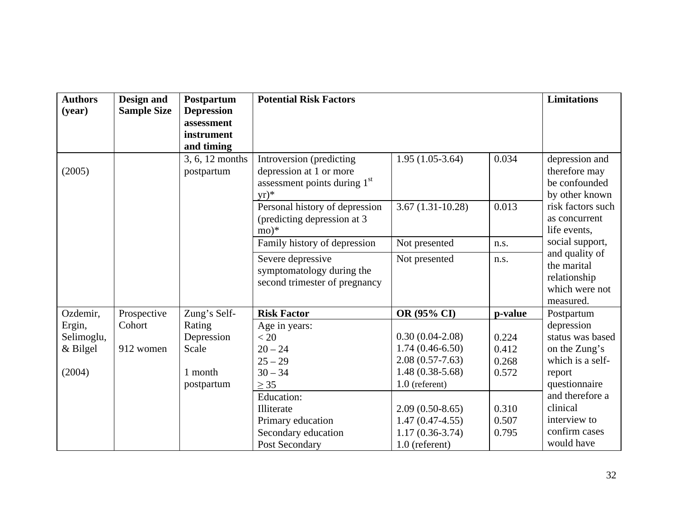| <b>Authors</b><br>(year)                     | Design and<br><b>Sample Size</b> | Postpartum<br><b>Depression</b><br>assessment<br>instrument<br>and timing | <b>Potential Risk Factors</b>                                                                                                                                       |                                                                                                                                                                                             |                                                             | <b>Limitations</b>                                                                                                                                                           |
|----------------------------------------------|----------------------------------|---------------------------------------------------------------------------|---------------------------------------------------------------------------------------------------------------------------------------------------------------------|---------------------------------------------------------------------------------------------------------------------------------------------------------------------------------------------|-------------------------------------------------------------|------------------------------------------------------------------------------------------------------------------------------------------------------------------------------|
| (2005)                                       | postpartum                       | 3, 6, 12 months                                                           | Introversion (predicting<br>depression at 1 or more<br>assessment points during 1 <sup>st</sup><br>$yr)^*$                                                          | $1.95(1.05-3.64)$                                                                                                                                                                           | 0.034                                                       | depression and<br>therefore may<br>be confounded<br>by other known                                                                                                           |
|                                              |                                  |                                                                           | Personal history of depression<br>(predicting depression at 3)<br>$mo)*$                                                                                            | $3.67(1.31-10.28)$                                                                                                                                                                          | 0.013                                                       | risk factors such<br>as concurrent<br>life events,                                                                                                                           |
|                                              |                                  |                                                                           | Family history of depression                                                                                                                                        | Not presented                                                                                                                                                                               | n.s.                                                        | social support,                                                                                                                                                              |
|                                              |                                  |                                                                           | Severe depressive<br>symptomatology during the<br>second trimester of pregnancy                                                                                     | Not presented                                                                                                                                                                               | n.s.                                                        | and quality of<br>the marital<br>relationship<br>which were not<br>measured.                                                                                                 |
| Ozdemir,                                     | Prospective                      | Zung's Self-                                                              | <b>Risk Factor</b>                                                                                                                                                  | OR (95% CI)                                                                                                                                                                                 | p-value                                                     | Postpartum                                                                                                                                                                   |
| Ergin,<br>Selimoglu,<br>$&$ Bilgel<br>(2004) | Cohort<br>912 women              | Rating<br>Depression<br>Scale<br>1 month<br>postpartum                    | Age in years:<br>< 20<br>$20 - 24$<br>$25 - 29$<br>$30 - 34$<br>$\geq$ 35<br>Education:<br>Illiterate<br>Primary education<br>Secondary education<br>Post Secondary | $0.30(0.04-2.08)$<br>$1.74(0.46-6.50)$<br>$2.08(0.57 - 7.63)$<br>$1.48(0.38 - 5.68)$<br>$1.0$ (referent)<br>$2.09(0.50-8.65)$<br>$1.47(0.47-4.55)$<br>$1.17(0.36-3.74)$<br>$1.0$ (referent) | 0.224<br>0.412<br>0.268<br>0.572<br>0.310<br>0.507<br>0.795 | depression<br>status was based<br>on the Zung's<br>which is a self-<br>report<br>questionnaire<br>and therefore a<br>clinical<br>interview to<br>confirm cases<br>would have |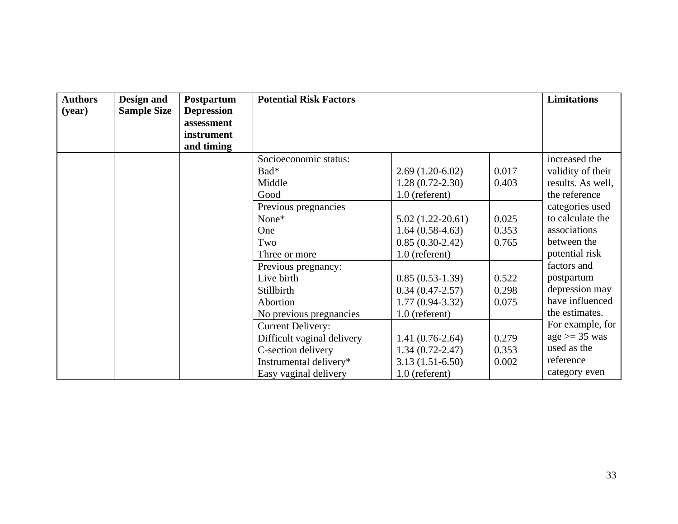| <b>Authors</b><br>(year) | Design and<br><b>Sample Size</b> | Postpartum<br><b>Depression</b><br>assessment<br>instrument<br>and timing | <b>Potential Risk Factors</b>                                                                                                                              |                                                                                                       |                         | <b>Limitations</b>                                                                                 |
|--------------------------|----------------------------------|---------------------------------------------------------------------------|------------------------------------------------------------------------------------------------------------------------------------------------------------|-------------------------------------------------------------------------------------------------------|-------------------------|----------------------------------------------------------------------------------------------------|
|                          |                                  |                                                                           | Socioeconomic status:<br>Bad*<br>Middle<br>Good                                                                                                            | $2.69(1.20-6.02)$<br>$1.28(0.72-2.30)$<br>$1.0$ (referent)                                            | 0.017<br>0.403          | increased the<br>validity of their<br>results. As well,<br>the reference                           |
|                          |                                  |                                                                           | Previous pregnancies<br>None*<br>One<br>Two                                                                                                                | $5.02(1.22-20.61)$<br>$1.64(0.58-4.63)$<br>$0.85(0.30-2.42)$                                          | 0.025<br>0.353<br>0.765 | categories used<br>to calculate the<br>associations<br>between the                                 |
|                          |                                  |                                                                           | Three or more<br>Previous pregnancy:<br>Live birth<br>Stillbirth<br>Abortion                                                                               | $1.0$ (referent)<br>$0.85(0.53-1.39)$<br>$0.34(0.47 - 2.57)$<br>$1.77(0.94 - 3.32)$                   | 0.522<br>0.298<br>0.075 | potential risk<br>factors and<br>postpartum<br>depression may<br>have influenced<br>the estimates. |
|                          |                                  |                                                                           | No previous pregnancies<br><b>Current Delivery:</b><br>Difficult vaginal delivery<br>C-section delivery<br>Instrumental delivery*<br>Easy vaginal delivery | $1.0$ (referent)<br>$1.41(0.76-2.64)$<br>$1.34(0.72 - 2.47)$<br>$3.13(1.51-6.50)$<br>$1.0$ (referent) | 0.279<br>0.353<br>0.002 | For example, for<br>$age \geq 35$ was<br>used as the<br>reference<br>category even                 |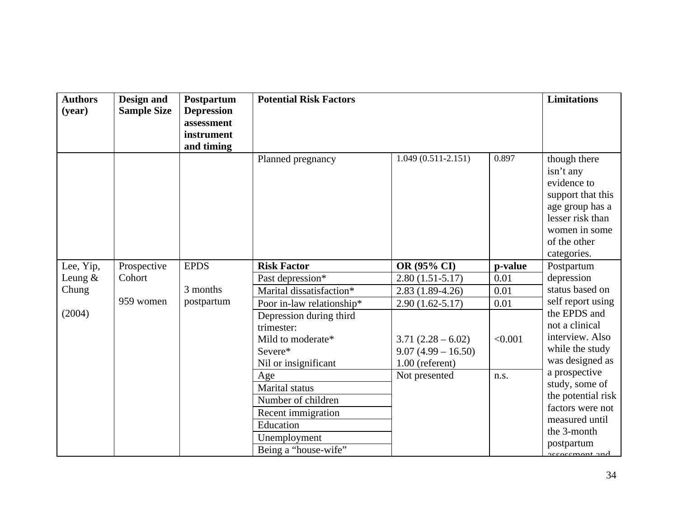| <b>Authors</b><br>(year) | Design and<br><b>Sample Size</b> | Postpartum<br><b>Depression</b><br>assessment<br>instrument<br>and timing | <b>Potential Risk Factors</b> |                                           |         | <b>Limitations</b>                                                                                                                                   |
|--------------------------|----------------------------------|---------------------------------------------------------------------------|-------------------------------|-------------------------------------------|---------|------------------------------------------------------------------------------------------------------------------------------------------------------|
|                          |                                  |                                                                           | Planned pregnancy             | $1.049(0.511 - 2.151)$                    | 0.897   | though there<br>isn't any<br>evidence to<br>support that this<br>age group has a<br>lesser risk than<br>women in some<br>of the other<br>categories. |
| Lee, Yip,                | Prospective                      | <b>EPDS</b>                                                               | <b>Risk Factor</b>            | OR (95% CI)                               | p-value | Postpartum                                                                                                                                           |
| Leung $&$                | Cohort                           |                                                                           | Past depression*              | $2.80(1.51-5.17)$                         | 0.01    | depression                                                                                                                                           |
| Chung                    |                                  | 3 months                                                                  | Marital dissatisfaction*      | $2.83(1.89-4.26)$                         | 0.01    | status based on                                                                                                                                      |
|                          | 959 women                        | postpartum                                                                | Poor in-law relationship*     | $2.90(1.62 - 5.17)$                       | 0.01    | self report using                                                                                                                                    |
| (2004)                   |                                  |                                                                           | Depression during third       |                                           |         | the EPDS and<br>not a clinical                                                                                                                       |
|                          |                                  |                                                                           | trimester:                    |                                           |         | interview. Also                                                                                                                                      |
|                          |                                  |                                                                           | Mild to moderate*<br>Severe*  | $3.71(2.28-6.02)$<br>$9.07(4.99 - 16.50)$ | < 0.001 | while the study                                                                                                                                      |
|                          |                                  |                                                                           | Nil or insignificant          | $1.00$ (referent)                         |         | was designed as                                                                                                                                      |
|                          |                                  |                                                                           | Age                           | Not presented                             | n.s.    | a prospective                                                                                                                                        |
|                          |                                  |                                                                           | <b>Marital</b> status         |                                           |         | study, some of                                                                                                                                       |
|                          |                                  |                                                                           | Number of children            |                                           |         | the potential risk                                                                                                                                   |
|                          |                                  |                                                                           | Recent immigration            |                                           |         | factors were not                                                                                                                                     |
|                          |                                  |                                                                           | Education                     |                                           |         | measured until                                                                                                                                       |
|                          |                                  |                                                                           | Unemployment                  |                                           |         | the 3-month                                                                                                                                          |
|                          |                                  |                                                                           | Being a "house-wife"          |                                           |         | postpartum<br>accaccmant and                                                                                                                         |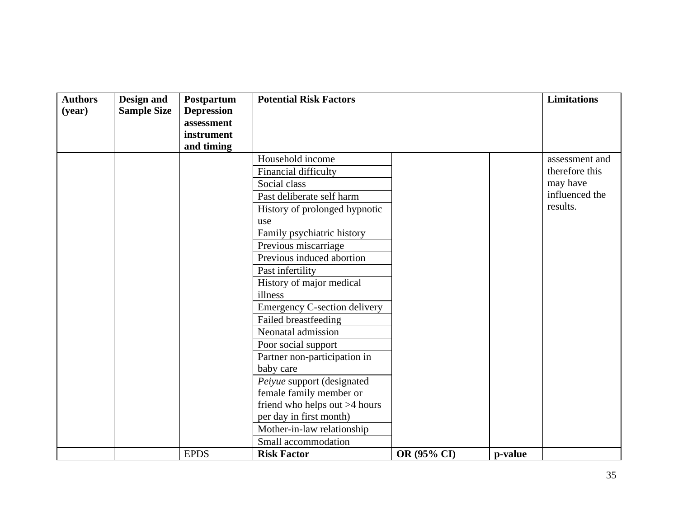| <b>Authors</b><br>(year) | Design and<br><b>Sample Size</b> | Postpartum<br><b>Depression</b><br>assessment<br>instrument<br>and timing | <b>Potential Risk Factors</b>                                                                                                                                                                                                                                                                                                                                                                                                                                                                                                                                                                                  |             |         | <b>Limitations</b>                                                         |
|--------------------------|----------------------------------|---------------------------------------------------------------------------|----------------------------------------------------------------------------------------------------------------------------------------------------------------------------------------------------------------------------------------------------------------------------------------------------------------------------------------------------------------------------------------------------------------------------------------------------------------------------------------------------------------------------------------------------------------------------------------------------------------|-------------|---------|----------------------------------------------------------------------------|
|                          |                                  |                                                                           | Household income<br>Financial difficulty<br>Social class<br>Past deliberate self harm<br>History of prolonged hypnotic<br>use<br>Family psychiatric history<br>Previous miscarriage<br>Previous induced abortion<br>Past infertility<br>History of major medical<br>illness<br><b>Emergency C-section delivery</b><br>Failed breastfeeding<br>Neonatal admission<br>Poor social support<br>Partner non-participation in<br>baby care<br>Peiyue support (designated<br>female family member or<br>friend who helps out >4 hours<br>per day in first month)<br>Mother-in-law relationship<br>Small accommodation |             |         | assessment and<br>therefore this<br>may have<br>influenced the<br>results. |
|                          |                                  | <b>EPDS</b>                                                               | <b>Risk Factor</b>                                                                                                                                                                                                                                                                                                                                                                                                                                                                                                                                                                                             | OR (95% CI) | p-value |                                                                            |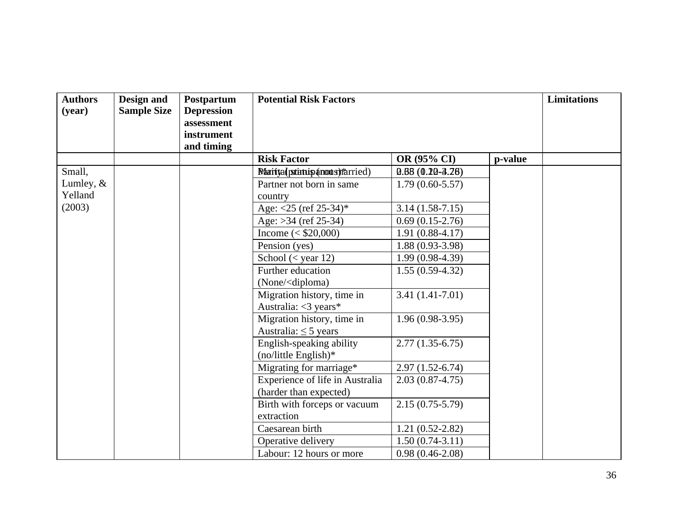| <b>Authors</b><br>(year) | Design and<br><b>Sample Size</b> | Postpartum<br><b>Depression</b><br>assessment<br>instrument<br>and timing | <b>Potential Risk Factors</b>                                   |                     |         | <b>Limitations</b> |
|--------------------------|----------------------------------|---------------------------------------------------------------------------|-----------------------------------------------------------------|---------------------|---------|--------------------|
|                          |                                  |                                                                           | <b>Risk Factor</b>                                              | OR (95% CI)         | p-value |                    |
| Small,                   |                                  |                                                                           | Maritta (patintip anous) rarried)                               | $0.68(0.10-3.28)$   |         |                    |
| Lumley, $&$              |                                  |                                                                           | Partner not born in same                                        | $1.79(0.60-5.57)$   |         |                    |
| Yelland                  |                                  |                                                                           | country                                                         |                     |         |                    |
| (2003)                   |                                  |                                                                           | Age: $<$ 25 (ref 25-34)*                                        | $3.14(1.58-7.15)$   |         |                    |
|                          |                                  |                                                                           | Age: $>34$ (ref 25-34)                                          | $0.69(0.15-2.76)$   |         |                    |
|                          |                                  |                                                                           | Income $(<$ \$20,000)                                           | $1.91(0.88-4.17)$   |         |                    |
|                          |                                  |                                                                           | Pension (yes)                                                   | $1.88(0.93-3.98)$   |         |                    |
|                          |                                  |                                                                           | School $(<$ year 12)                                            | $1.99(0.98-4.39)$   |         |                    |
|                          |                                  |                                                                           | Further education                                               | $1.55(0.59-4.32)$   |         |                    |
|                          |                                  |                                                                           | (None/ <diploma)< td=""><td></td><td></td><td></td></diploma)<> |                     |         |                    |
|                          |                                  |                                                                           | Migration history, time in                                      | $3.41(1.41-7.01)$   |         |                    |
|                          |                                  |                                                                           | Australia: $<$ 3 years*                                         |                     |         |                    |
|                          |                                  |                                                                           | Migration history, time in                                      | $1.96(0.98-3.95)$   |         |                    |
|                          |                                  |                                                                           | Australia: $\leq$ 5 years                                       |                     |         |                    |
|                          |                                  |                                                                           | English-speaking ability                                        | $2.77(1.35-6.75)$   |         |                    |
|                          |                                  |                                                                           | $(no/little English)*$                                          |                     |         |                    |
|                          |                                  |                                                                           | Migrating for marriage*                                         | $2.97(1.52-6.74)$   |         |                    |
|                          |                                  |                                                                           | Experience of life in Australia                                 | $2.03(0.87-4.75)$   |         |                    |
|                          |                                  |                                                                           | (harder than expected)                                          |                     |         |                    |
|                          |                                  |                                                                           | Birth with forceps or vacuum                                    | $2.15(0.75-5.79)$   |         |                    |
|                          |                                  |                                                                           | extraction                                                      |                     |         |                    |
|                          |                                  |                                                                           | Caesarean birth                                                 | $1.21(0.52 - 2.82)$ |         |                    |
|                          |                                  |                                                                           | Operative delivery                                              | $1.50(0.74-3.11)$   |         |                    |
|                          |                                  |                                                                           | Labour: 12 hours or more                                        | $0.98(0.46-2.08)$   |         |                    |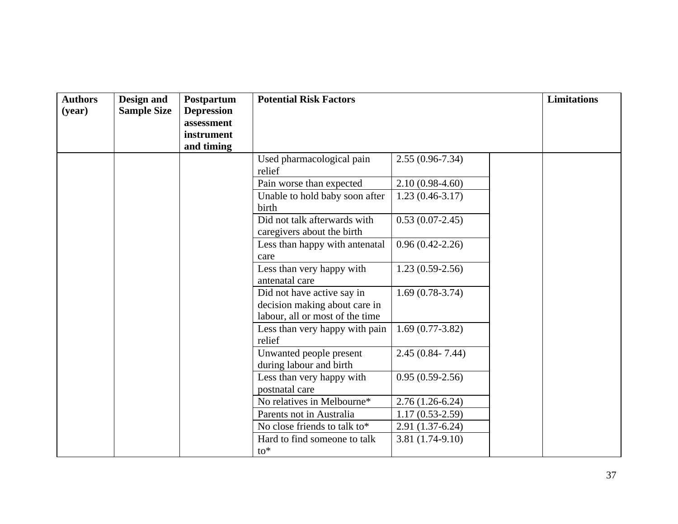| <b>Authors</b><br>(year) | Design and<br><b>Sample Size</b> | Postpartum<br><b>Depression</b><br>assessment<br>instrument<br>and timing | <b>Potential Risk Factors</b>                                                                  |                     | <b>Limitations</b> |  |
|--------------------------|----------------------------------|---------------------------------------------------------------------------|------------------------------------------------------------------------------------------------|---------------------|--------------------|--|
|                          |                                  |                                                                           | Used pharmacological pain<br>relief                                                            | $2.55(0.96 - 7.34)$ |                    |  |
|                          |                                  |                                                                           | Pain worse than expected                                                                       | $2.10(0.98-4.60)$   |                    |  |
|                          |                                  |                                                                           | Unable to hold baby soon after<br>birth                                                        | $1.23(0.46-3.17)$   |                    |  |
|                          |                                  |                                                                           | Did not talk afterwards with<br>caregivers about the birth                                     | $0.53(0.07-2.45)$   |                    |  |
|                          |                                  |                                                                           | Less than happy with antenatal<br>care                                                         | $0.96(0.42 - 2.26)$ |                    |  |
|                          |                                  |                                                                           | Less than very happy with<br>antenatal care                                                    | $1.23(0.59-2.56)$   |                    |  |
|                          |                                  |                                                                           | Did not have active say in<br>decision making about care in<br>labour, all or most of the time | $1.69(0.78-3.74)$   |                    |  |
|                          |                                  |                                                                           | Less than very happy with pain<br>relief                                                       | $1.69(0.77-3.82)$   |                    |  |
|                          |                                  |                                                                           | Unwanted people present<br>during labour and birth                                             | $2.45(0.84 - 7.44)$ |                    |  |
|                          |                                  |                                                                           | Less than very happy with<br>postnatal care                                                    | $0.95(0.59-2.56)$   |                    |  |
|                          |                                  |                                                                           | No relatives in Melbourne*                                                                     | $2.76(1.26-6.24)$   |                    |  |
|                          |                                  |                                                                           | Parents not in Australia                                                                       | $1.17(0.53 - 2.59)$ |                    |  |
|                          |                                  |                                                                           | No close friends to talk to*                                                                   | $2.91(1.37-6.24)$   |                    |  |
|                          |                                  |                                                                           | Hard to find someone to talk<br>$to^*$                                                         | $3.81(1.74-9.10)$   |                    |  |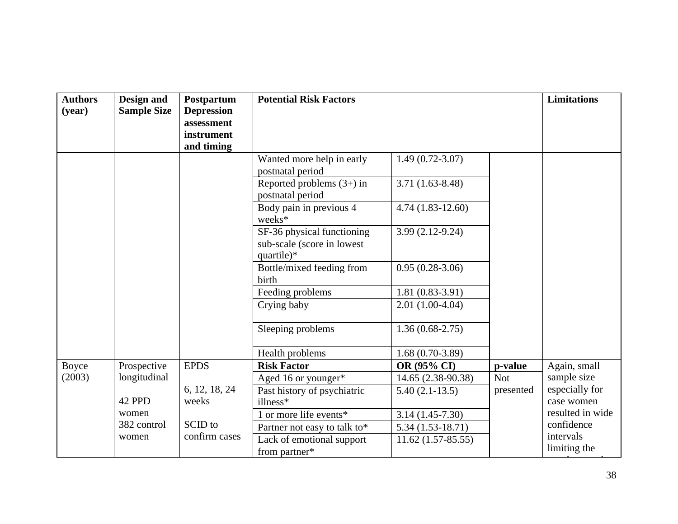| <b>Authors</b><br>(year) | Design and<br><b>Sample Size</b> | Postpartum<br><b>Depression</b><br>assessment<br>instrument<br>and timing | <b>Potential Risk Factors</b>                                          |                     |            | <b>Limitations</b>        |
|--------------------------|----------------------------------|---------------------------------------------------------------------------|------------------------------------------------------------------------|---------------------|------------|---------------------------|
|                          |                                  |                                                                           | Wanted more help in early<br>postnatal period                          | $1.49(0.72 - 3.07)$ |            |                           |
|                          |                                  |                                                                           | Reported problems $(3+)$ in<br>postnatal period                        | $3.71(1.63 - 8.48)$ |            |                           |
|                          |                                  |                                                                           | Body pain in previous 4<br>weeks*                                      | $4.74(1.83-12.60)$  |            |                           |
|                          |                                  |                                                                           | SF-36 physical functioning<br>sub-scale (score in lowest<br>quartile)* | $3.99(2.12-9.24)$   |            |                           |
|                          |                                  |                                                                           | Bottle/mixed feeding from<br>birth                                     | $0.95(0.28-3.06)$   |            |                           |
|                          |                                  |                                                                           | Feeding problems                                                       | $1.81(0.83-3.91)$   |            |                           |
|                          |                                  |                                                                           | Crying baby                                                            | $2.01(1.00-4.04)$   |            |                           |
|                          |                                  |                                                                           | Sleeping problems                                                      | $1.36(0.68-2.75)$   |            |                           |
|                          |                                  |                                                                           | Health problems                                                        | $1.68(0.70-3.89)$   |            |                           |
| <b>Boyce</b>             | Prospective                      | <b>EPDS</b>                                                               | <b>Risk Factor</b>                                                     | OR (95% CI)         | p-value    | Again, small              |
| (2003)                   | longitudinal                     |                                                                           | Aged 16 or younger*                                                    | 14.65 (2.38-90.38)  | <b>Not</b> | sample size               |
|                          |                                  | 6, 12, 18, 24                                                             | Past history of psychiatric                                            | $5.40(2.1-13.5)$    | presented  | especially for            |
|                          | 42 PPD                           | weeks                                                                     | illness*                                                               |                     |            | case women                |
|                          | women                            |                                                                           | 1 or more life events*                                                 | $3.14(1.45-7.30)$   |            | resulted in wide          |
|                          | 382 control                      | SCID to                                                                   | Partner not easy to talk to*                                           | $5.34(1.53-18.71)$  |            | confidence                |
|                          | women                            | confirm cases                                                             | Lack of emotional support<br>from partner*                             | $11.62(1.57-85.55)$ |            | intervals<br>limiting the |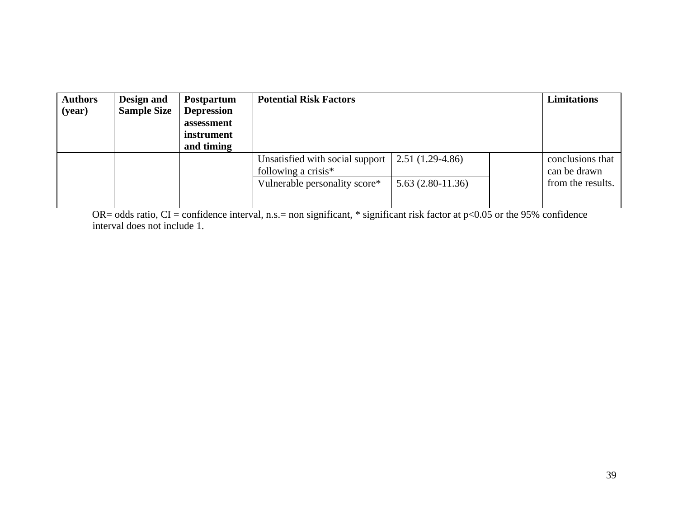| <b>Authors</b><br>(year) | Design and<br><b>Sample Size</b> | <b>Postpartum</b><br><b>Depression</b><br>assessment<br>instrument<br>and timing | <b>Potential Risk Factors</b>                             |                    | <b>Limitations</b> |                                  |
|--------------------------|----------------------------------|----------------------------------------------------------------------------------|-----------------------------------------------------------|--------------------|--------------------|----------------------------------|
|                          |                                  |                                                                                  | Unsatisfied with social support<br>following a crisis $*$ | $2.51(1.29-4.86)$  |                    | conclusions that<br>can be drawn |
|                          |                                  |                                                                                  | Vulnerable personality score*                             | $5.63(2.80-11.36)$ |                    | from the results.                |

OR= odds ratio, CI = confidence interval, n.s.= non significant, \* significant risk factor at  $p<0.05$  or the 95% confidence interval does not include 1.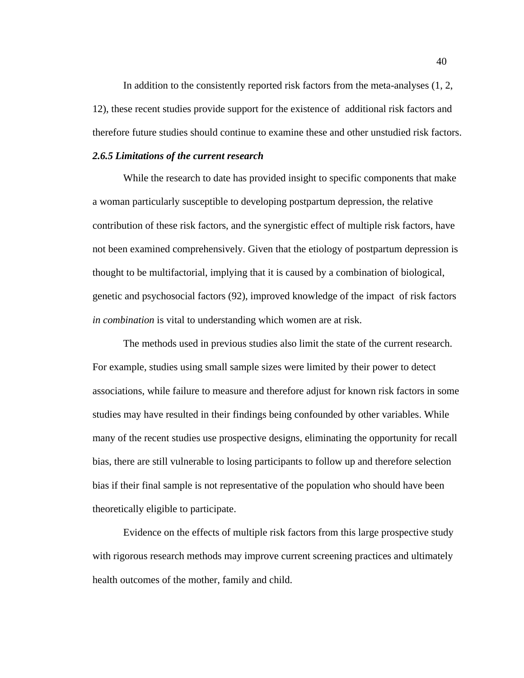In addition to the consistently reported risk factors from the meta-analyses (1, 2, 12), these recent studies provide support for the existence of additional risk factors and therefore future studies should continue to examine these and other unstudied risk factors.

## *2.6.5 Limitations of the current research*

While the research to date has provided insight to specific components that make a woman particularly susceptible to developing postpartum depression, the relative contribution of these risk factors, and the synergistic effect of multiple risk factors, have not been examined comprehensively. Given that the etiology of postpartum depression is thought to be multifactorial, implying that it is caused by a combination of biological, genetic and psychosocial factors (92), improved knowledge of the impact of risk factors *in combination* is vital to understanding which women are at risk.

The methods used in previous studies also limit the state of the current research. For example, studies using small sample sizes were limited by their power to detect associations, while failure to measure and therefore adjust for known risk factors in some studies may have resulted in their findings being confounded by other variables. While many of the recent studies use prospective designs, eliminating the opportunity for recall bias, there are still vulnerable to losing participants to follow up and therefore selection bias if their final sample is not representative of the population who should have been theoretically eligible to participate.

Evidence on the effects of multiple risk factors from this large prospective study with rigorous research methods may improve current screening practices and ultimately health outcomes of the mother, family and child.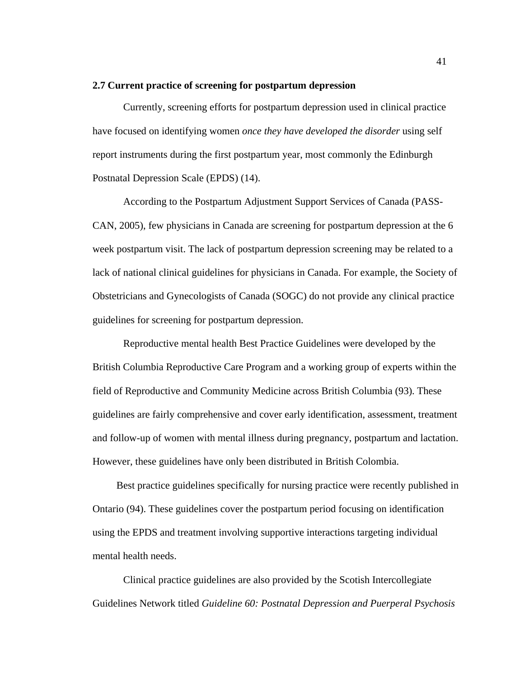#### **2.7 Current practice of screening for postpartum depression**

Currently, screening efforts for postpartum depression used in clinical practice have focused on identifying women *once they have developed the disorder* using self report instruments during the first postpartum year, most commonly the Edinburgh Postnatal Depression Scale (EPDS) (14).

According to the Postpartum Adjustment Support Services of Canada (PASS-CAN, 2005), few physicians in Canada are screening for postpartum depression at the 6 week postpartum visit. The lack of postpartum depression screening may be related to a lack of national clinical guidelines for physicians in Canada. For example, the Society of Obstetricians and Gynecologists of Canada (SOGC) do not provide any clinical practice guidelines for screening for postpartum depression.

Reproductive mental health Best Practice Guidelines were developed by the British Columbia Reproductive Care Program and a working group of experts within the field of Reproductive and Community Medicine across British Columbia (93). These guidelines are fairly comprehensive and cover early identification, assessment, treatment and follow-up of women with mental illness during pregnancy, postpartum and lactation. However, these guidelines have only been distributed in British Colombia.

Best practice guidelines specifically for nursing practice were recently published in Ontario (94). These guidelines cover the postpartum period focusing on identification using the EPDS and treatment involving supportive interactions targeting individual mental health needs.

Clinical practice guidelines are also provided by the Scotish Intercollegiate Guidelines Network titled *Guideline 60: Postnatal Depression and Puerperal Psychosis*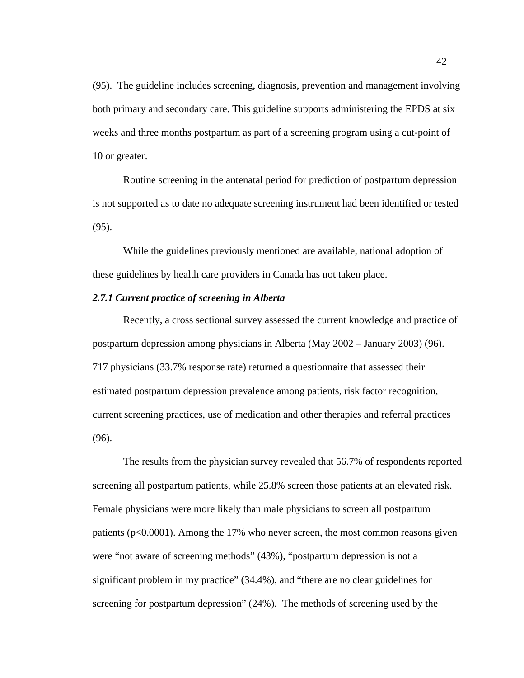(95). The guideline includes screening, diagnosis, prevention and management involving both primary and secondary care. This guideline supports administering the EPDS at six weeks and three months postpartum as part of a screening program using a cut-point of 10 or greater.

Routine screening in the antenatal period for prediction of postpartum depression is not supported as to date no adequate screening instrument had been identified or tested (95).

While the guidelines previously mentioned are available, national adoption of these guidelines by health care providers in Canada has not taken place.

# *2.7.1 Current practice of screening in Alberta*

Recently, a cross sectional survey assessed the current knowledge and practice of postpartum depression among physicians in Alberta (May 2002 – January 2003) (96). 717 physicians (33.7% response rate) returned a questionnaire that assessed their estimated postpartum depression prevalence among patients, risk factor recognition, current screening practices, use of medication and other therapies and referral practices (96).

The results from the physician survey revealed that 56.7% of respondents reported screening all postpartum patients, while 25.8% screen those patients at an elevated risk. Female physicians were more likely than male physicians to screen all postpartum patients (p<0.0001). Among the 17% who never screen, the most common reasons given were "not aware of screening methods" (43%), "postpartum depression is not a significant problem in my practice" (34.4%), and "there are no clear guidelines for screening for postpartum depression" (24%). The methods of screening used by the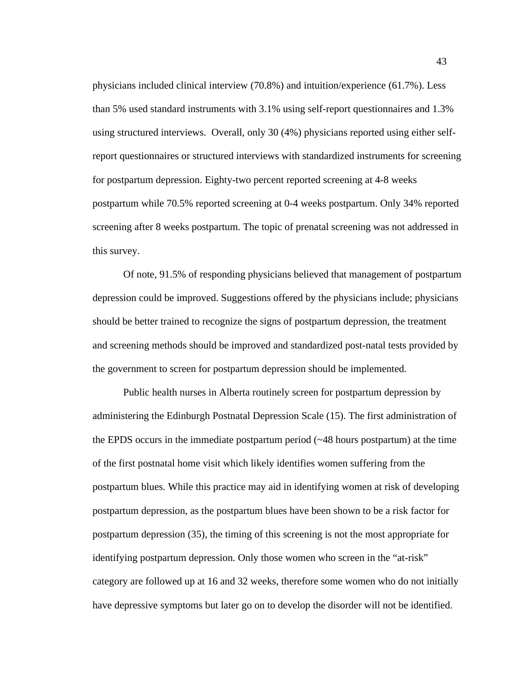physicians included clinical interview (70.8%) and intuition/experience (61.7%). Less than 5% used standard instruments with 3.1% using self-report questionnaires and 1.3% using structured interviews. Overall, only 30 (4%) physicians reported using either selfreport questionnaires or structured interviews with standardized instruments for screening for postpartum depression. Eighty-two percent reported screening at 4-8 weeks postpartum while 70.5% reported screening at 0-4 weeks postpartum. Only 34% reported screening after 8 weeks postpartum. The topic of prenatal screening was not addressed in this survey.

Of note, 91.5% of responding physicians believed that management of postpartum depression could be improved. Suggestions offered by the physicians include; physicians should be better trained to recognize the signs of postpartum depression, the treatment and screening methods should be improved and standardized post-natal tests provided by the government to screen for postpartum depression should be implemented.

Public health nurses in Alberta routinely screen for postpartum depression by administering the Edinburgh Postnatal Depression Scale (15). The first administration of the EPDS occurs in the immediate postpartum period (~48 hours postpartum) at the time of the first postnatal home visit which likely identifies women suffering from the postpartum blues. While this practice may aid in identifying women at risk of developing postpartum depression, as the postpartum blues have been shown to be a risk factor for postpartum depression (35), the timing of this screening is not the most appropriate for identifying postpartum depression. Only those women who screen in the "at-risk" category are followed up at 16 and 32 weeks, therefore some women who do not initially have depressive symptoms but later go on to develop the disorder will not be identified.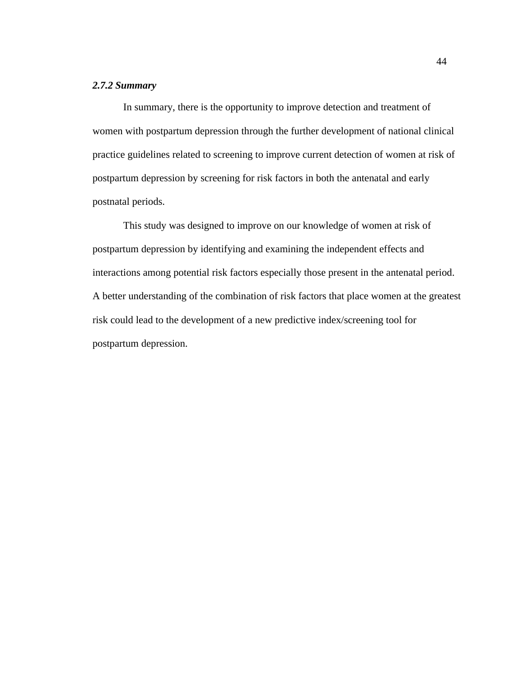# *2.7.2 Summary*

In summary, there is the opportunity to improve detection and treatment of women with postpartum depression through the further development of national clinical practice guidelines related to screening to improve current detection of women at risk of postpartum depression by screening for risk factors in both the antenatal and early postnatal periods.

This study was designed to improve on our knowledge of women at risk of postpartum depression by identifying and examining the independent effects and interactions among potential risk factors especially those present in the antenatal period. A better understanding of the combination of risk factors that place women at the greatest risk could lead to the development of a new predictive index/screening tool for postpartum depression.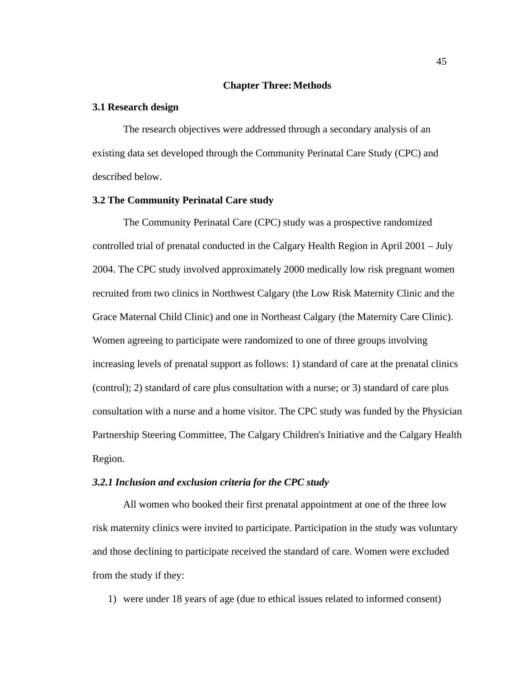## **Chapter Three:Methods**

#### **3.1 Research design**

The research objectives were addressed through a secondary analysis of an existing data set developed through the Community Perinatal Care Study (CPC) and described below.

#### **3.2 The Community Perinatal Care study**

The Community Perinatal Care (CPC) study was a prospective randomized controlled trial of prenatal conducted in the Calgary Health Region in April 2001 – July 2004. The CPC study involved approximately 2000 medically low risk pregnant women recruited from two clinics in Northwest Calgary (the Low Risk Maternity Clinic and the Grace Maternal Child Clinic) and one in Northeast Calgary (the Maternity Care Clinic). Women agreeing to participate were randomized to one of three groups involving increasing levels of prenatal support as follows: 1) standard of care at the prenatal clinics (control); 2) standard of care plus consultation with a nurse; or 3) standard of care plus consultation with a nurse and a home visitor. The CPC study was funded by the Physician Partnership Steering Committee, The Calgary Children's Initiative and the Calgary Health Region.

## *3.2.1 Inclusion and exclusion criteria for the CPC study*

All women who booked their first prenatal appointment at one of the three low risk maternity clinics were invited to participate. Participation in the study was voluntary and those declining to participate received the standard of care. Women were excluded from the study if they:

1) were under 18 years of age (due to ethical issues related to informed consent)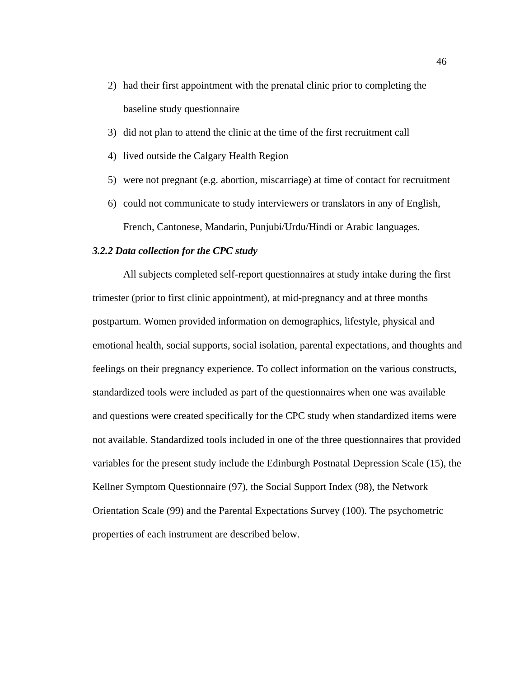- 2) had their first appointment with the prenatal clinic prior to completing the baseline study questionnaire
- 3) did not plan to attend the clinic at the time of the first recruitment call
- 4) lived outside the Calgary Health Region
- 5) were not pregnant (e.g. abortion, miscarriage) at time of contact for recruitment
- 6) could not communicate to study interviewers or translators in any of English, French, Cantonese, Mandarin, Punjubi/Urdu/Hindi or Arabic languages.

# *3.2.2 Data collection for the CPC study*

All subjects completed self-report questionnaires at study intake during the first trimester (prior to first clinic appointment), at mid-pregnancy and at three months postpartum. Women provided information on demographics, lifestyle, physical and emotional health, social supports, social isolation, parental expectations, and thoughts and feelings on their pregnancy experience. To collect information on the various constructs, standardized tools were included as part of the questionnaires when one was available and questions were created specifically for the CPC study when standardized items were not available. Standardized tools included in one of the three questionnaires that provided variables for the present study include the Edinburgh Postnatal Depression Scale (15), the Kellner Symptom Questionnaire (97), the Social Support Index (98), the Network Orientation Scale (99) and the Parental Expectations Survey (100). The psychometric properties of each instrument are described below.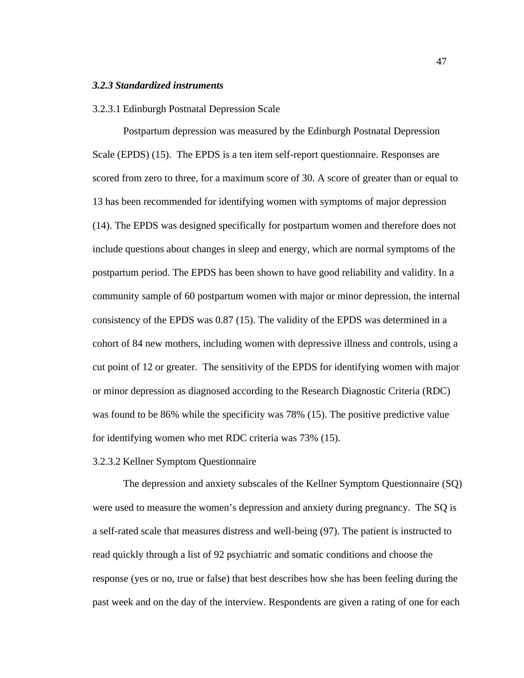### *3.2.3 Standardized instruments*

#### 3.2.3.1 Edinburgh Postnatal Depression Scale

Postpartum depression was measured by the Edinburgh Postnatal Depression Scale (EPDS) (15). The EPDS is a ten item self-report questionnaire. Responses are scored from zero to three, for a maximum score of 30. A score of greater than or equal to 13 has been recommended for identifying women with symptoms of major depression (14). The EPDS was designed specifically for postpartum women and therefore does not include questions about changes in sleep and energy, which are normal symptoms of the postpartum period. The EPDS has been shown to have good reliability and validity. In a community sample of 60 postpartum women with major or minor depression, the internal consistency of the EPDS was 0.87 (15). The validity of the EPDS was determined in a cohort of 84 new mothers, including women with depressive illness and controls, using a cut point of 12 or greater. The sensitivity of the EPDS for identifying women with major or minor depression as diagnosed according to the Research Diagnostic Criteria (RDC) was found to be 86% while the specificity was 78% (15). The positive predictive value for identifying women who met RDC criteria was 73% (15).

#### 3.2.3.2 Kellner Symptom Questionnaire

The depression and anxiety subscales of the Kellner Symptom Questionnaire (SQ) were used to measure the women's depression and anxiety during pregnancy. The SQ is a self-rated scale that measures distress and well-being (97). The patient is instructed to read quickly through a list of 92 psychiatric and somatic conditions and choose the response (yes or no, true or false) that best describes how she has been feeling during the past week and on the day of the interview. Respondents are given a rating of one for each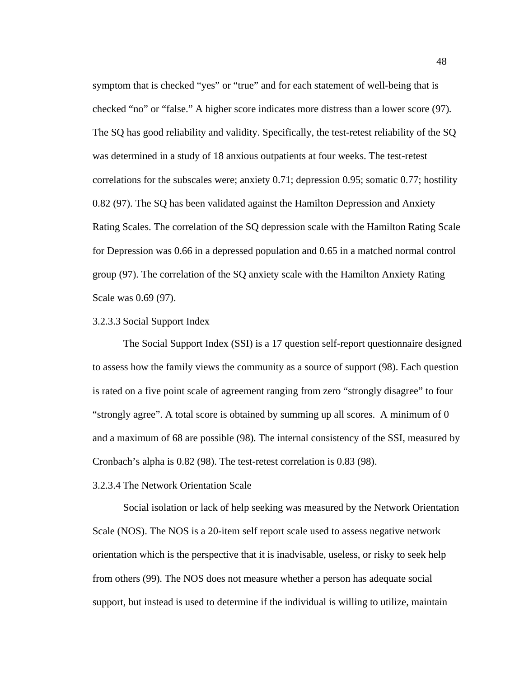symptom that is checked "yes" or "true" and for each statement of well-being that is checked "no" or "false." A higher score indicates more distress than a lower score (97). The SQ has good reliability and validity. Specifically, the test-retest reliability of the SQ was determined in a study of 18 anxious outpatients at four weeks. The test-retest correlations for the subscales were; anxiety 0.71; depression 0.95; somatic 0.77; hostility 0.82 (97). The SQ has been validated against the Hamilton Depression and Anxiety Rating Scales. The correlation of the SQ depression scale with the Hamilton Rating Scale for Depression was 0.66 in a depressed population and 0.65 in a matched normal control group (97). The correlation of the SQ anxiety scale with the Hamilton Anxiety Rating Scale was 0.69 (97).

# 3.2.3.3 Social Support Index

The Social Support Index (SSI) is a 17 question self-report questionnaire designed to assess how the family views the community as a source of support (98). Each question is rated on a five point scale of agreement ranging from zero "strongly disagree" to four "strongly agree". A total score is obtained by summing up all scores. A minimum of 0 and a maximum of 68 are possible (98). The internal consistency of the SSI, measured by Cronbach's alpha is 0.82 (98). The test-retest correlation is 0.83 (98).

# 3.2.3.4 The Network Orientation Scale

Social isolation or lack of help seeking was measured by the Network Orientation Scale (NOS). The NOS is a 20-item self report scale used to assess negative network orientation which is the perspective that it is inadvisable, useless, or risky to seek help from others (99). The NOS does not measure whether a person has adequate social support, but instead is used to determine if the individual is willing to utilize, maintain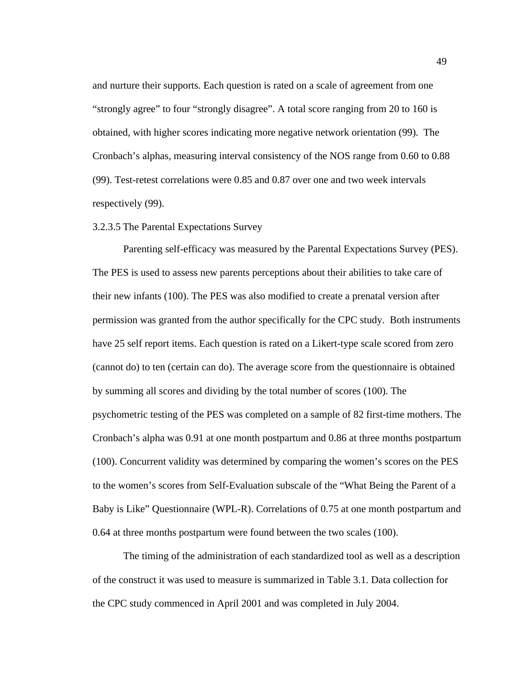and nurture their supports. Each question is rated on a scale of agreement from one "strongly agree" to four "strongly disagree". A total score ranging from 20 to 160 is obtained, with higher scores indicating more negative network orientation (99). The Cronbach's alphas, measuring interval consistency of the NOS range from 0.60 to 0.88 (99). Test-retest correlations were 0.85 and 0.87 over one and two week intervals respectively (99).

#### 3.2.3.5 The Parental Expectations Survey

Parenting self-efficacy was measured by the Parental Expectations Survey (PES). The PES is used to assess new parents perceptions about their abilities to take care of their new infants (100). The PES was also modified to create a prenatal version after permission was granted from the author specifically for the CPC study. Both instruments have 25 self report items. Each question is rated on a Likert-type scale scored from zero (cannot do) to ten (certain can do). The average score from the questionnaire is obtained by summing all scores and dividing by the total number of scores (100). The psychometric testing of the PES was completed on a sample of 82 first-time mothers. The Cronbach's alpha was 0.91 at one month postpartum and 0.86 at three months postpartum (100). Concurrent validity was determined by comparing the women's scores on the PES to the women's scores from Self-Evaluation subscale of the "What Being the Parent of a Baby is Like" Questionnaire (WPL-R). Correlations of 0.75 at one month postpartum and 0.64 at three months postpartum were found between the two scales (100).

The timing of the administration of each standardized tool as well as a description of the construct it was used to measure is summarized in Table 3.1. Data collection for the CPC study commenced in April 2001 and was completed in July 2004.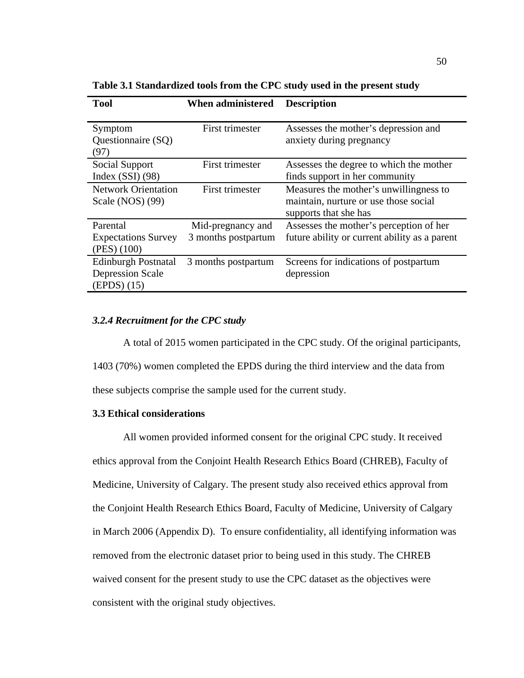| <b>Tool</b>                                                          | <b>When administered</b>                 | <b>Description</b>                                                                                       |
|----------------------------------------------------------------------|------------------------------------------|----------------------------------------------------------------------------------------------------------|
| Symptom<br>Questionnaire (SQ)<br>(97)                                | First trimester                          | Assesses the mother's depression and<br>anxiety during pregnancy                                         |
| Social Support<br>Index $(SSI)$ (98)                                 | First trimester                          | Assesses the degree to which the mother<br>finds support in her community                                |
| <b>Network Orientation</b><br>Scale (NOS) (99)                       | First trimester                          | Measures the mother's unwillingness to<br>maintain, nurture or use those social<br>supports that she has |
| Parental<br><b>Expectations Survey</b><br>(PES) (100)                | Mid-pregnancy and<br>3 months postpartum | Assesses the mother's perception of her<br>future ability or current ability as a parent                 |
| <b>Edinburgh Postnatal</b><br><b>Depression Scale</b><br>(EPDS) (15) | 3 months postpartum                      | Screens for indications of postpartum<br>depression                                                      |

**Table 3.1 Standardized tools from the CPC study used in the present study**

# *3.2.4 Recruitment for the CPC study*

A total of 2015 women participated in the CPC study. Of the original participants, 1403 (70%) women completed the EPDS during the third interview and the data from these subjects comprise the sample used for the current study.

## **3.3 Ethical considerations**

All women provided informed consent for the original CPC study. It received ethics approval from the Conjoint Health Research Ethics Board (CHREB), Faculty of Medicine, University of Calgary. The present study also received ethics approval from the Conjoint Health Research Ethics Board, Faculty of Medicine, University of Calgary in March 2006 (Appendix D). To ensure confidentiality, all identifying information was removed from the electronic dataset prior to being used in this study. The CHREB waived consent for the present study to use the CPC dataset as the objectives were consistent with the original study objectives.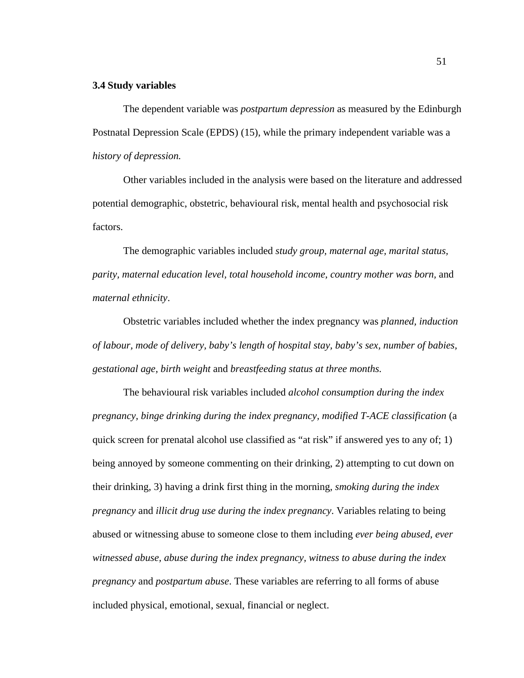### **3.4 Study variables**

The dependent variable was *postpartum depression* as measured by the Edinburgh Postnatal Depression Scale (EPDS) (15), while the primary independent variable was a *history of depression.*

Other variables included in the analysis were based on the literature and addressed potential demographic, obstetric, behavioural risk, mental health and psychosocial risk factors.

The demographic variables included *study group, maternal age, marital status, parity, maternal education level, total household income, country mother was born,* and *maternal ethnicity*.

Obstetric variables included whether the index pregnancy was *planned, induction of labour, mode of delivery, baby's length of hospital stay, baby's sex, number of babies, gestational age, birth weight* and *breastfeeding status at three months.*

The behavioural risk variables included *alcohol consumption during the index pregnancy, binge drinking during the index pregnancy, modified T-ACE classification* (a quick screen for prenatal alcohol use classified as "at risk" if answered yes to any of; 1) being annoyed by someone commenting on their drinking, 2) attempting to cut down on their drinking, 3) having a drink first thing in the morning, *smoking during the index pregnancy* and *illicit drug use during the index pregnancy*. Variables relating to being abused or witnessing abuse to someone close to them including *ever being abused, ever witnessed abuse, abuse during the index pregnancy, witness to abuse during the index pregnancy* and *postpartum abuse*. These variables are referring to all forms of abuse included physical, emotional, sexual, financial or neglect.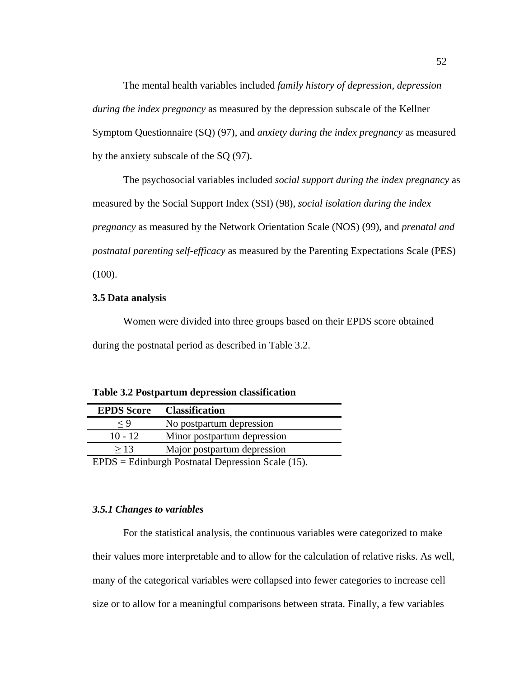The mental health variables included *family history of depression, depression during the index pregnancy* as measured by the depression subscale of the Kellner Symptom Questionnaire (SQ) (97), and *anxiety during the index pregnancy* as measured by the anxiety subscale of the SQ (97).

The psychosocial variables included *social support during the index pregnancy* as measured by the Social Support Index (SSI) (98), *social isolation during the index pregnancy* as measured by the Network Orientation Scale (NOS) (99), and *prenatal and postnatal parenting self-efficacy* as measured by the Parenting Expectations Scale (PES)  $(100).$ 

# **3.5 Data analysis**

Women were divided into three groups based on their EPDS score obtained during the postnatal period as described in Table 3.2.

| Table 3.2 Postpartum depression classification |  |  |  |  |  |  |  |  |
|------------------------------------------------|--|--|--|--|--|--|--|--|
|------------------------------------------------|--|--|--|--|--|--|--|--|

|           | <b>EPDS Score Classification</b> |
|-----------|----------------------------------|
| $\lt Q$   | No postpartum depression         |
| $10 - 12$ | Minor postpartum depression      |
| >13       | Major postpartum depression      |
|           | $FDDQ = F11.$                    |

EPDS = Edinburgh Postnatal Depression Scale (15).

## *3.5.1 Changes to variables*

For the statistical analysis, the continuous variables were categorized to make their values more interpretable and to allow for the calculation of relative risks. As well, many of the categorical variables were collapsed into fewer categories to increase cell size or to allow for a meaningful comparisons between strata. Finally, a few variables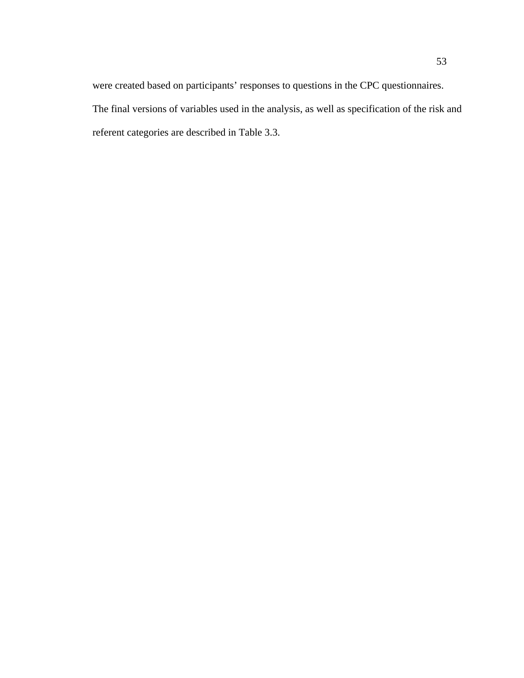were created based on participants' responses to questions in the CPC questionnaires. The final versions of variables used in the analysis, as well as specification of the risk and referent categories are described in Table 3.3.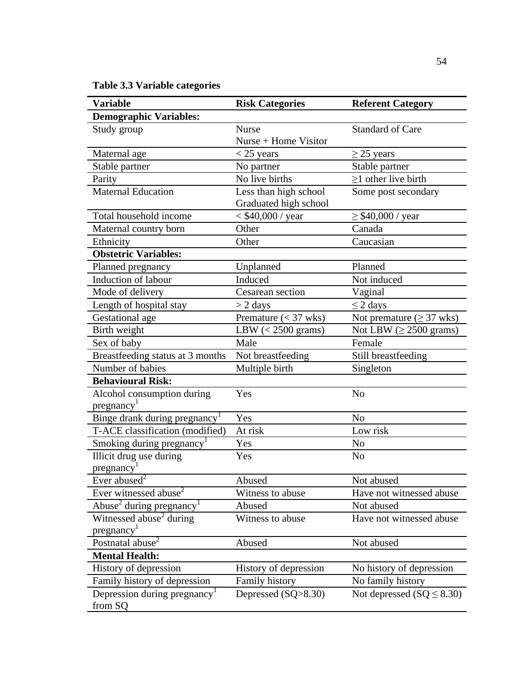**Table 3.3 Variable categories**

| <b>Variable</b>                           | <b>Risk Categories</b>       | <b>Referent Category</b>              |
|-------------------------------------------|------------------------------|---------------------------------------|
| <b>Demographic Variables:</b>             |                              |                                       |
| Study group                               | <b>Nurse</b>                 | <b>Standard of Care</b>               |
|                                           | $Nurse + Home Visitor$       |                                       |
| Maternal age                              | $<$ 25 years                 | $\geq$ 25 years                       |
| Stable partner                            | No partner                   | Stable partner                        |
| Parity                                    | No live births               | $\geq$ 1 other live birth             |
| <b>Maternal Education</b>                 | Less than high school        | Some post secondary                   |
|                                           | Graduated high school        |                                       |
| Total household income                    | < \$40,000 / year            | $\geq$ \$40,000 / year                |
| Maternal country born                     | Other                        | Canada                                |
| Ethnicity                                 | Other                        | Caucasian                             |
| <b>Obstetric Variables:</b>               |                              |                                       |
| Planned pregnancy                         | Unplanned                    | Planned                               |
| Induction of labour                       | Induced                      | Not induced                           |
| Mode of delivery                          | Cesarean section             | Vaginal                               |
| Length of hospital stay                   | $>$ 2 days                   | $\leq$ 2 days                         |
| Gestational age                           | Premature $(< 37$ wks)       | Not premature $(\geq 37 \text{ wks})$ |
| Birth weight                              | LBW $(< 2500 \text{ grams})$ | Not LBW $(\geq 2500 \text{ grams})$   |
| Sex of baby                               | Male                         | Female                                |
| Breastfeeding status at 3 months          | Not breastfeeding            | Still breastfeeding                   |
| Number of babies                          | Multiple birth               | Singleton                             |
| <b>Behavioural Risk:</b>                  |                              |                                       |
| Alcohol consumption during                | Yes                          | N <sub>o</sub>                        |
| pregnancy <sup>1</sup>                    |                              |                                       |
| Binge drank during pregnancy <sup>1</sup> | Yes                          | N <sub>0</sub>                        |
| T-ACE classification (modified)           | At risk                      | Low risk                              |
| Smoking during pregnancy <sup>1</sup>     | Yes                          | N <sub>o</sub>                        |
| Illicit drug use during                   | Yes                          | N <sub>o</sub>                        |
| pregnancy <sup>1</sup>                    |                              |                                       |
| Ever $\overline{\text{abused}^2}$         | Abused                       | Not abused                            |
| Ever witnessed abuse <sup>2</sup>         | Witness to abuse             | Have not witnessed abuse              |
| Abuse <sup>2</sup> during pregnancy       | Abused                       | Not abused                            |
| Witnessed abuse <sup>2</sup> during       | Witness to abuse             | Have not witnessed abuse              |
| pregnancy <sup>1</sup>                    |                              |                                       |
| Postnatal abuse <sup>2</sup>              | Abused                       | Not abused                            |
| <b>Mental Health:</b>                     |                              |                                       |
| History of depression                     | History of depression        | No history of depression              |
| Family history of depression              | Family history               | No family history                     |
| Depression during pregnancy               | Depressed (SQ>8.30)          | Not depressed $(SQ \leq 8.30)$        |
| from SQ                                   |                              |                                       |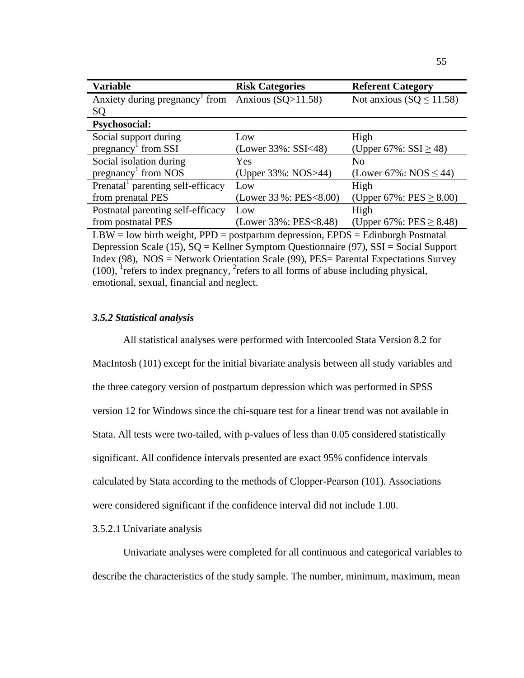| <b>Variable</b>                                                                   | <b>Risk Categories</b>    | <b>Referent Category</b>     |  |
|-----------------------------------------------------------------------------------|---------------------------|------------------------------|--|
| Anxiety during pregnancy from Anxious $(SQ>11.58)$                                |                           | Not anxious $(SQ \le 11.58)$ |  |
| SQ                                                                                |                           |                              |  |
| <b>Psychosocial:</b>                                                              |                           |                              |  |
| Social support during                                                             | Low                       | High                         |  |
| $pregnancy1$ from SSI                                                             | (Lower $33\%$ : SSI<48)   | (Upper 67%: $SSI \ge 48$ )   |  |
| Social isolation during                                                           | <b>Yes</b>                | No                           |  |
| pregnancy <sup>1</sup> from NOS                                                   | (Upper 33%: NOS>44)       | (Lower 67%: NOS $\leq$ 44)   |  |
| Prenatal parenting self-efficacy                                                  | Low                       | High                         |  |
| from prenatal PES                                                                 | (Lower $33\%$ : PES<8.00) | (Upper 67%: PES $\geq$ 8.00) |  |
| Postnatal parenting self-efficacy                                                 | Low                       | High                         |  |
| from postnatal PES                                                                | (Lower 33%: PES<8.48)     | (Upper 67%: PES $\geq$ 8.48) |  |
| $LBW = low$ birth weight, PPD = postpartum depression, EPDS = Edinburgh Postnatal |                           |                              |  |

Depression Scale (15), SQ = Kellner Symptom Questionnaire (97), SSI = Social Support Index (98), NOS = Network Orientation Scale (99), PES= Parental Expectations Survey (100), <sup>1</sup> refers to index pregnancy, <sup>2</sup> refers to all forms of abuse including physical, emotional, sexual, financial and neglect.

# *3.5.2 Statistical analysis*

All statistical analyses were performed with Intercooled Stata Version 8.2 for MacIntosh (101) except for the initial bivariate analysis between all study variables and the three category version of postpartum depression which was performed in SPSS version 12 for Windows since the chi-square test for a linear trend was not available in Stata. All tests were two-tailed, with p-values of less than 0.05 considered statistically significant. All confidence intervals presented are exact 95% confidence intervals calculated by Stata according to the methods of Clopper-Pearson (101). Associations were considered significant if the confidence interval did not include 1.00.

## 3.5.2.1 Univariate analysis

Univariate analyses were completed for all continuous and categorical variables to describe the characteristics of the study sample. The number, minimum, maximum, mean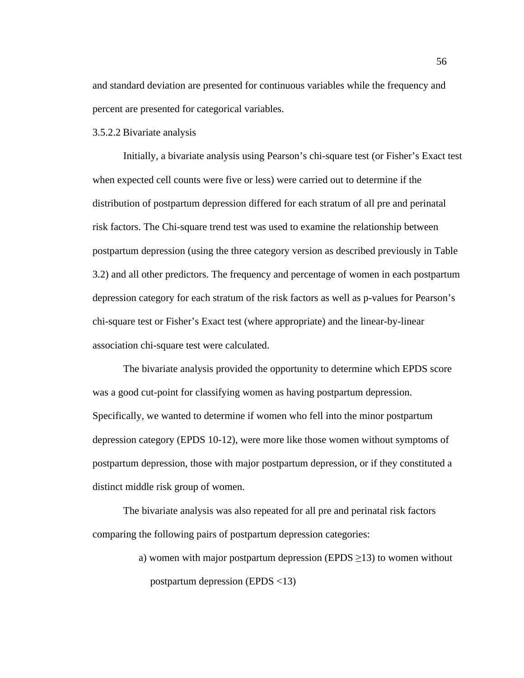and standard deviation are presented for continuous variables while the frequency and percent are presented for categorical variables.

# 3.5.2.2 Bivariate analysis

Initially, a bivariate analysis using Pearson's chi-square test (or Fisher's Exact test when expected cell counts were five or less) were carried out to determine if the distribution of postpartum depression differed for each stratum of all pre and perinatal risk factors. The Chi-square trend test was used to examine the relationship between postpartum depression (using the three category version as described previously in Table 3.2) and all other predictors. The frequency and percentage of women in each postpartum depression category for each stratum of the risk factors as well as p-values for Pearson's chi-square test or Fisher's Exact test (where appropriate) and the linear-by-linear association chi-square test were calculated.

The bivariate analysis provided the opportunity to determine which EPDS score was a good cut-point for classifying women as having postpartum depression. Specifically, we wanted to determine if women who fell into the minor postpartum depression category (EPDS 10-12), were more like those women without symptoms of postpartum depression, those with major postpartum depression, or if they constituted a distinct middle risk group of women.

The bivariate analysis was also repeated for all pre and perinatal risk factors comparing the following pairs of postpartum depression categories:

> a) women with major postpartum depression (EPDS  $\geq$ 13) to women without postpartum depression (EPDS <13)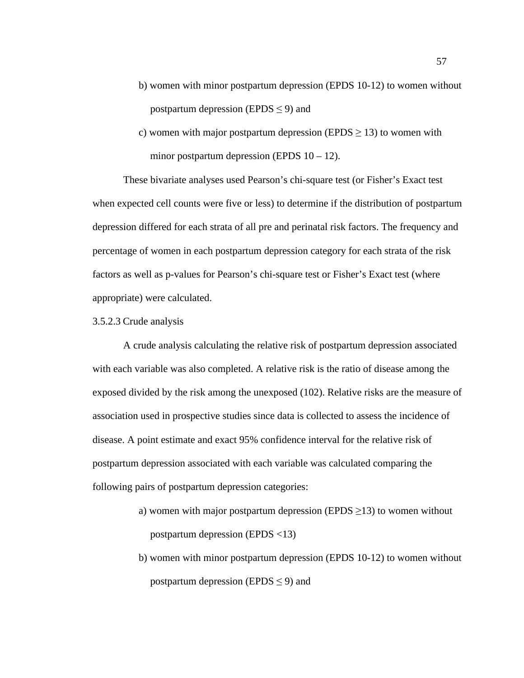- b) women with minor postpartum depression (EPDS 10-12) to women without postpartum depression (EPDS  $\leq$  9) and
- c) women with major postpartum depression (EPDS  $\geq$  13) to women with minor postpartum depression (EPDS  $10 - 12$ ).

These bivariate analyses used Pearson's chi-square test (or Fisher's Exact test when expected cell counts were five or less) to determine if the distribution of postpartum depression differed for each strata of all pre and perinatal risk factors. The frequency and percentage of women in each postpartum depression category for each strata of the risk factors as well as p-values for Pearson's chi-square test or Fisher's Exact test (where appropriate) were calculated.

### 3.5.2.3 Crude analysis

A crude analysis calculating the relative risk of postpartum depression associated with each variable was also completed. A relative risk is the ratio of disease among the exposed divided by the risk among the unexposed (102). Relative risks are the measure of association used in prospective studies since data is collected to assess the incidence of disease. A point estimate and exact 95% confidence interval for the relative risk of postpartum depression associated with each variable was calculated comparing the following pairs of postpartum depression categories:

- a) women with major postpartum depression (EPDS  $\geq$ 13) to women without postpartum depression (EPDS <13)
- b) women with minor postpartum depression (EPDS 10-12) to women without postpartum depression (EPDS  $\leq$  9) and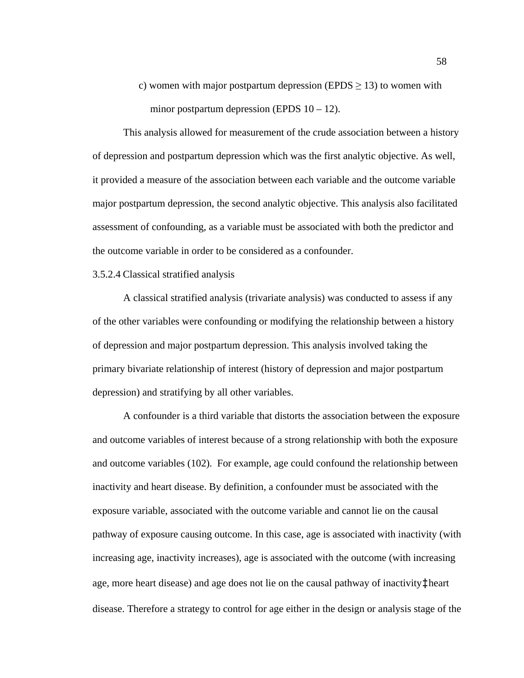c) women with major postpartum depression (EPDS  $\geq$  13) to women with minor postpartum depression (EPDS  $10 - 12$ ).

This analysis allowed for measurement of the crude association between a history of depression and postpartum depression which was the first analytic objective. As well, it provided a measure of the association between each variable and the outcome variable major postpartum depression, the second analytic objective. This analysis also facilitated assessment of confounding, as a variable must be associated with both the predictor and the outcome variable in order to be considered as a confounder.

### 3.5.2.4 Classical stratified analysis

A classical stratified analysis (trivariate analysis) was conducted to assess if any of the other variables were confounding or modifying the relationship between a history of depression and major postpartum depression. This analysis involved taking the primary bivariate relationship of interest (history of depression and major postpartum depression) and stratifying by all other variables.

A confounder is a third variable that distorts the association between the exposure and outcome variables of interest because of a strong relationship with both the exposure and outcome variables (102). For example, age could confound the relationship between inactivity and heart disease. By definition, a confounder must be associated with the exposure variable, associated with the outcome variable and cannot lie on the causal pathway of exposure causing outcome. In this case, age is associated with inactivity (with increasing age, inactivity increases), age is associated with the outcome (with increasing age, more heart disease) and age does not lie on the causal pathway of inactivity‡heart disease. Therefore a strategy to control for age either in the design or analysis stage of the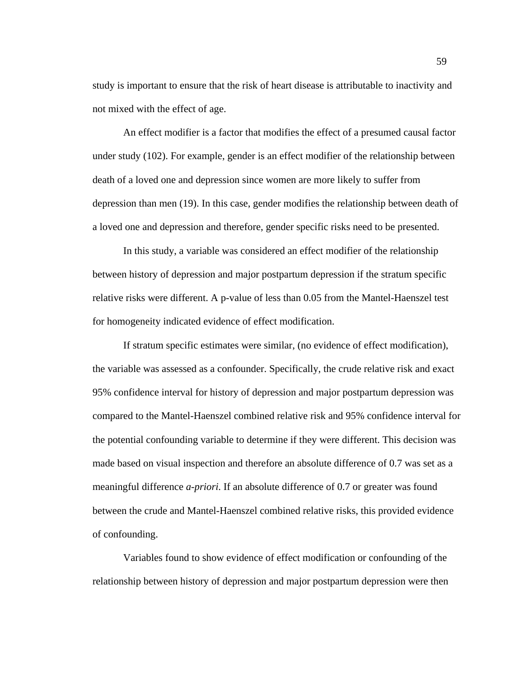study is important to ensure that the risk of heart disease is attributable to inactivity and not mixed with the effect of age.

An effect modifier is a factor that modifies the effect of a presumed causal factor under study (102). For example, gender is an effect modifier of the relationship between death of a loved one and depression since women are more likely to suffer from depression than men (19). In this case, gender modifies the relationship between death of a loved one and depression and therefore, gender specific risks need to be presented.

In this study, a variable was considered an effect modifier of the relationship between history of depression and major postpartum depression if the stratum specific relative risks were different. A p-value of less than 0.05 from the Mantel-Haenszel test for homogeneity indicated evidence of effect modification.

If stratum specific estimates were similar, (no evidence of effect modification), the variable was assessed as a confounder. Specifically, the crude relative risk and exact 95% confidence interval for history of depression and major postpartum depression was compared to the Mantel-Haenszel combined relative risk and 95% confidence interval for the potential confounding variable to determine if they were different. This decision was made based on visual inspection and therefore an absolute difference of 0.7 was set as a meaningful difference *a-priori*. If an absolute difference of 0.7 or greater was found between the crude and Mantel-Haenszel combined relative risks, this provided evidence of confounding.

Variables found to show evidence of effect modification or confounding of the relationship between history of depression and major postpartum depression were then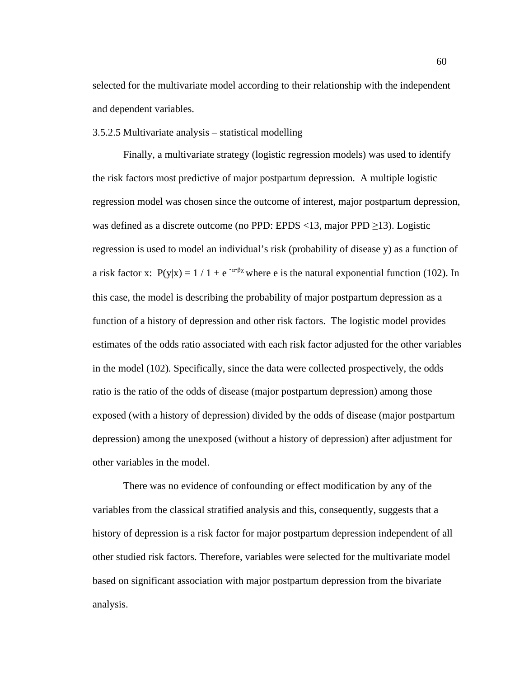selected for the multivariate model according to their relationship with the independent and dependent variables.

3.5.2.5 Multivariate analysis – statistical modelling

Finally, a multivariate strategy (logistic regression models) was used to identify the risk factors most predictive of major postpartum depression. A multiple logistic regression model was chosen since the outcome of interest, major postpartum depression, was defined as a discrete outcome (no PPD: EPDS  $\langle 13, \text{major PPD } \geq 13 \rangle$ ). Logistic regression is used to model an individual's risk (probability of disease y) as a function of a risk factor x:  $P(y|x) = 1 / 1 + e^{-\alpha \beta x}$  where e is the natural exponential function (102). In this case, the model is describing the probability of major postpartum depression as a function of a history of depression and other risk factors. The logistic model provides estimates of the odds ratio associated with each risk factor adjusted for the other variables in the model (102). Specifically, since the data were collected prospectively, the odds ratio is the ratio of the odds of disease (major postpartum depression) among those exposed (with a history of depression) divided by the odds of disease (major postpartum depression) among the unexposed (without a history of depression) after adjustment for other variables in the model.

There was no evidence of confounding or effect modification by any of the variables from the classical stratified analysis and this, consequently, suggests that a history of depression is a risk factor for major postpartum depression independent of all other studied risk factors. Therefore, variables were selected for the multivariate model based on significant association with major postpartum depression from the bivariate analysis.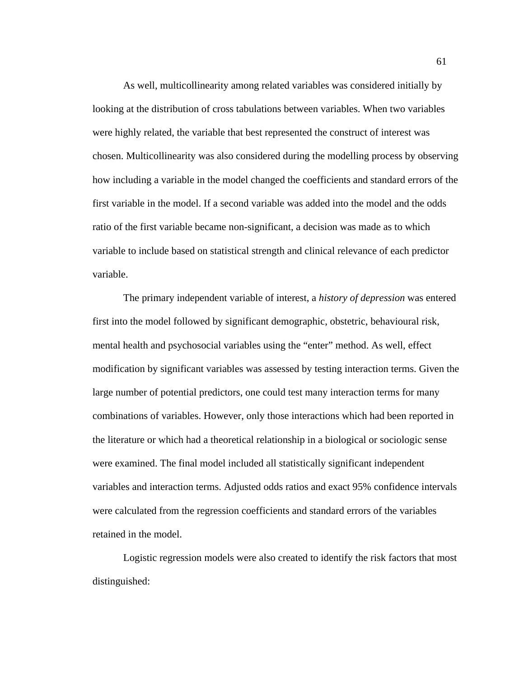As well, multicollinearity among related variables was considered initially by looking at the distribution of cross tabulations between variables. When two variables were highly related, the variable that best represented the construct of interest was chosen. Multicollinearity was also considered during the modelling process by observing how including a variable in the model changed the coefficients and standard errors of the first variable in the model. If a second variable was added into the model and the odds ratio of the first variable became non-significant, a decision was made as to which variable to include based on statistical strength and clinical relevance of each predictor variable.

The primary independent variable of interest, a *history of depression* was entered first into the model followed by significant demographic, obstetric, behavioural risk, mental health and psychosocial variables using the "enter" method. As well, effect modification by significant variables was assessed by testing interaction terms. Given the large number of potential predictors, one could test many interaction terms for many combinations of variables. However, only those interactions which had been reported in the literature or which had a theoretical relationship in a biological or sociologic sense were examined. The final model included all statistically significant independent variables and interaction terms. Adjusted odds ratios and exact 95% confidence intervals were calculated from the regression coefficients and standard errors of the variables retained in the model.

Logistic regression models were also created to identify the risk factors that most distinguished: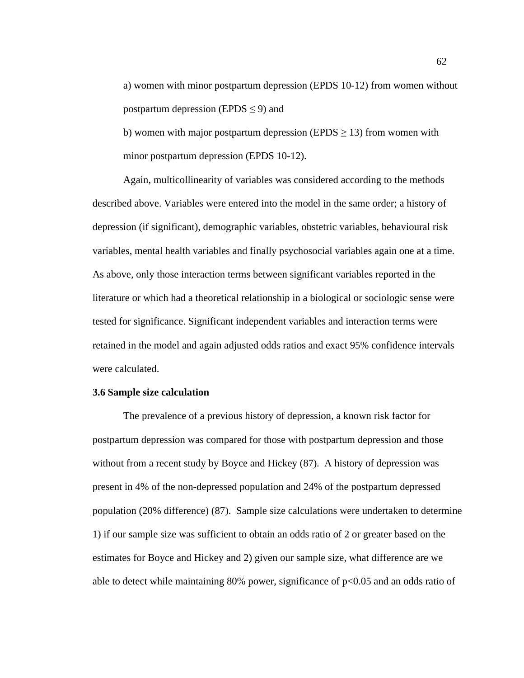a) women with minor postpartum depression (EPDS 10-12) from women without postpartum depression (EPDS  $\leq$  9) and

b) women with major postpartum depression (EPDS  $\geq$  13) from women with minor postpartum depression (EPDS 10-12).

Again, multicollinearity of variables was considered according to the methods described above. Variables were entered into the model in the same order; a history of depression (if significant), demographic variables, obstetric variables, behavioural risk variables, mental health variables and finally psychosocial variables again one at a time. As above, only those interaction terms between significant variables reported in the literature or which had a theoretical relationship in a biological or sociologic sense were tested for significance. Significant independent variables and interaction terms were retained in the model and again adjusted odds ratios and exact 95% confidence intervals were calculated.

### **3.6 Sample size calculation**

The prevalence of a previous history of depression, a known risk factor for postpartum depression was compared for those with postpartum depression and those without from a recent study by Boyce and Hickey (87). A history of depression was present in 4% of the non-depressed population and 24% of the postpartum depressed population (20% difference) (87). Sample size calculations were undertaken to determine 1) if our sample size was sufficient to obtain an odds ratio of 2 or greater based on the estimates for Boyce and Hickey and 2) given our sample size, what difference are we able to detect while maintaining 80% power, significance of  $p<0.05$  and an odds ratio of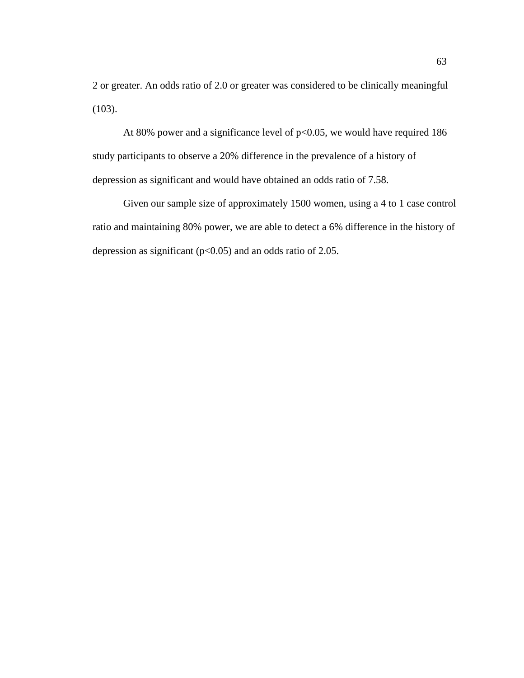2 or greater. An odds ratio of 2.0 or greater was considered to be clinically meaningful (103).

At 80% power and a significance level of  $p<0.05$ , we would have required 186 study participants to observe a 20% difference in the prevalence of a history of depression as significant and would have obtained an odds ratio of 7.58.

Given our sample size of approximately 1500 women, using a 4 to 1 case control ratio and maintaining 80% power, we are able to detect a 6% difference in the history of depression as significant ( $p<0.05$ ) and an odds ratio of 2.05.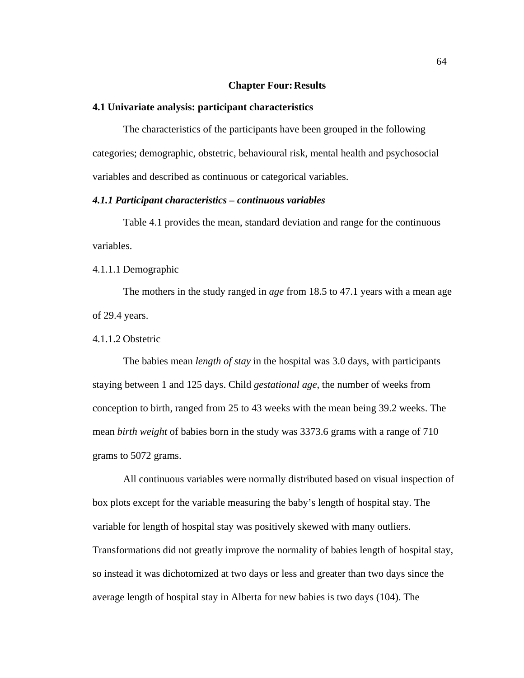### **Chapter Four:Results**

### **4.1 Univariate analysis: participant characteristics**

The characteristics of the participants have been grouped in the following categories; demographic, obstetric, behavioural risk, mental health and psychosocial variables and described as continuous or categorical variables.

### *4.1.1 Participant characteristics – continuous variables*

Table 4.1 provides the mean, standard deviation and range for the continuous variables.

### 4.1.1.1 Demographic

The mothers in the study ranged in *age* from 18.5 to 47.1 years with a mean age of 29.4 years.

## 4.1.1.2 Obstetric

The babies mean *length of stay* in the hospital was 3.0 days, with participants staying between 1 and 125 days. Child *gestational age*, the number of weeks from conception to birth, ranged from 25 to 43 weeks with the mean being 39.2 weeks. The mean *birth weight* of babies born in the study was 3373.6 grams with a range of 710 grams to 5072 grams.

All continuous variables were normally distributed based on visual inspection of box plots except for the variable measuring the baby's length of hospital stay. The variable for length of hospital stay was positively skewed with many outliers. Transformations did not greatly improve the normality of babies length of hospital stay, so instead it was dichotomized at two days or less and greater than two days since the average length of hospital stay in Alberta for new babies is two days (104). The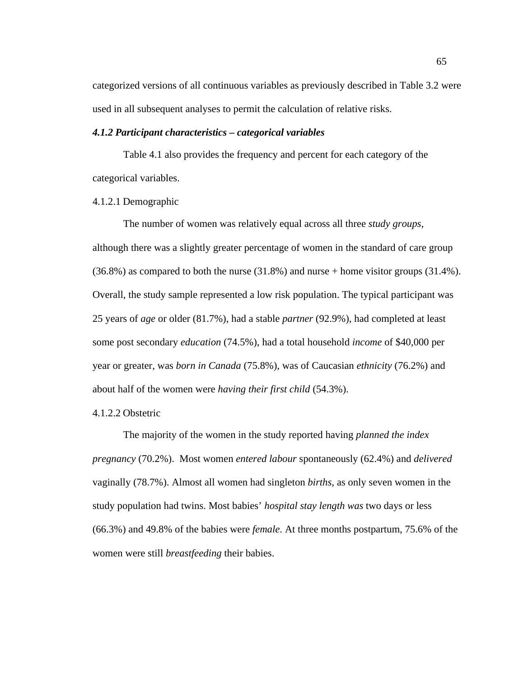categorized versions of all continuous variables as previously described in Table 3.2 were used in all subsequent analyses to permit the calculation of relative risks.

### *4.1.2 Participant characteristics – categorical variables*

Table 4.1 also provides the frequency and percent for each category of the categorical variables.

### 4.1.2.1 Demographic

The number of women was relatively equal across all three *study groups*, although there was a slightly greater percentage of women in the standard of care group (36.8%) as compared to both the nurse (31.8%) and nurse + home visitor groups (31.4%). Overall, the study sample represented a low risk population. The typical participant was 25 years of *age* or older (81.7%), had a stable *partner* (92.9%), had completed at least some post secondary *education* (74.5%), had a total household *income* of \$40,000 per year or greater, was *born in Canada* (75.8%), was of Caucasian *ethnicity* (76.2%) and about half of the women were *having their first child* (54.3%).

### 4.1.2.2 Obstetric

The majority of the women in the study reported having *planned the index pregnancy* (70.2%). Most women *entered labour* spontaneously (62.4%) and *delivered* vaginally (78.7%). Almost all women had singleton *births*, as only seven women in the study population had twins. Most babies' *hospital stay length was* two days or less (66.3%) and 49.8% of the babies were *female*. At three months postpartum, 75.6% of the women were still *breastfeeding* their babies.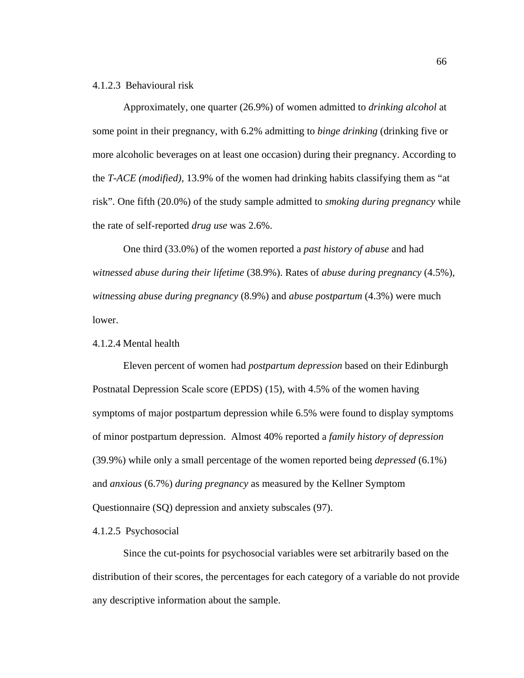## 4.1.2.3 Behavioural risk

Approximately, one quarter (26.9%) of women admitted to *drinking alcohol* at some point in their pregnancy, with 6.2% admitting to *binge drinking* (drinking five or more alcoholic beverages on at least one occasion) during their pregnancy. According to the *T-ACE (modified),* 13.9% of the women had drinking habits classifying them as "at risk". One fifth (20.0%) of the study sample admitted to *smoking during pregnancy* while the rate of self-reported *drug use* was 2.6%.

One third (33.0%) of the women reported a *past history of abuse* and had *witnessed abuse during their lifetime* (38.9%). Rates of *abuse during pregnancy* (4.5%), *witnessing abuse during pregnancy* (8.9%) and *abuse postpartum* (4.3%) were much lower.

### 4.1.2.4 Mental health

Eleven percent of women had *postpartum depression* based on their Edinburgh Postnatal Depression Scale score (EPDS) (15), with 4.5% of the women having symptoms of major postpartum depression while 6.5% were found to display symptoms of minor postpartum depression. Almost 40% reported a *family history of depression* (39.9%) while only a small percentage of the women reported being *depressed* (6.1%) and *anxious* (6.7%) *during pregnancy* as measured by the Kellner Symptom Questionnaire (SQ) depression and anxiety subscales (97).

#### 4.1.2.5 Psychosocial

Since the cut-points for psychosocial variables were set arbitrarily based on the distribution of their scores, the percentages for each category of a variable do not provide any descriptive information about the sample.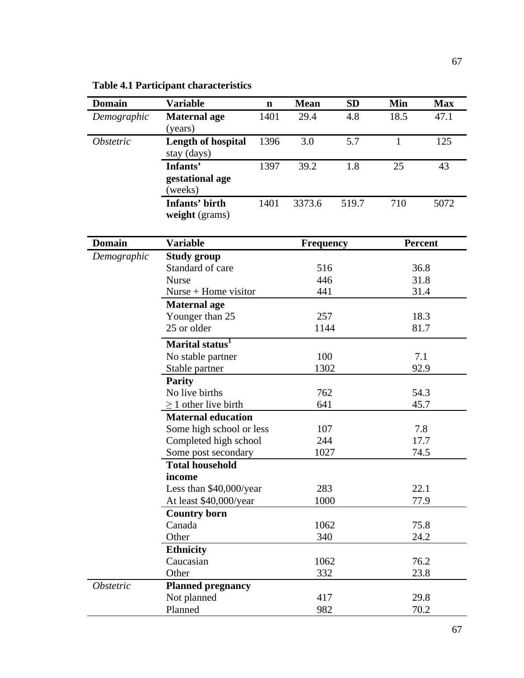| <b>Domain</b>           | <b>Variable</b>             | $\mathbf n$ | <b>Mean</b>      | <b>SD</b> | Min          | <b>Max</b>     |  |
|-------------------------|-----------------------------|-------------|------------------|-----------|--------------|----------------|--|
| Demographic             | <b>Maternal age</b>         | 1401        | 29.4             | 4.8       | 18.5         | 47.1           |  |
|                         | (years)                     |             |                  |           |              |                |  |
| <i><b>Obstetric</b></i> | <b>Length of hospital</b>   | 1396        | 3.0              | 5.7       | $\mathbf{1}$ | 125            |  |
|                         | stay (days)                 |             |                  |           |              |                |  |
|                         | Infants'                    | 1397        | 39.2             | 1.8       | 25           | 43             |  |
|                         | gestational age             |             |                  |           |              |                |  |
|                         | (weeks)                     |             |                  |           |              |                |  |
|                         | Infants' birth              | 1401        | 3373.6           | 519.7     | 710          | 5072           |  |
|                         | weight (grams)              |             |                  |           |              |                |  |
|                         |                             |             |                  |           |              |                |  |
| <b>Domain</b>           | <b>Variable</b>             |             | <b>Frequency</b> |           |              | <b>Percent</b> |  |
| Demographic             | <b>Study group</b>          |             |                  |           |              |                |  |
|                         | Standard of care            |             |                  | 516       |              | 36.8           |  |
|                         | <b>Nurse</b>                |             | 446              |           |              | 31.8           |  |
|                         | $Nurse + Home visitor$      |             | 441              |           |              | 31.4           |  |
|                         | <b>Maternal age</b>         |             |                  |           |              |                |  |
|                         | Younger than 25             |             | 257              |           |              | 18.3           |  |
|                         | 25 or older                 |             |                  | 1144      |              | 81.7           |  |
|                         | Marital status <sup>1</sup> |             |                  |           |              |                |  |
|                         | No stable partner           |             | 100              |           |              | 7.1            |  |
|                         | Stable partner              |             | 1302             |           | 92.9         |                |  |
|                         | <b>Parity</b>               |             | 762<br>641       |           |              |                |  |
|                         | No live births              |             |                  |           |              | 54.3           |  |
|                         | $\geq$ 1 other live birth   |             |                  |           | 45.7         |                |  |
|                         | <b>Maternal education</b>   |             |                  |           |              |                |  |
|                         | Some high school or less    |             | 107              |           | 7.8<br>17.7  |                |  |
|                         | Completed high school       |             | 244              |           |              |                |  |
|                         | Some post secondary         |             | 1027             |           | 74.5         |                |  |
|                         | <b>Total household</b>      |             |                  |           |              |                |  |
|                         | income                      |             |                  |           |              |                |  |
|                         | Less than \$40,000/year     |             | 283              |           | 22.1         |                |  |
|                         | At least \$40,000/year      |             | 1000             |           |              | 77.9           |  |
|                         | <b>Country born</b>         |             |                  |           |              |                |  |
|                         | Canada                      |             | 1062             |           | 75.8         |                |  |
|                         | Other                       |             | 340              |           |              | 24.2           |  |
|                         | <b>Ethnicity</b>            |             |                  |           |              |                |  |
|                         | Caucasian                   |             | 1062             |           |              | 76.2           |  |
|                         | Other                       |             | 332              |           |              | 23.8           |  |
| <i><b>Obstetric</b></i> | <b>Planned pregnancy</b>    |             |                  |           |              |                |  |
|                         | Not planned                 |             | 417              |           |              | 29.8           |  |
|                         | Planned                     |             | 982              |           |              | 70.2           |  |

**Table 4.1 Participant characteristics**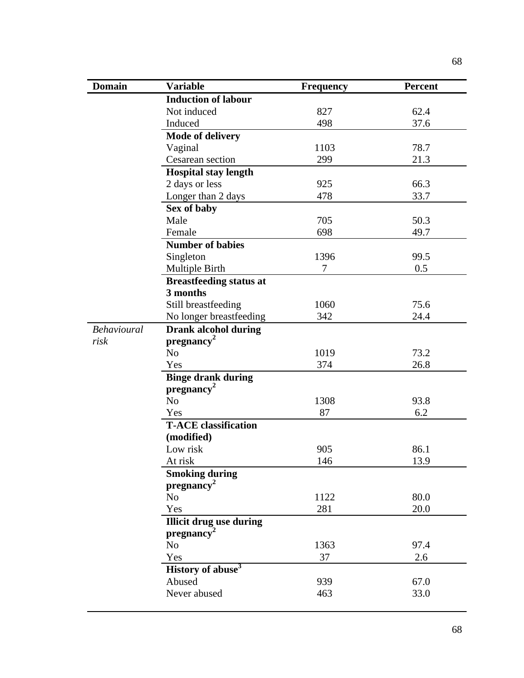| <b>Domain</b> | <b>Variable</b>                | <b>Frequency</b> | <b>Percent</b> |
|---------------|--------------------------------|------------------|----------------|
|               | <b>Induction of labour</b>     |                  |                |
|               | Not induced                    | 827              | 62.4           |
|               | Induced                        | 498              | 37.6           |
|               | <b>Mode of delivery</b>        |                  |                |
|               | Vaginal                        | 1103             | 78.7           |
|               | Cesarean section               | 299              | 21.3           |
|               | <b>Hospital stay length</b>    |                  |                |
|               | 2 days or less                 | 925              | 66.3           |
|               | Longer than 2 days             | 478              | 33.7           |
|               | Sex of baby                    |                  |                |
|               | Male                           | 705              | 50.3           |
|               | Female                         | 698              | 49.7           |
|               | <b>Number of babies</b>        |                  |                |
|               | Singleton                      | 1396             | 99.5           |
|               | Multiple Birth                 | 7                | 0.5            |
|               | <b>Breastfeeding status at</b> |                  |                |
|               | 3 months                       |                  |                |
|               | Still breastfeeding            | 1060             | 75.6           |
|               | No longer breastfeeding        | 342              | 24.4           |
| Behavioural   | <b>Drank alcohol during</b>    |                  |                |
| risk          | pregnancy <sup>2</sup>         |                  |                |
|               | N <sub>o</sub>                 | 1019             | 73.2           |
|               | Yes                            | 374              | 26.8           |
|               | <b>Binge drank during</b>      |                  |                |
|               | pregnancy <sup>2</sup>         |                  |                |
|               | N <sub>o</sub>                 | 1308             | 93.8           |
|               | Yes                            | 87               | 6.2            |
|               | <b>T-ACE</b> classification    |                  |                |
|               | (modified)                     |                  |                |
|               | Low risk                       | 905              | 86.1           |
|               | At risk                        | 146              | 13.9           |
|               | <b>Smoking during</b>          |                  |                |
|               | pregnancy <sup>2</sup>         |                  |                |
|               | N <sub>o</sub>                 | 1122             | 80.0           |
|               | Yes                            | 281              | 20.0           |
|               | <b>Illicit drug use during</b> |                  |                |
|               | pregnancy <sup>2</sup>         |                  |                |
|               | N <sub>o</sub>                 | 1363             | 97.4           |
|               | Yes                            | 37               | 2.6            |
|               | History of abuse <sup>3</sup>  |                  |                |
|               | Abused                         | 939              | 67.0           |
|               | Never abused                   | 463              | 33.0           |
|               |                                |                  |                |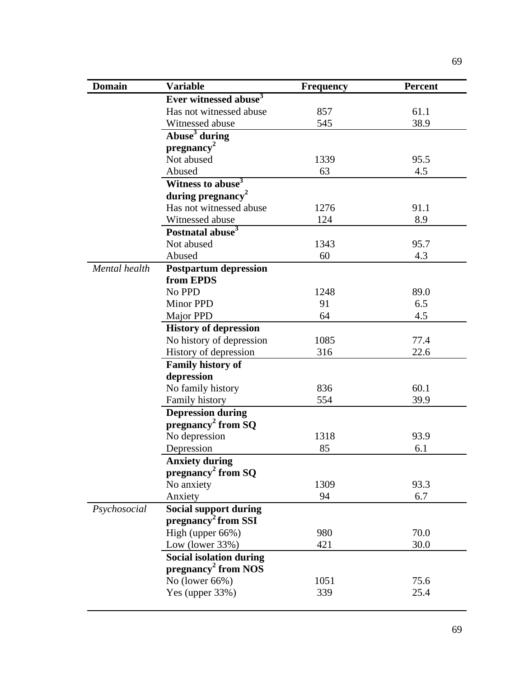| <b>Domain</b> | <b>Variable</b>                   | <b>Frequency</b> | <b>Percent</b> |
|---------------|-----------------------------------|------------------|----------------|
|               | Ever witnessed abuse <sup>3</sup> |                  |                |
|               | Has not witnessed abuse           | 857              | 61.1           |
|               | Witnessed abuse                   | 545              | 38.9           |
|               | Abuse <sup>3</sup> during         |                  |                |
|               | pregnancy <sup>2</sup>            |                  |                |
|               | Not abused                        | 1339             | 95.5           |
|               | Abused                            | 63               | 4.5            |
|               | Witness to abuse <sup>3</sup>     |                  |                |
|               | during pregnancy <sup>2</sup>     |                  |                |
|               | Has not witnessed abuse           | 1276             | 91.1           |
|               | Witnessed abuse                   | 124              | 8.9            |
|               | Postnatal abuse <sup>3</sup>      |                  |                |
|               | Not abused                        | 1343             | 95.7           |
|               | Abused                            | 60               | 4.3            |
| Mental health | <b>Postpartum depression</b>      |                  |                |
|               | from EPDS                         |                  |                |
|               | No PPD                            | 1248             | 89.0           |
|               | <b>Minor PPD</b>                  | 91               | 6.5            |
|               | Major PPD                         | 64               | 4.5            |
|               | <b>History of depression</b>      |                  |                |
|               | No history of depression          | 1085             | 77.4           |
|               | History of depression             | 316              | 22.6           |
|               | Family history of                 |                  |                |
|               | depression                        |                  |                |
|               | No family history                 | 836              | 60.1           |
|               | Family history                    | 554              | 39.9           |
|               | <b>Depression during</b>          |                  |                |
|               | pregnancy <sup>2</sup> from SQ    |                  |                |
|               | No depression                     | 1318             | 93.9           |
|               | Depression                        | 85               | 6.1            |
|               | <b>Anxiety during</b>             |                  |                |
|               | pregnancy <sup>2</sup> from $SQ$  |                  |                |
|               | No anxiety                        | 1309             | 93.3           |
|               | Anxiety                           | 94               | 6.7            |
| Psychosocial  | <b>Social support during</b>      |                  |                |
|               | pregnancy <sup>2</sup> from SSI   |                  |                |
|               | High (upper 66%)                  | 980              | 70.0           |
|               | Low (lower 33%)                   | 421              | 30.0           |
|               | <b>Social isolation during</b>    |                  |                |
|               | pregnancy <sup>2</sup> from NOS   |                  |                |
|               | No (lower 66%)                    | 1051             | 75.6           |
|               | Yes (upper 33%)                   | 339              | 25.4           |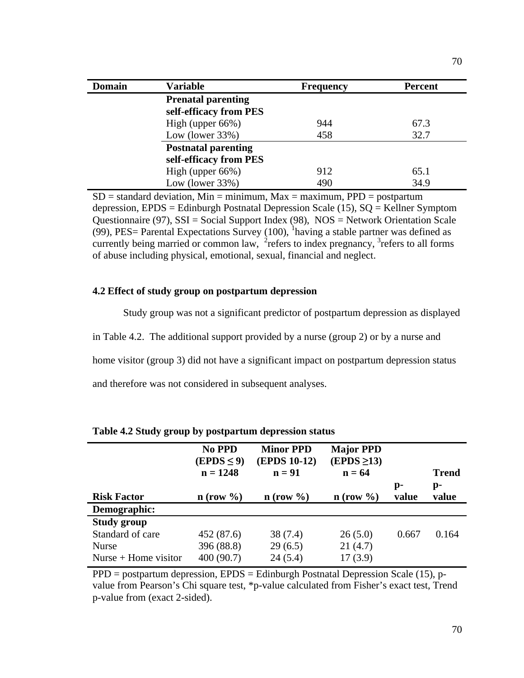| <b>Domain</b> | <b>Variable</b>                                      | <b>Frequency</b> | <b>Percent</b> |
|---------------|------------------------------------------------------|------------------|----------------|
|               | <b>Prenatal parenting</b><br>self-efficacy from PES  |                  |                |
|               | High (upper $66\%$ )                                 | 944              | 67.3           |
|               | Low (lower $33\%$ )                                  | 458              | 32.7           |
|               | <b>Postnatal parenting</b><br>self-efficacy from PES |                  |                |
|               | High (upper $66\%$ )                                 | 912              | 65.1           |
|               | Low (lower $33\%$ )                                  | 490              | 34.9           |

 $SD =$  standard deviation, Min = minimum, Max = maximum, PPD = postpartum depression, EPDS = Edinburgh Postnatal Depression Scale (15), SQ = Kellner Symptom Questionnaire (97), SSI = Social Support Index (98), NOS = Network Orientation Scale  $(99)$ , PES= Parental Expectations Survey (100), <sup>1</sup> having a stable partner was defined as currently being married or common law,  $2\pi$  refers to index pregnancy,  $3\pi$  refers to all forms of abuse including physical, emotional, sexual, financial and neglect.

## **4.2 Effect of study group on postpartum depression**

Study group was not a significant predictor of postpartum depression as displayed

in Table 4.2. The additional support provided by a nurse (group 2) or by a nurse and

home visitor (group 3) did not have a significant impact on postpartum depression status

and therefore was not considered in subsequent analyses.

|                        | No PPD<br>$(EPDS \leq 9)$<br>$n = 1248$ | <b>Minor PPD</b><br><b>(EPDS 10-12)</b><br>$n = 91$ | <b>Major PPD</b><br>$(EPDS \geq 13)$<br>$n = 64$ |       | <b>Trend</b> |
|------------------------|-----------------------------------------|-----------------------------------------------------|--------------------------------------------------|-------|--------------|
|                        |                                         |                                                     |                                                  | p-    | p-           |
| <b>Risk Factor</b>     | $n$ (row $\%$ )                         | $n$ (row $\%$ )                                     | $n$ (row $\%$ )                                  | value | value        |
| Demographic:           |                                         |                                                     |                                                  |       |              |
| <b>Study group</b>     |                                         |                                                     |                                                  |       |              |
| Standard of care       | 452 (87.6)                              | 38(7.4)                                             | 26(5.0)                                          | 0.667 | 0.164        |
| <b>Nurse</b>           | 396 (88.8)                              | 29(6.5)                                             | 21(4.7)                                          |       |              |
| Nurse $+$ Home visitor | 400 (90.7)                              | 24(5.4)                                             | 17(3.9)                                          |       |              |

**Table 4.2 Study group by postpartum depression status**

 $PPD = postpartum depression, EPDS = Edinburgh Postnatal Depression Scale (15), p$ value from Pearson's Chi square test, \*p-value calculated from Fisher's exact test, Trend p-value from (exact 2-sided).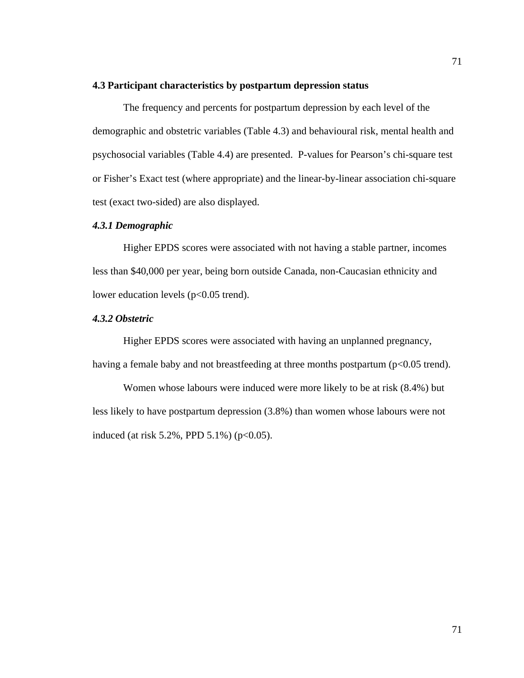## **4.3 Participant characteristics by postpartum depression status**

The frequency and percents for postpartum depression by each level of the demographic and obstetric variables (Table 4.3) and behavioural risk, mental health and psychosocial variables (Table 4.4) are presented. P-values for Pearson's chi-square test or Fisher's Exact test (where appropriate) and the linear-by-linear association chi-square test (exact two-sided) are also displayed.

# *4.3.1 Demographic*

Higher EPDS scores were associated with not having a stable partner, incomes less than \$40,000 per year, being born outside Canada, non-Caucasian ethnicity and lower education levels (p<0.05 trend).

### *4.3.2 Obstetric*

Higher EPDS scores were associated with having an unplanned pregnancy, having a female baby and not breastfeeding at three months postpartum ( $p<0.05$  trend).

Women whose labours were induced were more likely to be at risk (8.4%) but less likely to have postpartum depression (3.8%) than women whose labours were not induced (at risk 5.2%, PPD 5.1%) ( $p < 0.05$ ).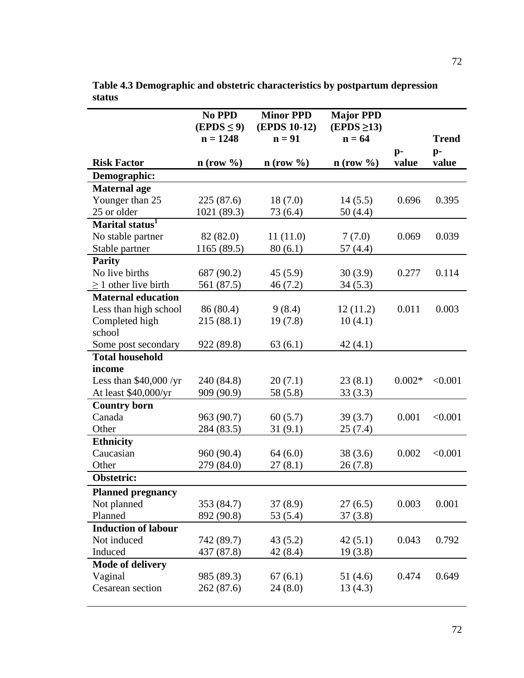|                             | No PPD<br>$(EPDS \leq 9)$<br>$n = 1248$ | <b>Minor PPD</b><br><b>(EPDS 10-12)</b><br>$n = 91$ | <b>Major PPD</b><br>$(EPDS \geq 13)$<br>$n = 64$ |               |               |
|-----------------------------|-----------------------------------------|-----------------------------------------------------|--------------------------------------------------|---------------|---------------|
|                             |                                         |                                                     |                                                  |               | <b>Trend</b>  |
| <b>Risk Factor</b>          | $n$ (row $\%$ )                         | $n$ (row $\%$ )                                     | $n$ (row $\%$ )                                  | $p-$<br>value | $p-$<br>value |
| Demographic:                |                                         |                                                     |                                                  |               |               |
| <b>Maternal</b> age         |                                         |                                                     |                                                  |               |               |
| Younger than 25             | 225(87.6)                               | 18(7.0)                                             | 14(5.5)                                          | 0.696         | 0.395         |
| 25 or older                 | 1021 (89.3)                             | 73 (6.4)                                            | 50(4.4)                                          |               |               |
| Marital status <sup>1</sup> |                                         |                                                     |                                                  |               |               |
| No stable partner           | 82 (82.0)                               | 11(11.0)                                            | 7(7.0)                                           | 0.069         | 0.039         |
| Stable partner              | 1165 (89.5)                             | 80(6.1)                                             | 57 (4.4)                                         |               |               |
| <b>Parity</b>               |                                         |                                                     |                                                  |               |               |
| No live births              | 687 (90.2)                              | 45(5.9)                                             | 30(3.9)                                          | 0.277         | 0.114         |
| $\geq$ 1 other live birth   | 561 (87.5)                              | 46(7.2)                                             | 34(5.3)                                          |               |               |
| <b>Maternal education</b>   |                                         |                                                     |                                                  |               |               |
| Less than high school       | 86 (80.4)                               | 9(8.4)                                              | 12(11.2)                                         | 0.011         | 0.003         |
| Completed high              | 215(88.1)                               | 19(7.8)                                             | 10(4.1)                                          |               |               |
| school                      |                                         |                                                     |                                                  |               |               |
| Some post secondary         | 922 (89.8)                              | 63(6.1)                                             | 42(4.1)                                          |               |               |
| <b>Total household</b>      |                                         |                                                     |                                                  |               |               |
| income                      |                                         |                                                     |                                                  |               |               |
| Less than $$40,000$ /yr     | 240 (84.8)                              | 20(7.1)                                             | 23(8.1)                                          | $0.002*$      | < 0.001       |
| At least \$40,000/yr        | 909 (90.9)                              | 58 (5.8)                                            | 33(3.3)                                          |               |               |
| <b>Country born</b>         |                                         |                                                     |                                                  |               |               |
| Canada                      | 963 (90.7)                              | 60(5.7)                                             | 39(3.7)                                          | 0.001         | < 0.001       |
| Other                       | 284 (83.5)                              | 31(9.1)                                             | 25(7.4)                                          |               |               |
| <b>Ethnicity</b>            |                                         |                                                     |                                                  |               |               |
| Caucasian                   | 960 (90.4)                              | 64(6.0)                                             | 38(3.6)                                          | 0.002         | < 0.001       |
| Other                       | 279 (84.0)                              | 27(8.1)                                             | 26(7.8)                                          |               |               |
| Obstetric:                  |                                         |                                                     |                                                  |               |               |
| <b>Planned pregnancy</b>    |                                         |                                                     |                                                  |               |               |
| Not planned                 | 353 (84.7)                              | 37(8.9)                                             | 27(6.5)                                          | 0.003         | 0.001         |
| Planned                     | 892 (90.8)                              | 53 $(5.4)$                                          | 37(3.8)                                          |               |               |
| <b>Induction of labour</b>  |                                         |                                                     |                                                  |               |               |
| Not induced                 | 742 (89.7)                              | 43(5.2)                                             | 42(5.1)                                          | 0.043         | 0.792         |
| Induced                     | 437 (87.8)                              | 42 (8.4)                                            | 19(3.8)                                          |               |               |
| <b>Mode of delivery</b>     |                                         |                                                     |                                                  |               |               |
| Vaginal                     | 985 (89.3)                              | 67(6.1)                                             | 51(4.6)                                          | 0.474         | 0.649         |
| Cesarean section            | 262 (87.6)                              | 24(8.0)                                             | 13(4.3)                                          |               |               |
|                             |                                         |                                                     |                                                  |               |               |

**Table 4.3 Demographic and obstetric characteristics by postpartum depression status**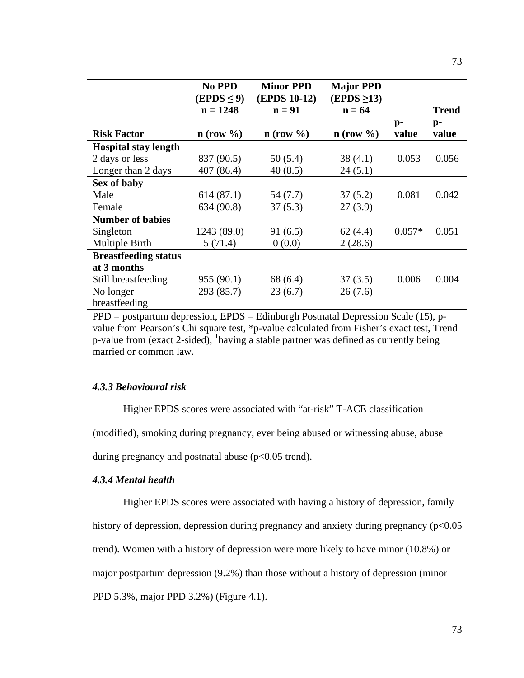|                             | No PPD<br>$(EPDS \leq 9)$ | <b>Minor PPD</b><br><b>(EPDS 10-12)</b> | <b>Major PPD</b><br>$(EPDS \geq 13)$ |                         |                         |
|-----------------------------|---------------------------|-----------------------------------------|--------------------------------------|-------------------------|-------------------------|
|                             | $n = 1248$                | $n = 91$                                | $n = 64$                             |                         | Trend                   |
| <b>Risk Factor</b>          | $n$ (row $\%$ )           | $n$ (row $\%$ )                         | $n$ (row $\%$ )                      | $\mathbf{p}$ -<br>value | $\mathbf{p}$ -<br>value |
| <b>Hospital stay length</b> |                           |                                         |                                      |                         |                         |
| 2 days or less              | 837 (90.5)                | 50 (5.4)                                | 38(4.1)                              | 0.053                   | 0.056                   |
| Longer than 2 days          | 407 (86.4)                | 40(8.5)                                 | 24(5.1)                              |                         |                         |
| Sex of baby                 |                           |                                         |                                      |                         |                         |
| Male                        | 614(87.1)                 | 54 (7.7)                                | 37(5.2)                              | 0.081                   | 0.042                   |
| Female                      | 634 (90.8)                | 37(5.3)                                 | 27(3.9)                              |                         |                         |
| <b>Number of babies</b>     |                           |                                         |                                      |                         |                         |
| Singleton                   | 1243 (89.0)               | 91(6.5)                                 | 62(4.4)                              | $0.057*$                | 0.051                   |
| Multiple Birth              | 5(71.4)                   | 0(0.0)                                  | 2(28.6)                              |                         |                         |
| <b>Breastfeeding status</b> |                           |                                         |                                      |                         |                         |
| at 3 months                 |                           |                                         |                                      |                         |                         |
| Still breastfeeding         | 955 (90.1)                | 68 (6.4)                                | 37(3.5)                              | 0.006                   | 0.004                   |
| No longer                   | 293 (85.7)                | 23(6.7)                                 | 26(7.6)                              |                         |                         |
| breastfeeding               |                           |                                         |                                      |                         |                         |

PPD = postpartum depression, EPDS = Edinburgh Postnatal Depression Scale (15), pvalue from Pearson's Chi square test, \*p-value calculated from Fisher's exact test, Trend p-value from (exact 2-sided),  $\frac{1}{2}$  having a stable partner was defined as currently being married or common law.

### *4.3.3 Behavioural risk*

Higher EPDS scores were associated with "at-risk" T-ACE classification

(modified), smoking during pregnancy, ever being abused or witnessing abuse, abuse

during pregnancy and postnatal abuse  $(p<0.05$  trend).

# *4.3.4 Mental health*

Higher EPDS scores were associated with having a history of depression, family

history of depression, depression during pregnancy and anxiety during pregnancy (p<0.05

trend). Women with a history of depression were more likely to have minor (10.8%) or

major postpartum depression (9.2%) than those without a history of depression (minor

PPD 5.3%, major PPD 3.2%) (Figure 4.1).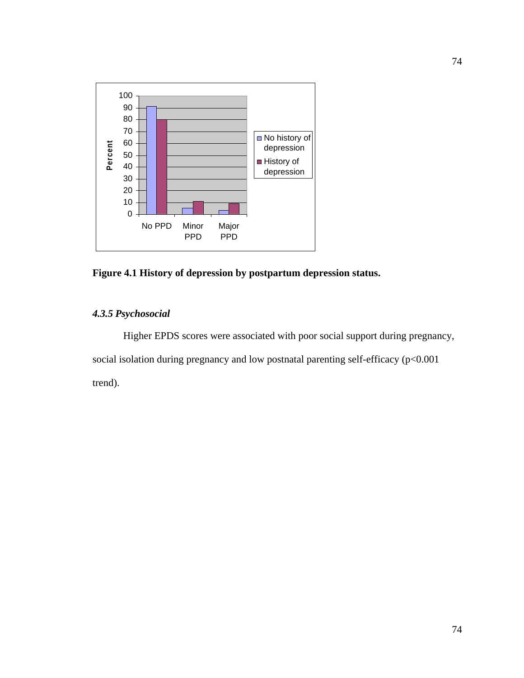

**Figure 4.1 History of depression by postpartum depression status.**

# *4.3.5 Psychosocial*

Higher EPDS scores were associated with poor social support during pregnancy, social isolation during pregnancy and low postnatal parenting self-efficacy (p<0.001 trend).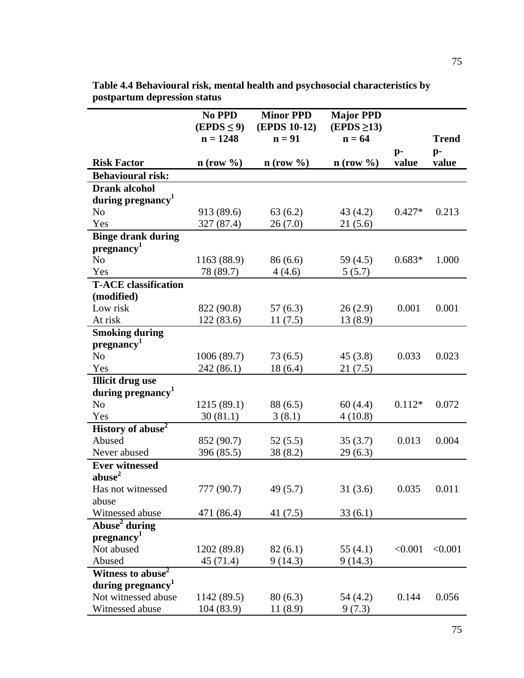| $n = 1248$<br>$n = 91$<br>$n = 64$<br><b>Trend</b><br>$p-$<br>p-<br><b>Risk Factor</b><br>$n$ (row $\%$ )<br>value<br>value<br>$n$ (row $\%$ )<br>$n$ (row $\%$ )<br><b>Behavioural risk:</b><br><b>Drank alcohol</b><br>during pregnancy <sup>1</sup><br>N <sub>o</sub><br>0.213<br>913 (89.6)<br>63(6.2)<br>43(4.2)<br>$0.427*$<br>26(7.0)<br>21(5.6)<br>Yes<br>327 (87.4)<br><b>Binge drank during</b><br>pregnancy <sup>1</sup><br>N <sub>o</sub><br>1163 (88.9)<br>59 $(4.5)$<br>$0.683*$<br>86(6.6)<br>1.000<br>Yes<br>78 (89.7)<br>4(4.6)<br>5(5.7)<br><b>T-ACE</b> classification<br>(modified)<br>Low risk<br>0.001<br>822 (90.8)<br>57(6.3)<br>26(2.9)<br>0.001<br>At risk<br>122(83.6)<br>13(8.9)<br>11(7.5)<br><b>Smoking during</b><br>pregnancy <sup>1</sup><br>N <sub>o</sub><br>1006 (89.7)<br>0.033<br>0.023<br>73(6.5)<br>45(3.8)<br>242 (86.1)<br>Yes<br>18(6.4)<br>21(7.5)<br><b>Illicit drug use</b><br>during pregnancy <sup>1</sup><br>N <sub>o</sub><br>1215 (89.1)<br>88 (6.5)<br>60(4.4)<br>$0.112*$<br>0.072<br>Yes<br>30(81.1)<br>3(8.1)<br>4(10.8)<br>History of abuse <sup>2</sup><br>Abused<br>852 (90.7)<br>52(5.5)<br>35(3.7)<br>0.013<br>0.004<br>Never abused<br>396 (85.5)<br>29(6.3)<br>38 (8.2)<br><b>Ever witnessed</b><br>abuse <sup>2</sup><br>Has not witnessed<br>777 (90.7)<br>49(5.7)<br>31(3.6)<br>0.035<br>0.011<br>abuse<br>Witnessed abuse<br>471 (86.4)<br>33(6.1)<br>41 $(7.5)$<br>Abuse <sup>2</sup> during<br>pregnancy <sup>1</sup><br>Not abused<br>< 0.001<br>< 0.001<br>1202 (89.8)<br>82(6.1)<br>55 $(4.1)$<br>Abused<br>45 (71.4)<br>9(14.3)<br>9(14.3)<br>Witness to abuse <sup>2</sup><br>during pregnancy <sup>1</sup><br>Not witnessed abuse<br>0.144<br>0.056<br>1142 (89.5)<br>80(6.3)<br>54 (4.2) | No PPD          | <b>Minor PPD</b>    | <b>Major PPD</b> |  |
|---------------------------------------------------------------------------------------------------------------------------------------------------------------------------------------------------------------------------------------------------------------------------------------------------------------------------------------------------------------------------------------------------------------------------------------------------------------------------------------------------------------------------------------------------------------------------------------------------------------------------------------------------------------------------------------------------------------------------------------------------------------------------------------------------------------------------------------------------------------------------------------------------------------------------------------------------------------------------------------------------------------------------------------------------------------------------------------------------------------------------------------------------------------------------------------------------------------------------------------------------------------------------------------------------------------------------------------------------------------------------------------------------------------------------------------------------------------------------------------------------------------------------------------------------------------------------------------------------------------------------------------------------------------------------------------------------------------------------------------------------------------------|-----------------|---------------------|------------------|--|
|                                                                                                                                                                                                                                                                                                                                                                                                                                                                                                                                                                                                                                                                                                                                                                                                                                                                                                                                                                                                                                                                                                                                                                                                                                                                                                                                                                                                                                                                                                                                                                                                                                                                                                                                                                     | $(EPDS \leq 9)$ | <b>(EPDS 10-12)</b> | $(EPDS \geq 13)$ |  |
|                                                                                                                                                                                                                                                                                                                                                                                                                                                                                                                                                                                                                                                                                                                                                                                                                                                                                                                                                                                                                                                                                                                                                                                                                                                                                                                                                                                                                                                                                                                                                                                                                                                                                                                                                                     |                 |                     |                  |  |
|                                                                                                                                                                                                                                                                                                                                                                                                                                                                                                                                                                                                                                                                                                                                                                                                                                                                                                                                                                                                                                                                                                                                                                                                                                                                                                                                                                                                                                                                                                                                                                                                                                                                                                                                                                     |                 |                     |                  |  |
|                                                                                                                                                                                                                                                                                                                                                                                                                                                                                                                                                                                                                                                                                                                                                                                                                                                                                                                                                                                                                                                                                                                                                                                                                                                                                                                                                                                                                                                                                                                                                                                                                                                                                                                                                                     |                 |                     |                  |  |
|                                                                                                                                                                                                                                                                                                                                                                                                                                                                                                                                                                                                                                                                                                                                                                                                                                                                                                                                                                                                                                                                                                                                                                                                                                                                                                                                                                                                                                                                                                                                                                                                                                                                                                                                                                     |                 |                     |                  |  |
|                                                                                                                                                                                                                                                                                                                                                                                                                                                                                                                                                                                                                                                                                                                                                                                                                                                                                                                                                                                                                                                                                                                                                                                                                                                                                                                                                                                                                                                                                                                                                                                                                                                                                                                                                                     |                 |                     |                  |  |
|                                                                                                                                                                                                                                                                                                                                                                                                                                                                                                                                                                                                                                                                                                                                                                                                                                                                                                                                                                                                                                                                                                                                                                                                                                                                                                                                                                                                                                                                                                                                                                                                                                                                                                                                                                     |                 |                     |                  |  |
|                                                                                                                                                                                                                                                                                                                                                                                                                                                                                                                                                                                                                                                                                                                                                                                                                                                                                                                                                                                                                                                                                                                                                                                                                                                                                                                                                                                                                                                                                                                                                                                                                                                                                                                                                                     |                 |                     |                  |  |
|                                                                                                                                                                                                                                                                                                                                                                                                                                                                                                                                                                                                                                                                                                                                                                                                                                                                                                                                                                                                                                                                                                                                                                                                                                                                                                                                                                                                                                                                                                                                                                                                                                                                                                                                                                     |                 |                     |                  |  |
|                                                                                                                                                                                                                                                                                                                                                                                                                                                                                                                                                                                                                                                                                                                                                                                                                                                                                                                                                                                                                                                                                                                                                                                                                                                                                                                                                                                                                                                                                                                                                                                                                                                                                                                                                                     |                 |                     |                  |  |
|                                                                                                                                                                                                                                                                                                                                                                                                                                                                                                                                                                                                                                                                                                                                                                                                                                                                                                                                                                                                                                                                                                                                                                                                                                                                                                                                                                                                                                                                                                                                                                                                                                                                                                                                                                     |                 |                     |                  |  |
|                                                                                                                                                                                                                                                                                                                                                                                                                                                                                                                                                                                                                                                                                                                                                                                                                                                                                                                                                                                                                                                                                                                                                                                                                                                                                                                                                                                                                                                                                                                                                                                                                                                                                                                                                                     |                 |                     |                  |  |
|                                                                                                                                                                                                                                                                                                                                                                                                                                                                                                                                                                                                                                                                                                                                                                                                                                                                                                                                                                                                                                                                                                                                                                                                                                                                                                                                                                                                                                                                                                                                                                                                                                                                                                                                                                     |                 |                     |                  |  |
|                                                                                                                                                                                                                                                                                                                                                                                                                                                                                                                                                                                                                                                                                                                                                                                                                                                                                                                                                                                                                                                                                                                                                                                                                                                                                                                                                                                                                                                                                                                                                                                                                                                                                                                                                                     |                 |                     |                  |  |
|                                                                                                                                                                                                                                                                                                                                                                                                                                                                                                                                                                                                                                                                                                                                                                                                                                                                                                                                                                                                                                                                                                                                                                                                                                                                                                                                                                                                                                                                                                                                                                                                                                                                                                                                                                     |                 |                     |                  |  |
|                                                                                                                                                                                                                                                                                                                                                                                                                                                                                                                                                                                                                                                                                                                                                                                                                                                                                                                                                                                                                                                                                                                                                                                                                                                                                                                                                                                                                                                                                                                                                                                                                                                                                                                                                                     |                 |                     |                  |  |
|                                                                                                                                                                                                                                                                                                                                                                                                                                                                                                                                                                                                                                                                                                                                                                                                                                                                                                                                                                                                                                                                                                                                                                                                                                                                                                                                                                                                                                                                                                                                                                                                                                                                                                                                                                     |                 |                     |                  |  |
|                                                                                                                                                                                                                                                                                                                                                                                                                                                                                                                                                                                                                                                                                                                                                                                                                                                                                                                                                                                                                                                                                                                                                                                                                                                                                                                                                                                                                                                                                                                                                                                                                                                                                                                                                                     |                 |                     |                  |  |
|                                                                                                                                                                                                                                                                                                                                                                                                                                                                                                                                                                                                                                                                                                                                                                                                                                                                                                                                                                                                                                                                                                                                                                                                                                                                                                                                                                                                                                                                                                                                                                                                                                                                                                                                                                     |                 |                     |                  |  |
|                                                                                                                                                                                                                                                                                                                                                                                                                                                                                                                                                                                                                                                                                                                                                                                                                                                                                                                                                                                                                                                                                                                                                                                                                                                                                                                                                                                                                                                                                                                                                                                                                                                                                                                                                                     |                 |                     |                  |  |
|                                                                                                                                                                                                                                                                                                                                                                                                                                                                                                                                                                                                                                                                                                                                                                                                                                                                                                                                                                                                                                                                                                                                                                                                                                                                                                                                                                                                                                                                                                                                                                                                                                                                                                                                                                     |                 |                     |                  |  |
|                                                                                                                                                                                                                                                                                                                                                                                                                                                                                                                                                                                                                                                                                                                                                                                                                                                                                                                                                                                                                                                                                                                                                                                                                                                                                                                                                                                                                                                                                                                                                                                                                                                                                                                                                                     |                 |                     |                  |  |
|                                                                                                                                                                                                                                                                                                                                                                                                                                                                                                                                                                                                                                                                                                                                                                                                                                                                                                                                                                                                                                                                                                                                                                                                                                                                                                                                                                                                                                                                                                                                                                                                                                                                                                                                                                     |                 |                     |                  |  |
|                                                                                                                                                                                                                                                                                                                                                                                                                                                                                                                                                                                                                                                                                                                                                                                                                                                                                                                                                                                                                                                                                                                                                                                                                                                                                                                                                                                                                                                                                                                                                                                                                                                                                                                                                                     |                 |                     |                  |  |
|                                                                                                                                                                                                                                                                                                                                                                                                                                                                                                                                                                                                                                                                                                                                                                                                                                                                                                                                                                                                                                                                                                                                                                                                                                                                                                                                                                                                                                                                                                                                                                                                                                                                                                                                                                     |                 |                     |                  |  |
|                                                                                                                                                                                                                                                                                                                                                                                                                                                                                                                                                                                                                                                                                                                                                                                                                                                                                                                                                                                                                                                                                                                                                                                                                                                                                                                                                                                                                                                                                                                                                                                                                                                                                                                                                                     |                 |                     |                  |  |
|                                                                                                                                                                                                                                                                                                                                                                                                                                                                                                                                                                                                                                                                                                                                                                                                                                                                                                                                                                                                                                                                                                                                                                                                                                                                                                                                                                                                                                                                                                                                                                                                                                                                                                                                                                     |                 |                     |                  |  |
|                                                                                                                                                                                                                                                                                                                                                                                                                                                                                                                                                                                                                                                                                                                                                                                                                                                                                                                                                                                                                                                                                                                                                                                                                                                                                                                                                                                                                                                                                                                                                                                                                                                                                                                                                                     |                 |                     |                  |  |
|                                                                                                                                                                                                                                                                                                                                                                                                                                                                                                                                                                                                                                                                                                                                                                                                                                                                                                                                                                                                                                                                                                                                                                                                                                                                                                                                                                                                                                                                                                                                                                                                                                                                                                                                                                     |                 |                     |                  |  |
|                                                                                                                                                                                                                                                                                                                                                                                                                                                                                                                                                                                                                                                                                                                                                                                                                                                                                                                                                                                                                                                                                                                                                                                                                                                                                                                                                                                                                                                                                                                                                                                                                                                                                                                                                                     |                 |                     |                  |  |
|                                                                                                                                                                                                                                                                                                                                                                                                                                                                                                                                                                                                                                                                                                                                                                                                                                                                                                                                                                                                                                                                                                                                                                                                                                                                                                                                                                                                                                                                                                                                                                                                                                                                                                                                                                     |                 |                     |                  |  |
|                                                                                                                                                                                                                                                                                                                                                                                                                                                                                                                                                                                                                                                                                                                                                                                                                                                                                                                                                                                                                                                                                                                                                                                                                                                                                                                                                                                                                                                                                                                                                                                                                                                                                                                                                                     |                 |                     |                  |  |
|                                                                                                                                                                                                                                                                                                                                                                                                                                                                                                                                                                                                                                                                                                                                                                                                                                                                                                                                                                                                                                                                                                                                                                                                                                                                                                                                                                                                                                                                                                                                                                                                                                                                                                                                                                     |                 |                     |                  |  |
|                                                                                                                                                                                                                                                                                                                                                                                                                                                                                                                                                                                                                                                                                                                                                                                                                                                                                                                                                                                                                                                                                                                                                                                                                                                                                                                                                                                                                                                                                                                                                                                                                                                                                                                                                                     |                 |                     |                  |  |
|                                                                                                                                                                                                                                                                                                                                                                                                                                                                                                                                                                                                                                                                                                                                                                                                                                                                                                                                                                                                                                                                                                                                                                                                                                                                                                                                                                                                                                                                                                                                                                                                                                                                                                                                                                     |                 |                     |                  |  |
|                                                                                                                                                                                                                                                                                                                                                                                                                                                                                                                                                                                                                                                                                                                                                                                                                                                                                                                                                                                                                                                                                                                                                                                                                                                                                                                                                                                                                                                                                                                                                                                                                                                                                                                                                                     |                 |                     |                  |  |
|                                                                                                                                                                                                                                                                                                                                                                                                                                                                                                                                                                                                                                                                                                                                                                                                                                                                                                                                                                                                                                                                                                                                                                                                                                                                                                                                                                                                                                                                                                                                                                                                                                                                                                                                                                     |                 |                     |                  |  |
|                                                                                                                                                                                                                                                                                                                                                                                                                                                                                                                                                                                                                                                                                                                                                                                                                                                                                                                                                                                                                                                                                                                                                                                                                                                                                                                                                                                                                                                                                                                                                                                                                                                                                                                                                                     |                 |                     |                  |  |
|                                                                                                                                                                                                                                                                                                                                                                                                                                                                                                                                                                                                                                                                                                                                                                                                                                                                                                                                                                                                                                                                                                                                                                                                                                                                                                                                                                                                                                                                                                                                                                                                                                                                                                                                                                     |                 |                     |                  |  |
|                                                                                                                                                                                                                                                                                                                                                                                                                                                                                                                                                                                                                                                                                                                                                                                                                                                                                                                                                                                                                                                                                                                                                                                                                                                                                                                                                                                                                                                                                                                                                                                                                                                                                                                                                                     |                 |                     |                  |  |
| Witnessed abuse<br>104(83.9)<br>11(8.9)<br>9(7.3)                                                                                                                                                                                                                                                                                                                                                                                                                                                                                                                                                                                                                                                                                                                                                                                                                                                                                                                                                                                                                                                                                                                                                                                                                                                                                                                                                                                                                                                                                                                                                                                                                                                                                                                   |                 |                     |                  |  |

**Table 4.4 Behavioural risk, mental health and psychosocial characteristics by postpartum depression status**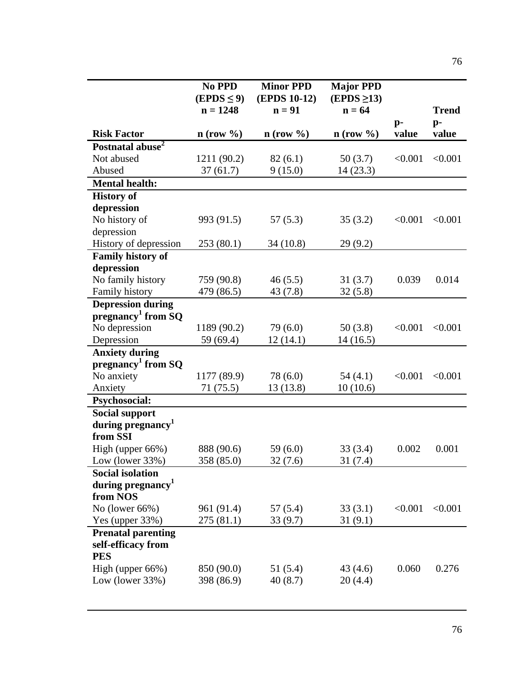|                                                               | No PPD<br>$(EPDS \leq 9)$<br>$n = 1248$ | <b>Minor PPD</b><br>(EPDS 10-12)<br>$n = 91$ | <b>Major PPD</b><br>$(EPDS \geq 13)$<br>$n = 64$ | $p-$    | <b>Trend</b><br>$p-$ |
|---------------------------------------------------------------|-----------------------------------------|----------------------------------------------|--------------------------------------------------|---------|----------------------|
| <b>Risk Factor</b>                                            | $n$ (row $\%$ )                         | $n$ (row $\%$ )                              | $n$ (row $\%$ )                                  | value   | value                |
| Postnatal abuse <sup>2</sup>                                  |                                         |                                              |                                                  |         |                      |
| Not abused                                                    | 1211 (90.2)                             | 82(6.1)                                      | 50(3.7)                                          | < 0.001 | < 0.001              |
| Abused                                                        | 37(61.7)                                | 9(15.0)                                      | 14(23.3)                                         |         |                      |
| <b>Mental health:</b>                                         |                                         |                                              |                                                  |         |                      |
| <b>History of</b>                                             |                                         |                                              |                                                  |         |                      |
| depression                                                    |                                         |                                              |                                                  |         |                      |
| No history of                                                 | 993 (91.5)                              | 57(5.3)                                      | 35(3.2)                                          | < 0.001 | < 0.001              |
| depression                                                    |                                         |                                              |                                                  |         |                      |
| History of depression                                         | 253(80.1)                               | 34 (10.8)                                    | 29(9.2)                                          |         |                      |
| <b>Family history of</b>                                      |                                         |                                              |                                                  |         |                      |
| depression                                                    |                                         |                                              |                                                  |         |                      |
| No family history                                             | 759 (90.8)                              | 46(5.5)                                      | 31(3.7)                                          | 0.039   | 0.014                |
| Family history                                                | 479 (86.5)                              | 43(7.8)                                      | 32(5.8)                                          |         |                      |
| <b>Depression during</b>                                      |                                         |                                              |                                                  |         |                      |
| pregnancy <sup>1</sup> from $SQ$                              |                                         |                                              |                                                  |         |                      |
| No depression                                                 | 1189 (90.2)                             | 79 (6.0)                                     | 50(3.8)                                          | < 0.001 | < 0.001              |
| Depression                                                    | 59 (69.4)                               | 12(14.1)                                     | 14(16.5)                                         |         |                      |
| <b>Anxiety during</b>                                         |                                         |                                              |                                                  |         |                      |
| pregnancy <sup>1</sup> from $SQ$                              |                                         |                                              |                                                  |         |                      |
| No anxiety                                                    | 1177 (89.9)                             | 78 (6.0)                                     | 54(4.1)                                          | < 0.001 | < 0.001              |
| Anxiety                                                       | 71 (75.5)                               | 13 (13.8)                                    | 10(10.6)                                         |         |                      |
| <b>Psychosocial:</b>                                          |                                         |                                              |                                                  |         |                      |
| <b>Social support</b>                                         |                                         |                                              |                                                  |         |                      |
| during pregnancy <sup>1</sup><br>from SSI                     |                                         |                                              |                                                  |         |                      |
| High (upper 66%)                                              | 888 (90.6)                              | 59(6.0)                                      | 33(3.4)                                          | 0.002   | 0.001                |
| Low (lower 33%)                                               | 358 (85.0)                              | 32(7.6)                                      | 31(7.4)                                          |         |                      |
| <b>Social isolation</b>                                       |                                         |                                              |                                                  |         |                      |
| during pregnancy                                              |                                         |                                              |                                                  |         |                      |
| from NOS                                                      |                                         |                                              |                                                  |         |                      |
| No (lower $66\%$ )                                            | 961 (91.4)                              | 57 (5.4)                                     | 33(3.1)                                          | < 0.001 | < 0.001              |
| Yes (upper 33%)                                               | 275 (81.1)                              | 33 (9.7)                                     | 31(9.1)                                          |         |                      |
| <b>Prenatal parenting</b><br>self-efficacy from<br><b>PES</b> |                                         |                                              |                                                  |         |                      |
| High (upper 66%)                                              | 850 (90.0)                              | 51 (5.4)                                     | 43(4.6)                                          | 0.060   | 0.276                |
| Low (lower $33\%$ )                                           | 398 (86.9)                              | 40(8.7)                                      | 20(4.4)                                          |         |                      |
|                                                               |                                         |                                              |                                                  |         |                      |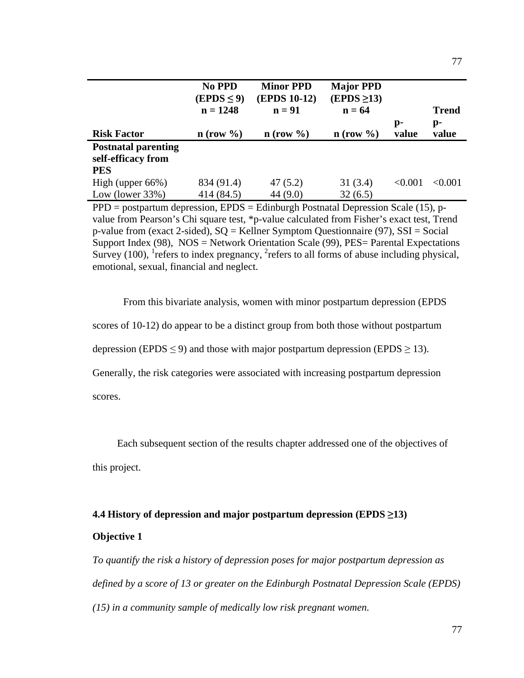|                            | <b>No PPD</b><br>$(EPDS \leq 9)$<br>$n = 1248$ | <b>Minor PPD</b><br><b>(EPDS 10-12)</b><br>$n = 91$ | <b>Major PPD</b><br>$(EPDS \geq 13)$<br>$n = 64$ | p-         | <b>Trend</b><br>p- |
|----------------------------|------------------------------------------------|-----------------------------------------------------|--------------------------------------------------|------------|--------------------|
| <b>Risk Factor</b>         | $n$ (row $\%$ )                                | $n$ (row $\%$ )                                     | $n$ (row $\%$ )                                  | value      | value              |
| <b>Postnatal parenting</b> |                                                |                                                     |                                                  |            |                    |
| self-efficacy from         |                                                |                                                     |                                                  |            |                    |
| <b>PES</b>                 |                                                |                                                     |                                                  |            |                    |
| High (upper $66\%$ )       | 834 (91.4)                                     | 47(5.2)                                             | 31(3.4)                                          | ${<}0.001$ | < 0.001            |
| Low (lower $33\%$ )        | 414 (84.5)                                     | 44 (9.0)                                            | 32(6.5)                                          |            |                    |

 $PPD = postpartum depression, EPDS = Edinburgh Postnatal Depression Scale (15), p$ value from Pearson's Chi square test, \*p-value calculated from Fisher's exact test, Trend p-value from (exact 2-sided), SQ = Kellner Symptom Questionnaire (97), SSI = Social Support Index (98), NOS = Network Orientation Scale (99), PES= Parental Expectations Survey (100), <sup>1</sup> refers to index pregnancy,  ${}^{2}$  refers to all forms of abuse including physical, emotional, sexual, financial and neglect.

From this bivariate analysis, women with minor postpartum depression (EPDS

scores of 10-12) do appear to be a distinct group from both those without postpartum

depression (EPDS  $\leq$  9) and those with major postpartum depression (EPDS  $\geq$  13).

Generally, the risk categories were associated with increasing postpartum depression

scores.

Each subsequent section of the results chapter addressed one of the objectives of

this project.

# **4.4 History of depression and major postpartum depression (EPDS "13) Objective 1**

*To quantify the risk a history of depression poses for major postpartum depression as defined by a score of 13 or greater on the Edinburgh Postnatal Depression Scale (EPDS) (15) in a community sample of medically low risk pregnant women.*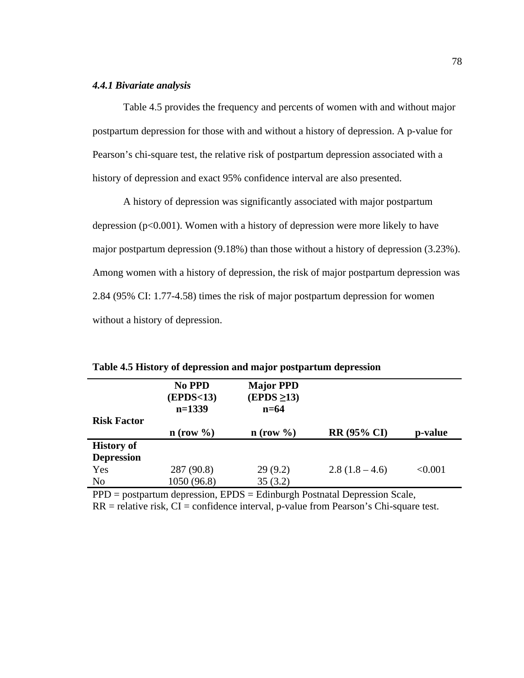## *4.4.1 Bivariate analysis*

Table 4.5 provides the frequency and percents of women with and without major postpartum depression for those with and without a history of depression. A p-value for Pearson's chi-square test, the relative risk of postpartum depression associated with a history of depression and exact 95% confidence interval are also presented.

A history of depression was significantly associated with major postpartum depression ( $p<0.001$ ). Women with a history of depression were more likely to have major postpartum depression (9.18%) than those without a history of depression (3.23%). Among women with a history of depression, the risk of major postpartum depression was 2.84 (95% CI: 1.77-4.58) times the risk of major postpartum depression for women without a history of depression.

|                    | No PPD          | <b>Major PPD</b> |                    |         |
|--------------------|-----------------|------------------|--------------------|---------|
|                    | (EPDS<13)       | $(EPDS \geq 13)$ |                    |         |
|                    | $n=1339$        | $n=64$           |                    |         |
| <b>Risk Factor</b> |                 |                  |                    |         |
|                    | $n$ (row $\%$ ) | $n$ (row $\%$ )  | <b>RR (95% CI)</b> | p-value |
| <b>History of</b>  |                 |                  |                    |         |
| <b>Depression</b>  |                 |                  |                    |         |
| Yes                | 287 (90.8)      | 29(9.2)          | $2.8(1.8-4.6)$     | < 0.001 |
| N <sub>o</sub>     | 1050 (96.8)     | 35(3.2)          |                    |         |

**Table 4.5 History of depression and major postpartum depression**

PPD = postpartum depression, EPDS = Edinburgh Postnatal Depression Scale,

 $RR =$  relative risk,  $CI =$  confidence interval, p-value from Pearson's Chi-square test.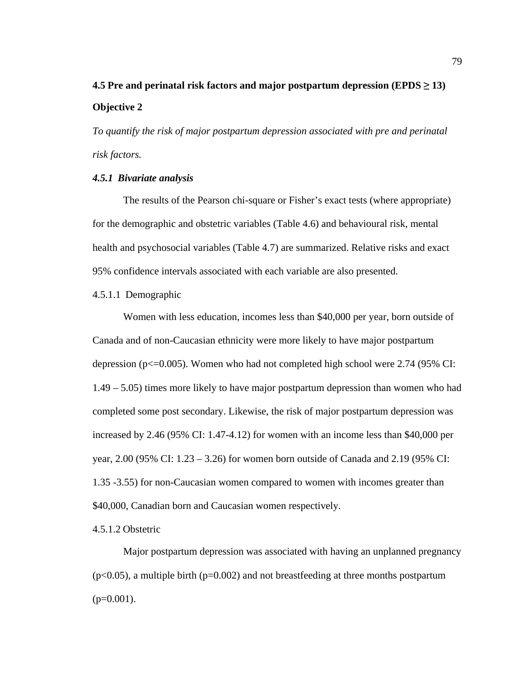# **4.5** Pre and perinatal risk factors and major postpartum depression (EPDS  $\geq$  13) **Objective 2**

*To quantify the risk of major postpartum depression associated with pre and perinatal risk factors.*

## *4.5.1 Bivariate analysis*

The results of the Pearson chi-square or Fisher's exact tests (where appropriate) for the demographic and obstetric variables (Table 4.6) and behavioural risk, mental health and psychosocial variables (Table 4.7) are summarized. Relative risks and exact 95% confidence intervals associated with each variable are also presented.

### 4.5.1.1 Demographic

Women with less education, incomes less than \$40,000 per year, born outside of Canada and of non-Caucasian ethnicity were more likely to have major postpartum depression ( $p \le 0.005$ ). Women who had not completed high school were 2.74 (95% CI: 1.49 – 5.05) times more likely to have major postpartum depression than women who had completed some post secondary. Likewise, the risk of major postpartum depression was increased by 2.46 (95% CI: 1.47-4.12) for women with an income less than \$40,000 per year, 2.00 (95% CI: 1.23 – 3.26) for women born outside of Canada and 2.19 (95% CI: 1.35 -3.55) for non-Caucasian women compared to women with incomes greater than \$40,000, Canadian born and Caucasian women respectively.

## 4.5.1.2 Obstetric

Major postpartum depression was associated with having an unplanned pregnancy  $(p<0.05)$ , a multiple birth ( $p=0.002$ ) and not breastfeeding at three months postpartum  $(p=0.001)$ .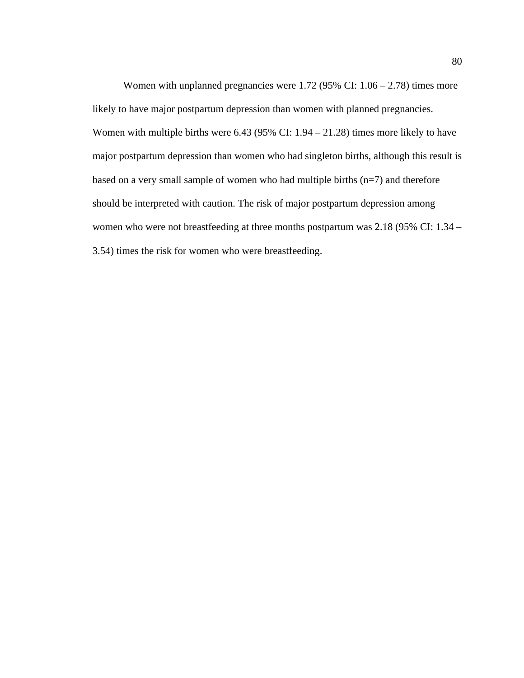Women with unplanned pregnancies were  $1.72$  (95% CI:  $1.06 - 2.78$ ) times more likely to have major postpartum depression than women with planned pregnancies. Women with multiple births were 6.43 (95% CI: 1.94 – 21.28) times more likely to have major postpartum depression than women who had singleton births, although this result is based on a very small sample of women who had multiple births (n=7) and therefore should be interpreted with caution. The risk of major postpartum depression among women who were not breastfeeding at three months postpartum was 2.18 (95% CI: 1.34 – 3.54) times the risk for women who were breastfeeding.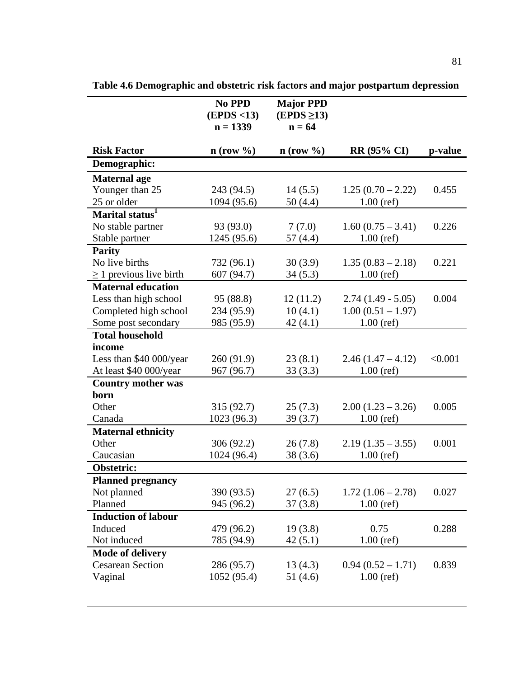|                              | No PPD<br>(EPDS < 13)<br>$n = 1339$ | <b>Major PPD</b><br>$(EPDS \geq 13)$<br>$n = 64$ |                     |         |
|------------------------------|-------------------------------------|--------------------------------------------------|---------------------|---------|
| <b>Risk Factor</b>           | $n$ (row $\%$ )                     | $n$ (row $\%$ )                                  | <b>RR (95% CI)</b>  | p-value |
| Demographic:                 |                                     |                                                  |                     |         |
| <b>Maternal</b> age          |                                     |                                                  |                     |         |
| Younger than 25              | 243 (94.5)                          | 14(5.5)                                          | $1.25(0.70-2.22)$   | 0.455   |
| 25 or older                  | 1094 (95.6)                         | 50(4.4)                                          | $1.00$ (ref)        |         |
| Marital status <sup>1</sup>  |                                     |                                                  |                     |         |
| No stable partner            | 93 (93.0)                           | 7(7.0)                                           | $1.60(0.75 - 3.41)$ | 0.226   |
| Stable partner               | 1245 (95.6)                         | 57(4.4)                                          | $1.00$ (ref)        |         |
| <b>Parity</b>                |                                     |                                                  |                     |         |
| No live births               | 732 (96.1)                          | 30(3.9)                                          | $1.35(0.83 - 2.18)$ | 0.221   |
| $\geq$ 1 previous live birth | 607 (94.7)                          | 34(5.3)                                          | $1.00$ (ref)        |         |
| <b>Maternal education</b>    |                                     |                                                  |                     |         |
| Less than high school        | 95 (88.8)                           | 12(11.2)                                         | $2.74(1.49 - 5.05)$ | 0.004   |
| Completed high school        | 234 (95.9)                          | 10(4.1)                                          | $1.00(0.51 - 1.97)$ |         |
| Some post secondary          | 985 (95.9)                          | 42(4.1)                                          | $1.00$ (ref)        |         |
| <b>Total household</b>       |                                     |                                                  |                     |         |
| income                       |                                     |                                                  |                     |         |
| Less than \$40 000/year      | 260 (91.9)                          | 23(8.1)                                          | $2.46(1.47 - 4.12)$ | < 0.001 |
| At least \$40 000/year       | 967 (96.7)                          | 33(3.3)                                          | $1.00$ (ref)        |         |
| <b>Country mother was</b>    |                                     |                                                  |                     |         |
| born                         |                                     |                                                  |                     |         |
| Other                        | 315 (92.7)                          | 25(7.3)                                          | $2.00(1.23 - 3.26)$ | 0.005   |
| Canada                       | 1023 (96.3)                         | 39(3.7)                                          | $1.00$ (ref)        |         |
| <b>Maternal ethnicity</b>    |                                     |                                                  |                     |         |
| Other                        | 306 (92.2)                          | 26(7.8)                                          | $2.19(1.35 - 3.55)$ | 0.001   |
| Caucasian                    | 1024 (96.4)                         | 38(3.6)                                          | $1.00$ (ref)        |         |
| Obstetric:                   |                                     |                                                  |                     |         |
| <b>Planned pregnancy</b>     |                                     |                                                  |                     |         |
| Not planned                  | 390 (93.5)                          | 27(6.5)                                          | $1.72(1.06 - 2.78)$ | 0.027   |
| Planned                      | 945 (96.2)                          | 37(3.8)                                          | $1.00$ (ref)        |         |
| <b>Induction of labour</b>   |                                     |                                                  |                     |         |
| Induced                      | 479 (96.2)                          | 19(3.8)                                          | 0.75                | 0.288   |
| Not induced                  | 785 (94.9)                          | 42(5.1)                                          | $1.00$ (ref)        |         |
| <b>Mode of delivery</b>      |                                     |                                                  |                     |         |
| <b>Cesarean Section</b>      | 286 (95.7)                          | 13(4.3)                                          | $0.94(0.52 - 1.71)$ | 0.839   |
| Vaginal                      | 1052 (95.4)                         | 51(4.6)                                          | $1.00$ (ref)        |         |
|                              |                                     |                                                  |                     |         |

**Table 4.6 Demographic and obstetric risk factors and major postpartum depression**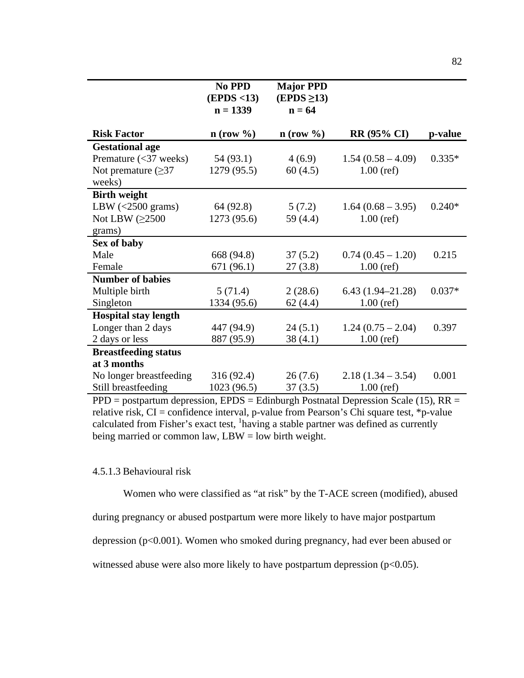|                                    | No PPD                    | <b>Major PPD</b>             |                      |          |
|------------------------------------|---------------------------|------------------------------|----------------------|----------|
|                                    | (EPDS < 13)<br>$n = 1339$ | $(EPDS \geq 13)$<br>$n = 64$ |                      |          |
|                                    |                           |                              |                      |          |
| <b>Risk Factor</b>                 | $\mathbf{n}$ (row %)      | $n$ (row $\%$ )              | <b>RR (95% CI)</b>   | p-value  |
| <b>Gestational age</b>             |                           |                              |                      |          |
| Premature $(<$ 37 weeks)           | 54 (93.1)                 | 4(6.9)                       | $1.54(0.58-4.09)$    | $0.335*$ |
| Not premature $(\geq)37$           | 1279 (95.5)               | 60(4.5)                      | $1.00$ (ref)         |          |
| weeks)                             |                           |                              |                      |          |
| <b>Birth weight</b>                |                           |                              |                      |          |
| LBW $\left( < 2500 \right)$ grams) | 64 (92.8)                 | 5(7.2)                       | $1.64(0.68 - 3.95)$  | $0.240*$ |
| Not LBW $(\geq 2500$               | 1273 (95.6)               | 59 (4.4)                     | $1.00$ (ref)         |          |
| grams)                             |                           |                              |                      |          |
| Sex of baby                        |                           |                              |                      |          |
| Male                               | 668 (94.8)                | 37(5.2)                      | $0.74(0.45 - 1.20)$  | 0.215    |
| Female                             | 671 (96.1)                | 27(3.8)                      | $1.00$ (ref)         |          |
| <b>Number of babies</b>            |                           |                              |                      |          |
| Multiple birth                     | 5(71.4)                   | 2(28.6)                      | $6.43(1.94 - 21.28)$ | $0.037*$ |
| Singleton                          | 1334 (95.6)               | 62(4.4)                      | $1.00$ (ref)         |          |
| <b>Hospital stay length</b>        |                           |                              |                      |          |
| Longer than 2 days                 | 447 (94.9)                | 24(5.1)                      | $1.24(0.75-2.04)$    | 0.397    |
| 2 days or less                     | 887 (95.9)                | 38(4.1)                      | $1.00$ (ref)         |          |
| <b>Breastfeeding status</b>        |                           |                              |                      |          |
| at 3 months                        |                           |                              |                      |          |
| No longer breastfeeding            | 316 (92.4)                | 26(7.6)                      | $2.18(1.34 - 3.54)$  | 0.001    |
| Still breastfeeding                | 1023 (96.5)               | 37(3.5)                      | $1.00$ (ref)         |          |

 $PPD =$  postpartum depression,  $EPDS =$  Edinburgh Postnatal Depression Scale (15),  $RR =$ relative risk,  $CI =$  confidence interval, p-value from Pearson's Chi square test, \*p-value calculated from Fisher's exact test, <sup>1</sup>having a stable partner was defined as currently being married or common law,  $LBW = low$  birth weight.

# 4.5.1.3 Behavioural risk

Women who were classified as "at risk" by the T-ACE screen (modified), abused

during pregnancy or abused postpartum were more likely to have major postpartum

depression (p<0.001). Women who smoked during pregnancy, had ever been abused or

witnessed abuse were also more likely to have postpartum depression  $(p<0.05)$ .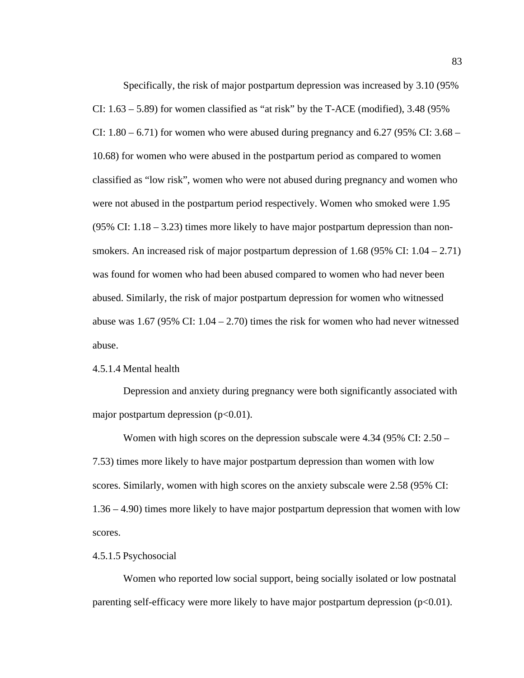Specifically, the risk of major postpartum depression was increased by 3.10 (95% CI:  $1.63 - 5.89$ ) for women classified as "at risk" by the T-ACE (modified), 3.48 (95%) CI:  $1.80 - 6.71$  for women who were abused during pregnancy and  $6.27$  (95% CI: 3.68 – 10.68) for women who were abused in the postpartum period as compared to women classified as "low risk", women who were not abused during pregnancy and women who were not abused in the postpartum period respectively. Women who smoked were 1.95  $(95\% \text{ CI: } 1.18 - 3.23)$  times more likely to have major postpartum depression than nonsmokers. An increased risk of major postpartum depression of  $1.68$  (95% CI:  $1.04 - 2.71$ ) was found for women who had been abused compared to women who had never been abused. Similarly, the risk of major postpartum depression for women who witnessed abuse was 1.67 (95% CI:  $1.04 - 2.70$ ) times the risk for women who had never witnessed abuse.

## 4.5.1.4 Mental health

Depression and anxiety during pregnancy were both significantly associated with major postpartum depression  $(p<0.01)$ .

Women with high scores on the depression subscale were 4.34 (95% CI: 2.50 – 7.53) times more likely to have major postpartum depression than women with low scores. Similarly, women with high scores on the anxiety subscale were 2.58 (95% CI: 1.36 – 4.90) times more likely to have major postpartum depression that women with low scores.

### 4.5.1.5 Psychosocial

Women who reported low social support, being socially isolated or low postnatal parenting self-efficacy were more likely to have major postpartum depression  $(p<0.01)$ .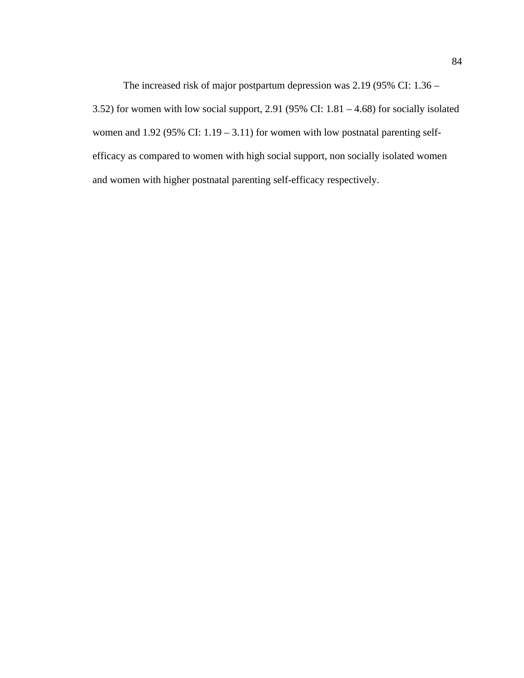The increased risk of major postpartum depression was 2.19 (95% CI: 1.36 – 3.52) for women with low social support, 2.91 (95% CI: 1.81 – 4.68) for socially isolated women and  $1.92$  (95% CI:  $1.19 - 3.11$ ) for women with low postnatal parenting selfefficacy as compared to women with high social support, non socially isolated women and women with higher postnatal parenting self-efficacy respectively.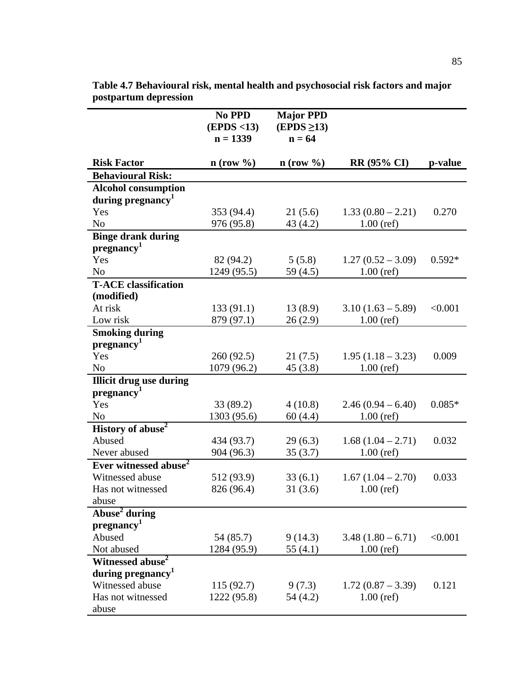|                                                     | No PPD<br>(EPDS < 13)<br>$n = 1339$ | <b>Major PPD</b><br>$(EPDS \geq 13)$<br>$n = 64$ |                     |          |
|-----------------------------------------------------|-------------------------------------|--------------------------------------------------|---------------------|----------|
| <b>Risk Factor</b>                                  | $n$ (row $\%$ )                     | $n$ (row %)                                      | <b>RR (95% CI)</b>  | p-value  |
| <b>Behavioural Risk:</b>                            |                                     |                                                  |                     |          |
| <b>Alcohol consumption</b>                          |                                     |                                                  |                     |          |
| during pregnancy <sup>1</sup>                       |                                     |                                                  |                     |          |
| Yes                                                 | 353 (94.4)                          | 21(5.6)                                          | $1.33(0.80 - 2.21)$ | 0.270    |
| N <sub>o</sub>                                      | 976 (95.8)                          | 43(4.2)                                          | $1.00$ (ref)        |          |
| <b>Binge drank during</b><br>pregnancy <sup>1</sup> |                                     |                                                  |                     |          |
| Yes                                                 | 82 (94.2)                           | 5(5.8)                                           | $1.27(0.52 - 3.09)$ | $0.592*$ |
| N <sub>o</sub>                                      | 1249 (95.5)                         | 59 (4.5)                                         | $1.00$ (ref)        |          |
| <b>T-ACE</b> classification<br>(modified)           |                                     |                                                  |                     |          |
| At risk                                             | 133(91.1)                           | 13(8.9)                                          | $3.10(1.63 - 5.89)$ | < 0.001  |
| Low risk                                            | 879 (97.1)                          | 26(2.9)                                          | $1.00$ (ref)        |          |
| <b>Smoking during</b><br>pregnancy <sup>1</sup>     |                                     |                                                  |                     |          |
| Yes                                                 | 260 (92.5)                          | 21(7.5)                                          | $1.95(1.18 - 3.23)$ | 0.009    |
| No                                                  | 1079 (96.2)                         | 45(3.8)                                          | $1.00$ (ref)        |          |
| <b>Illicit drug use during</b>                      |                                     |                                                  |                     |          |
| pregnancy <sup>1</sup>                              |                                     |                                                  |                     |          |
| Yes                                                 | 33(89.2)                            | 4(10.8)                                          | $2.46(0.94 - 6.40)$ | $0.085*$ |
| N <sub>0</sub>                                      | 1303 (95.6)                         | 60(4.4)                                          | $1.00$ (ref)        |          |
| History of abuse <sup>2</sup>                       |                                     |                                                  |                     |          |
| Abused                                              | 434 (93.7)                          | 29(6.3)                                          | $1.68(1.04 - 2.71)$ | 0.032    |
| Never abused                                        | 904 (96.3)                          | 35(3.7)                                          | $1.00$ (ref)        |          |
| Ever witnessed abuse <sup>2</sup>                   |                                     |                                                  |                     |          |
| Witnessed abuse                                     | 512 (93.9)                          | 33(6.1)                                          | $1.67(1.04-2.70)$   | 0.033    |
| Has not witnessed                                   | 826 (96.4)                          | 31(3.6)                                          | $1.00$ (ref)        |          |
| abuse                                               |                                     |                                                  |                     |          |
| Abuse <sup>2</sup> during<br>pregnancy <sup>1</sup> |                                     |                                                  |                     |          |
| Abused                                              | 54 (85.7)                           | 9(14.3)                                          | $3.48(1.80 - 6.71)$ | < 0.001  |
| Not abused                                          | 1284 (95.9)                         | 55 (4.1)                                         | $1.00$ (ref)        |          |
| Witnessed abuse <sup>2</sup>                        |                                     |                                                  |                     |          |
| during pregnancy <sup>1</sup>                       |                                     |                                                  |                     |          |
| Witnessed abuse                                     | 115(92.7)                           | 9(7.3)                                           | $1.72(0.87 - 3.39)$ | 0.121    |
| Has not witnessed                                   | 1222 (95.8)                         | 54 (4.2)                                         | $1.00$ (ref)        |          |
| abuse                                               |                                     |                                                  |                     |          |

**Table 4.7 Behavioural risk, mental health and psychosocial risk factors and major postpartum depression**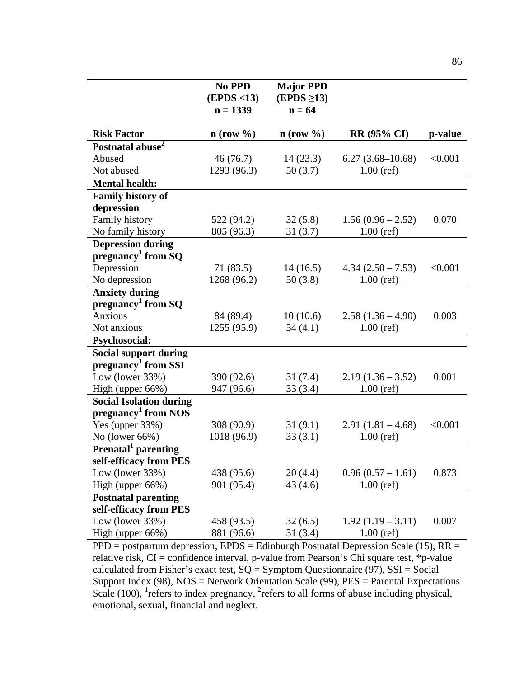|                                              | No PPD<br>(EPDS < 13) | <b>Major PPD</b><br>$(EPDS \geq 13)$ |                     |         |
|----------------------------------------------|-----------------------|--------------------------------------|---------------------|---------|
|                                              | $n = 1339$            | $n = 64$                             |                     |         |
| <b>Risk Factor</b>                           | $n$ (row $\%$ )       | $n$ (row $\%$ )                      | <b>RR (95% CI)</b>  | p-value |
| Postnatal abuse <sup>2</sup>                 |                       |                                      |                     |         |
| Abused                                       | 46(76.7)              | 14(23.3)                             | $6.27(3.68-10.68)$  | < 0.001 |
| Not abused                                   | 1293 (96.3)           | 50(3.7)                              | $1.00$ (ref)        |         |
| <b>Mental health:</b>                        |                       |                                      |                     |         |
| <b>Family history of</b>                     |                       |                                      |                     |         |
| depression                                   |                       |                                      |                     |         |
| Family history                               | 522 (94.2)            | 32(5.8)                              | $1.56(0.96 - 2.52)$ | 0.070   |
| No family history                            | 805 (96.3)            | 31(3.7)                              | $1.00$ (ref)        |         |
| <b>Depression during</b>                     |                       |                                      |                     |         |
| pregnancy <sup>1</sup> from $SQ$             |                       |                                      |                     |         |
| Depression                                   | 71 (83.5)             | 14(16.5)                             | $4.34(2.50 - 7.53)$ | < 0.001 |
| No depression                                | 1268 (96.2)           | 50(3.8)                              | $1.00$ (ref)        |         |
| <b>Anxiety during</b>                        |                       |                                      |                     |         |
| pregnancy <sup>1</sup> from SQ               |                       |                                      |                     |         |
| <b>Anxious</b>                               | 84 (89.4)             | 10(10.6)                             | $2.58(1.36 - 4.90)$ | 0.003   |
| Not anxious                                  | 1255 (95.9)           | 54(4.1)                              | $1.00$ (ref)        |         |
| Psychosocial:                                |                       |                                      |                     |         |
| <b>Social support during</b>                 |                       |                                      |                     |         |
| pregnancy <sup>1</sup> from SSI              |                       |                                      |                     |         |
| Low (lower $33\%$ )                          | 390 (92.6)            | 31(7.4)                              | $2.19(1.36 - 3.52)$ | 0.001   |
| High (upper 66%)                             | 947 (96.6)            | 33(3.4)                              | $1.00$ (ref)        |         |
| <b>Social Isolation during</b>               |                       |                                      |                     |         |
| $pregnancy1$ from NOS                        |                       |                                      |                     |         |
| Yes (upper 33%)                              | 308 (90.9)            | 31(9.1)                              | $2.91(1.81 - 4.68)$ | < 0.001 |
| No (lower 66%)                               | 1018 (96.9)           | 33(3.1)                              | $1.00$ (ref)        |         |
| Prenatal parenting<br>self-efficacy from PES |                       |                                      |                     |         |
| Low (lower $33\%$ )                          | 438 (95.6)            | 20(4.4)                              | $0.96(0.57 - 1.61)$ | 0.873   |
| High (upper 66%)                             | 901 (95.4)            | 43(4.6)                              | $1.00$ (ref)        |         |
| <b>Postnatal parenting</b>                   |                       |                                      |                     |         |
| self-efficacy from PES                       |                       |                                      |                     |         |
| Low (lower $33\%$ )                          | 458 (93.5)            | 32(6.5)                              | $1.92(1.19 - 3.11)$ | 0.007   |
| High (upper 66%)                             | 881 (96.6)            | 31(3.4)                              | $1.00$ (ref)        |         |

 $PPD = postpartum depression, EPDS = Edinburgh Postnatal Depression Scale (15), RR =$ relative risk, CI = confidence interval, p-value from Pearson's Chi square test, \*p-value calculated from Fisher's exact test,  $SQ = Symptom$  Questionnaire (97), SSI = Social Support Index (98), NOS = Network Orientation Scale (99), PES = Parental Expectations Scale (100), <sup>1</sup> refers to index pregnancy,  ${}^{2}$  refers to all forms of abuse including physical, emotional, sexual, financial and neglect.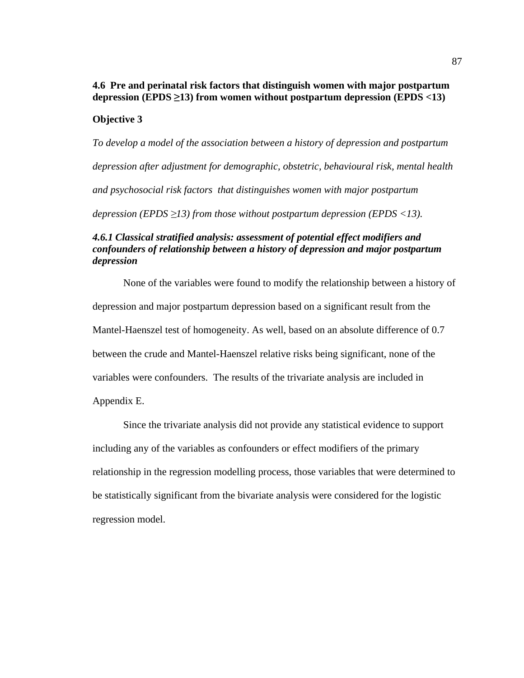# **4.6 Pre and perinatal risk factors that distinguish women with major postpartum** depression (EPDS  $\geq$ 13) from women without postpartum depression (EPDS  $\lt$ 13)

## **Objective 3**

*To develop a model of the association between a history of depression and postpartum depression after adjustment for demographic, obstetric, behavioural risk, mental health and psychosocial risk factors that distinguishes women with major postpartum depression (EPDS*  $\geq$ *13) from those without postpartum depression (EPDS <13).* 

# *4.6.1 Classical stratified analysis: assessment of potential effect modifiers and confounders of relationship between a history of depression and major postpartum depression*

None of the variables were found to modify the relationship between a history of depression and major postpartum depression based on a significant result from the Mantel-Haenszel test of homogeneity. As well, based on an absolute difference of 0.7 between the crude and Mantel-Haenszel relative risks being significant, none of the variables were confounders. The results of the trivariate analysis are included in Appendix E.

Since the trivariate analysis did not provide any statistical evidence to support including any of the variables as confounders or effect modifiers of the primary relationship in the regression modelling process, those variables that were determined to be statistically significant from the bivariate analysis were considered for the logistic regression model.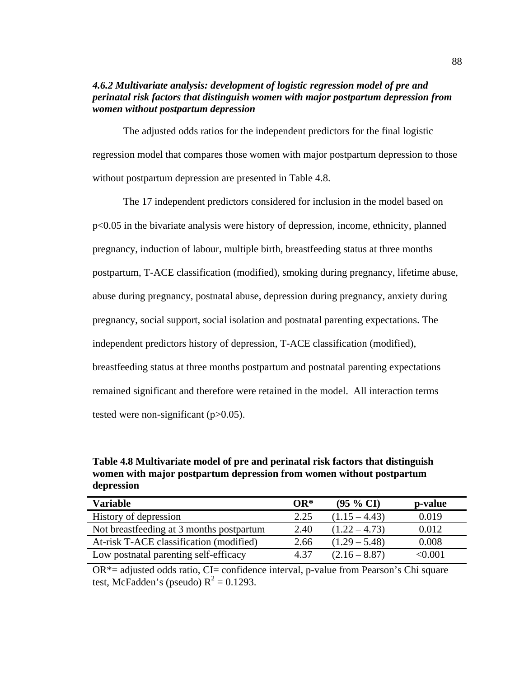# *4.6.2 Multivariate analysis: development of logistic regression model of pre and perinatal risk factors that distinguish women with major postpartum depression from women without postpartum depression*

The adjusted odds ratios for the independent predictors for the final logistic regression model that compares those women with major postpartum depression to those without postpartum depression are presented in Table 4.8.

The 17 independent predictors considered for inclusion in the model based on p<0.05 in the bivariate analysis were history of depression, income, ethnicity, planned pregnancy, induction of labour, multiple birth, breastfeeding status at three months postpartum, T-ACE classification (modified), smoking during pregnancy, lifetime abuse, abuse during pregnancy, postnatal abuse, depression during pregnancy, anxiety during pregnancy, social support, social isolation and postnatal parenting expectations. The independent predictors history of depression, T-ACE classification (modified), breastfeeding status at three months postpartum and postnatal parenting expectations remained significant and therefore were retained in the model. All interaction terms tested were non-significant  $(p>0.05)$ .

**Table 4.8 Multivariate model of pre and perinatal risk factors that distinguish women with major postpartum depression from women without postpartum depression**

| <b>Variable</b>                          | $OR^*$ | $(95 \% CI)$    | p-value |
|------------------------------------------|--------|-----------------|---------|
| History of depression                    | 2.25   | $(1.15 - 4.43)$ | 0.019   |
| Not breastfeeding at 3 months postpartum | 2.40   | $(1.22 - 4.73)$ | 0.012   |
| At-risk T-ACE classification (modified)  | 2.66   | $(1.29 - 5.48)$ | 0.008   |
| Low postnatal parenting self-efficacy    | 4.37   | $(2.16 - 8.87)$ | < 0.001 |

 $OR^*$ = adjusted odds ratio, CI= confidence interval, p-value from Pearson's Chi square test, McFadden's (pseudo)  $R^2 = 0.1293$ .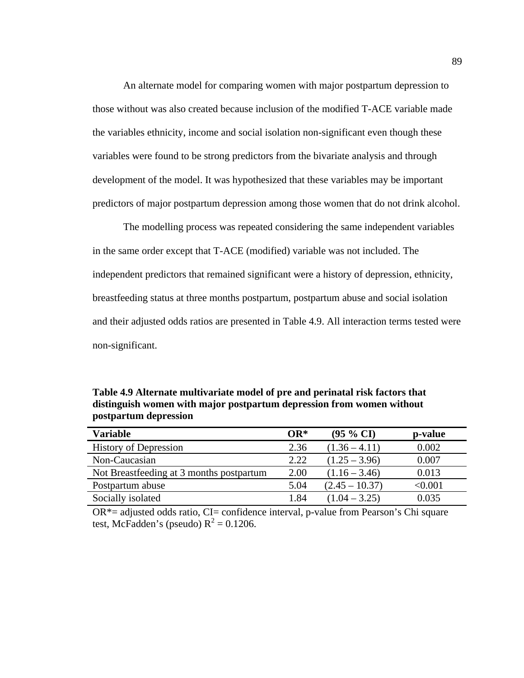An alternate model for comparing women with major postpartum depression to those without was also created because inclusion of the modified T-ACE variable made the variables ethnicity, income and social isolation non-significant even though these variables were found to be strong predictors from the bivariate analysis and through development of the model. It was hypothesized that these variables may be important predictors of major postpartum depression among those women that do not drink alcohol.

The modelling process was repeated considering the same independent variables in the same order except that T-ACE (modified) variable was not included. The independent predictors that remained significant were a history of depression, ethnicity, breastfeeding status at three months postpartum, postpartum abuse and social isolation and their adjusted odds ratios are presented in Table 4.9. All interaction terms tested were non-significant.

**Table 4.9 Alternate multivariate model of pre and perinatal risk factors that distinguish women with major postpartum depression from women without postpartum depression**

| <b>Variable</b>                          | $OR^*$ | $(95\% \text{ CI})$ | p-value        |
|------------------------------------------|--------|---------------------|----------------|
| <b>History of Depression</b>             | 2.36   | $(1.36 - 4.11)$     | 0.002          |
| Non-Caucasian                            | 2.22   | $(1.25 - 3.96)$     | 0.007          |
| Not Breastfeeding at 3 months postpartum | 2.00   | $(1.16 - 3.46)$     | 0.013          |
| Postpartum abuse                         | 5.04   | $(2.45 - 10.37)$    | $< \!\! 0.001$ |
| Socially isolated                        | 1.84   | $(1.04 - 3.25)$     | 0.035          |

 $OR^*$ = adjusted odds ratio, CI= confidence interval, p-value from Pearson's Chi square test, McFadden's (pseudo)  $R^2 = 0.1206$ .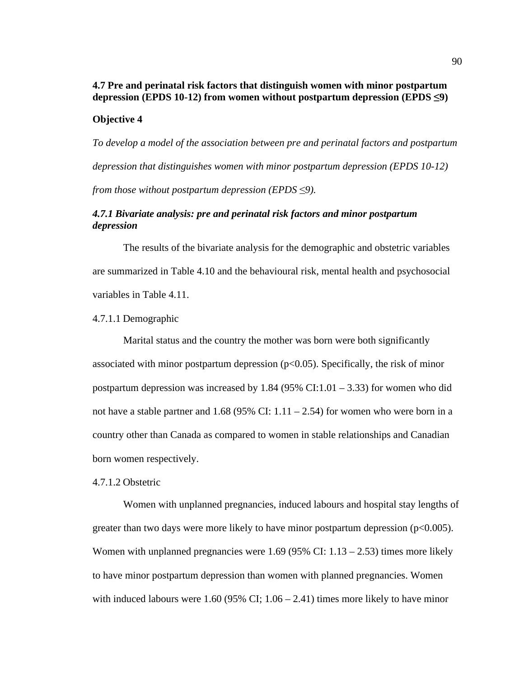# **4.7 Pre and perinatal risk factors that distinguish women with minor postpartum depression (EPDS 10-12) from women without postpartum depression (EPDS !9)**

## **Objective 4**

*To develop a model of the association between pre and perinatal factors and postpartum depression that distinguishes women with minor postpartum depression (EPDS 10-12) from those without postpartum depression (EPDS <9).* 

# *4.7.1 Bivariate analysis: pre and perinatal risk factors and minor postpartum depression*

The results of the bivariate analysis for the demographic and obstetric variables are summarized in Table 4.10 and the behavioural risk, mental health and psychosocial variables in Table 4.11.

### 4.7.1.1 Demographic

Marital status and the country the mother was born were both significantly associated with minor postpartum depression  $(p<0.05)$ . Specifically, the risk of minor postpartum depression was increased by 1.84 (95% CI:1.01 – 3.33) for women who did not have a stable partner and  $1.68$  (95% CI:  $1.11 - 2.54$ ) for women who were born in a country other than Canada as compared to women in stable relationships and Canadian born women respectively.

### 4.7.1.2 Obstetric

Women with unplanned pregnancies, induced labours and hospital stay lengths of greater than two days were more likely to have minor postpartum depression  $(p<0.005)$ . Women with unplanned pregnancies were 1.69 (95% CI:  $1.13 - 2.53$ ) times more likely to have minor postpartum depression than women with planned pregnancies. Women with induced labours were 1.60 (95% CI;  $1.06 - 2.41$ ) times more likely to have minor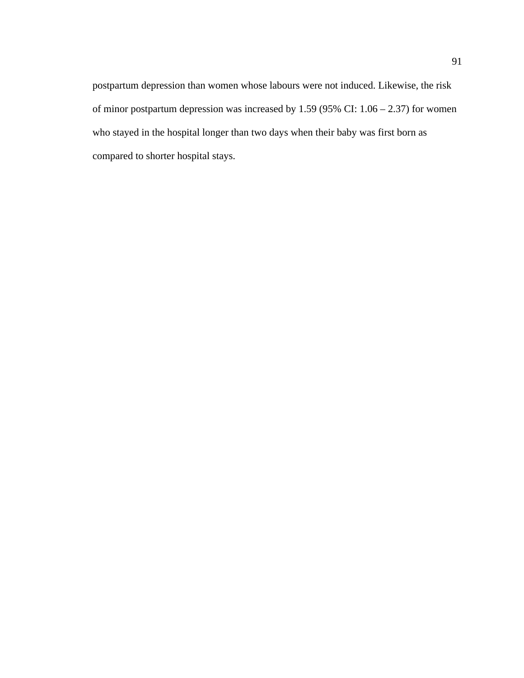postpartum depression than women whose labours were not induced. Likewise, the risk of minor postpartum depression was increased by 1.59 (95% CI: 1.06 – 2.37) for women who stayed in the hospital longer than two days when their baby was first born as compared to shorter hospital stays.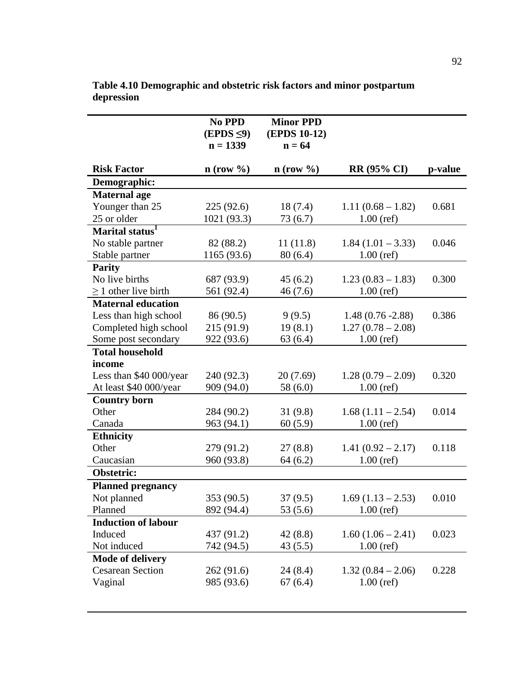|                             | No PPD<br>$(EPDS \leq 9)$<br>$n = 1339$ | <b>Minor PPD</b><br>(EPDS 10-12)<br>$n = 64$ |                     |         |
|-----------------------------|-----------------------------------------|----------------------------------------------|---------------------|---------|
| <b>Risk Factor</b>          | $n$ (row $\%$ )                         | $n$ (row $\%$ )                              | <b>RR (95% CI)</b>  | p-value |
| Demographic:                |                                         |                                              |                     |         |
| <b>Maternal</b> age         |                                         |                                              |                     |         |
| Younger than 25             | 225(92.6)                               | 18(7.4)                                      | $1.11(0.68 - 1.82)$ | 0.681   |
| 25 or older                 | 1021 (93.3)                             | 73 (6.7)                                     | $1.00$ (ref)        |         |
| Marital status <sup>1</sup> |                                         |                                              |                     |         |
| No stable partner           | 82 (88.2)                               | 11(11.8)                                     | $1.84(1.01 - 3.33)$ | 0.046   |
| Stable partner              | 1165 (93.6)                             | 80(6.4)                                      | $1.00$ (ref)        |         |
| <b>Parity</b>               |                                         |                                              |                     |         |
| No live births              | 687 (93.9)                              | 45(6.2)                                      | $1.23(0.83 - 1.83)$ | 0.300   |
| $\geq$ 1 other live birth   | 561 (92.4)                              | 46(7.6)                                      | $1.00$ (ref)        |         |
| <b>Maternal education</b>   |                                         |                                              |                     |         |
| Less than high school       | 86 (90.5)                               | 9(9.5)                                       | $1.48(0.76 - 2.88)$ | 0.386   |
| Completed high school       | 215 (91.9)                              | 19(8.1)                                      | $1.27(0.78-2.08)$   |         |
| Some post secondary         | 922 (93.6)                              | 63(6.4)                                      | $1.00$ (ref)        |         |
| <b>Total household</b>      |                                         |                                              |                     |         |
| income                      |                                         |                                              |                     |         |
| Less than \$40 000/year     | 240 (92.3)                              | 20(7.69)                                     | $1.28(0.79-2.09)$   | 0.320   |
| At least \$40 000/year      | 909 (94.0)                              | 58 (6.0)                                     | $1.00$ (ref)        |         |
| <b>Country born</b>         |                                         |                                              |                     |         |
| Other                       | 284 (90.2)                              | 31(9.8)                                      | $1.68(1.11 - 2.54)$ | 0.014   |
| Canada                      | 963 (94.1)                              | 60(5.9)                                      | $1.00$ (ref)        |         |
| <b>Ethnicity</b>            |                                         |                                              |                     |         |
| Other                       | 279 (91.2)                              | 27(8.8)                                      | $1.41(0.92 - 2.17)$ | 0.118   |
| Caucasian                   | 960 (93.8)                              | 64(6.2)                                      | $1.00$ (ref)        |         |
| Obstetric:                  |                                         |                                              |                     |         |
| <b>Planned pregnancy</b>    |                                         |                                              |                     |         |
| Not planned                 | 353 (90.5)                              | 37(9.5)                                      | $1.69(1.13 - 2.53)$ | 0.010   |
| Planned                     | 892 (94.4)                              | 53(5.6)                                      | $1.00$ (ref)        |         |
| <b>Induction of labour</b>  |                                         |                                              |                     |         |
| Induced                     | 437 (91.2)                              | 42(8.8)                                      | $1.60(1.06 - 2.41)$ | 0.023   |
| Not induced                 | 742 (94.5)                              | 43 (5.5)                                     | $1.00$ (ref)        |         |
| <b>Mode of delivery</b>     |                                         |                                              |                     |         |
| <b>Cesarean Section</b>     | 262 (91.6)                              | 24(8.4)                                      | $1.32(0.84 - 2.06)$ | 0.228   |
| Vaginal                     | 985 (93.6)                              | 67(6.4)                                      | $1.00$ (ref)        |         |
|                             |                                         |                                              |                     |         |

**Table 4.10 Demographic and obstetric risk factors and minor postpartum depression**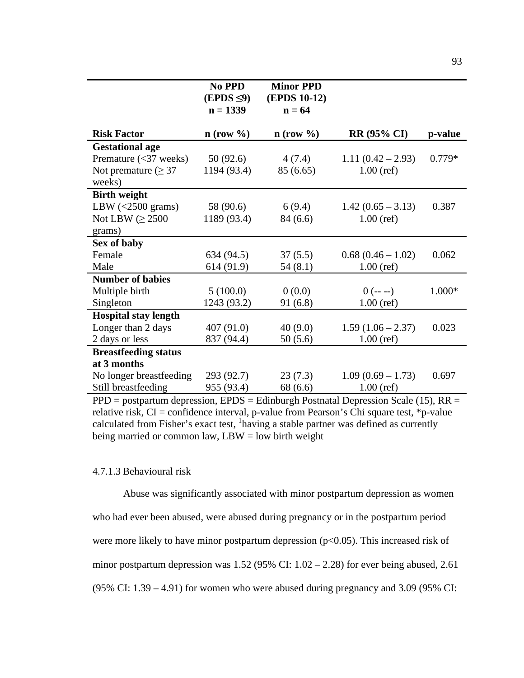|                                    | No PPD<br>$(EPDS \leq 9)$ | <b>Minor PPD</b><br><b>(EPDS 10-12)</b> |                     |         |
|------------------------------------|---------------------------|-----------------------------------------|---------------------|---------|
|                                    | $n = 1339$                | $n = 64$                                |                     |         |
|                                    |                           |                                         |                     |         |
| <b>Risk Factor</b>                 | $n$ (row %)               | $n$ (row %)                             | <b>RR</b> (95% CI)  | p-value |
| <b>Gestational age</b>             |                           |                                         |                     |         |
| Premature $(<$ 37 weeks)           | 50(92.6)                  | 4(7.4)                                  | $1.11(0.42 - 2.93)$ | 0.779*  |
| Not premature ( $\geq$ 37          | 1194 (93.4)               | 85 (6.65)                               | $1.00$ (ref)        |         |
| weeks)                             |                           |                                         |                     |         |
| <b>Birth weight</b>                |                           |                                         |                     |         |
| LBW $\left( < 2500 \right)$ grams) | 58 (90.6)                 | 6(9.4)                                  | $1.42(0.65 - 3.13)$ | 0.387   |
| Not LBW $(\geq 2500$               | 1189 (93.4)               | 84 (6.6)                                | $1.00$ (ref)        |         |
| grams)                             |                           |                                         |                     |         |
| Sex of baby                        |                           |                                         |                     |         |
| Female                             | 634 (94.5)                | 37(5.5)                                 | $0.68(0.46-1.02)$   | 0.062   |
| Male                               | 614 (91.9)                | 54(8.1)                                 | $1.00$ (ref)        |         |
| <b>Number of babies</b>            |                           |                                         |                     |         |
| Multiple birth                     | 5(100.0)                  | 0(0.0)                                  | $0$ (-- --)         | 1.000*  |
| Singleton                          | 1243 (93.2)               | 91(6.8)                                 | $1.00$ (ref)        |         |
| <b>Hospital stay length</b>        |                           |                                         |                     |         |
| Longer than 2 days                 | 407(91.0)                 | 40(9.0)                                 | $1.59(1.06 - 2.37)$ | 0.023   |
| 2 days or less                     | 837 (94.4)                | 50(5.6)                                 | $1.00$ (ref)        |         |
| <b>Breastfeeding status</b>        |                           |                                         |                     |         |
| at 3 months                        |                           |                                         |                     |         |
| No longer breastfeeding            | 293 (92.7)                | 23(7.3)                                 | $1.09(0.69 - 1.73)$ | 0.697   |
| Still breastfeeding                | 955 (93.4)                | 68 (6.6)                                | $1.00$ (ref)        |         |

PPD = postpartum depression, EPDS = Edinburgh Postnatal Depression Scale (15), RR = relative risk,  $CI =$  confidence interval, p-value from Pearson's Chi square test, \*p-value calculated from Fisher's exact test, <sup>1</sup>having a stable partner was defined as currently being married or common law,  $LBW = low$  birth weight

## 4.7.1.3 Behavioural risk

Abuse was significantly associated with minor postpartum depression as women who had ever been abused, were abused during pregnancy or in the postpartum period were more likely to have minor postpartum depression (p<0.05). This increased risk of minor postpartum depression was  $1.52$  (95% CI:  $1.02 - 2.28$ ) for ever being abused, 2.61 (95% CI: 1.39 – 4.91) for women who were abused during pregnancy and 3.09 (95% CI: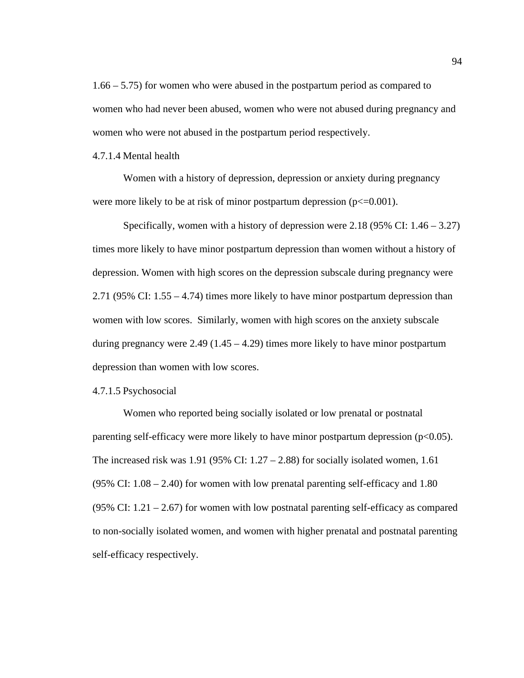1.66 – 5.75) for women who were abused in the postpartum period as compared to women who had never been abused, women who were not abused during pregnancy and women who were not abused in the postpartum period respectively.

4.7.1.4 Mental health

Women with a history of depression, depression or anxiety during pregnancy were more likely to be at risk of minor postpartum depression ( $p \le 0.001$ ).

Specifically, women with a history of depression were  $2.18$  (95% CI:  $1.46 - 3.27$ ) times more likely to have minor postpartum depression than women without a history of depression. Women with high scores on the depression subscale during pregnancy were 2.71 (95% CI: 1.55 – 4.74) times more likely to have minor postpartum depression than women with low scores. Similarly, women with high scores on the anxiety subscale during pregnancy were  $2.49$  (1.45 – 4.29) times more likely to have minor postpartum depression than women with low scores.

### 4.7.1.5 Psychosocial

Women who reported being socially isolated or low prenatal or postnatal parenting self-efficacy were more likely to have minor postpartum depression  $(p<0.05)$ . The increased risk was  $1.91$  (95% CI:  $1.27 - 2.88$ ) for socially isolated women, 1.61  $(95\% \text{ CI: } 1.08 - 2.40)$  for women with low prenatal parenting self-efficacy and 1.80 (95% CI: 1.21 – 2.67) for women with low postnatal parenting self-efficacy as compared to non-socially isolated women, and women with higher prenatal and postnatal parenting self-efficacy respectively.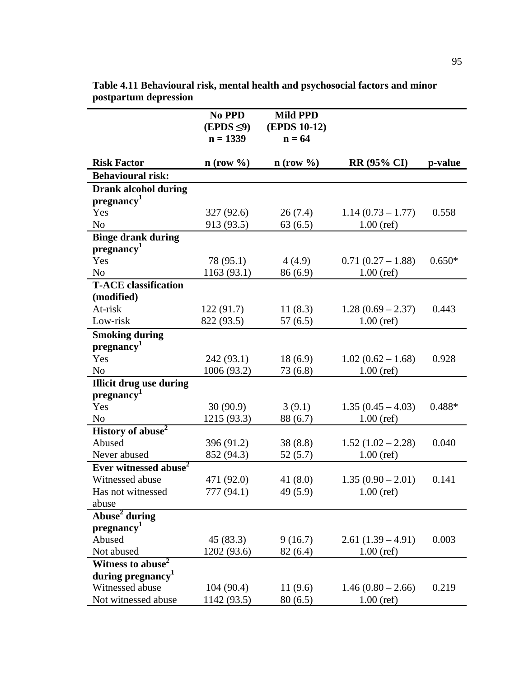|                                                       | No PPD<br>$(EPDS \leq 9)$<br>$n = 1339$ | <b>Mild PPD</b><br><b>(EPDS 10-12)</b><br>$n = 64$ |                     |          |
|-------------------------------------------------------|-----------------------------------------|----------------------------------------------------|---------------------|----------|
| <b>Risk Factor</b>                                    | $n$ (row $\%$ )                         | $n$ (row %)                                        | <b>RR (95% CI)</b>  | p-value  |
| <b>Behavioural risk:</b>                              |                                         |                                                    |                     |          |
| <b>Drank alcohol during</b><br>pregnancy <sup>1</sup> |                                         |                                                    |                     |          |
| Yes                                                   | 327 (92.6)                              | 26(7.4)                                            | $1.14(0.73 - 1.77)$ | 0.558    |
| N <sub>o</sub>                                        | 913 (93.5)                              | 63(6.5)                                            | $1.00$ (ref)        |          |
| <b>Binge drank during</b>                             |                                         |                                                    |                     |          |
| pregnancy <sup>1</sup>                                |                                         |                                                    |                     |          |
| Yes                                                   | 78 (95.1)                               | 4(4.9)                                             | $0.71(0.27-1.88)$   | $0.650*$ |
| N <sub>o</sub>                                        | 1163 (93.1)                             | 86(6.9)                                            | $1.00$ (ref)        |          |
| <b>T-ACE</b> classification                           |                                         |                                                    |                     |          |
| (modified)                                            |                                         |                                                    |                     |          |
| At-risk                                               | 122(91.7)                               | 11(8.3)                                            | $1.28(0.69 - 2.37)$ | 0.443    |
| Low-risk                                              | 822 (93.5)                              | 57(6.5)                                            | $1.00$ (ref)        |          |
| <b>Smoking during</b><br>pregnancy <sup>1</sup>       |                                         |                                                    |                     |          |
| Yes                                                   | 242 (93.1)                              | 18(6.9)                                            | $1.02(0.62 - 1.68)$ | 0.928    |
| N <sub>0</sub>                                        | 1006 (93.2)                             | 73 (6.8)                                           | $1.00$ (ref)        |          |
| <b>Illicit drug use during</b>                        |                                         |                                                    |                     |          |
| pregnancy <sup>1</sup>                                |                                         |                                                    |                     |          |
| Yes                                                   | 30(90.9)                                | 3(9.1)                                             | $1.35(0.45 - 4.03)$ | $0.488*$ |
| N <sub>o</sub>                                        | 1215 (93.3)                             | 88 (6.7)                                           | $1.00$ (ref)        |          |
| History of abuse <sup>2</sup>                         |                                         |                                                    |                     |          |
| Abused                                                | 396 (91.2)                              | 38(8.8)                                            | $1.52(1.02 - 2.28)$ | 0.040    |
| Never abused                                          | 852 (94.3)                              | 52(5.7)                                            | $1.00$ (ref)        |          |
| Ever witnessed abuse <sup>2</sup>                     |                                         |                                                    |                     |          |
| Witnessed abuse                                       | 471 (92.0)                              | 41 $(8.0)$                                         | $1.35(0.90 - 2.01)$ | 0.141    |
| Has not witnessed                                     | 777 (94.1)                              | 49 (5.9)                                           | $1.00$ (ref)        |          |
| abuse                                                 |                                         |                                                    |                     |          |
| Abuse <sup>2</sup> during                             |                                         |                                                    |                     |          |
| pregnancy <sup>1</sup>                                |                                         |                                                    |                     |          |
| Abused                                                | 45 (83.3)                               | 9(16.7)                                            | $2.61(1.39-4.91)$   | 0.003    |
| Not abused                                            | 1202 (93.6)                             | 82(6.4)                                            | $1.00$ (ref)        |          |
| Witness to abuse <sup>2</sup>                         |                                         |                                                    |                     |          |
| during pregnancy <sup>1</sup>                         |                                         |                                                    |                     |          |
| Witnessed abuse                                       | 104(90.4)                               | 11(9.6)                                            | $1.46(0.80 - 2.66)$ | 0.219    |
| Not witnessed abuse                                   | 1142 (93.5)                             | 80(6.5)                                            | $1.00$ (ref)        |          |

**Table 4.11 Behavioural risk, mental health and psychosocial factors and minor postpartum depression**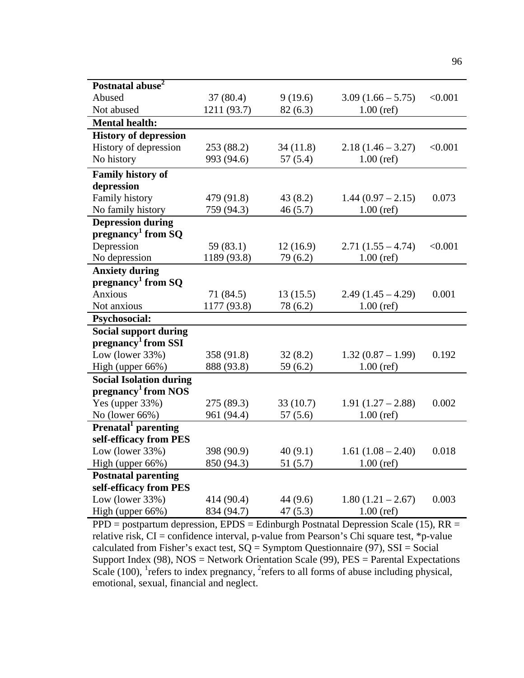| Postnatal abuse <sup>2</sup>     |             |          |                     |         |
|----------------------------------|-------------|----------|---------------------|---------|
| Abused                           | 37(80.4)    | 9(19.6)  | $3.09(1.66 - 5.75)$ | < 0.001 |
| Not abused                       | 1211 (93.7) | 82(6.3)  | $1.00$ (ref)        |         |
| <b>Mental health:</b>            |             |          |                     |         |
| <b>History of depression</b>     |             |          |                     |         |
| History of depression            | 253 (88.2)  | 34(11.8) | $2.18(1.46 - 3.27)$ | < 0.001 |
| No history                       | 993 (94.6)  | 57(5.4)  | $1.00$ (ref)        |         |
| <b>Family history of</b>         |             |          |                     |         |
| depression                       |             |          |                     |         |
| Family history                   | 479 (91.8)  | 43(8.2)  | $1.44(0.97 - 2.15)$ | 0.073   |
| No family history                | 759 (94.3)  | 46(5.7)  | $1.00$ (ref)        |         |
| <b>Depression during</b>         |             |          |                     |         |
| pregnancy <sup>1</sup> from $SQ$ |             |          |                     |         |
| Depression                       | 59(83.1)    | 12(16.9) | $2.71(1.55 - 4.74)$ | < 0.001 |
| No depression                    | 1189 (93.8) | 79 (6.2) | $1.00$ (ref)        |         |
| <b>Anxiety during</b>            |             |          |                     |         |
| pregnancy <sup>1</sup> from SQ   |             |          |                     |         |
| Anxious                          | 71(84.5)    | 13(15.5) | $2.49(1.45 - 4.29)$ | 0.001   |
| Not anxious                      | 1177 (93.8) | 78 (6.2) | $1.00$ (ref)        |         |
| Psychosocial:                    |             |          |                     |         |
| <b>Social support during</b>     |             |          |                     |         |
| pregnancy <sup>1</sup> from SSI  |             |          |                     |         |
| Low (lower 33%)                  | 358 (91.8)  | 32(8.2)  | $1.32(0.87 - 1.99)$ | 0.192   |
| High (upper 66%)                 | 888 (93.8)  | 59(6.2)  | $1.00$ (ref)        |         |
| <b>Social Isolation during</b>   |             |          |                     |         |
| pregnancy <sup>1</sup> from NOS  |             |          |                     |         |
| Yes (upper $33\%$ )              | 275 (89.3)  | 33(10.7) | $1.91(1.27 - 2.88)$ | 0.002   |
| No (lower 66%)                   | 961 (94.4)  | 57(5.6)  | $1.00$ (ref)        |         |
| Prenatal <sup>1</sup> parenting  |             |          |                     |         |
| self-efficacy from PES           |             |          |                     |         |
| Low (lower $33\%$ )              | 398 (90.9)  | 40(9.1)  | $1.61(1.08 - 2.40)$ | 0.018   |
| High (upper 66%)                 | 850 (94.3)  | 51(5.7)  | $1.00$ (ref)        |         |
| <b>Postnatal parenting</b>       |             |          |                     |         |
| self-efficacy from PES           |             |          |                     |         |
| Low (lower $33\%$ )              | 414 (90.4)  | 44 (9.6) | $1.80(1.21 - 2.67)$ | 0.003   |
| High (upper 66%)                 | 834 (94.7)  | 47(5.3)  | $1.00$ (ref)        |         |

 $PPD =$  postpartum depression,  $EPDS =$  Edinburgh Postnatal Depression Scale (15),  $RR =$ relative risk, CI = confidence interval, p-value from Pearson's Chi square test, \*p-value calculated from Fisher's exact test,  $SQ = Symptom$  Questionnaire (97), SSI = Social Support Index (98), NOS = Network Orientation Scale (99), PES = Parental Expectations Scale (100), <sup>1</sup> refers to index pregnancy,  ${}^{2}$  refers to all forms of abuse including physical, emotional, sexual, financial and neglect.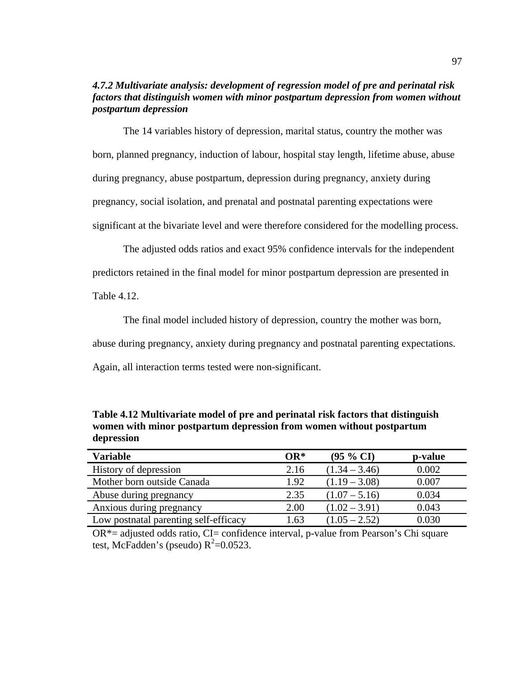# *4.7.2 Multivariate analysis: development of regression model of pre and perinatal risk factors that distinguish women with minor postpartum depression from women without postpartum depression*

The 14 variables history of depression, marital status, country the mother was born, planned pregnancy, induction of labour, hospital stay length, lifetime abuse, abuse during pregnancy, abuse postpartum, depression during pregnancy, anxiety during pregnancy, social isolation, and prenatal and postnatal parenting expectations were significant at the bivariate level and were therefore considered for the modelling process.

The adjusted odds ratios and exact 95% confidence intervals for the independent predictors retained in the final model for minor postpartum depression are presented in

Table 4.12.

The final model included history of depression, country the mother was born,

abuse during pregnancy, anxiety during pregnancy and postnatal parenting expectations.

Again, all interaction terms tested were non-significant.

**Table 4.12 Multivariate model of pre and perinatal risk factors that distinguish women with minor postpartum depression from women without postpartum depression**

| <b>Variable</b>                       | $OR^*$ | $(95\% \text{ CI})$ | p-value |
|---------------------------------------|--------|---------------------|---------|
| History of depression                 | 2.16   | $(1.34 - 3.46)$     | 0.002   |
| Mother born outside Canada            | 1.92   | $(1.19 - 3.08)$     | 0.007   |
| Abuse during pregnancy                | 2.35   | $(1.07 - 5.16)$     | 0.034   |
| Anxious during pregnancy              | 2.00   | $(1.02 - 3.91)$     | 0.043   |
| Low postnatal parenting self-efficacy | 1.63   | $(1.05 - 2.52)$     | 0.030   |

 $OR^*$ = adjusted odds ratio, CI= confidence interval, p-value from Pearson's Chi square test, McFadden's (pseudo)  $R^2$ =0.0523.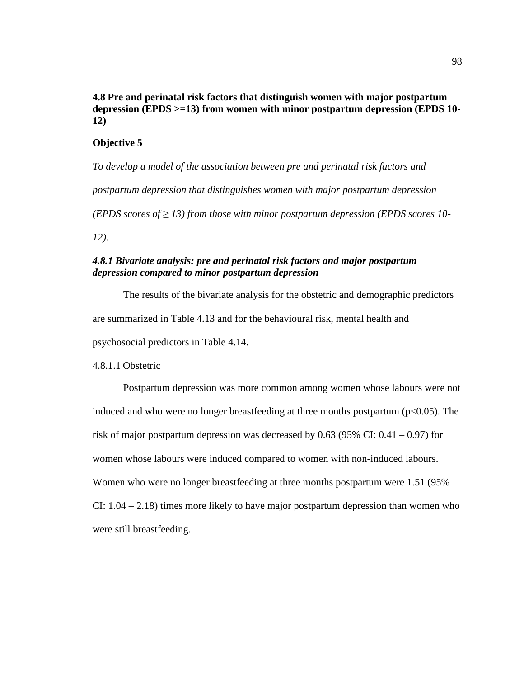# **4.8 Pre and perinatal risk factors that distinguish women with major postpartum depression (EPDS >=13) from women with minor postpartum depression (EPDS 10- 12)**

## **Objective 5**

*To develop a model of the association between pre and perinatal risk factors and postpartum depression that distinguishes women with major postpartum depression (EPDS scores of*  $\geq$  *13) from those with minor postpartum depression (EPDS scores 10-12).*

# *4.8.1 Bivariate analysis: pre and perinatal risk factors and major postpartum depression compared to minor postpartum depression*

The results of the bivariate analysis for the obstetric and demographic predictors are summarized in Table 4.13 and for the behavioural risk, mental health and psychosocial predictors in Table 4.14.

## 4.8.1.1 Obstetric

Postpartum depression was more common among women whose labours were not induced and who were no longer breastfeeding at three months postpartum ( $p<0.05$ ). The risk of major postpartum depression was decreased by  $0.63$  (95% CI:  $0.41 - 0.97$ ) for women whose labours were induced compared to women with non-induced labours. Women who were no longer breastfeeding at three months postpartum were 1.51 (95% CI:  $1.04 - 2.18$ ) times more likely to have major postpartum depression than women who were still breastfeeding.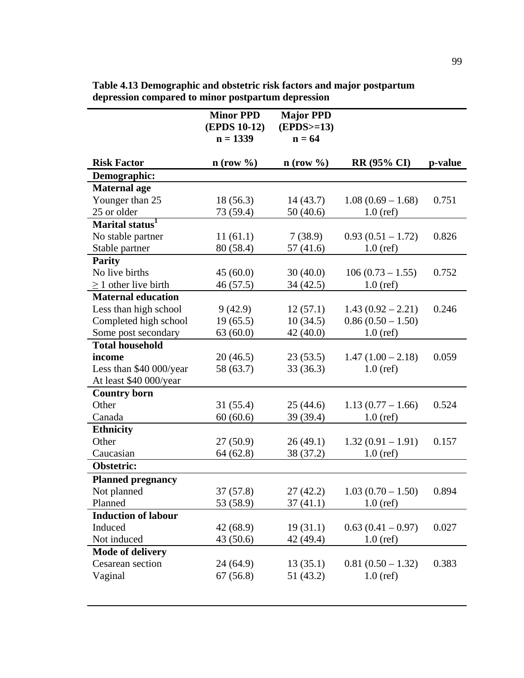|                             | <b>Minor PPD</b><br><b>(EPDS 10-12)</b><br>$n = 1339$ | <b>Major PPD</b><br>$(EPDS>=13)$<br>$n = 64$ |                     |         |
|-----------------------------|-------------------------------------------------------|----------------------------------------------|---------------------|---------|
| <b>Risk Factor</b>          | $n$ (row $\%$ )                                       | $n$ (row $\%$ )                              | <b>RR (95% CI)</b>  | p-value |
| Demographic:                |                                                       |                                              |                     |         |
| <b>Maternal</b> age         |                                                       |                                              |                     |         |
| Younger than 25             | 18(56.3)                                              | 14(43.7)                                     | $1.08(0.69 - 1.68)$ | 0.751   |
| 25 or older                 | 73 (59.4)                                             | 50(40.6)                                     | $1.0$ (ref)         |         |
| Marital status <sup>1</sup> |                                                       |                                              |                     |         |
| No stable partner           | 11(61.1)                                              | 7(38.9)                                      | $0.93(0.51 - 1.72)$ | 0.826   |
| Stable partner              | 80 (58.4)                                             | 57(41.6)                                     | $1.0$ (ref)         |         |
| <b>Parity</b>               |                                                       |                                              |                     |         |
| No live births              | 45(60.0)                                              | 30(40.0)                                     | $106(0.73-1.55)$    | 0.752   |
| $\geq$ 1 other live birth   | 46(57.5)                                              | 34 (42.5)                                    | $1.0$ (ref)         |         |
| <b>Maternal education</b>   |                                                       |                                              |                     |         |
| Less than high school       | 9(42.9)                                               | 12(57.1)                                     | $1.43(0.92 - 2.21)$ | 0.246   |
| Completed high school       | 19(65.5)                                              | 10(34.5)                                     | $0.86(0.50 - 1.50)$ |         |
| Some post secondary         | 63(60.0)                                              | 42 (40.0)                                    | $1.0$ (ref)         |         |
| <b>Total household</b>      |                                                       |                                              |                     |         |
| income                      | 20(46.5)                                              | 23(53.5)                                     | $1.47(1.00 - 2.18)$ | 0.059   |
| Less than \$40 000/year     | 58 (63.7)                                             | 33(36.3)                                     | $1.0$ (ref)         |         |
| At least \$40 000/year      |                                                       |                                              |                     |         |
| <b>Country born</b>         |                                                       |                                              |                     |         |
| Other                       | 31(55.4)                                              | 25(44.6)                                     | $1.13(0.77 - 1.66)$ | 0.524   |
| Canada                      | 60(60.6)                                              | 39 (39.4)                                    | $1.0$ (ref)         |         |
| <b>Ethnicity</b>            |                                                       |                                              |                     |         |
| Other                       | 27(50.9)                                              | 26(49.1)                                     | $1.32(0.91 - 1.91)$ | 0.157   |
| Caucasian                   | 64(62.8)                                              | 38 (37.2)                                    | $1.0$ (ref)         |         |
| <b>Obstetric:</b>           |                                                       |                                              |                     |         |
| <b>Planned pregnancy</b>    |                                                       |                                              |                     |         |
| Not planned                 | 37(57.8)                                              | 27 (42.2)                                    | $1.03(0.70 - 1.50)$ | 0.894   |
| Planned                     | 53 (58.9)                                             | 37 (41.1)                                    | $1.0$ (ref)         |         |
| <b>Induction of labour</b>  |                                                       |                                              |                     |         |
| Induced                     | 42 (68.9)                                             | 19(31.1)                                     | $0.63(0.41-0.97)$   | 0.027   |
| Not induced                 | 43 (50.6)                                             | 42 (49.4)                                    | $1.0$ (ref)         |         |
| Mode of delivery            |                                                       |                                              |                     |         |
| Cesarean section            | 24(64.9)                                              | 13(35.1)                                     | $0.81(0.50 - 1.32)$ | 0.383   |
| Vaginal                     | 67(56.8)                                              | 51 (43.2)                                    | $1.0$ (ref)         |         |
|                             |                                                       |                                              |                     |         |

**Table 4.13 Demographic and obstetric risk factors and major postpartum depression compared to minor postpartum depression**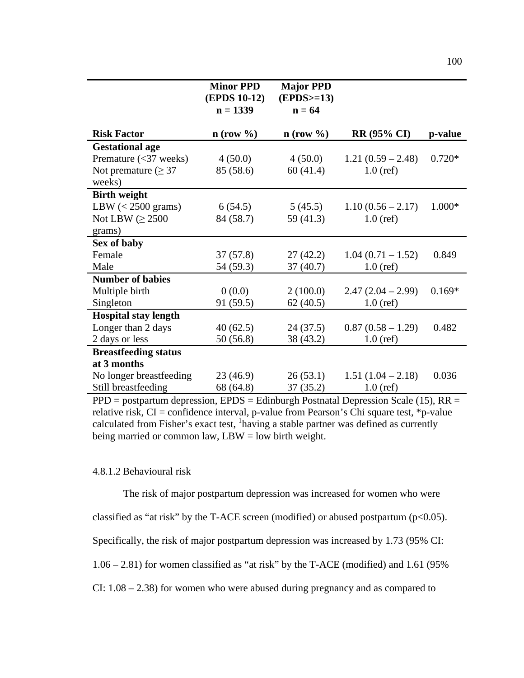|                              | <b>Minor PPD</b><br><b>(EPDS 10-12)</b> | <b>Major PPD</b><br>$(EPDS>=13)$ |                     |          |
|------------------------------|-----------------------------------------|----------------------------------|---------------------|----------|
|                              | $n = 1339$                              | $n = 64$                         |                     |          |
| <b>Risk Factor</b>           | $n$ (row %)                             | $\mathbf{n}$ (row %)             | <b>RR (95% CI)</b>  | p-value  |
| <b>Gestational age</b>       |                                         |                                  |                     |          |
| Premature $(<$ 37 weeks)     | 4(50.0)                                 | 4(50.0)                          | $1.21(0.59 - 2.48)$ | $0.720*$ |
| Not premature ( $\geq$ 37    | 85 (58.6)                               | 60(41.4)                         | $1.0$ (ref)         |          |
| weeks)                       |                                         |                                  |                     |          |
| <b>Birth weight</b>          |                                         |                                  |                     |          |
| LBW $(< 2500 \text{ grams})$ | 6(54.5)                                 | 5(45.5)                          | $1.10(0.56 - 2.17)$ | 1.000*   |
| Not LBW ( $\geq$ 2500        | 84 (58.7)                               | 59(41.3)                         | $1.0$ (ref)         |          |
| grams)                       |                                         |                                  |                     |          |
| Sex of baby                  |                                         |                                  |                     |          |
| Female                       | 37(57.8)                                | 27(42.2)                         | $1.04(0.71-1.52)$   | 0.849    |
| Male                         | 54 (59.3)                               | 37(40.7)                         | $1.0$ (ref)         |          |
| <b>Number of babies</b>      |                                         |                                  |                     |          |
| Multiple birth               | 0(0.0)                                  | 2(100.0)                         | $2.47(2.04-2.99)$   | $0.169*$ |
| Singleton                    | 91(59.5)                                | 62(40.5)                         | $1.0$ (ref)         |          |
| <b>Hospital stay length</b>  |                                         |                                  |                     |          |
| Longer than 2 days           | 40(62.5)                                | 24(37.5)                         | $0.87(0.58-1.29)$   | 0.482    |
| 2 days or less               | 50(56.8)                                | 38 (43.2)                        | $1.0$ (ref)         |          |
| <b>Breastfeeding status</b>  |                                         |                                  |                     |          |
| at 3 months                  |                                         |                                  |                     |          |
| No longer breastfeeding      | 23 (46.9)                               | 26(53.1)                         | $1.51(1.04 - 2.18)$ | 0.036    |
| Still breastfeeding          | 68 (64.8)                               | 37(35.2)                         | $1.0$ (ref)         |          |

 $PPD = postpartum depression, EPDS = Edinburgh Postnatal Depression Scale (15), RR =$ relative risk,  $CI =$  confidence interval, p-value from Pearson's Chi square test, \*p-value calculated from Fisher's exact test, <sup>1</sup>having a stable partner was defined as currently being married or common law,  $LBW = low$  birth weight.

## 4.8.1.2 Behavioural risk

The risk of major postpartum depression was increased for women who were

classified as "at risk" by the T-ACE screen (modified) or abused postpartum ( $p<0.05$ ).

Specifically, the risk of major postpartum depression was increased by 1.73 (95% CI:

1.06 – 2.81) for women classified as "at risk" by the T-ACE (modified) and 1.61 (95%

CI: 1.08 – 2.38) for women who were abused during pregnancy and as compared to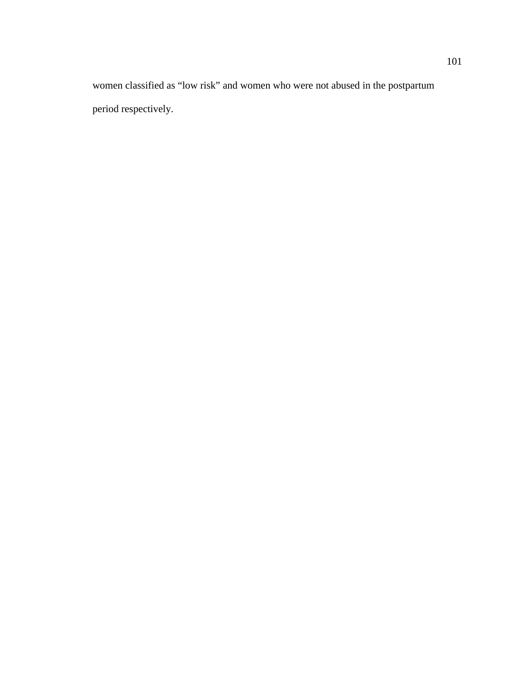women classified as "low risk" and women who were not abused in the postpartum period respectively.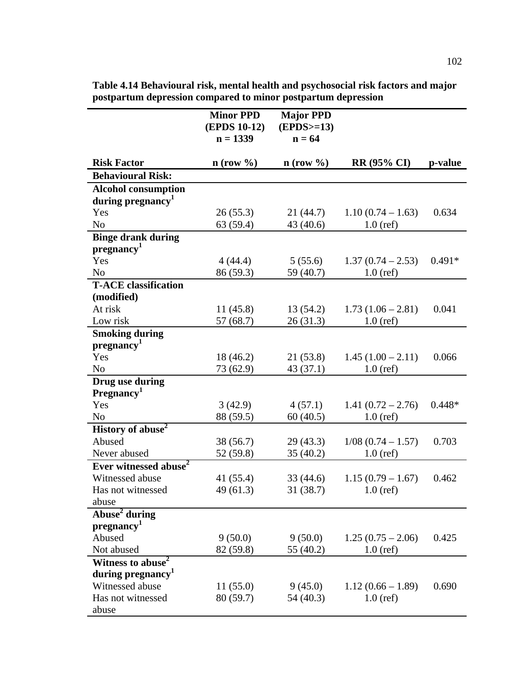|                                   | <b>Minor PPD</b><br><b>(EPDS 10-12)</b><br>$n = 1339$ | <b>Major PPD</b><br>$(EPDS>=13)$<br>$n = 64$ |                              |          |
|-----------------------------------|-------------------------------------------------------|----------------------------------------------|------------------------------|----------|
|                                   |                                                       |                                              |                              |          |
| <b>Risk Factor</b>                | $n$ (row %)                                           | $n$ (row $\%$ )                              | <b>RR</b> (95% CI)           | p-value  |
| <b>Behavioural Risk:</b>          |                                                       |                                              |                              |          |
| <b>Alcohol consumption</b>        |                                                       |                                              |                              |          |
| during pregnancy <sup>1</sup>     |                                                       |                                              |                              |          |
| Yes                               | 26(55.3)                                              |                                              | $21(44.7)$ $1.10(0.74-1.63)$ | 0.634    |
| No                                | 63(59.4)                                              | 43(40.6)                                     | $1.0$ (ref)                  |          |
| <b>Binge drank during</b>         |                                                       |                                              |                              |          |
| pregnancy <sup>1</sup>            |                                                       |                                              |                              |          |
| Yes                               | 4(44.4)                                               | 5(55.6)                                      | $1.37(0.74-2.53)$            | $0.491*$ |
| N <sub>0</sub>                    | 86 (59.3)                                             | 59 (40.7)                                    | $1.0$ (ref)                  |          |
| <b>T-ACE</b> classification       |                                                       |                                              |                              |          |
| (modified)                        |                                                       |                                              |                              |          |
| At risk                           | 11(45.8)                                              |                                              | $13(54.2)$ $1.73(1.06-2.81)$ | 0.041    |
| Low risk                          | 57 (68.7)                                             | 26(31.3)                                     | $1.0$ (ref)                  |          |
| <b>Smoking during</b>             |                                                       |                                              |                              |          |
| pregnancy <sup>1</sup>            |                                                       |                                              |                              |          |
| Yes                               | 18(46.2)                                              | 21(53.8)                                     | $1.45(1.00-2.11)$            | 0.066    |
| No                                | 73 (62.9)                                             | 43(37.1)                                     | $1.0$ (ref)                  |          |
| Drug use during                   |                                                       |                                              |                              |          |
| Pregnancy <sup>1</sup>            |                                                       |                                              |                              |          |
| Yes                               | 3(42.9)                                               | 4(57.1)                                      | $1.41(0.72 - 2.76)$          | $0.448*$ |
| N <sub>o</sub>                    | 88 (59.5)                                             | 60(40.5)                                     | $1.0$ (ref)                  |          |
| History of abuse <sup>2</sup>     |                                                       |                                              |                              |          |
| Abused                            | 38(56.7)                                              | 29 (43.3)                                    | $1/08$ (0.74 - 1.57)         | 0.703    |
| Never abused                      | 52 (59.8)                                             | 35(40.2)                                     | $1.0$ (ref)                  |          |
| Ever witnessed abuse <sup>2</sup> |                                                       |                                              |                              |          |
| Witnessed abuse                   | 41 $(55.4)$                                           | 33(44.6)                                     | $1.15(0.79 - 1.67)$          | 0.462    |
| Has not witnessed                 | 49(61.3)                                              | 31(38.7)                                     | $1.0$ (ref)                  |          |
| abuse                             |                                                       |                                              |                              |          |
| Abuse <sup>2</sup> during         |                                                       |                                              |                              |          |
| pregnancy <sup>1</sup>            |                                                       |                                              |                              |          |
| Abused                            | 9(50.0)                                               | 9(50.0)                                      | $1.25(0.75-2.06)$            | 0.425    |
| Not abused                        | 82 (59.8)                                             | 55 (40.2)                                    | $1.0$ (ref)                  |          |
| Witness to abuse <sup>2</sup>     |                                                       |                                              |                              |          |
| during pregnancy <sup>1</sup>     |                                                       |                                              |                              |          |
| Witnessed abuse                   | 11(55.0)                                              | 9(45.0)                                      | $1.12(0.66 - 1.89)$          | 0.690    |
| Has not witnessed                 | 80 (59.7)                                             | 54 (40.3)                                    | $1.0$ (ref)                  |          |
| abuse                             |                                                       |                                              |                              |          |

**Table 4.14 Behavioural risk, mental health and psychosocial risk factors and major postpartum depression compared to minor postpartum depression**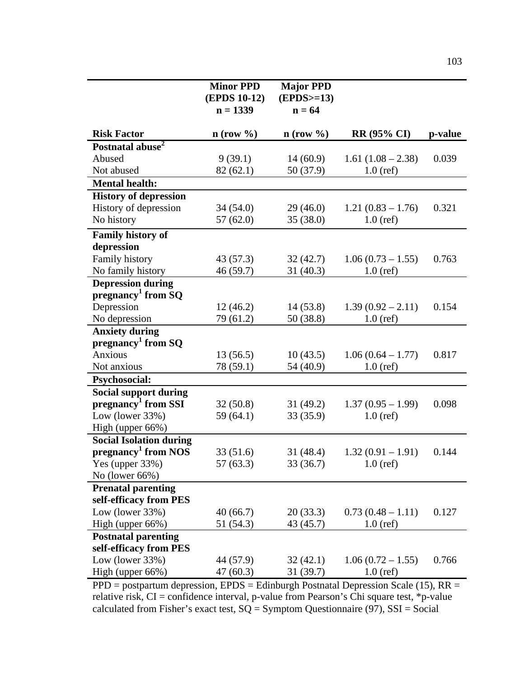|                                                     | <b>Minor PPD</b><br><b>(EPDS 10-12)</b><br>$n = 1339$ | <b>Major PPD</b><br>$(EPDS>=13)$<br>$n = 64$ |                     |         |
|-----------------------------------------------------|-------------------------------------------------------|----------------------------------------------|---------------------|---------|
| <b>Risk Factor</b>                                  | $n$ (row $\%$ )                                       | $n$ (row $\%$ )                              | <b>RR</b> (95% CI)  | p-value |
| Postnatal abuse <sup>2</sup>                        |                                                       |                                              |                     |         |
| Abused                                              | 9(39.1)                                               | 14(60.9)                                     | $1.61(1.08 - 2.38)$ | 0.039   |
| Not abused                                          | 82(62.1)                                              | 50 (37.9)                                    | $1.0$ (ref)         |         |
| <b>Mental health:</b>                               |                                                       |                                              |                     |         |
| <b>History of depression</b>                        |                                                       |                                              |                     |         |
| History of depression                               | 34(54.0)                                              | 29(46.0)                                     | $1.21(0.83 - 1.76)$ | 0.321   |
| No history                                          | 57(62.0)                                              | 35(38.0)                                     | $1.0$ (ref)         |         |
| <b>Family history of</b>                            |                                                       |                                              |                     |         |
| depression                                          |                                                       |                                              |                     |         |
| Family history                                      | 43 (57.3)                                             | 32(42.7)                                     | $1.06(0.73 - 1.55)$ | 0.763   |
| No family history                                   | 46 (59.7)                                             | 31(40.3)                                     | $1.0$ (ref)         |         |
| <b>Depression during</b>                            |                                                       |                                              |                     |         |
| pregnancy <sup>1</sup> from SQ                      |                                                       |                                              |                     |         |
| Depression                                          | 12(46.2)                                              | 14(53.8)                                     | $1.39(0.92 - 2.11)$ | 0.154   |
| No depression                                       | 79 (61.2)                                             | 50 (38.8)                                    | $1.0$ (ref)         |         |
| <b>Anxiety during</b>                               |                                                       |                                              |                     |         |
| pregnancy <sup>1</sup> from SQ                      |                                                       |                                              |                     |         |
| Anxious                                             | 13(56.5)                                              | 10(43.5)                                     | $1.06(0.64 - 1.77)$ | 0.817   |
| Not anxious                                         | 78 (59.1)                                             | 54 (40.9)                                    | $1.0$ (ref)         |         |
| <b>Psychosocial:</b>                                |                                                       |                                              |                     |         |
| <b>Social support during</b>                        |                                                       |                                              |                     |         |
| pregnancy <sup>1</sup> from SSI                     | 32(50.8)                                              | 31(49.2)                                     | $1.37(0.95 - 1.99)$ | 0.098   |
| Low (lower $33\%$ )                                 | 59 (64.1)                                             | 33 (35.9)                                    | $1.0$ (ref)         |         |
| High (upper 66%)                                    |                                                       |                                              |                     |         |
| <b>Social Isolation during</b>                      |                                                       |                                              |                     |         |
| pregnancy <sup>1</sup> from NOS                     | 33(51.6)                                              | 31(48.4)                                     | $1.32(0.91 - 1.91)$ | 0.144   |
| Yes (upper 33%)<br>No (lower 66%)                   | 57(63.3)                                              | 33 (36.7)                                    | $1.0$ (ref)         |         |
|                                                     |                                                       |                                              |                     |         |
| <b>Prenatal parenting</b><br>self-efficacy from PES |                                                       |                                              |                     |         |
| Low (lower $33\%$ )                                 | 40(66.7)                                              | 20(33.3)                                     | $0.73(0.48 - 1.11)$ | 0.127   |
| High (upper 66%)                                    | 51 (54.3)                                             | 43 (45.7)                                    | $1.0$ (ref)         |         |
| <b>Postnatal parenting</b>                          |                                                       |                                              |                     |         |
| self-efficacy from PES                              |                                                       |                                              |                     |         |
| Low (lower $33\%$ )                                 | 44 (57.9)                                             | 32(42.1)                                     | $1.06(0.72 - 1.55)$ | 0.766   |
| High (upper 66%)                                    | 47(60.3)                                              | 31(39.7)                                     | $1.0$ (ref)         |         |

 $PPD =$  postpartum depression,  $EPDS =$  Edinburgh Postnatal Depression Scale (15),  $RR =$ relative risk, CI = confidence interval, p-value from Pearson's Chi square test, \*p-value calculated from Fisher's exact test,  $SQ = Symptom$  Questionnaire (97),  $SSI = Social$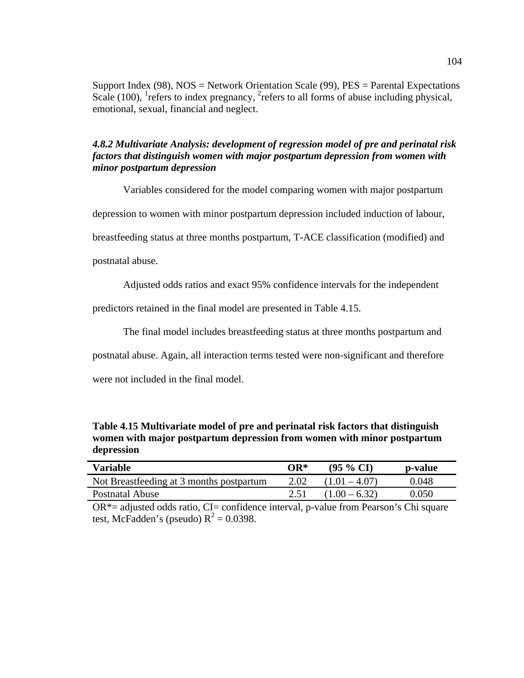Support Index (98), NOS = Network Orientation Scale (99), PES = Parental Expectations Scale (100), <sup>1</sup> refers to index pregnancy,  ${}^{2}$  refers to all forms of abuse including physical, emotional, sexual, financial and neglect.

# *4.8.2 Multivariate Analysis: development of regression model of pre and perinatal risk factors that distinguish women with major postpartum depression from women with minor postpartum depression*

Variables considered for the model comparing women with major postpartum

depression to women with minor postpartum depression included induction of labour,

breastfeeding status at three months postpartum, T-ACE classification (modified) and

postnatal abuse.

Adjusted odds ratios and exact 95% confidence intervals for the independent

predictors retained in the final model are presented in Table 4.15.

The final model includes breastfeeding status at three months postpartum and

postnatal abuse. Again, all interaction terms tested were non-significant and therefore

were not included in the final model.

**Table 4.15 Multivariate model of pre and perinatal risk factors that distinguish women with major postpartum depression from women with minor postpartum depression**

| Variable                                 | OR*  | $(95\% \text{ CI})$ | p-value |
|------------------------------------------|------|---------------------|---------|
| Not Breastfeeding at 3 months postpartum | 2.02 | $(1.01 - 4.07)$     | 0.048   |
| Postnatal Abuse                          | 2.51 | $(1.00 - 6.32)$     | 0.050   |

 $OR^*$ = adjusted odds ratio, CI= confidence interval, p-value from Pearson's Chi square test, McFadden's (pseudo)  $R^2 = 0.0398$ .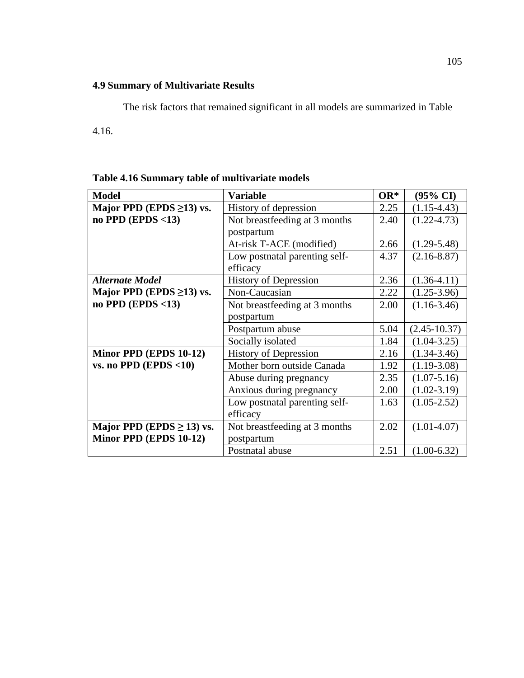# **4.9 Summary of Multivariate Results**

The risk factors that remained significant in all models are summarized in Table

4.16.

| Table 4.16 Summary table of multivariate models |  |  |  |  |
|-------------------------------------------------|--|--|--|--|
|-------------------------------------------------|--|--|--|--|

| <b>Model</b>                   | <b>Variable</b>               | $OR^*$ | (95% CI)         |
|--------------------------------|-------------------------------|--------|------------------|
| Major PPD (EPDS $\geq$ 13) vs. | History of depression         | 2.25   | $(1.15-4.43)$    |
| no PPD (EPDS $<$ 13)           | Not breastfeeding at 3 months | 2.40   | $(1.22 - 4.73)$  |
|                                | postpartum                    |        |                  |
|                                | At-risk T-ACE (modified)      | 2.66   | $(1.29 - 5.48)$  |
|                                | Low postnatal parenting self- | 4.37   | $(2.16 - 8.87)$  |
|                                | efficacy                      |        |                  |
| <b>Alternate Model</b>         | <b>History of Depression</b>  | 2.36   | $(1.36 - 4.11)$  |
| Major PPD (EPDS $\geq$ 13) vs. | Non-Caucasian                 | 2.22   | $(1.25 - 3.96)$  |
| no PPD (EPDS $<$ 13)           | Not breastfeeding at 3 months | 2.00   | $(1.16-3.46)$    |
|                                | postpartum                    |        |                  |
|                                | Postpartum abuse              | 5.04   | $(2.45 - 10.37)$ |
|                                | Socially isolated             | 1.84   | $(1.04 - 3.25)$  |
| Minor PPD (EPDS 10-12)         | <b>History of Depression</b>  | 2.16   | $(1.34 - 3.46)$  |
| vs. no PPD (EPDS $<$ 10)       | Mother born outside Canada    | 1.92   | $(1.19-3.08)$    |
|                                | Abuse during pregnancy        | 2.35   | $(1.07 - 5.16)$  |
|                                | Anxious during pregnancy      | 2.00   | $(1.02 - 3.19)$  |
|                                | Low postnatal parenting self- | 1.63   | $(1.05 - 2.52)$  |
|                                | efficacy                      |        |                  |
| Major PPD (EPDS $\geq$ 13) vs. | Not breastfeeding at 3 months | 2.02   | $(1.01-4.07)$    |
| Minor PPD (EPDS 10-12)         | postpartum                    |        |                  |
|                                | Postnatal abuse               | 2.51   | $(1.00-6.32)$    |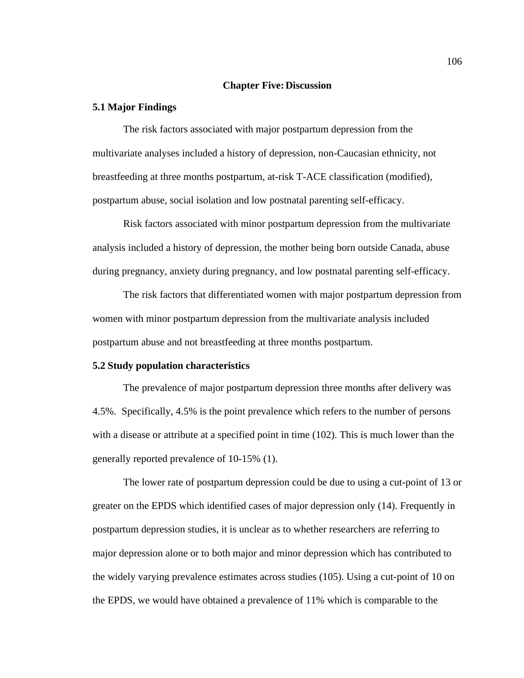#### **Chapter Five:Discussion**

#### **5.1 Major Findings**

The risk factors associated with major postpartum depression from the multivariate analyses included a history of depression, non-Caucasian ethnicity, not breastfeeding at three months postpartum, at-risk T-ACE classification (modified), postpartum abuse, social isolation and low postnatal parenting self-efficacy.

Risk factors associated with minor postpartum depression from the multivariate analysis included a history of depression, the mother being born outside Canada, abuse during pregnancy, anxiety during pregnancy, and low postnatal parenting self-efficacy.

The risk factors that differentiated women with major postpartum depression from women with minor postpartum depression from the multivariate analysis included postpartum abuse and not breastfeeding at three months postpartum.

#### **5.2 Study population characteristics**

The prevalence of major postpartum depression three months after delivery was 4.5%. Specifically, 4.5% is the point prevalence which refers to the number of persons with a disease or attribute at a specified point in time (102). This is much lower than the generally reported prevalence of 10-15% (1).

The lower rate of postpartum depression could be due to using a cut-point of 13 or greater on the EPDS which identified cases of major depression only (14). Frequently in postpartum depression studies, it is unclear as to whether researchers are referring to major depression alone or to both major and minor depression which has contributed to the widely varying prevalence estimates across studies (105). Using a cut-point of 10 on the EPDS, we would have obtained a prevalence of 11% which is comparable to the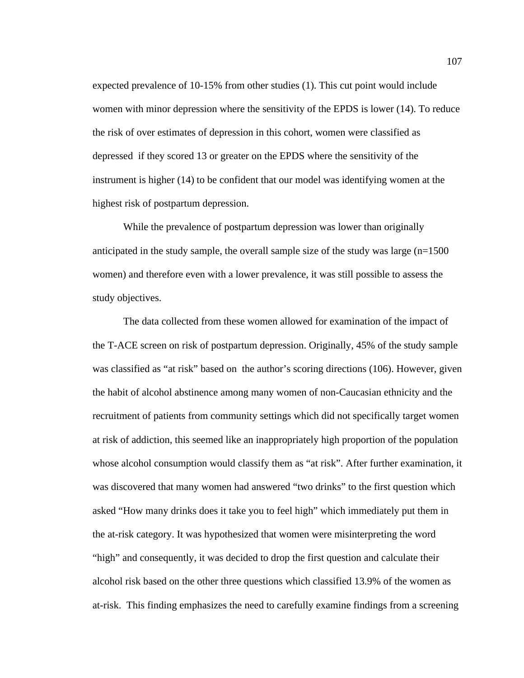expected prevalence of 10-15% from other studies (1). This cut point would include women with minor depression where the sensitivity of the EPDS is lower (14). To reduce the risk of over estimates of depression in this cohort, women were classified as depressed if they scored 13 or greater on the EPDS where the sensitivity of the instrument is higher (14) to be confident that our model was identifying women at the highest risk of postpartum depression.

While the prevalence of postpartum depression was lower than originally anticipated in the study sample, the overall sample size of the study was large  $(n=1500)$ women) and therefore even with a lower prevalence, it was still possible to assess the study objectives.

The data collected from these women allowed for examination of the impact of the T-ACE screen on risk of postpartum depression. Originally, 45% of the study sample was classified as "at risk" based on the author's scoring directions (106). However, given the habit of alcohol abstinence among many women of non-Caucasian ethnicity and the recruitment of patients from community settings which did not specifically target women at risk of addiction, this seemed like an inappropriately high proportion of the population whose alcohol consumption would classify them as "at risk". After further examination, it was discovered that many women had answered "two drinks" to the first question which asked "How many drinks does it take you to feel high" which immediately put them in the at-risk category. It was hypothesized that women were misinterpreting the word "high" and consequently, it was decided to drop the first question and calculate their alcohol risk based on the other three questions which classified 13.9% of the women as at-risk. This finding emphasizes the need to carefully examine findings from a screening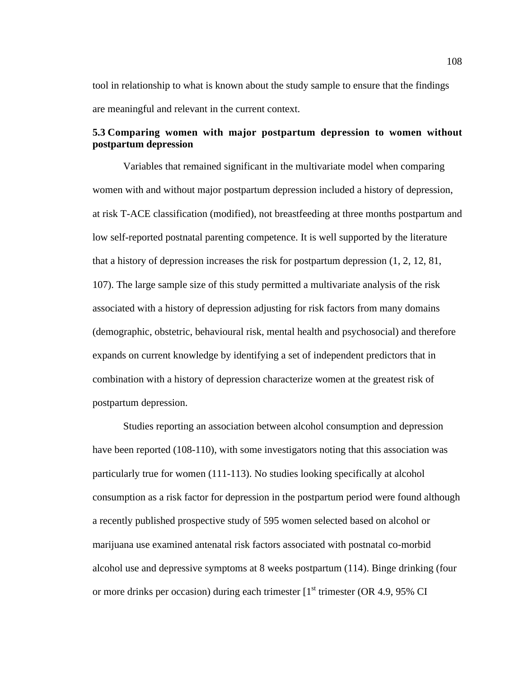tool in relationship to what is known about the study sample to ensure that the findings are meaningful and relevant in the current context.

## **5.3 Comparing women with major postpartum depression to women without postpartum depression**

Variables that remained significant in the multivariate model when comparing women with and without major postpartum depression included a history of depression, at risk T-ACE classification (modified), not breastfeeding at three months postpartum and low self-reported postnatal parenting competence. It is well supported by the literature that a history of depression increases the risk for postpartum depression (1, 2, 12, 81, 107). The large sample size of this study permitted a multivariate analysis of the risk associated with a history of depression adjusting for risk factors from many domains (demographic, obstetric, behavioural risk, mental health and psychosocial) and therefore expands on current knowledge by identifying a set of independent predictors that in combination with a history of depression characterize women at the greatest risk of postpartum depression.

Studies reporting an association between alcohol consumption and depression have been reported (108-110), with some investigators noting that this association was particularly true for women (111-113). No studies looking specifically at alcohol consumption as a risk factor for depression in the postpartum period were found although a recently published prospective study of 595 women selected based on alcohol or marijuana use examined antenatal risk factors associated with postnatal co-morbid alcohol use and depressive symptoms at 8 weeks postpartum (114). Binge drinking (four or more drinks per occasion) during each trimester  $[1<sup>st</sup>$  trimester (OR 4.9, 95% CI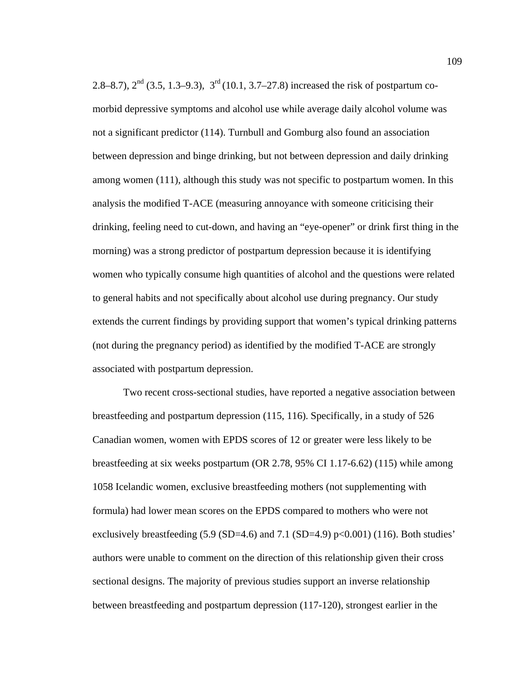2.8–8.7),  $2<sup>nd</sup>$  (3.5, 1.3–9.3),  $3<sup>rd</sup>$  (10.1, 3.7–27.8) increased the risk of postpartum comorbid depressive symptoms and alcohol use while average daily alcohol volume was not a significant predictor (114). Turnbull and Gomburg also found an association between depression and binge drinking, but not between depression and daily drinking among women (111), although this study was not specific to postpartum women. In this analysis the modified T-ACE (measuring annoyance with someone criticising their drinking, feeling need to cut-down, and having an "eye-opener" or drink first thing in the morning) was a strong predictor of postpartum depression because it is identifying women who typically consume high quantities of alcohol and the questions were related to general habits and not specifically about alcohol use during pregnancy. Our study extends the current findings by providing support that women's typical drinking patterns (not during the pregnancy period) as identified by the modified T-ACE are strongly associated with postpartum depression.

Two recent cross-sectional studies, have reported a negative association between breastfeeding and postpartum depression (115, 116). Specifically, in a study of 526 Canadian women, women with EPDS scores of 12 or greater were less likely to be breastfeeding at six weeks postpartum (OR 2.78, 95% CI 1.17-6.62) (115) while among 1058 Icelandic women, exclusive breastfeeding mothers (not supplementing with formula) had lower mean scores on the EPDS compared to mothers who were not exclusively breastfeeding  $(5.9 \text{ (SD=4.6)}$  and  $7.1 \text{ (SD=4.9)}$  p $<0.001)$   $(116)$ . Both studies' authors were unable to comment on the direction of this relationship given their cross sectional designs. The majority of previous studies support an inverse relationship between breastfeeding and postpartum depression (117-120), strongest earlier in the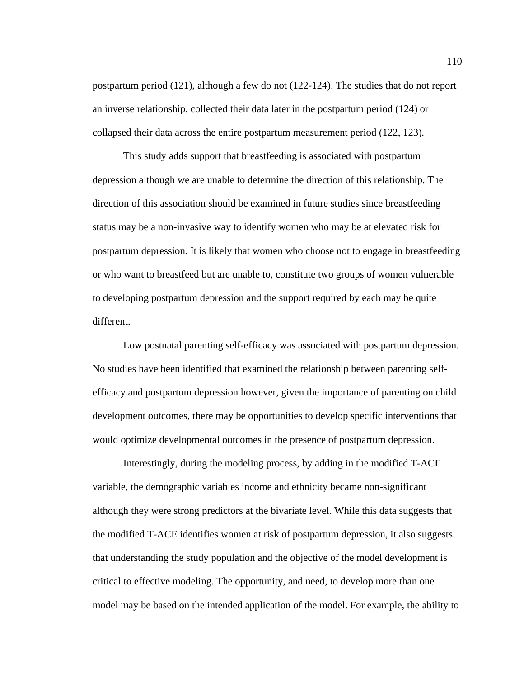postpartum period (121), although a few do not (122-124). The studies that do not report an inverse relationship, collected their data later in the postpartum period (124) or collapsed their data across the entire postpartum measurement period (122, 123).

This study adds support that breastfeeding is associated with postpartum depression although we are unable to determine the direction of this relationship. The direction of this association should be examined in future studies since breastfeeding status may be a non-invasive way to identify women who may be at elevated risk for postpartum depression. It is likely that women who choose not to engage in breastfeeding or who want to breastfeed but are unable to, constitute two groups of women vulnerable to developing postpartum depression and the support required by each may be quite different.

Low postnatal parenting self-efficacy was associated with postpartum depression. No studies have been identified that examined the relationship between parenting selfefficacy and postpartum depression however, given the importance of parenting on child development outcomes, there may be opportunities to develop specific interventions that would optimize developmental outcomes in the presence of postpartum depression.

Interestingly, during the modeling process, by adding in the modified T-ACE variable, the demographic variables income and ethnicity became non-significant although they were strong predictors at the bivariate level. While this data suggests that the modified T-ACE identifies women at risk of postpartum depression, it also suggests that understanding the study population and the objective of the model development is critical to effective modeling. The opportunity, and need, to develop more than one model may be based on the intended application of the model. For example, the ability to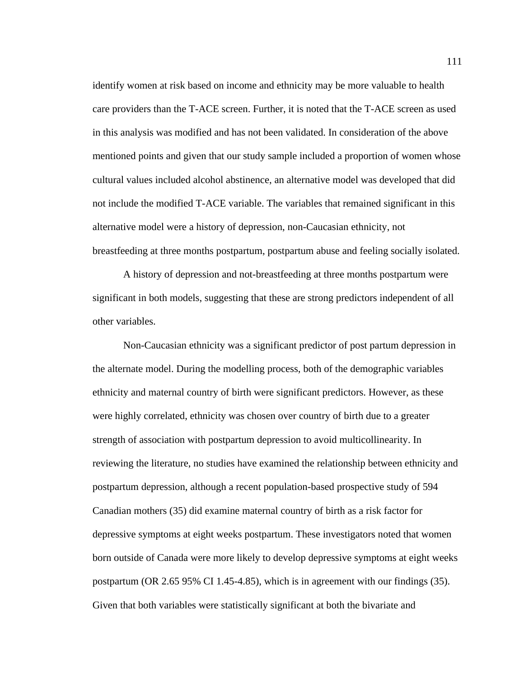identify women at risk based on income and ethnicity may be more valuable to health care providers than the T-ACE screen. Further, it is noted that the T-ACE screen as used in this analysis was modified and has not been validated. In consideration of the above mentioned points and given that our study sample included a proportion of women whose cultural values included alcohol abstinence, an alternative model was developed that did not include the modified T-ACE variable. The variables that remained significant in this alternative model were a history of depression, non-Caucasian ethnicity, not breastfeeding at three months postpartum, postpartum abuse and feeling socially isolated.

A history of depression and not-breastfeeding at three months postpartum were significant in both models, suggesting that these are strong predictors independent of all other variables.

Non-Caucasian ethnicity was a significant predictor of post partum depression in the alternate model. During the modelling process, both of the demographic variables ethnicity and maternal country of birth were significant predictors. However, as these were highly correlated, ethnicity was chosen over country of birth due to a greater strength of association with postpartum depression to avoid multicollinearity. In reviewing the literature, no studies have examined the relationship between ethnicity and postpartum depression, although a recent population-based prospective study of 594 Canadian mothers (35) did examine maternal country of birth as a risk factor for depressive symptoms at eight weeks postpartum. These investigators noted that women born outside of Canada were more likely to develop depressive symptoms at eight weeks postpartum (OR 2.65 95% CI 1.45-4.85), which is in agreement with our findings (35). Given that both variables were statistically significant at both the bivariate and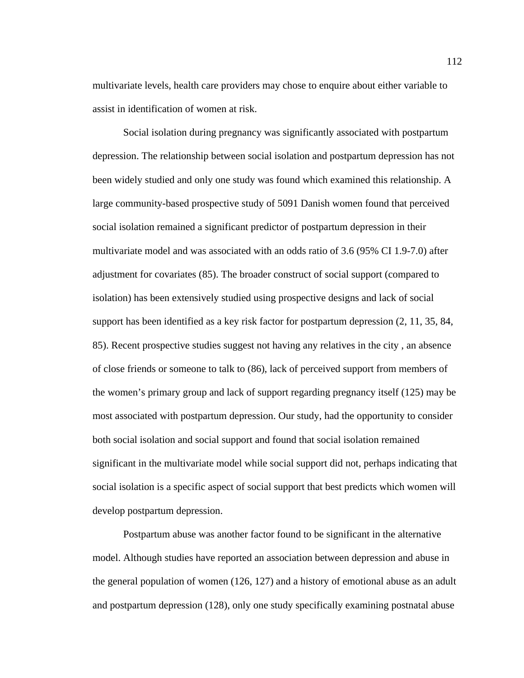multivariate levels, health care providers may chose to enquire about either variable to assist in identification of women at risk.

Social isolation during pregnancy was significantly associated with postpartum depression. The relationship between social isolation and postpartum depression has not been widely studied and only one study was found which examined this relationship. A large community-based prospective study of 5091 Danish women found that perceived social isolation remained a significant predictor of postpartum depression in their multivariate model and was associated with an odds ratio of 3.6 (95% CI 1.9-7.0) after adjustment for covariates (85). The broader construct of social support (compared to isolation) has been extensively studied using prospective designs and lack of social support has been identified as a key risk factor for postpartum depression (2, 11, 35, 84, 85). Recent prospective studies suggest not having any relatives in the city , an absence of close friends or someone to talk to (86), lack of perceived support from members of the women's primary group and lack of support regarding pregnancy itself (125) may be most associated with postpartum depression. Our study, had the opportunity to consider both social isolation and social support and found that social isolation remained significant in the multivariate model while social support did not, perhaps indicating that social isolation is a specific aspect of social support that best predicts which women will develop postpartum depression.

Postpartum abuse was another factor found to be significant in the alternative model. Although studies have reported an association between depression and abuse in the general population of women (126, 127) and a history of emotional abuse as an adult and postpartum depression (128), only one study specifically examining postnatal abuse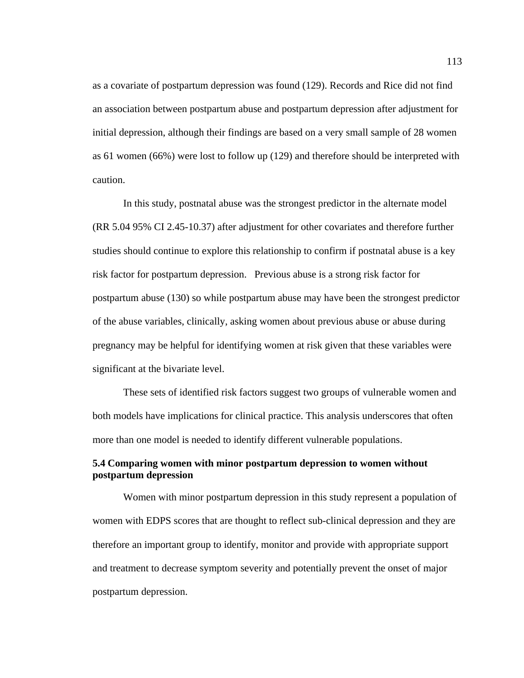as a covariate of postpartum depression was found (129). Records and Rice did not find an association between postpartum abuse and postpartum depression after adjustment for initial depression, although their findings are based on a very small sample of 28 women as 61 women (66%) were lost to follow up (129) and therefore should be interpreted with caution.

In this study, postnatal abuse was the strongest predictor in the alternate model (RR 5.04 95% CI 2.45-10.37) after adjustment for other covariates and therefore further studies should continue to explore this relationship to confirm if postnatal abuse is a key risk factor for postpartum depression. Previous abuse is a strong risk factor for postpartum abuse (130) so while postpartum abuse may have been the strongest predictor of the abuse variables, clinically, asking women about previous abuse or abuse during pregnancy may be helpful for identifying women at risk given that these variables were significant at the bivariate level.

These sets of identified risk factors suggest two groups of vulnerable women and both models have implications for clinical practice. This analysis underscores that often more than one model is needed to identify different vulnerable populations.

## **5.4 Comparing women with minor postpartum depression to women without postpartum depression**

Women with minor postpartum depression in this study represent a population of women with EDPS scores that are thought to reflect sub-clinical depression and they are therefore an important group to identify, monitor and provide with appropriate support and treatment to decrease symptom severity and potentially prevent the onset of major postpartum depression.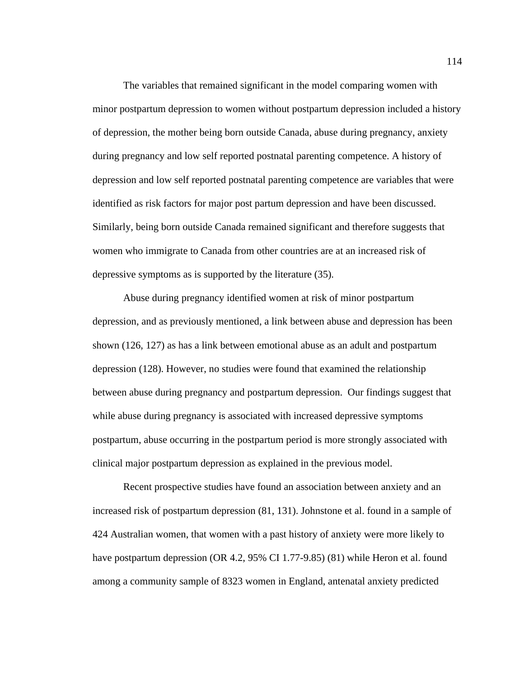The variables that remained significant in the model comparing women with minor postpartum depression to women without postpartum depression included a history of depression, the mother being born outside Canada, abuse during pregnancy, anxiety during pregnancy and low self reported postnatal parenting competence. A history of depression and low self reported postnatal parenting competence are variables that were identified as risk factors for major post partum depression and have been discussed. Similarly, being born outside Canada remained significant and therefore suggests that women who immigrate to Canada from other countries are at an increased risk of depressive symptoms as is supported by the literature (35).

Abuse during pregnancy identified women at risk of minor postpartum depression, and as previously mentioned, a link between abuse and depression has been shown (126, 127) as has a link between emotional abuse as an adult and postpartum depression (128). However, no studies were found that examined the relationship between abuse during pregnancy and postpartum depression. Our findings suggest that while abuse during pregnancy is associated with increased depressive symptoms postpartum, abuse occurring in the postpartum period is more strongly associated with clinical major postpartum depression as explained in the previous model.

Recent prospective studies have found an association between anxiety and an increased risk of postpartum depression (81, 131). Johnstone et al. found in a sample of 424 Australian women, that women with a past history of anxiety were more likely to have postpartum depression (OR 4.2, 95% CI 1.77-9.85) (81) while Heron et al. found among a community sample of 8323 women in England, antenatal anxiety predicted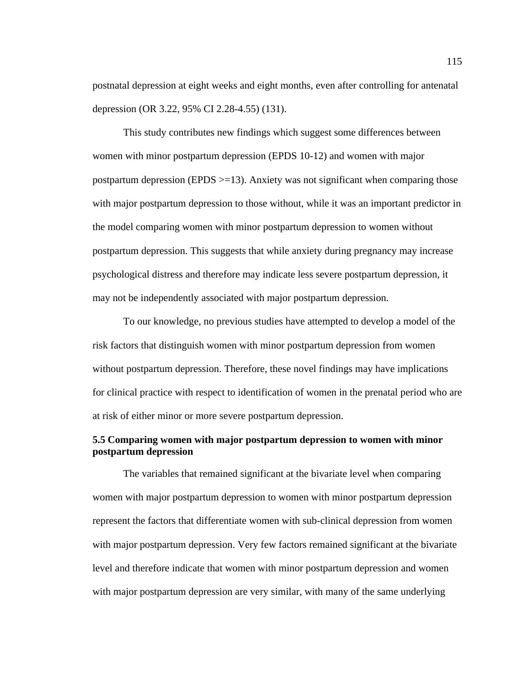postnatal depression at eight weeks and eight months, even after controlling for antenatal depression (OR 3.22, 95% CI 2.28-4.55) (131).

This study contributes new findings which suggest some differences between women with minor postpartum depression (EPDS 10-12) and women with major postpartum depression (EPDS >=13). Anxiety was not significant when comparing those with major postpartum depression to those without, while it was an important predictor in the model comparing women with minor postpartum depression to women without postpartum depression. This suggests that while anxiety during pregnancy may increase psychological distress and therefore may indicate less severe postpartum depression, it may not be independently associated with major postpartum depression.

To our knowledge, no previous studies have attempted to develop a model of the risk factors that distinguish women with minor postpartum depression from women without postpartum depression. Therefore, these novel findings may have implications for clinical practice with respect to identification of women in the prenatal period who are at risk of either minor or more severe postpartum depression.

# **5.5 Comparing women with major postpartum depression to women with minor postpartum depression**

The variables that remained significant at the bivariate level when comparing women with major postpartum depression to women with minor postpartum depression represent the factors that differentiate women with sub-clinical depression from women with major postpartum depression. Very few factors remained significant at the bivariate level and therefore indicate that women with minor postpartum depression and women with major postpartum depression are very similar, with many of the same underlying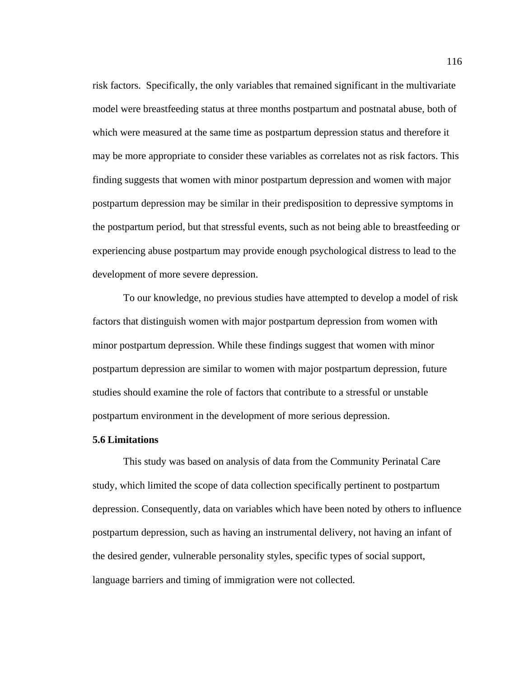risk factors. Specifically, the only variables that remained significant in the multivariate model were breastfeeding status at three months postpartum and postnatal abuse, both of which were measured at the same time as postpartum depression status and therefore it may be more appropriate to consider these variables as correlates not as risk factors. This finding suggests that women with minor postpartum depression and women with major postpartum depression may be similar in their predisposition to depressive symptoms in the postpartum period, but that stressful events, such as not being able to breastfeeding or experiencing abuse postpartum may provide enough psychological distress to lead to the development of more severe depression.

To our knowledge, no previous studies have attempted to develop a model of risk factors that distinguish women with major postpartum depression from women with minor postpartum depression. While these findings suggest that women with minor postpartum depression are similar to women with major postpartum depression, future studies should examine the role of factors that contribute to a stressful or unstable postpartum environment in the development of more serious depression.

## **5.6 Limitations**

This study was based on analysis of data from the Community Perinatal Care study, which limited the scope of data collection specifically pertinent to postpartum depression. Consequently, data on variables which have been noted by others to influence postpartum depression, such as having an instrumental delivery, not having an infant of the desired gender, vulnerable personality styles, specific types of social support, language barriers and timing of immigration were not collected.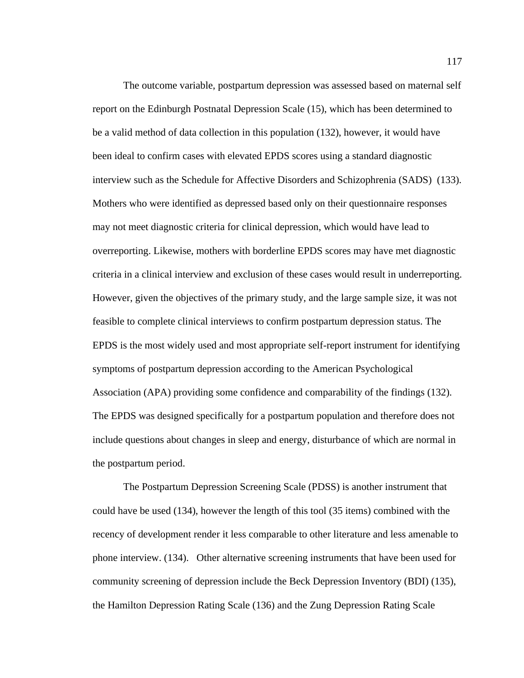The outcome variable, postpartum depression was assessed based on maternal self report on the Edinburgh Postnatal Depression Scale (15), which has been determined to be a valid method of data collection in this population (132), however, it would have been ideal to confirm cases with elevated EPDS scores using a standard diagnostic interview such as the Schedule for Affective Disorders and Schizophrenia (SADS) (133). Mothers who were identified as depressed based only on their questionnaire responses may not meet diagnostic criteria for clinical depression, which would have lead to overreporting. Likewise, mothers with borderline EPDS scores may have met diagnostic criteria in a clinical interview and exclusion of these cases would result in underreporting. However, given the objectives of the primary study, and the large sample size, it was not feasible to complete clinical interviews to confirm postpartum depression status. The EPDS is the most widely used and most appropriate self-report instrument for identifying symptoms of postpartum depression according to the American Psychological Association (APA) providing some confidence and comparability of the findings (132). The EPDS was designed specifically for a postpartum population and therefore does not include questions about changes in sleep and energy, disturbance of which are normal in the postpartum period.

The Postpartum Depression Screening Scale (PDSS) is another instrument that could have be used (134), however the length of this tool (35 items) combined with the recency of development render it less comparable to other literature and less amenable to phone interview. (134). Other alternative screening instruments that have been used for community screening of depression include the Beck Depression Inventory (BDI) (135), the Hamilton Depression Rating Scale (136) and the Zung Depression Rating Scale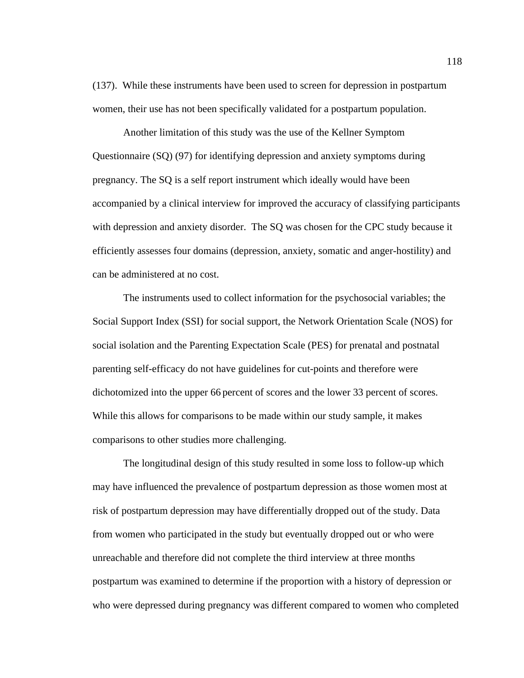(137). While these instruments have been used to screen for depression in postpartum women, their use has not been specifically validated for a postpartum population.

Another limitation of this study was the use of the Kellner Symptom Questionnaire (SQ) (97) for identifying depression and anxiety symptoms during pregnancy. The SQ is a self report instrument which ideally would have been accompanied by a clinical interview for improved the accuracy of classifying participants with depression and anxiety disorder. The SQ was chosen for the CPC study because it efficiently assesses four domains (depression, anxiety, somatic and anger-hostility) and can be administered at no cost.

The instruments used to collect information for the psychosocial variables; the Social Support Index (SSI) for social support, the Network Orientation Scale (NOS) for social isolation and the Parenting Expectation Scale (PES) for prenatal and postnatal parenting self-efficacy do not have guidelines for cut-points and therefore were dichotomized into the upper 66 percent of scores and the lower 33 percent of scores. While this allows for comparisons to be made within our study sample, it makes comparisons to other studies more challenging.

The longitudinal design of this study resulted in some loss to follow-up which may have influenced the prevalence of postpartum depression as those women most at risk of postpartum depression may have differentially dropped out of the study. Data from women who participated in the study but eventually dropped out or who were unreachable and therefore did not complete the third interview at three months postpartum was examined to determine if the proportion with a history of depression or who were depressed during pregnancy was different compared to women who completed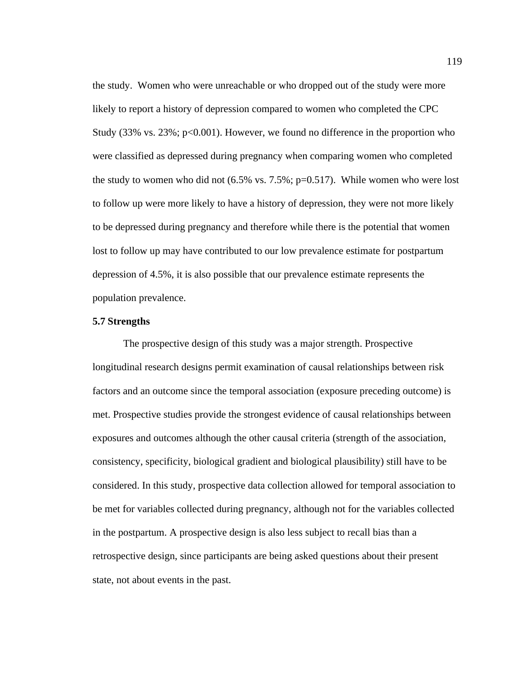the study. Women who were unreachable or who dropped out of the study were more likely to report a history of depression compared to women who completed the CPC Study  $(33\% \text{ vs. } 23\%; \text{ p} < 0.001)$ . However, we found no difference in the proportion who were classified as depressed during pregnancy when comparing women who completed the study to women who did not  $(6.5\% \text{ vs. } 7.5\%; \text{ p=0.517})$ . While women who were lost to follow up were more likely to have a history of depression, they were not more likely to be depressed during pregnancy and therefore while there is the potential that women lost to follow up may have contributed to our low prevalence estimate for postpartum depression of 4.5%, it is also possible that our prevalence estimate represents the population prevalence.

### **5.7 Strengths**

The prospective design of this study was a major strength. Prospective longitudinal research designs permit examination of causal relationships between risk factors and an outcome since the temporal association (exposure preceding outcome) is met. Prospective studies provide the strongest evidence of causal relationships between exposures and outcomes although the other causal criteria (strength of the association, consistency, specificity, biological gradient and biological plausibility) still have to be considered. In this study, prospective data collection allowed for temporal association to be met for variables collected during pregnancy, although not for the variables collected in the postpartum. A prospective design is also less subject to recall bias than a retrospective design, since participants are being asked questions about their present state, not about events in the past.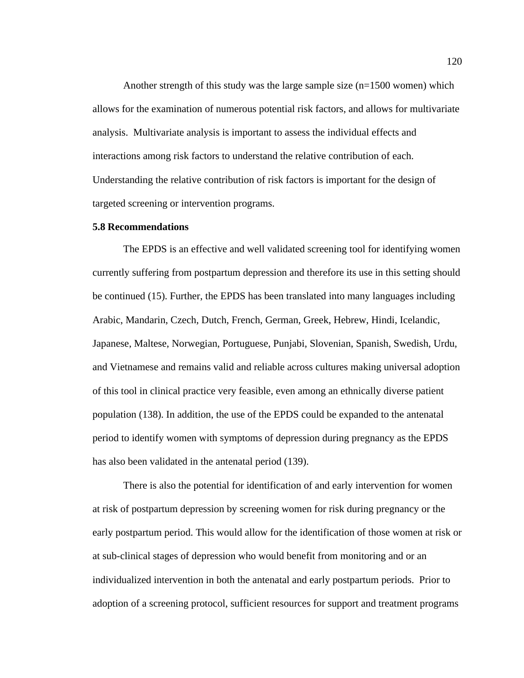Another strength of this study was the large sample size  $(n=1500$  women) which allows for the examination of numerous potential risk factors, and allows for multivariate analysis. Multivariate analysis is important to assess the individual effects and interactions among risk factors to understand the relative contribution of each. Understanding the relative contribution of risk factors is important for the design of targeted screening or intervention programs.

## **5.8 Recommendations**

The EPDS is an effective and well validated screening tool for identifying women currently suffering from postpartum depression and therefore its use in this setting should be continued (15). Further, the EPDS has been translated into many languages including Arabic, Mandarin, Czech, Dutch, French, German, Greek, Hebrew, Hindi, Icelandic, Japanese, Maltese, Norwegian, Portuguese, Punjabi, Slovenian, Spanish, Swedish, Urdu, and Vietnamese and remains valid and reliable across cultures making universal adoption of this tool in clinical practice very feasible, even among an ethnically diverse patient population (138). In addition, the use of the EPDS could be expanded to the antenatal period to identify women with symptoms of depression during pregnancy as the EPDS has also been validated in the antenatal period (139).

There is also the potential for identification of and early intervention for women at risk of postpartum depression by screening women for risk during pregnancy or the early postpartum period. This would allow for the identification of those women at risk or at sub-clinical stages of depression who would benefit from monitoring and or an individualized intervention in both the antenatal and early postpartum periods. Prior to adoption of a screening protocol, sufficient resources for support and treatment programs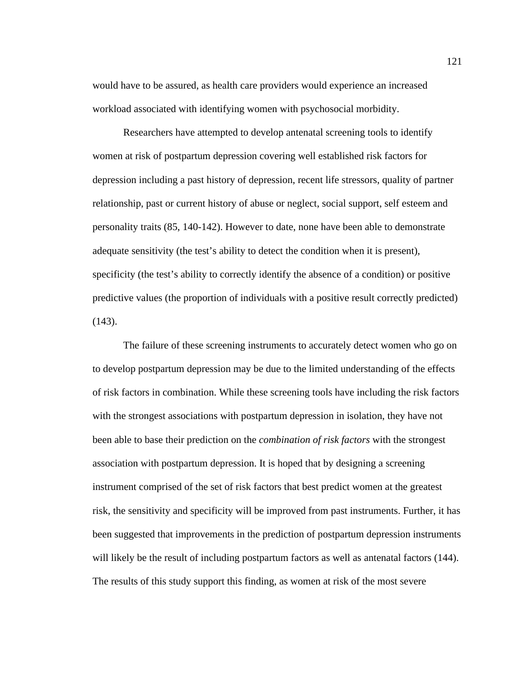would have to be assured, as health care providers would experience an increased workload associated with identifying women with psychosocial morbidity.

Researchers have attempted to develop antenatal screening tools to identify women at risk of postpartum depression covering well established risk factors for depression including a past history of depression, recent life stressors, quality of partner relationship, past or current history of abuse or neglect, social support, self esteem and personality traits (85, 140-142). However to date, none have been able to demonstrate adequate sensitivity (the test's ability to detect the condition when it is present), specificity (the test's ability to correctly identify the absence of a condition) or positive predictive values (the proportion of individuals with a positive result correctly predicted)  $(143)$ .

The failure of these screening instruments to accurately detect women who go on to develop postpartum depression may be due to the limited understanding of the effects of risk factors in combination. While these screening tools have including the risk factors with the strongest associations with postpartum depression in isolation, they have not been able to base their prediction on the *combination of risk factors* with the strongest association with postpartum depression. It is hoped that by designing a screening instrument comprised of the set of risk factors that best predict women at the greatest risk, the sensitivity and specificity will be improved from past instruments. Further, it has been suggested that improvements in the prediction of postpartum depression instruments will likely be the result of including postpartum factors as well as antenatal factors (144). The results of this study support this finding, as women at risk of the most severe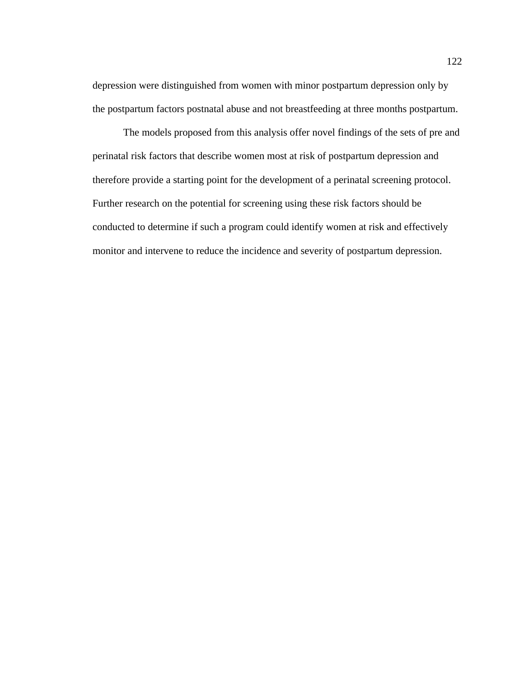depression were distinguished from women with minor postpartum depression only by the postpartum factors postnatal abuse and not breastfeeding at three months postpartum.

The models proposed from this analysis offer novel findings of the sets of pre and perinatal risk factors that describe women most at risk of postpartum depression and therefore provide a starting point for the development of a perinatal screening protocol. Further research on the potential for screening using these risk factors should be conducted to determine if such a program could identify women at risk and effectively monitor and intervene to reduce the incidence and severity of postpartum depression.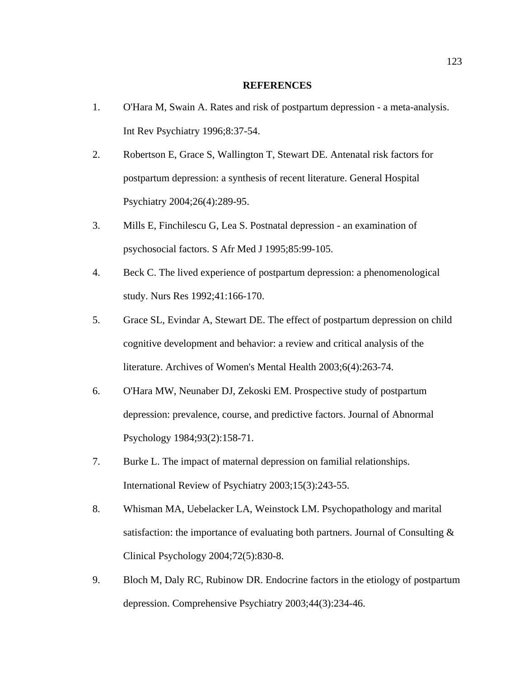### **REFERENCES**

- 1. O'Hara M, Swain A. Rates and risk of postpartum depression a meta-analysis. Int Rev Psychiatry 1996;8:37-54.
- 2. Robertson E, Grace S, Wallington T, Stewart DE. Antenatal risk factors for postpartum depression: a synthesis of recent literature. General Hospital Psychiatry 2004;26(4):289-95.
- 3. Mills E, Finchilescu G, Lea S. Postnatal depression an examination of psychosocial factors. S Afr Med J 1995;85:99-105.
- 4. Beck C. The lived experience of postpartum depression: a phenomenological study. Nurs Res 1992;41:166-170.
- 5. Grace SL, Evindar A, Stewart DE. The effect of postpartum depression on child cognitive development and behavior: a review and critical analysis of the literature. Archives of Women's Mental Health 2003;6(4):263-74.
- 6. O'Hara MW, Neunaber DJ, Zekoski EM. Prospective study of postpartum depression: prevalence, course, and predictive factors. Journal of Abnormal Psychology 1984;93(2):158-71.
- 7. Burke L. The impact of maternal depression on familial relationships. International Review of Psychiatry 2003;15(3):243-55.
- 8. Whisman MA, Uebelacker LA, Weinstock LM. Psychopathology and marital satisfaction: the importance of evaluating both partners. Journal of Consulting & Clinical Psychology 2004;72(5):830-8.
- 9. Bloch M, Daly RC, Rubinow DR. Endocrine factors in the etiology of postpartum depression. Comprehensive Psychiatry 2003;44(3):234-46.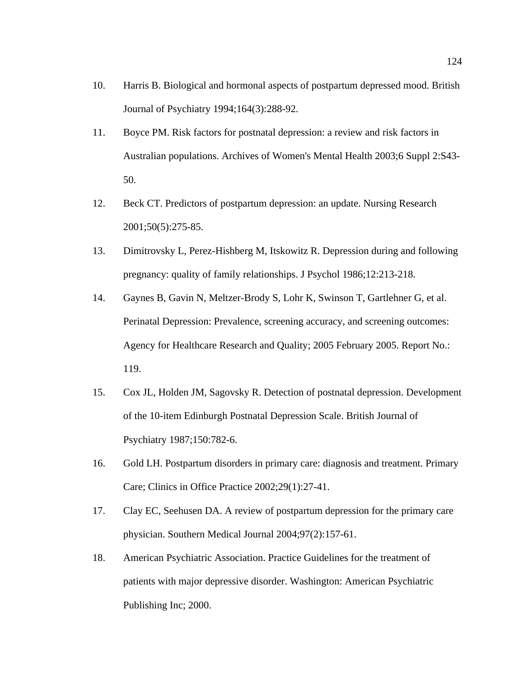- 10. Harris B. Biological and hormonal aspects of postpartum depressed mood. British Journal of Psychiatry 1994;164(3):288-92.
- 11. Boyce PM. Risk factors for postnatal depression: a review and risk factors in Australian populations. Archives of Women's Mental Health 2003;6 Suppl 2:S43- 50.
- 12. Beck CT. Predictors of postpartum depression: an update. Nursing Research 2001;50(5):275-85.
- 13. Dimitrovsky L, Perez-Hishberg M, Itskowitz R. Depression during and following pregnancy: quality of family relationships. J Psychol 1986;12:213-218.
- 14. Gaynes B, Gavin N, Meltzer-Brody S, Lohr K, Swinson T, Gartlehner G, et al. Perinatal Depression: Prevalence, screening accuracy, and screening outcomes: Agency for Healthcare Research and Quality; 2005 February 2005. Report No.: 119.
- 15. Cox JL, Holden JM, Sagovsky R. Detection of postnatal depression. Development of the 10-item Edinburgh Postnatal Depression Scale. British Journal of Psychiatry 1987;150:782-6.
- 16. Gold LH. Postpartum disorders in primary care: diagnosis and treatment. Primary Care; Clinics in Office Practice 2002;29(1):27-41.
- 17. Clay EC, Seehusen DA. A review of postpartum depression for the primary care physician. Southern Medical Journal 2004;97(2):157-61.
- 18. American Psychiatric Association. Practice Guidelines for the treatment of patients with major depressive disorder. Washington: American Psychiatric Publishing Inc; 2000.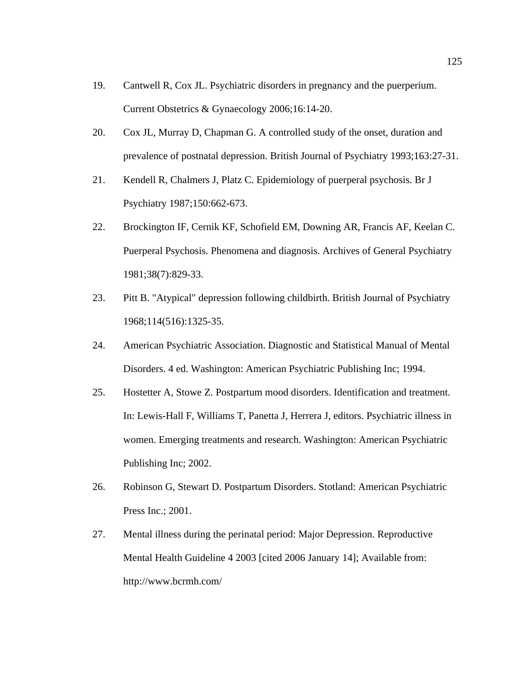- 19. Cantwell R, Cox JL. Psychiatric disorders in pregnancy and the puerperium. Current Obstetrics & Gynaecology 2006;16:14-20.
- 20. Cox JL, Murray D, Chapman G. A controlled study of the onset, duration and prevalence of postnatal depression. British Journal of Psychiatry 1993;163:27-31.
- 21. Kendell R, Chalmers J, Platz C. Epidemiology of puerperal psychosis. Br J Psychiatry 1987;150:662-673.
- 22. Brockington IF, Cernik KF, Schofield EM, Downing AR, Francis AF, Keelan C. Puerperal Psychosis. Phenomena and diagnosis. Archives of General Psychiatry 1981;38(7):829-33.
- 23. Pitt B. "Atypical" depression following childbirth. British Journal of Psychiatry 1968;114(516):1325-35.
- 24. American Psychiatric Association. Diagnostic and Statistical Manual of Mental Disorders. 4 ed. Washington: American Psychiatric Publishing Inc; 1994.
- 25. Hostetter A, Stowe Z. Postpartum mood disorders. Identification and treatment. In: Lewis-Hall F, Williams T, Panetta J, Herrera J, editors. Psychiatric illness in women. Emerging treatments and research. Washington: American Psychiatric Publishing Inc; 2002.
- 26. Robinson G, Stewart D. Postpartum Disorders. Stotland: American Psychiatric Press Inc.; 2001.
- 27. Mental illness during the perinatal period: Major Depression. Reproductive Mental Health Guideline 4 2003 [cited 2006 January 14]; Available from: http://www.bcrmh.com/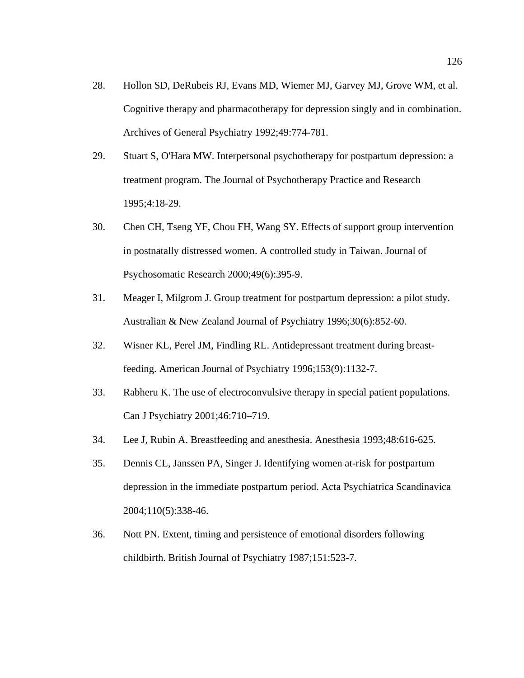- 28. Hollon SD, DeRubeis RJ, Evans MD, Wiemer MJ, Garvey MJ, Grove WM, et al. Cognitive therapy and pharmacotherapy for depression singly and in combination. Archives of General Psychiatry 1992;49:774-781.
- 29. Stuart S, O'Hara MW. Interpersonal psychotherapy for postpartum depression: a treatment program. The Journal of Psychotherapy Practice and Research 1995;4:18-29.
- 30. Chen CH, Tseng YF, Chou FH, Wang SY. Effects of support group intervention in postnatally distressed women. A controlled study in Taiwan. Journal of Psychosomatic Research 2000;49(6):395-9.
- 31. Meager I, Milgrom J. Group treatment for postpartum depression: a pilot study. Australian & New Zealand Journal of Psychiatry 1996;30(6):852-60.
- 32. Wisner KL, Perel JM, Findling RL. Antidepressant treatment during breastfeeding. American Journal of Psychiatry 1996;153(9):1132-7.
- 33. Rabheru K. The use of electroconvulsive therapy in special patient populations. Can J Psychiatry 2001;46:710–719.
- 34. Lee J, Rubin A. Breastfeeding and anesthesia. Anesthesia 1993;48:616-625.
- 35. Dennis CL, Janssen PA, Singer J. Identifying women at-risk for postpartum depression in the immediate postpartum period. Acta Psychiatrica Scandinavica 2004;110(5):338-46.
- 36. Nott PN. Extent, timing and persistence of emotional disorders following childbirth. British Journal of Psychiatry 1987;151:523-7.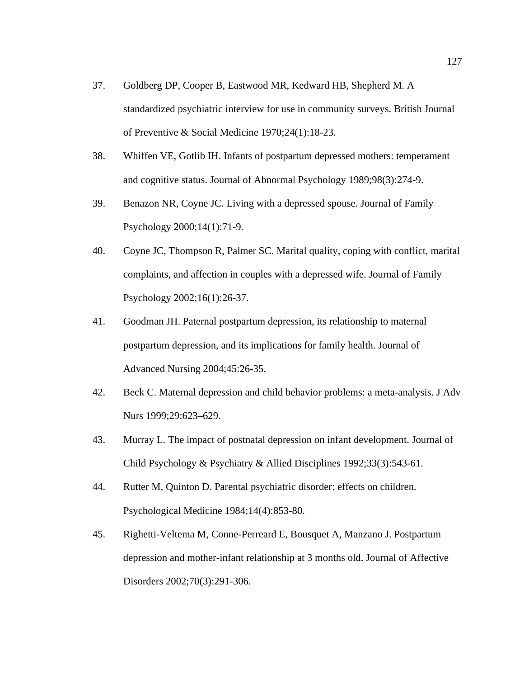- 37. Goldberg DP, Cooper B, Eastwood MR, Kedward HB, Shepherd M. A standardized psychiatric interview for use in community surveys. British Journal of Preventive & Social Medicine 1970;24(1):18-23.
- 38. Whiffen VE, Gotlib IH. Infants of postpartum depressed mothers: temperament and cognitive status. Journal of Abnormal Psychology 1989;98(3):274-9.
- 39. Benazon NR, Coyne JC. Living with a depressed spouse. Journal of Family Psychology 2000;14(1):71-9.
- 40. Coyne JC, Thompson R, Palmer SC. Marital quality, coping with conflict, marital complaints, and affection in couples with a depressed wife. Journal of Family Psychology 2002;16(1):26-37.
- 41. Goodman JH. Paternal postpartum depression, its relationship to maternal postpartum depression, and its implications for family health. Journal of Advanced Nursing 2004;45:26-35.
- 42. Beck C. Maternal depression and child behavior problems: a meta-analysis. J Adv Nurs 1999;29:623–629.
- 43. Murray L. The impact of postnatal depression on infant development. Journal of Child Psychology & Psychiatry & Allied Disciplines 1992;33(3):543-61.
- 44. Rutter M, Quinton D. Parental psychiatric disorder: effects on children. Psychological Medicine 1984;14(4):853-80.
- 45. Righetti-Veltema M, Conne-Perreard E, Bousquet A, Manzano J. Postpartum depression and mother-infant relationship at 3 months old. Journal of Affective Disorders 2002;70(3):291-306.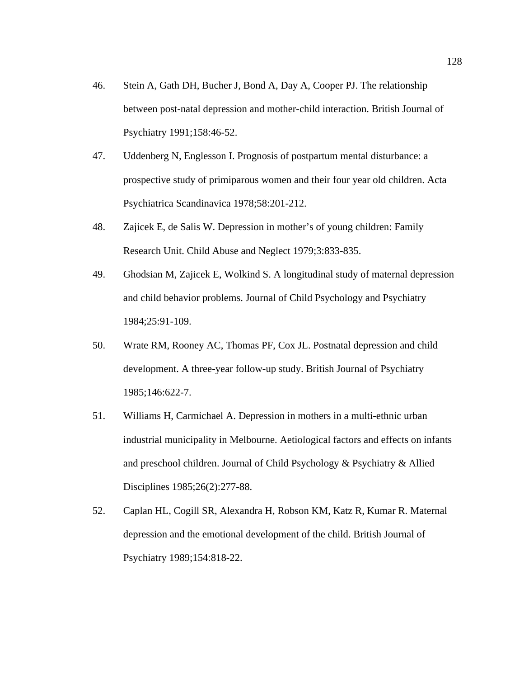- 46. Stein A, Gath DH, Bucher J, Bond A, Day A, Cooper PJ. The relationship between post-natal depression and mother-child interaction. British Journal of Psychiatry 1991;158:46-52.
- 47. Uddenberg N, Englesson I. Prognosis of postpartum mental disturbance: a prospective study of primiparous women and their four year old children. Acta Psychiatrica Scandinavica 1978;58:201-212.
- 48. Zajicek E, de Salis W. Depression in mother's of young children: Family Research Unit. Child Abuse and Neglect 1979;3:833-835.
- 49. Ghodsian M, Zajicek E, Wolkind S. A longitudinal study of maternal depression and child behavior problems. Journal of Child Psychology and Psychiatry 1984;25:91-109.
- 50. Wrate RM, Rooney AC, Thomas PF, Cox JL. Postnatal depression and child development. A three-year follow-up study. British Journal of Psychiatry 1985;146:622-7.
- 51. Williams H, Carmichael A. Depression in mothers in a multi-ethnic urban industrial municipality in Melbourne. Aetiological factors and effects on infants and preschool children. Journal of Child Psychology & Psychiatry & Allied Disciplines 1985;26(2):277-88.
- 52. Caplan HL, Cogill SR, Alexandra H, Robson KM, Katz R, Kumar R. Maternal depression and the emotional development of the child. British Journal of Psychiatry 1989;154:818-22.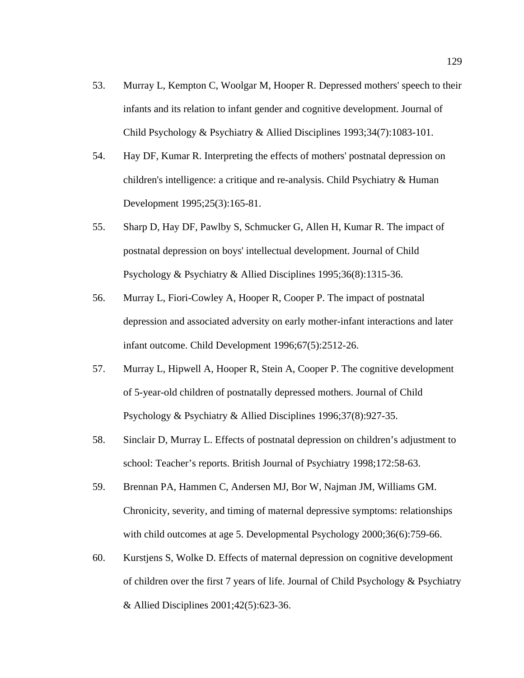- 53. Murray L, Kempton C, Woolgar M, Hooper R. Depressed mothers' speech to their infants and its relation to infant gender and cognitive development. Journal of Child Psychology & Psychiatry & Allied Disciplines 1993;34(7):1083-101.
- 54. Hay DF, Kumar R. Interpreting the effects of mothers' postnatal depression on children's intelligence: a critique and re-analysis. Child Psychiatry & Human Development 1995;25(3):165-81.
- 55. Sharp D, Hay DF, Pawlby S, Schmucker G, Allen H, Kumar R. The impact of postnatal depression on boys' intellectual development. Journal of Child Psychology & Psychiatry & Allied Disciplines 1995;36(8):1315-36.
- 56. Murray L, Fiori-Cowley A, Hooper R, Cooper P. The impact of postnatal depression and associated adversity on early mother-infant interactions and later infant outcome. Child Development 1996;67(5):2512-26.
- 57. Murray L, Hipwell A, Hooper R, Stein A, Cooper P. The cognitive development of 5-year-old children of postnatally depressed mothers. Journal of Child Psychology & Psychiatry & Allied Disciplines 1996;37(8):927-35.
- 58. Sinclair D, Murray L. Effects of postnatal depression on children's adjustment to school: Teacher's reports. British Journal of Psychiatry 1998;172:58-63.
- 59. Brennan PA, Hammen C, Andersen MJ, Bor W, Najman JM, Williams GM. Chronicity, severity, and timing of maternal depressive symptoms: relationships with child outcomes at age 5. Developmental Psychology 2000;36(6):759-66.
- 60. Kurstjens S, Wolke D. Effects of maternal depression on cognitive development of children over the first 7 years of life. Journal of Child Psychology & Psychiatry & Allied Disciplines 2001;42(5):623-36.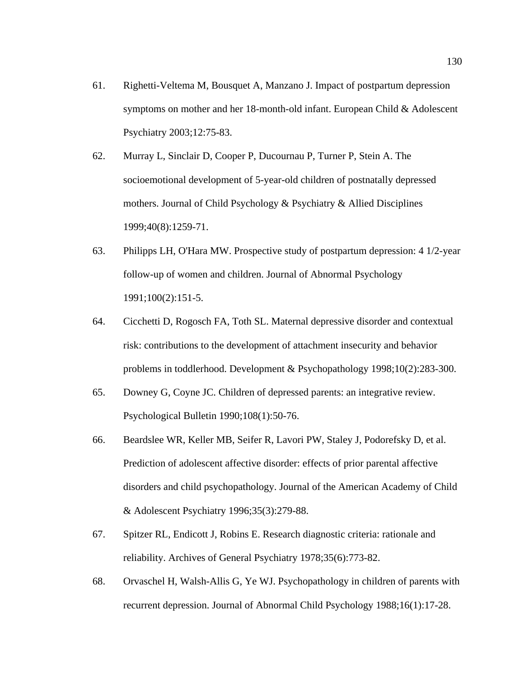- 61. Righetti-Veltema M, Bousquet A, Manzano J. Impact of postpartum depression symptoms on mother and her 18-month-old infant. European Child & Adolescent Psychiatry 2003;12:75-83.
- 62. Murray L, Sinclair D, Cooper P, Ducournau P, Turner P, Stein A. The socioemotional development of 5-year-old children of postnatally depressed mothers. Journal of Child Psychology & Psychiatry & Allied Disciplines 1999;40(8):1259-71.
- 63. Philipps LH, O'Hara MW. Prospective study of postpartum depression: 4 1/2-year follow-up of women and children. Journal of Abnormal Psychology 1991;100(2):151-5.
- 64. Cicchetti D, Rogosch FA, Toth SL. Maternal depressive disorder and contextual risk: contributions to the development of attachment insecurity and behavior problems in toddlerhood. Development & Psychopathology 1998;10(2):283-300.
- 65. Downey G, Coyne JC. Children of depressed parents: an integrative review. Psychological Bulletin 1990;108(1):50-76.
- 66. Beardslee WR, Keller MB, Seifer R, Lavori PW, Staley J, Podorefsky D, et al. Prediction of adolescent affective disorder: effects of prior parental affective disorders and child psychopathology. Journal of the American Academy of Child & Adolescent Psychiatry 1996;35(3):279-88.
- 67. Spitzer RL, Endicott J, Robins E. Research diagnostic criteria: rationale and reliability. Archives of General Psychiatry 1978;35(6):773-82.
- 68. Orvaschel H, Walsh-Allis G, Ye WJ. Psychopathology in children of parents with recurrent depression. Journal of Abnormal Child Psychology 1988;16(1):17-28.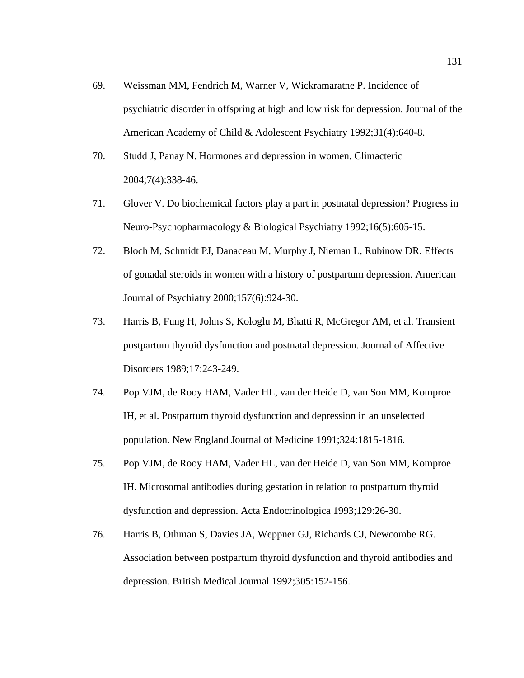- 69. Weissman MM, Fendrich M, Warner V, Wickramaratne P. Incidence of psychiatric disorder in offspring at high and low risk for depression. Journal of the American Academy of Child & Adolescent Psychiatry 1992;31(4):640-8.
- 70. Studd J, Panay N. Hormones and depression in women. Climacteric 2004;7(4):338-46.
- 71. Glover V. Do biochemical factors play a part in postnatal depression? Progress in Neuro-Psychopharmacology & Biological Psychiatry 1992;16(5):605-15.
- 72. Bloch M, Schmidt PJ, Danaceau M, Murphy J, Nieman L, Rubinow DR. Effects of gonadal steroids in women with a history of postpartum depression. American Journal of Psychiatry 2000;157(6):924-30.
- 73. Harris B, Fung H, Johns S, Kologlu M, Bhatti R, McGregor AM, et al. Transient postpartum thyroid dysfunction and postnatal depression. Journal of Affective Disorders 1989;17:243-249.
- 74. Pop VJM, de Rooy HAM, Vader HL, van der Heide D, van Son MM, Komproe IH, et al. Postpartum thyroid dysfunction and depression in an unselected population. New England Journal of Medicine 1991;324:1815-1816.
- 75. Pop VJM, de Rooy HAM, Vader HL, van der Heide D, van Son MM, Komproe IH. Microsomal antibodies during gestation in relation to postpartum thyroid dysfunction and depression. Acta Endocrinologica 1993;129:26-30.
- 76. Harris B, Othman S, Davies JA, Weppner GJ, Richards CJ, Newcombe RG. Association between postpartum thyroid dysfunction and thyroid antibodies and depression. British Medical Journal 1992;305:152-156.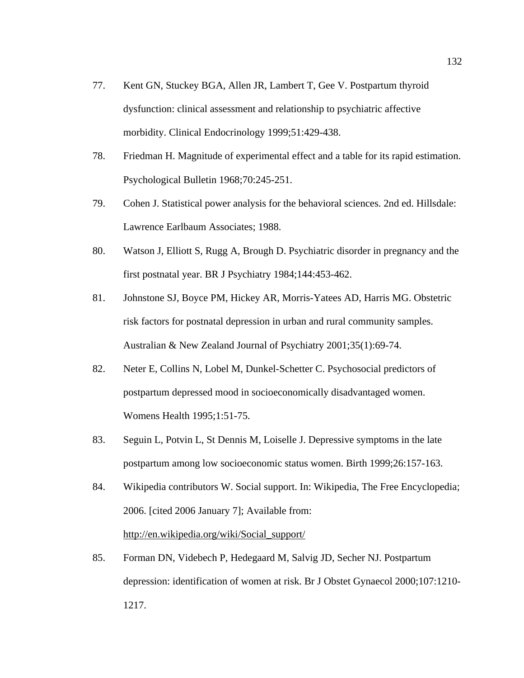- 77. Kent GN, Stuckey BGA, Allen JR, Lambert T, Gee V. Postpartum thyroid dysfunction: clinical assessment and relationship to psychiatric affective morbidity. Clinical Endocrinology 1999;51:429-438.
- 78. Friedman H. Magnitude of experimental effect and a table for its rapid estimation. Psychological Bulletin 1968;70:245-251.
- 79. Cohen J. Statistical power analysis for the behavioral sciences. 2nd ed. Hillsdale: Lawrence Earlbaum Associates; 1988.
- 80. Watson J, Elliott S, Rugg A, Brough D. Psychiatric disorder in pregnancy and the first postnatal year. BR J Psychiatry 1984;144:453-462.
- 81. Johnstone SJ, Boyce PM, Hickey AR, Morris-Yatees AD, Harris MG. Obstetric risk factors for postnatal depression in urban and rural community samples. Australian & New Zealand Journal of Psychiatry 2001;35(1):69-74.
- 82. Neter E, Collins N, Lobel M, Dunkel-Schetter C. Psychosocial predictors of postpartum depressed mood in socioeconomically disadvantaged women. Womens Health 1995;1:51-75.
- 83. Seguin L, Potvin L, St Dennis M, Loiselle J. Depressive symptoms in the late postpartum among low socioeconomic status women. Birth 1999;26:157-163.
- 84. Wikipedia contributors W. Social support. In: Wikipedia, The Free Encyclopedia; 2006. [cited 2006 January 7]; Available from: http://en.wikipedia.org/wiki/Social\_support/
- 85. Forman DN, Videbech P, Hedegaard M, Salvig JD, Secher NJ. Postpartum depression: identification of women at risk. Br J Obstet Gynaecol 2000;107:1210- 1217.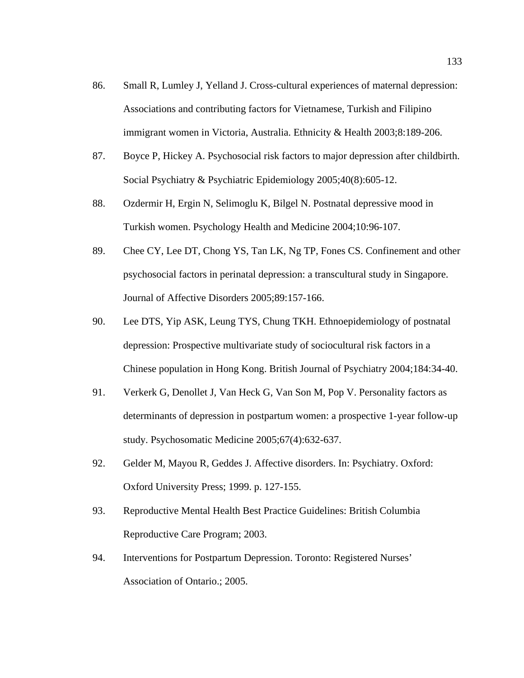- 86. Small R, Lumley J, Yelland J. Cross-cultural experiences of maternal depression: Associations and contributing factors for Vietnamese, Turkish and Filipino immigrant women in Victoria, Australia. Ethnicity & Health 2003;8:189-206.
- 87. Boyce P, Hickey A. Psychosocial risk factors to major depression after childbirth. Social Psychiatry & Psychiatric Epidemiology 2005;40(8):605-12.
- 88. Ozdermir H, Ergin N, Selimoglu K, Bilgel N. Postnatal depressive mood in Turkish women. Psychology Health and Medicine 2004;10:96-107.
- 89. Chee CY, Lee DT, Chong YS, Tan LK, Ng TP, Fones CS. Confinement and other psychosocial factors in perinatal depression: a transcultural study in Singapore. Journal of Affective Disorders 2005;89:157-166.
- 90. Lee DTS, Yip ASK, Leung TYS, Chung TKH. Ethnoepidemiology of postnatal depression: Prospective multivariate study of sociocultural risk factors in a Chinese population in Hong Kong. British Journal of Psychiatry 2004;184:34-40.
- 91. Verkerk G, Denollet J, Van Heck G, Van Son M, Pop V. Personality factors as determinants of depression in postpartum women: a prospective 1-year follow-up study. Psychosomatic Medicine 2005;67(4):632-637.
- 92. Gelder M, Mayou R, Geddes J. Affective disorders. In: Psychiatry. Oxford: Oxford University Press; 1999. p. 127-155.
- 93. Reproductive Mental Health Best Practice Guidelines: British Columbia Reproductive Care Program; 2003.
- 94. Interventions for Postpartum Depression. Toronto: Registered Nurses' Association of Ontario.; 2005.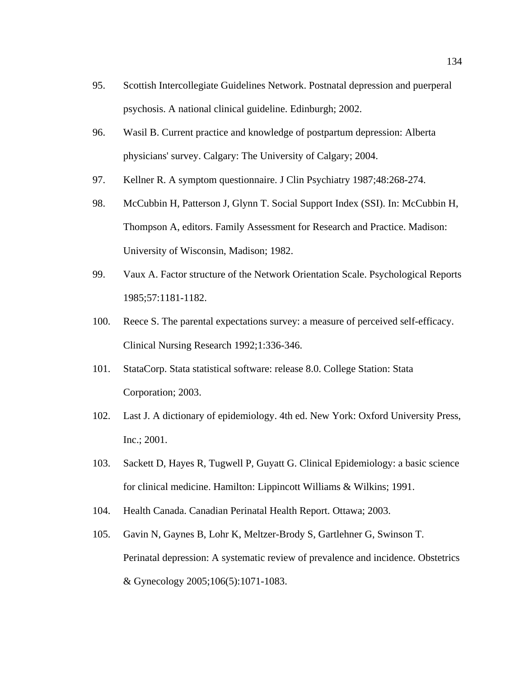- 95. Scottish Intercollegiate Guidelines Network. Postnatal depression and puerperal psychosis. A national clinical guideline. Edinburgh; 2002.
- 96. Wasil B. Current practice and knowledge of postpartum depression: Alberta physicians' survey. Calgary: The University of Calgary; 2004.
- 97. Kellner R. A symptom questionnaire. J Clin Psychiatry 1987;48:268-274.
- 98. McCubbin H, Patterson J, Glynn T. Social Support Index (SSI). In: McCubbin H, Thompson A, editors. Family Assessment for Research and Practice. Madison: University of Wisconsin, Madison; 1982.
- 99. Vaux A. Factor structure of the Network Orientation Scale. Psychological Reports 1985;57:1181-1182.
- 100. Reece S. The parental expectations survey: a measure of perceived self-efficacy. Clinical Nursing Research 1992;1:336-346.
- 101. StataCorp. Stata statistical software: release 8.0. College Station: Stata Corporation; 2003.
- 102. Last J. A dictionary of epidemiology. 4th ed. New York: Oxford University Press, Inc.; 2001.
- 103. Sackett D, Hayes R, Tugwell P, Guyatt G. Clinical Epidemiology: a basic science for clinical medicine. Hamilton: Lippincott Williams & Wilkins; 1991.
- 104. Health Canada. Canadian Perinatal Health Report. Ottawa; 2003.
- 105. Gavin N, Gaynes B, Lohr K, Meltzer-Brody S, Gartlehner G, Swinson T. Perinatal depression: A systematic review of prevalence and incidence. Obstetrics & Gynecology 2005;106(5):1071-1083.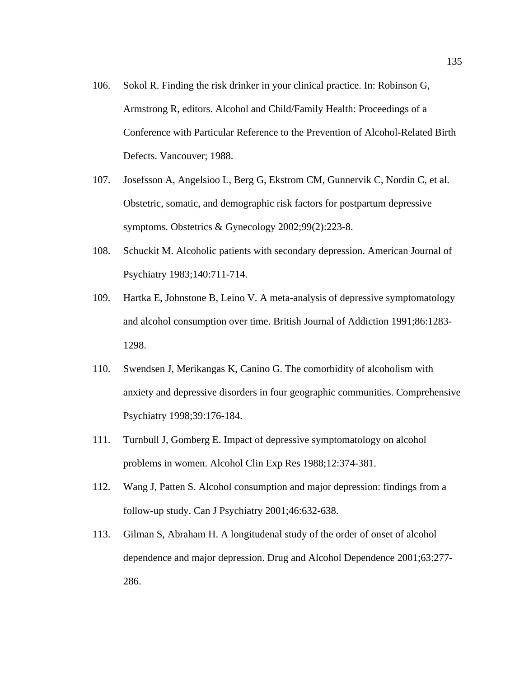- 106. Sokol R. Finding the risk drinker in your clinical practice. In: Robinson G, Armstrong R, editors. Alcohol and Child/Family Health: Proceedings of a Conference with Particular Reference to the Prevention of Alcohol-Related Birth Defects. Vancouver; 1988.
- 107. Josefsson A, Angelsioo L, Berg G, Ekstrom CM, Gunnervik C, Nordin C, et al. Obstetric, somatic, and demographic risk factors for postpartum depressive symptoms. Obstetrics & Gynecology 2002;99(2):223-8.
- 108. Schuckit M. Alcoholic patients with secondary depression. American Journal of Psychiatry 1983;140:711-714.
- 109. Hartka E, Johnstone B, Leino V. A meta-analysis of depressive symptomatology and alcohol consumption over time. British Journal of Addiction 1991;86:1283- 1298.
- 110. Swendsen J, Merikangas K, Canino G. The comorbidity of alcoholism with anxiety and depressive disorders in four geographic communities. Comprehensive Psychiatry 1998;39:176-184.
- 111. Turnbull J, Gomberg E. Impact of depressive symptomatology on alcohol problems in women. Alcohol Clin Exp Res 1988;12:374-381.
- 112. Wang J, Patten S. Alcohol consumption and major depression: findings from a follow-up study. Can J Psychiatry 2001;46:632-638.
- 113. Gilman S, Abraham H. A longitudenal study of the order of onset of alcohol dependence and major depression. Drug and Alcohol Dependence 2001;63:277- 286.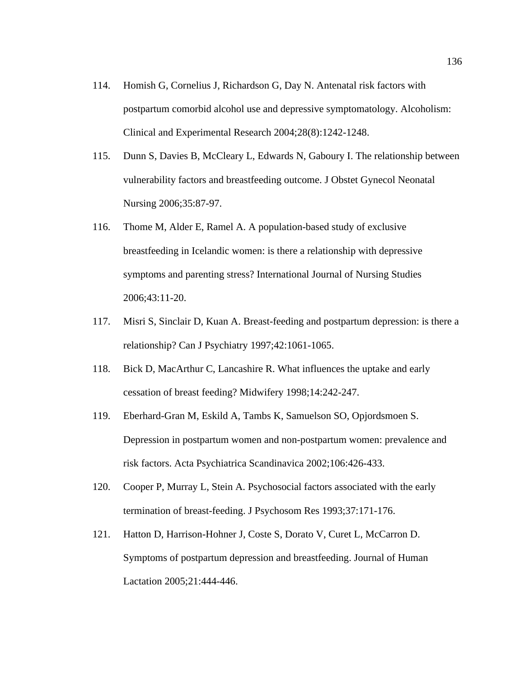- 114. Homish G, Cornelius J, Richardson G, Day N. Antenatal risk factors with postpartum comorbid alcohol use and depressive symptomatology. Alcoholism: Clinical and Experimental Research 2004;28(8):1242-1248.
- 115. Dunn S, Davies B, McCleary L, Edwards N, Gaboury I. The relationship between vulnerability factors and breastfeeding outcome. J Obstet Gynecol Neonatal Nursing 2006;35:87-97.
- 116. Thome M, Alder E, Ramel A. A population-based study of exclusive breastfeeding in Icelandic women: is there a relationship with depressive symptoms and parenting stress? International Journal of Nursing Studies 2006;43:11-20.
- 117. Misri S, Sinclair D, Kuan A. Breast-feeding and postpartum depression: is there a relationship? Can J Psychiatry 1997;42:1061-1065.
- 118. Bick D, MacArthur C, Lancashire R. What influences the uptake and early cessation of breast feeding? Midwifery 1998;14:242-247.
- 119. Eberhard-Gran M, Eskild A, Tambs K, Samuelson SO, Opjordsmoen S. Depression in postpartum women and non-postpartum women: prevalence and risk factors. Acta Psychiatrica Scandinavica 2002;106:426-433.
- 120. Cooper P, Murray L, Stein A. Psychosocial factors associated with the early termination of breast-feeding. J Psychosom Res 1993;37:171-176.
- 121. Hatton D, Harrison-Hohner J, Coste S, Dorato V, Curet L, McCarron D. Symptoms of postpartum depression and breastfeeding. Journal of Human Lactation 2005;21:444-446.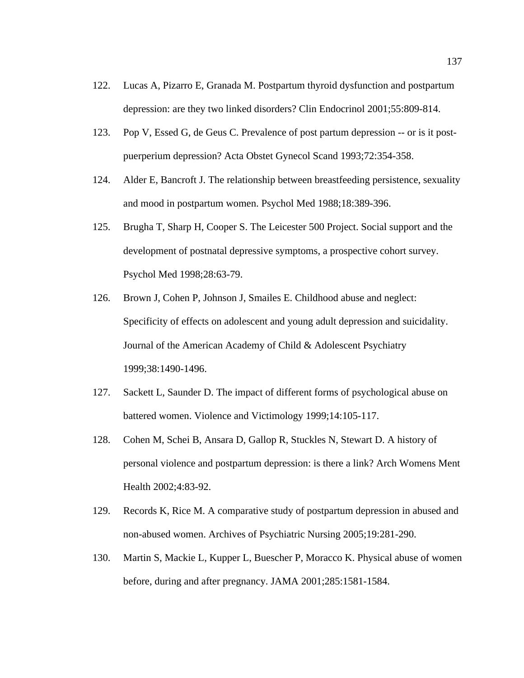- 122. Lucas A, Pizarro E, Granada M. Postpartum thyroid dysfunction and postpartum depression: are they two linked disorders? Clin Endocrinol 2001;55:809-814.
- 123. Pop V, Essed G, de Geus C. Prevalence of post partum depression -- or is it postpuerperium depression? Acta Obstet Gynecol Scand 1993;72:354-358.
- 124. Alder E, Bancroft J. The relationship between breastfeeding persistence, sexuality and mood in postpartum women. Psychol Med 1988;18:389-396.
- 125. Brugha T, Sharp H, Cooper S. The Leicester 500 Project. Social support and the development of postnatal depressive symptoms, a prospective cohort survey. Psychol Med 1998;28:63-79.
- 126. Brown J, Cohen P, Johnson J, Smailes E. Childhood abuse and neglect: Specificity of effects on adolescent and young adult depression and suicidality. Journal of the American Academy of Child & Adolescent Psychiatry 1999;38:1490-1496.
- 127. Sackett L, Saunder D. The impact of different forms of psychological abuse on battered women. Violence and Victimology 1999;14:105-117.
- 128. Cohen M, Schei B, Ansara D, Gallop R, Stuckles N, Stewart D. A history of personal violence and postpartum depression: is there a link? Arch Womens Ment Health 2002;4:83-92.
- 129. Records K, Rice M. A comparative study of postpartum depression in abused and non-abused women. Archives of Psychiatric Nursing 2005;19:281-290.
- 130. Martin S, Mackie L, Kupper L, Buescher P, Moracco K. Physical abuse of women before, during and after pregnancy. JAMA 2001;285:1581-1584.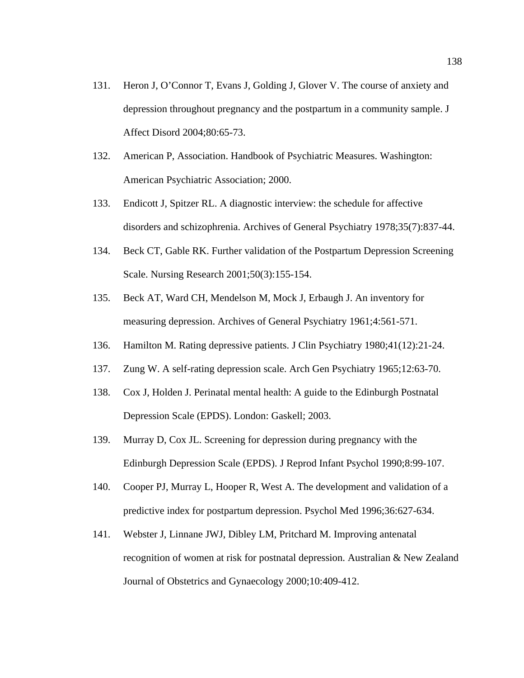- 131. Heron J, O'Connor T, Evans J, Golding J, Glover V. The course of anxiety and depression throughout pregnancy and the postpartum in a community sample. J Affect Disord 2004;80:65-73.
- 132. American P, Association. Handbook of Psychiatric Measures. Washington: American Psychiatric Association; 2000.
- 133. Endicott J, Spitzer RL. A diagnostic interview: the schedule for affective disorders and schizophrenia. Archives of General Psychiatry 1978;35(7):837-44.
- 134. Beck CT, Gable RK. Further validation of the Postpartum Depression Screening Scale. Nursing Research 2001;50(3):155-154.
- 135. Beck AT, Ward CH, Mendelson M, Mock J, Erbaugh J. An inventory for measuring depression. Archives of General Psychiatry 1961;4:561-571.
- 136. Hamilton M. Rating depressive patients. J Clin Psychiatry 1980;41(12):21-24.
- 137. Zung W. A self-rating depression scale. Arch Gen Psychiatry 1965;12:63-70.
- 138. Cox J, Holden J. Perinatal mental health: A guide to the Edinburgh Postnatal Depression Scale (EPDS). London: Gaskell; 2003.
- 139. Murray D, Cox JL. Screening for depression during pregnancy with the Edinburgh Depression Scale (EPDS). J Reprod Infant Psychol 1990;8:99-107.
- 140. Cooper PJ, Murray L, Hooper R, West A. The development and validation of a predictive index for postpartum depression. Psychol Med 1996;36:627-634.
- 141. Webster J, Linnane JWJ, Dibley LM, Pritchard M. Improving antenatal recognition of women at risk for postnatal depression. Australian & New Zealand Journal of Obstetrics and Gynaecology 2000;10:409-412.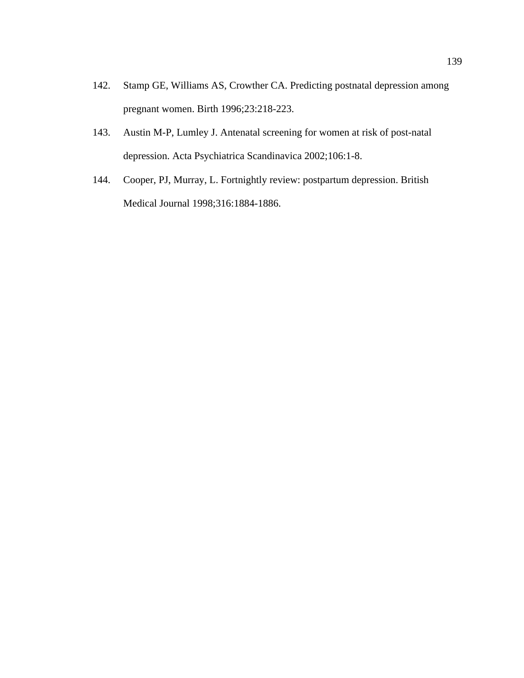- 142. Stamp GE, Williams AS, Crowther CA. Predicting postnatal depression among pregnant women. Birth 1996;23:218-223.
- 143. Austin M-P, Lumley J. Antenatal screening for women at risk of post-natal depression. Acta Psychiatrica Scandinavica 2002;106:1-8.
- 144. Cooper, PJ, Murray, L. Fortnightly review: postpartum depression. British Medical Journal 1998;316:1884-1886.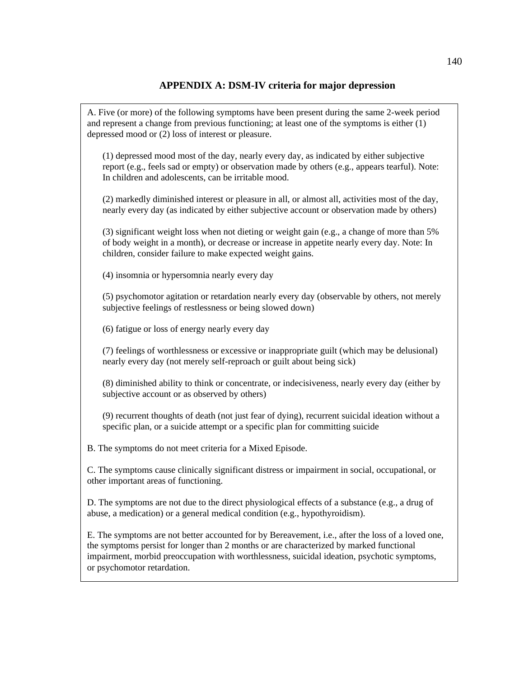### **APPENDIX A: DSM-IV criteria for major depression**

A. Five (or more) of the following symptoms have been present during the same 2-week period and represent a change from previous functioning; at least one of the symptoms is either (1) depressed mood or (2) loss of interest or pleasure.

(1) depressed mood most of the day, nearly every day, as indicated by either subjective report (e.g., feels sad or empty) or observation made by others (e.g., appears tearful). Note: In children and adolescents, can be irritable mood.

(2) markedly diminished interest or pleasure in all, or almost all, activities most of the day, nearly every day (as indicated by either subjective account or observation made by others)

(3) significant weight loss when not dieting or weight gain (e.g., a change of more than 5% of body weight in a month), or decrease or increase in appetite nearly every day. Note: In children, consider failure to make expected weight gains.

(4) insomnia or hypersomnia nearly every day

(5) psychomotor agitation or retardation nearly every day (observable by others, not merely subjective feelings of restlessness or being slowed down)

(6) fatigue or loss of energy nearly every day

(7) feelings of worthlessness or excessive or inappropriate guilt (which may be delusional) nearly every day (not merely self-reproach or guilt about being sick)

(8) diminished ability to think or concentrate, or indecisiveness, nearly every day (either by subjective account or as observed by others)

(9) recurrent thoughts of death (not just fear of dying), recurrent suicidal ideation without a specific plan, or a suicide attempt or a specific plan for committing suicide

B. The symptoms do not meet criteria for a Mixed Episode.

C. The symptoms cause clinically significant distress or impairment in social, occupational, or other important areas of functioning.

D. The symptoms are not due to the direct physiological effects of a substance (e.g., a drug of abuse, a medication) or a general medical condition (e.g., hypothyroidism).

E. The symptoms are not better accounted for by Bereavement, i.e., after the loss of a loved one, the symptoms persist for longer than 2 months or are characterized by marked functional impairment, morbid preoccupation with worthlessness, suicidal ideation, psychotic symptoms, or psychomotor retardation.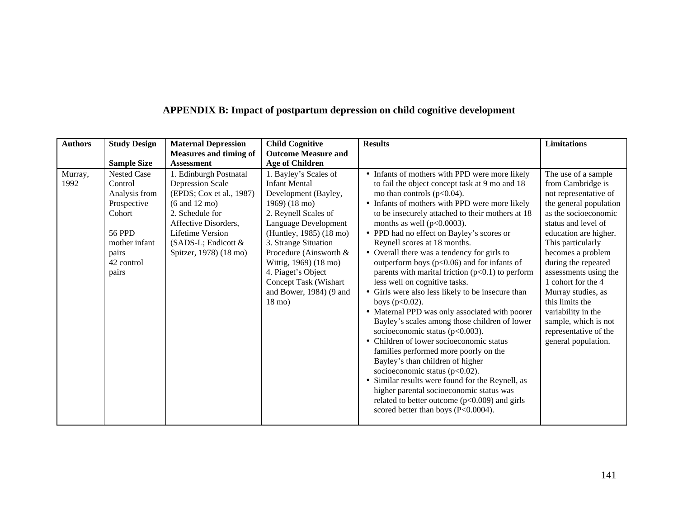| <b>Authors</b>  | <b>Study Design</b>                                                                                                                       | <b>Maternal Depression</b>                                                                                                                                                                                                               | <b>Child Cognitive</b>                                                                                                                                                                                                                                                                                                                         | <b>Results</b>                                                                                                                                                                                                                                                                                                                                                                                                                                                                                                                                                                                                                                                                                                                                                                                                                                                                                                                                                                                                                                                                    | <b>Limitations</b>                                                                                                                                                                                                                                                                                                                                                                                                         |
|-----------------|-------------------------------------------------------------------------------------------------------------------------------------------|------------------------------------------------------------------------------------------------------------------------------------------------------------------------------------------------------------------------------------------|------------------------------------------------------------------------------------------------------------------------------------------------------------------------------------------------------------------------------------------------------------------------------------------------------------------------------------------------|-----------------------------------------------------------------------------------------------------------------------------------------------------------------------------------------------------------------------------------------------------------------------------------------------------------------------------------------------------------------------------------------------------------------------------------------------------------------------------------------------------------------------------------------------------------------------------------------------------------------------------------------------------------------------------------------------------------------------------------------------------------------------------------------------------------------------------------------------------------------------------------------------------------------------------------------------------------------------------------------------------------------------------------------------------------------------------------|----------------------------------------------------------------------------------------------------------------------------------------------------------------------------------------------------------------------------------------------------------------------------------------------------------------------------------------------------------------------------------------------------------------------------|
|                 |                                                                                                                                           | <b>Measures and timing of</b>                                                                                                                                                                                                            | <b>Outcome Measure and</b>                                                                                                                                                                                                                                                                                                                     |                                                                                                                                                                                                                                                                                                                                                                                                                                                                                                                                                                                                                                                                                                                                                                                                                                                                                                                                                                                                                                                                                   |                                                                                                                                                                                                                                                                                                                                                                                                                            |
|                 | <b>Sample Size</b>                                                                                                                        | <b>Assessment</b>                                                                                                                                                                                                                        | <b>Age of Children</b>                                                                                                                                                                                                                                                                                                                         |                                                                                                                                                                                                                                                                                                                                                                                                                                                                                                                                                                                                                                                                                                                                                                                                                                                                                                                                                                                                                                                                                   |                                                                                                                                                                                                                                                                                                                                                                                                                            |
| Murray,<br>1992 | <b>Nested Case</b><br>Control<br>Analysis from<br>Prospective<br>Cohort<br><b>56 PPD</b><br>mother infant<br>pairs<br>42 control<br>pairs | 1. Edinburgh Postnatal<br><b>Depression Scale</b><br>(EPDS; Cox et al., 1987)<br>$(6 \text{ and } 12 \text{ mo})$<br>2. Schedule for<br>Affective Disorders,<br><b>Lifetime Version</b><br>(SADS-L; Endicott &<br>Spitzer, 1978) (18 mo) | 1. Bayley's Scales of<br><b>Infant Mental</b><br>Development (Bayley,<br>1969) (18 mo)<br>2. Reynell Scales of<br>Language Development<br>(Huntley, 1985) (18 mo)<br>3. Strange Situation<br>Procedure (Ainsworth &<br>Wittig, 1969) (18 mo)<br>4. Piaget's Object<br>Concept Task (Wishart<br>and Bower, $1984$ ) (9 and<br>$18 \text{ mo}$ ) | • Infants of mothers with PPD were more likely<br>to fail the object concept task at 9 mo and 18<br>mo than controls $(p<0.04)$ .<br>• Infants of mothers with PPD were more likely<br>to be insecurely attached to their mothers at 18<br>months as well ( $p<0.0003$ ).<br>• PPD had no effect on Bayley's scores or<br>Reynell scores at 18 months.<br>• Overall there was a tendency for girls to<br>outperform boys ( $p<0.06$ ) and for infants of<br>parents with marital friction $(p<0.1)$ to perform<br>less well on cognitive tasks.<br>• Girls were also less likely to be insecure than<br>boys $(p<0.02)$ .<br>• Maternal PPD was only associated with poorer<br>Bayley's scales among those children of lower<br>socioeconomic status (p<0.003).<br>• Children of lower socioeconomic status<br>families performed more poorly on the<br>Bayley's than children of higher<br>socioeconomic status ( $p<0.02$ ).<br>• Similar results were found for the Reynell, as<br>higher parental socioeconomic status was<br>related to better outcome $(p<0.009)$ and girls | The use of a sample<br>from Cambridge is<br>not representative of<br>the general population<br>as the socioeconomic<br>status and level of<br>education are higher.<br>This particularly<br>becomes a problem<br>during the repeated<br>assessments using the<br>1 cohort for the 4<br>Murray studies, as<br>this limits the<br>variability in the<br>sample, which is not<br>representative of the<br>general population. |
|                 |                                                                                                                                           |                                                                                                                                                                                                                                          |                                                                                                                                                                                                                                                                                                                                                | scored better than boys (P<0.0004).                                                                                                                                                                                                                                                                                                                                                                                                                                                                                                                                                                                                                                                                                                                                                                                                                                                                                                                                                                                                                                               |                                                                                                                                                                                                                                                                                                                                                                                                                            |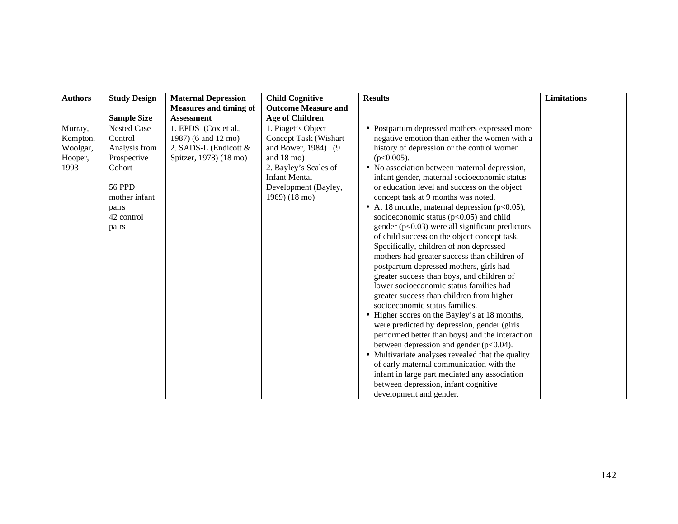| <b>Authors</b>                                     | <b>Study Design</b>                                                                                                                       | <b>Maternal Depression</b>                                                                        | <b>Child Cognitive</b>                                                                                                                                                                | <b>Results</b>                                                                                                                                                                                                                                                                                                                                                                                                                                                                                                                                                                                                                                                                                                                                                                                                                                                                                                                                                                                                                                                                                                                                                                                                                                                                                    | <b>Limitations</b> |
|----------------------------------------------------|-------------------------------------------------------------------------------------------------------------------------------------------|---------------------------------------------------------------------------------------------------|---------------------------------------------------------------------------------------------------------------------------------------------------------------------------------------|---------------------------------------------------------------------------------------------------------------------------------------------------------------------------------------------------------------------------------------------------------------------------------------------------------------------------------------------------------------------------------------------------------------------------------------------------------------------------------------------------------------------------------------------------------------------------------------------------------------------------------------------------------------------------------------------------------------------------------------------------------------------------------------------------------------------------------------------------------------------------------------------------------------------------------------------------------------------------------------------------------------------------------------------------------------------------------------------------------------------------------------------------------------------------------------------------------------------------------------------------------------------------------------------------|--------------------|
|                                                    |                                                                                                                                           | <b>Measures and timing of</b>                                                                     | <b>Outcome Measure and</b>                                                                                                                                                            |                                                                                                                                                                                                                                                                                                                                                                                                                                                                                                                                                                                                                                                                                                                                                                                                                                                                                                                                                                                                                                                                                                                                                                                                                                                                                                   |                    |
|                                                    | <b>Sample Size</b>                                                                                                                        | <b>Assessment</b>                                                                                 | <b>Age of Children</b>                                                                                                                                                                |                                                                                                                                                                                                                                                                                                                                                                                                                                                                                                                                                                                                                                                                                                                                                                                                                                                                                                                                                                                                                                                                                                                                                                                                                                                                                                   |                    |
| Murray,<br>Kempton,<br>Woolgar,<br>Hooper,<br>1993 | <b>Nested Case</b><br>Control<br>Analysis from<br>Prospective<br>Cohort<br><b>56 PPD</b><br>mother infant<br>pairs<br>42 control<br>pairs | 1. EPDS (Cox et al.,<br>1987) (6 and 12 mo)<br>2. SADS-L (Endicott $\&$<br>Spitzer, 1978) (18 mo) | 1. Piaget's Object<br>Concept Task (Wishart<br>and Bower, 1984) (9<br>and $18 \text{ mo}$ )<br>2. Bayley's Scales of<br><b>Infant Mental</b><br>Development (Bayley,<br>1969) (18 mo) | • Postpartum depressed mothers expressed more<br>negative emotion than either the women with a<br>history of depression or the control women<br>$(p<0.005)$ .<br>• No association between maternal depression,<br>infant gender, maternal socioeconomic status<br>or education level and success on the object<br>concept task at 9 months was noted.<br>• At 18 months, maternal depression $(p<0.05)$ ,<br>socioeconomic status ( $p<0.05$ ) and child<br>gender $(p<0.03)$ were all significant predictors<br>of child success on the object concept task.<br>Specifically, children of non depressed<br>mothers had greater success than children of<br>postpartum depressed mothers, girls had<br>greater success than boys, and children of<br>lower socioeconomic status families had<br>greater success than children from higher<br>socioeconomic status families.<br>• Higher scores on the Bayley's at 18 months,<br>were predicted by depression, gender (girls<br>performed better than boys) and the interaction<br>between depression and gender $(p<0.04)$ .<br>• Multivariate analyses revealed that the quality<br>of early maternal communication with the<br>infant in large part mediated any association<br>between depression, infant cognitive<br>development and gender. |                    |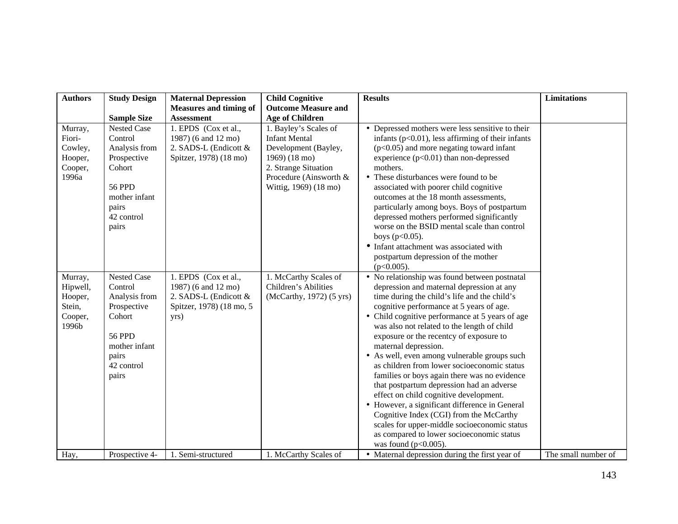| <b>Authors</b>                                               | <b>Study Design</b>                                                                                                                       | <b>Maternal Depression</b><br><b>Measures and timing of</b>                                              | <b>Child Cognitive</b><br><b>Outcome Measure and</b>                                                                                                              | <b>Results</b>                                                                                                                                                                                                                                                                                                                                                                                                                                                                                                                                                                                                                                                                                                                                                                                                          | <b>Limitations</b>  |
|--------------------------------------------------------------|-------------------------------------------------------------------------------------------------------------------------------------------|----------------------------------------------------------------------------------------------------------|-------------------------------------------------------------------------------------------------------------------------------------------------------------------|-------------------------------------------------------------------------------------------------------------------------------------------------------------------------------------------------------------------------------------------------------------------------------------------------------------------------------------------------------------------------------------------------------------------------------------------------------------------------------------------------------------------------------------------------------------------------------------------------------------------------------------------------------------------------------------------------------------------------------------------------------------------------------------------------------------------------|---------------------|
|                                                              | <b>Sample Size</b>                                                                                                                        | <b>Assessment</b>                                                                                        | <b>Age of Children</b>                                                                                                                                            |                                                                                                                                                                                                                                                                                                                                                                                                                                                                                                                                                                                                                                                                                                                                                                                                                         |                     |
| Murray,<br>Fiori-<br>Cowley,<br>Hooper,<br>Cooper,<br>1996a  | <b>Nested Case</b><br>Control<br>Analysis from<br>Prospective<br>Cohort<br><b>56 PPD</b><br>mother infant<br>pairs<br>42 control<br>pairs | 1. EPDS (Cox et al.,<br>1987) (6 and 12 mo)<br>2. SADS-L (Endicott &<br>Spitzer, 1978) (18 mo)           | 1. Bayley's Scales of<br><b>Infant Mental</b><br>Development (Bayley,<br>1969) (18 mo)<br>2. Strange Situation<br>Procedure (Ainsworth &<br>Wittig, 1969) (18 mo) | • Depressed mothers were less sensitive to their<br>infants $(p<0.01)$ , less affirming of their infants<br>$(p<0.05)$ and more negating toward infant<br>experience $(p<0.01)$ than non-depressed<br>mothers.<br>• These disturbances were found to be<br>associated with poorer child cognitive<br>outcomes at the 18 month assessments,<br>particularly among boys. Boys of postpartum<br>depressed mothers performed significantly<br>worse on the BSID mental scale than control<br>boys $(p<0.05)$ .<br>• Infant attachment was associated with<br>postpartum depression of the mother<br>$(p<0.005)$ .                                                                                                                                                                                                           |                     |
| Murray,<br>Hipwell,<br>Hooper,<br>Stein,<br>Cooper,<br>1996b | Nested Case<br>Control<br>Analysis from<br>Prospective<br>Cohort<br><b>56 PPD</b><br>mother infant<br>pairs<br>42 control<br>pairs        | 1. EPDS (Cox et al.,<br>1987) (6 and 12 mo)<br>2. SADS-L (Endicott &<br>Spitzer, 1978) (18 mo, 5<br>yrs) | 1. McCarthy Scales of<br>Children's Abilities<br>(McCarthy, 1972) (5 yrs)                                                                                         | • No relationship was found between postnatal<br>depression and maternal depression at any<br>time during the child's life and the child's<br>cognitive performance at 5 years of age.<br>• Child cognitive performance at 5 years of age<br>was also not related to the length of child<br>exposure or the recentcy of exposure to<br>maternal depression.<br>• As well, even among vulnerable groups such<br>as children from lower socioeconomic status<br>families or boys again there was no evidence<br>that postpartum depression had an adverse<br>effect on child cognitive development.<br>• However, a significant difference in General<br>Cognitive Index (CGI) from the McCarthy<br>scales for upper-middle socioeconomic status<br>as compared to lower socioeconomic status<br>was found ( $p<0.005$ ). |                     |
| Hay,                                                         | Prospective 4-                                                                                                                            | 1. Semi-structured                                                                                       | 1. McCarthy Scales of                                                                                                                                             | • Maternal depression during the first year of                                                                                                                                                                                                                                                                                                                                                                                                                                                                                                                                                                                                                                                                                                                                                                          | The small number of |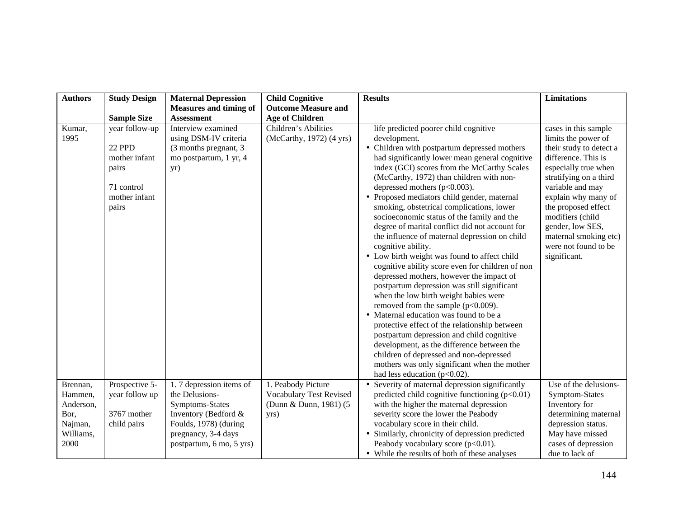| <b>Authors</b>       | <b>Study Design</b>                                                                               | <b>Maternal Depression</b>                                                                            | <b>Child Cognitive</b>                               | <b>Results</b>                                                                                                                                                                                                                                                                                                                                                                                                                                                                                                                                                                                                                                                                                                                                                                                                                                                                                                                                                                                                                                                                                                                                                 | <b>Limitations</b>                                                                                                                                                                                                                                                                                                         |
|----------------------|---------------------------------------------------------------------------------------------------|-------------------------------------------------------------------------------------------------------|------------------------------------------------------|----------------------------------------------------------------------------------------------------------------------------------------------------------------------------------------------------------------------------------------------------------------------------------------------------------------------------------------------------------------------------------------------------------------------------------------------------------------------------------------------------------------------------------------------------------------------------------------------------------------------------------------------------------------------------------------------------------------------------------------------------------------------------------------------------------------------------------------------------------------------------------------------------------------------------------------------------------------------------------------------------------------------------------------------------------------------------------------------------------------------------------------------------------------|----------------------------------------------------------------------------------------------------------------------------------------------------------------------------------------------------------------------------------------------------------------------------------------------------------------------------|
|                      | <b>Sample Size</b>                                                                                | <b>Measures and timing of</b><br><b>Assessment</b>                                                    | <b>Outcome Measure and</b><br><b>Age of Children</b> |                                                                                                                                                                                                                                                                                                                                                                                                                                                                                                                                                                                                                                                                                                                                                                                                                                                                                                                                                                                                                                                                                                                                                                |                                                                                                                                                                                                                                                                                                                            |
| Kumar,<br>1995       | year follow-up<br><b>22 PPD</b><br>mother infant<br>pairs<br>71 control<br>mother infant<br>pairs | Interview examined<br>using DSM-IV criteria<br>(3 months pregnant, 3<br>mo postpartum, 1 yr, 4<br>yr) | Children's Abilities<br>(McCarthy, 1972) (4 yrs)     | life predicted poorer child cognitive<br>development.<br>• Children with postpartum depressed mothers<br>had significantly lower mean general cognitive<br>index (GCI) scores from the McCarthy Scales<br>(McCarthy, 1972) than children with non-<br>depressed mothers $(p<0.003)$ .<br>• Proposed mediators child gender, maternal<br>smoking, obstetrical complications, lower<br>socioeconomic status of the family and the<br>degree of marital conflict did not account for<br>the influence of maternal depression on child<br>cognitive ability.<br>• Low birth weight was found to affect child<br>cognitive ability score even for children of non<br>depressed mothers, however the impact of<br>postpartum depression was still significant<br>when the low birth weight babies were<br>removed from the sample $(p<0.009)$ .<br>• Maternal education was found to be a<br>protective effect of the relationship between<br>postpartum depression and child cognitive<br>development, as the difference between the<br>children of depressed and non-depressed<br>mothers was only significant when the mother<br>had less education ( $p<0.02$ ). | cases in this sample<br>limits the power of<br>their study to detect a<br>difference. This is<br>especially true when<br>stratifying on a third<br>variable and may<br>explain why many of<br>the proposed effect<br>modifiers (child<br>gender, low SES,<br>maternal smoking etc)<br>were not found to be<br>significant. |
| Brennan,             | Prospective 5-                                                                                    | 1.7 depression items of                                                                               | 1. Peabody Picture                                   | • Severity of maternal depression significantly                                                                                                                                                                                                                                                                                                                                                                                                                                                                                                                                                                                                                                                                                                                                                                                                                                                                                                                                                                                                                                                                                                                | Use of the delusions-                                                                                                                                                                                                                                                                                                      |
| Hammen,<br>Anderson, | year follow up                                                                                    | the Delusions-<br>Symptoms-States                                                                     | Vocabulary Test Revised<br>(Dunn & Dunn, 1981) (5)   | predicted child cognitive functioning $(p<0.01)$<br>with the higher the maternal depression                                                                                                                                                                                                                                                                                                                                                                                                                                                                                                                                                                                                                                                                                                                                                                                                                                                                                                                                                                                                                                                                    | Symptom-States<br>Inventory for                                                                                                                                                                                                                                                                                            |
| Bor,                 | 3767 mother                                                                                       | Inventory (Bedford &                                                                                  | yrs)                                                 | severity score the lower the Peabody                                                                                                                                                                                                                                                                                                                                                                                                                                                                                                                                                                                                                                                                                                                                                                                                                                                                                                                                                                                                                                                                                                                           | determining maternal                                                                                                                                                                                                                                                                                                       |
| Najman,              | child pairs                                                                                       | Foulds, 1978) (during                                                                                 |                                                      | vocabulary score in their child.                                                                                                                                                                                                                                                                                                                                                                                                                                                                                                                                                                                                                                                                                                                                                                                                                                                                                                                                                                                                                                                                                                                               | depression status.                                                                                                                                                                                                                                                                                                         |
| Williams,            |                                                                                                   | pregnancy, 3-4 days                                                                                   |                                                      | • Similarly, chronicity of depression predicted                                                                                                                                                                                                                                                                                                                                                                                                                                                                                                                                                                                                                                                                                                                                                                                                                                                                                                                                                                                                                                                                                                                | May have missed                                                                                                                                                                                                                                                                                                            |
| 2000                 |                                                                                                   | postpartum, 6 mo, 5 yrs)                                                                              |                                                      | Peabody vocabulary score (p<0.01).                                                                                                                                                                                                                                                                                                                                                                                                                                                                                                                                                                                                                                                                                                                                                                                                                                                                                                                                                                                                                                                                                                                             | cases of depression                                                                                                                                                                                                                                                                                                        |
|                      |                                                                                                   |                                                                                                       |                                                      | • While the results of both of these analyses                                                                                                                                                                                                                                                                                                                                                                                                                                                                                                                                                                                                                                                                                                                                                                                                                                                                                                                                                                                                                                                                                                                  | due to lack of                                                                                                                                                                                                                                                                                                             |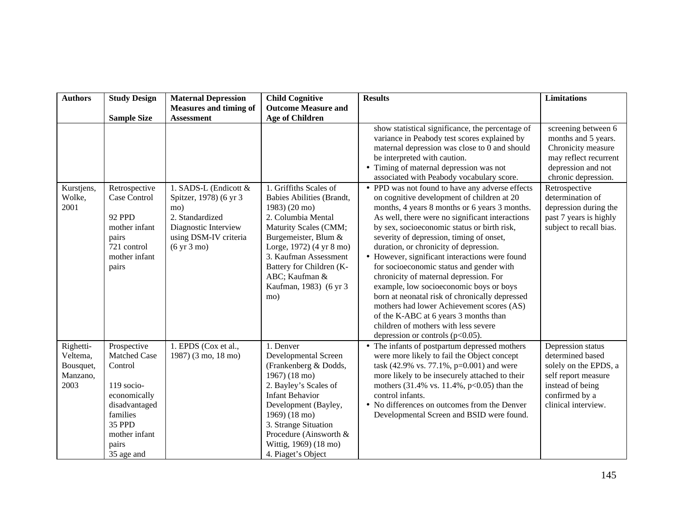| <b>Authors</b>                                         | <b>Study Design</b>                                                                                                                                 | <b>Maternal Depression</b>                                                                                                                                   | <b>Child Cognitive</b>                                                                                                                                                                                                                                                          | <b>Results</b>                                                                                                                                                                                                                                                                                                                                                                                                                                                                                                                                                                                                                                                                                                                                   | <b>Limitations</b>                                                                                                                                 |
|--------------------------------------------------------|-----------------------------------------------------------------------------------------------------------------------------------------------------|--------------------------------------------------------------------------------------------------------------------------------------------------------------|---------------------------------------------------------------------------------------------------------------------------------------------------------------------------------------------------------------------------------------------------------------------------------|--------------------------------------------------------------------------------------------------------------------------------------------------------------------------------------------------------------------------------------------------------------------------------------------------------------------------------------------------------------------------------------------------------------------------------------------------------------------------------------------------------------------------------------------------------------------------------------------------------------------------------------------------------------------------------------------------------------------------------------------------|----------------------------------------------------------------------------------------------------------------------------------------------------|
|                                                        |                                                                                                                                                     | <b>Measures and timing of</b>                                                                                                                                | <b>Outcome Measure and</b>                                                                                                                                                                                                                                                      |                                                                                                                                                                                                                                                                                                                                                                                                                                                                                                                                                                                                                                                                                                                                                  |                                                                                                                                                    |
|                                                        | <b>Sample Size</b>                                                                                                                                  | <b>Assessment</b>                                                                                                                                            | <b>Age of Children</b>                                                                                                                                                                                                                                                          |                                                                                                                                                                                                                                                                                                                                                                                                                                                                                                                                                                                                                                                                                                                                                  |                                                                                                                                                    |
|                                                        |                                                                                                                                                     |                                                                                                                                                              |                                                                                                                                                                                                                                                                                 | show statistical significance, the percentage of<br>variance in Peabody test scores explained by<br>maternal depression was close to 0 and should<br>be interpreted with caution.<br>• Timing of maternal depression was not<br>associated with Peabody vocabulary score.                                                                                                                                                                                                                                                                                                                                                                                                                                                                        | screening between 6<br>months and 5 years.<br>Chronicity measure<br>may reflect recurrent<br>depression and not<br>chronic depression.             |
| Kurstjens,<br>Wolke,<br>2001                           | Retrospective<br>Case Control<br>92 PPD<br>mother infant<br>pairs<br>721 control<br>mother infant<br>pairs                                          | 1. SADS-L (Endicott &<br>Spitzer, 1978) (6 yr 3<br>mo)<br>2. Standardized<br>Diagnostic Interview<br>using DSM-IV criteria<br>$(6 \text{ yr } 3 \text{ mo})$ | 1. Griffiths Scales of<br>Babies Abilities (Brandt,<br>1983) (20 mo)<br>2. Columbia Mental<br>Maturity Scales (CMM;<br>Burgemeister, Blum &<br>Lorge, 1972) (4 yr 8 mo)<br>3. Kaufman Assessment<br>Battery for Children (K-<br>ABC; Kaufman &<br>Kaufman, 1983) (6 yr 3<br>mo) | • PPD was not found to have any adverse effects<br>on cognitive development of children at 20<br>months, 4 years 8 months or 6 years 3 months.<br>As well, there were no significant interactions<br>by sex, socioeconomic status or birth risk,<br>severity of depression, timing of onset,<br>duration, or chronicity of depression.<br>• However, significant interactions were found<br>for socioeconomic status and gender with<br>chronicity of maternal depression. For<br>example, low socioeconomic boys or boys<br>born at neonatal risk of chronically depressed<br>mothers had lower Achievement scores (AS)<br>of the K-ABC at 6 years 3 months than<br>children of mothers with less severe<br>depression or controls $(p<0.05)$ . | Retrospective<br>determination of<br>depression during the<br>past 7 years is highly<br>subject to recall bias.                                    |
| Righetti-<br>Veltema,<br>Bousquet,<br>Manzano,<br>2003 | Prospective<br>Matched Case<br>Control<br>119 socio-<br>economically<br>disadvantaged<br>families<br>35 PPD<br>mother infant<br>pairs<br>35 age and | 1. EPDS (Cox et al.,<br>1987) (3 mo, 18 mo)                                                                                                                  | 1. Denver<br>Developmental Screen<br>(Frankenberg & Dodds,<br>1967) (18 mo)<br>2. Bayley's Scales of<br><b>Infant Behavior</b><br>Development (Bayley,<br>1969) (18 mo)<br>3. Strange Situation<br>Procedure (Ainsworth &<br>Wittig, 1969) (18 mo)<br>4. Piaget's Object        | • The infants of postpartum depressed mothers<br>were more likely to fail the Object concept<br>task (42.9% vs. 77.1%, p=0.001) and were<br>more likely to be insecurely attached to their<br>mothers (31.4% vs. 11.4%, p<0.05) than the<br>control infants.<br>• No differences on outcomes from the Denver<br>Developmental Screen and BSID were found.                                                                                                                                                                                                                                                                                                                                                                                        | Depression status<br>determined based<br>solely on the EPDS, a<br>self report measure<br>instead of being<br>confirmed by a<br>clinical interview. |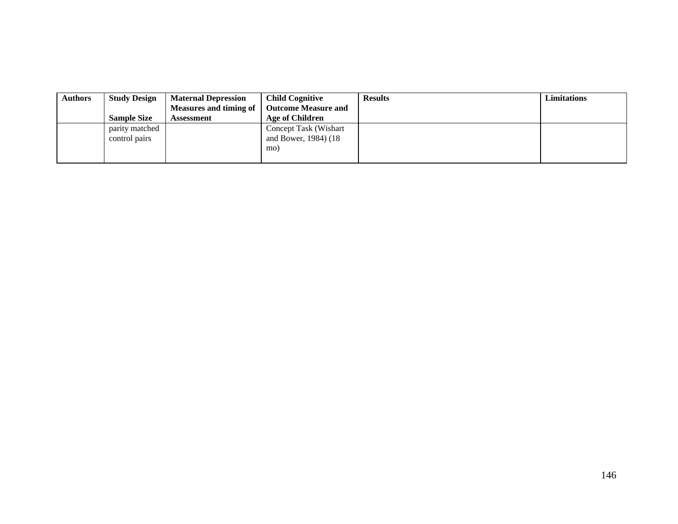| <b>Authors</b> | <b>Study Design</b><br><b>Sample Size</b> | <b>Maternal Depression</b><br><b>Measures and timing of</b><br>Assessment | <b>Child Cognitive</b><br><b>Outcome Measure and</b><br>Age of Children | <b>Results</b> | Limitations |
|----------------|-------------------------------------------|---------------------------------------------------------------------------|-------------------------------------------------------------------------|----------------|-------------|
|                | parity matched<br>control pairs           |                                                                           | Concept Task (Wishart<br>and Bower, 1984) (18)<br>mo)                   |                |             |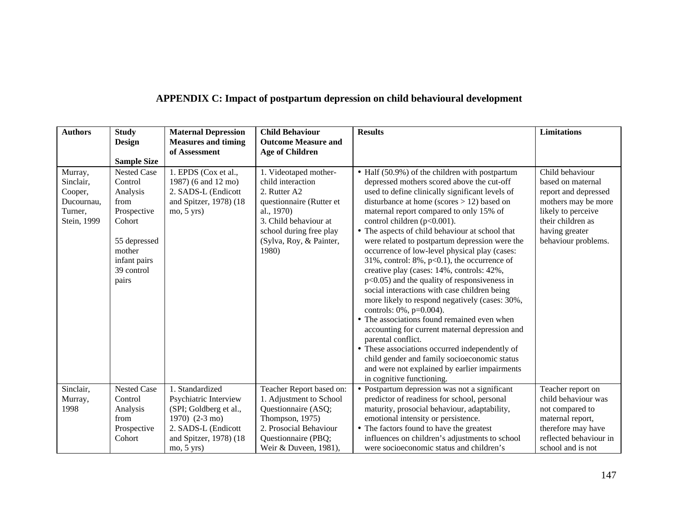| APPENDIX C: Impact of postpartum depression on child behavioural development |
|------------------------------------------------------------------------------|
|------------------------------------------------------------------------------|

| <b>Authors</b>       | <b>Study</b>                  | <b>Maternal Depression</b>                  | <b>Child Behaviour</b>                     | <b>Results</b>                                                                               | <b>Limitations</b>                   |
|----------------------|-------------------------------|---------------------------------------------|--------------------------------------------|----------------------------------------------------------------------------------------------|--------------------------------------|
|                      | <b>Design</b>                 | <b>Measures and timing</b>                  | <b>Outcome Measure and</b>                 |                                                                                              |                                      |
|                      |                               | of Assessment                               | <b>Age of Children</b>                     |                                                                                              |                                      |
|                      | <b>Sample Size</b>            |                                             |                                            |                                                                                              |                                      |
| Murray,<br>Sinclair, | <b>Nested Case</b><br>Control | 1. EPDS (Cox et al.,<br>1987) (6 and 12 mo) | 1. Videotaped mother-<br>child interaction | • Half (50.9%) of the children with postpartum<br>depressed mothers scored above the cut-off | Child behaviour<br>based on maternal |
| Cooper,              | Analysis                      | 2. SADS-L (Endicott                         | 2. Rutter A2                               | used to define clinically significant levels of                                              | report and depressed                 |
| Ducournau,           | from                          | and Spitzer, 1978) (18                      | questionnaire (Rutter et                   | disturbance at home (scores $> 12$ ) based on                                                | mothers may be more                  |
| Turner,              | Prospective                   | $mo$ , $5 yrs$ )                            | al., 1970)                                 | maternal report compared to only 15% of                                                      | likely to perceive                   |
| Stein, 1999          | Cohort                        |                                             | 3. Child behaviour at                      | control children $(p<0.001)$ .                                                               | their children as                    |
|                      |                               |                                             | school during free play                    | • The aspects of child behaviour at school that                                              | having greater                       |
|                      | 55 depressed                  |                                             | (Sylva, Roy, & Painter,                    | were related to postpartum depression were the                                               | behaviour problems.                  |
|                      | mother                        |                                             | 1980)                                      | occurrence of low-level physical play (cases:                                                |                                      |
|                      | infant pairs                  |                                             |                                            | 31%, control: $8\%$ , $p<0.1$ ), the occurrence of                                           |                                      |
|                      | 39 control                    |                                             |                                            | creative play (cases: 14%, controls: 42%,                                                    |                                      |
|                      | pairs                         |                                             |                                            | $p<0.05$ ) and the quality of responsiveness in                                              |                                      |
|                      |                               |                                             |                                            | social interactions with case children being                                                 |                                      |
|                      |                               |                                             |                                            | more likely to respond negatively (cases: 30%,                                               |                                      |
|                      |                               |                                             |                                            | controls: 0%, p=0.004).                                                                      |                                      |
|                      |                               |                                             |                                            | • The associations found remained even when                                                  |                                      |
|                      |                               |                                             |                                            | accounting for current maternal depression and<br>parental conflict.                         |                                      |
|                      |                               |                                             |                                            | • These associations occurred independently of                                               |                                      |
|                      |                               |                                             |                                            | child gender and family socioeconomic status                                                 |                                      |
|                      |                               |                                             |                                            | and were not explained by earlier impairments                                                |                                      |
|                      |                               |                                             |                                            | in cognitive functioning.                                                                    |                                      |
| Sinclair,            | <b>Nested Case</b>            | 1. Standardized                             | Teacher Report based on:                   | • Postpartum depression was not a significant                                                | Teacher report on                    |
| Murray,              | Control                       | Psychiatric Interview                       | 1. Adjustment to School                    | predictor of readiness for school, personal                                                  | child behaviour was                  |
| 1998                 | Analysis                      | (SPI; Goldberg et al.,                      | Questionnaire (ASQ;                        | maturity, prosocial behaviour, adaptability,                                                 | not compared to                      |
|                      | from                          | $1970)$ (2-3 mo)                            | Thompson, 1975)                            | emotional intensity or persistence.                                                          | maternal report,                     |
|                      | Prospective                   | 2. SADS-L (Endicott                         | 2. Prosocial Behaviour                     | • The factors found to have the greatest                                                     | therefore may have                   |
|                      | Cohort                        | and Spitzer, 1978) (18                      | Questionnaire (PBQ;                        | influences on children's adjustments to school                                               | reflected behaviour in               |
|                      |                               | $mo$ , $5 yrs$ )                            | Weir & Duveen, 1981),                      | were socioeconomic status and children's                                                     | school and is not                    |
|                      |                               |                                             |                                            |                                                                                              |                                      |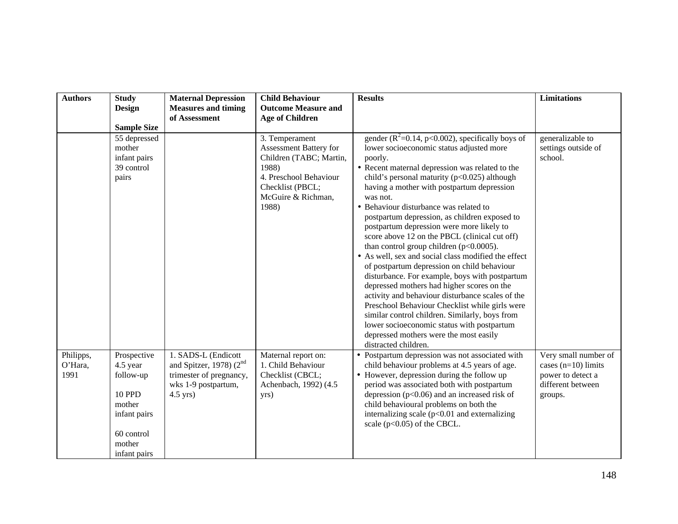| <b>Authors</b>               | <b>Study</b><br><b>Design</b>                                                                                           | <b>Maternal Depression</b><br><b>Measures and timing</b>                                                            | <b>Child Behaviour</b><br><b>Outcome Measure and</b>                                                                                                      | <b>Results</b>                                                                                                                                                                                                                                                                                                                                                                                                                                                                                                                                                                                                                                                                                                                                                                                                                                                                                                                                                                                 | <b>Limitations</b>                                                                                 |
|------------------------------|-------------------------------------------------------------------------------------------------------------------------|---------------------------------------------------------------------------------------------------------------------|-----------------------------------------------------------------------------------------------------------------------------------------------------------|------------------------------------------------------------------------------------------------------------------------------------------------------------------------------------------------------------------------------------------------------------------------------------------------------------------------------------------------------------------------------------------------------------------------------------------------------------------------------------------------------------------------------------------------------------------------------------------------------------------------------------------------------------------------------------------------------------------------------------------------------------------------------------------------------------------------------------------------------------------------------------------------------------------------------------------------------------------------------------------------|----------------------------------------------------------------------------------------------------|
|                              |                                                                                                                         | of Assessment                                                                                                       | <b>Age of Children</b>                                                                                                                                    |                                                                                                                                                                                                                                                                                                                                                                                                                                                                                                                                                                                                                                                                                                                                                                                                                                                                                                                                                                                                |                                                                                                    |
|                              | <b>Sample Size</b>                                                                                                      |                                                                                                                     |                                                                                                                                                           |                                                                                                                                                                                                                                                                                                                                                                                                                                                                                                                                                                                                                                                                                                                                                                                                                                                                                                                                                                                                |                                                                                                    |
|                              | 55 depressed<br>mother<br>infant pairs<br>39 control<br>pairs                                                           |                                                                                                                     | 3. Temperament<br>Assessment Battery for<br>Children (TABC; Martin,<br>1988)<br>4. Preschool Behaviour<br>Checklist (PBCL;<br>McGuire & Richman,<br>1988) | gender ( $R^2$ =0.14, p<0.002), specifically boys of<br>lower socioeconomic status adjusted more<br>poorly.<br>• Recent maternal depression was related to the<br>child's personal maturity (p<0.025) although<br>having a mother with postpartum depression<br>was not.<br>• Behaviour disturbance was related to<br>postpartum depression, as children exposed to<br>postpartum depression were more likely to<br>score above 12 on the PBCL (clinical cut off)<br>than control group children ( $p<0.0005$ ).<br>• As well, sex and social class modified the effect<br>of postpartum depression on child behaviour<br>disturbance. For example, boys with postpartum<br>depressed mothers had higher scores on the<br>activity and behaviour disturbance scales of the<br>Preschool Behaviour Checklist while girls were<br>similar control children. Similarly, boys from<br>lower socioeconomic status with postpartum<br>depressed mothers were the most easily<br>distracted children. | generalizable to<br>settings outside of<br>school.                                                 |
| Philipps,<br>O'Hara,<br>1991 | Prospective<br>4.5 year<br>follow-up<br><b>10 PPD</b><br>mother<br>infant pairs<br>60 control<br>mother<br>infant pairs | 1. SADS-L (Endicott<br>and Spitzer, 1978) $(2^{nd}$<br>trimester of pregnancy,<br>wks 1-9 postpartum,<br>$4.5$ yrs) | Maternal report on:<br>1. Child Behaviour<br>Checklist (CBCL;<br>Achenbach, 1992) (4.5<br>yrs)                                                            | • Postpartum depression was not associated with<br>child behaviour problems at 4.5 years of age.<br>• However, depression during the follow up<br>period was associated both with postpartum<br>depression ( $p<0.06$ ) and an increased risk of<br>child behavioural problems on both the<br>internalizing scale $(p<0.01$ and externalizing<br>scale ( $p<0.05$ ) of the CBCL.                                                                                                                                                                                                                                                                                                                                                                                                                                                                                                                                                                                                               | Very small number of<br>cases $(n=10)$ limits<br>power to detect a<br>different between<br>groups. |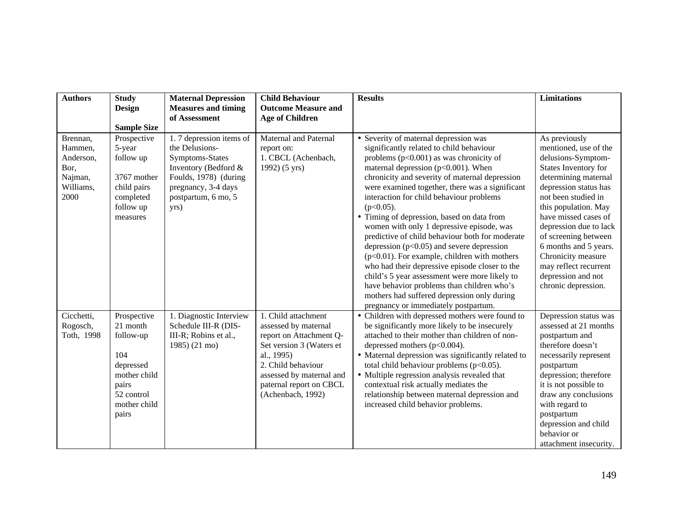| <b>Authors</b>                                                           | <b>Study</b>                                                                                                             | <b>Maternal Depression</b>                                                                                                                                          | <b>Child Behaviour</b>                                                                                                                                                                                             | <b>Results</b>                                                                                                                                                                                                                                                                                                                                                                                                                                                                                                                                                                                                                                                                                                                                                                                                                     | <b>Limitations</b>                                                                                                                                                                                                                                                                                                                                                                  |
|--------------------------------------------------------------------------|--------------------------------------------------------------------------------------------------------------------------|---------------------------------------------------------------------------------------------------------------------------------------------------------------------|--------------------------------------------------------------------------------------------------------------------------------------------------------------------------------------------------------------------|------------------------------------------------------------------------------------------------------------------------------------------------------------------------------------------------------------------------------------------------------------------------------------------------------------------------------------------------------------------------------------------------------------------------------------------------------------------------------------------------------------------------------------------------------------------------------------------------------------------------------------------------------------------------------------------------------------------------------------------------------------------------------------------------------------------------------------|-------------------------------------------------------------------------------------------------------------------------------------------------------------------------------------------------------------------------------------------------------------------------------------------------------------------------------------------------------------------------------------|
|                                                                          | <b>Design</b>                                                                                                            | <b>Measures and timing</b>                                                                                                                                          | <b>Outcome Measure and</b>                                                                                                                                                                                         |                                                                                                                                                                                                                                                                                                                                                                                                                                                                                                                                                                                                                                                                                                                                                                                                                                    |                                                                                                                                                                                                                                                                                                                                                                                     |
|                                                                          |                                                                                                                          | of Assessment                                                                                                                                                       | <b>Age of Children</b>                                                                                                                                                                                             |                                                                                                                                                                                                                                                                                                                                                                                                                                                                                                                                                                                                                                                                                                                                                                                                                                    |                                                                                                                                                                                                                                                                                                                                                                                     |
|                                                                          | <b>Sample Size</b>                                                                                                       |                                                                                                                                                                     |                                                                                                                                                                                                                    |                                                                                                                                                                                                                                                                                                                                                                                                                                                                                                                                                                                                                                                                                                                                                                                                                                    |                                                                                                                                                                                                                                                                                                                                                                                     |
| Brennan,<br>Hammen,<br>Anderson,<br>Bor,<br>Najman,<br>Williams,<br>2000 | Prospective<br>5-year<br>follow up<br>3767 mother<br>child pairs<br>completed<br>follow up<br>measures                   | 1.7 depression items of<br>the Delusions-<br>Symptoms-States<br>Inventory (Bedford &<br>Foulds, 1978) (during<br>pregnancy, 3-4 days<br>postpartum, 6 mo, 5<br>yrs) | <b>Maternal and Paternal</b><br>report on:<br>1. CBCL (Achenbach,<br>1992) (5 yrs)                                                                                                                                 | • Severity of maternal depression was<br>significantly related to child behaviour<br>problems $(p<0.001)$ as was chronicity of<br>maternal depression ( $p<0.001$ ). When<br>chronicity and severity of maternal depression<br>were examined together, there was a significant<br>interaction for child behaviour problems<br>$(p<0.05)$ .<br>• Timing of depression, based on data from<br>women with only 1 depressive episode, was<br>predictive of child behaviour both for moderate<br>depression $(p<0.05)$ and severe depression<br>$(p<0.01)$ . For example, children with mothers<br>who had their depressive episode closer to the<br>child's 5 year assessment were more likely to<br>have behavior problems than children who's<br>mothers had suffered depression only during<br>pregnancy or immediately postpartum. | As previously<br>mentioned, use of the<br>delusions-Symptom-<br>States Inventory for<br>determining maternal<br>depression status has<br>not been studied in<br>this population. May<br>have missed cases of<br>depression due to lack<br>of screening between<br>6 months and 5 years.<br>Chronicity measure<br>may reflect recurrent<br>depression and not<br>chronic depression. |
| Cicchetti,<br>Rogosch,<br>Toth, 1998                                     | Prospective<br>21 month<br>follow-up<br>104<br>depressed<br>mother child<br>pairs<br>52 control<br>mother child<br>pairs | 1. Diagnostic Interview<br>Schedule III-R (DIS-<br>III-R; Robins et al.,<br>1985) (21 mo)                                                                           | 1. Child attachment<br>assessed by maternal<br>report on Attachment Q-<br>Set version 3 (Waters et<br>al., 1995)<br>2. Child behaviour<br>assessed by maternal and<br>paternal report on CBCL<br>(Achenbach, 1992) | • Children with depressed mothers were found to<br>be significantly more likely to be insecurely<br>attached to their mother than children of non-<br>depressed mothers ( $p<0.004$ ).<br>• Maternal depression was significantly related to<br>total child behaviour problems $(p<0.05)$ .<br>• Multiple regression analysis revealed that<br>contextual risk actually mediates the<br>relationship between maternal depression and<br>increased child behavior problems.                                                                                                                                                                                                                                                                                                                                                         | Depression status was<br>assessed at 21 months<br>postpartum and<br>therefore doesn't<br>necessarily represent<br>postpartum<br>depression; therefore<br>it is not possible to<br>draw any conclusions<br>with regard to<br>postpartum<br>depression and child<br>behavior or<br>attachment insecurity.                                                                             |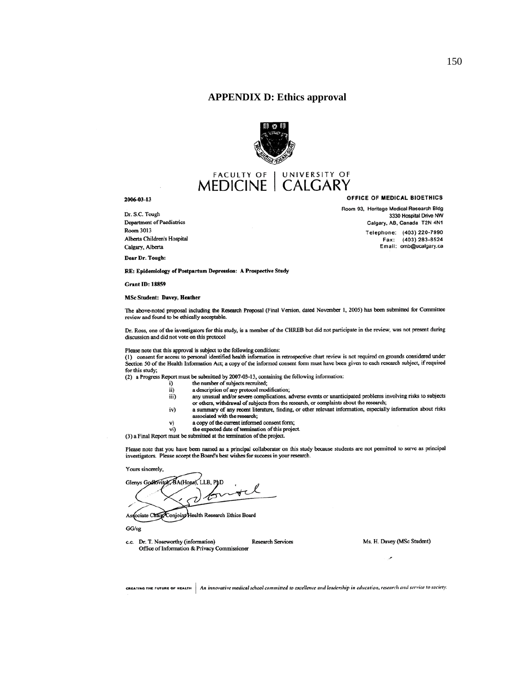#### **APPENDIX D: Ethics approval**



# **MEDICINE** | UNIVERSITY OF

#### 2006-03-13

Dr. S.C. Tough Department of Paediatrics Room 3013 Alberta Children's Hospital Calgary, Alberta

Dear Dr. Tough:

RE: Epidemiology of Postpartum Depression: A Prospective Study

**Grant ID: 18859** 

#### **MSc Student: Davey, Heather**

The above-noted proposal including the Research Proposal (Final Version, dated November 1, 2005) has been submitted for Committee review and found to be ethically acceptable.

Dr. Ross, one of the investigators for this study, is a member of the CHREB but did not participate in the review, was not present during discussion and did not vote on this protocol

Please note that this approval is subject to the following conditions:

(1) consent for access to personal identified health information in retrospective chart review is not required on grounds considered under Section 50 of the Health Information Act; a copy of the informed consent form must have been given to each research subject, if required for this study;

(2) a Progress Report must be submitted by 2007-03-13, containing the following information:

- the number of subjects recruited; i)
- a description of any protocol modification;  $\overline{ii}$
- any unusual and/or severe complications, adverse events or unanticipated problems involving risks to subjects iii) or others, withdrawal of subjects from the research, or complaints about the research;
- iv) a summary of any recent literature, finding, or other relevant information, especially information about risks associated with the research;
	- a copy of the current informed consent form;
- v) vi) the expected date of termination of this project.
- (3) a Final Report must be submitted at the termination of the project.

Please note that you have been named as a principal collaborator on this study because students are not permitted to serve as principal investigators. Please accept the Board's best wishes for success in your research.

Yours sincerely.

Glenys Godlovitoly, BA(Hons), LLB, PhD Associate Chair Conjoint Health Research Ethics Board

 $GG/sg$ 

c.c. Dr. T. Noseworthy (information) **Research Services** Office of Information & Privacy Commissioner

Ms. H. Davey (MSc Student)

×

 $\epsilon$ REATING THE FUTURE OF HEALTH  $\vert$  An innovative medical school committed to excellence and leadership in education, research and service to society.

OFFICE OF MEDICAL BIOETHICS

Room 93, Heritage Medical Research Bldg 3330 Hospital Drive NW Calgary, AB, Canada T2N 4N1 Telephone: (403) 220-7990 Fax: (403) 283-8524 Email: omb@ucalgary.ca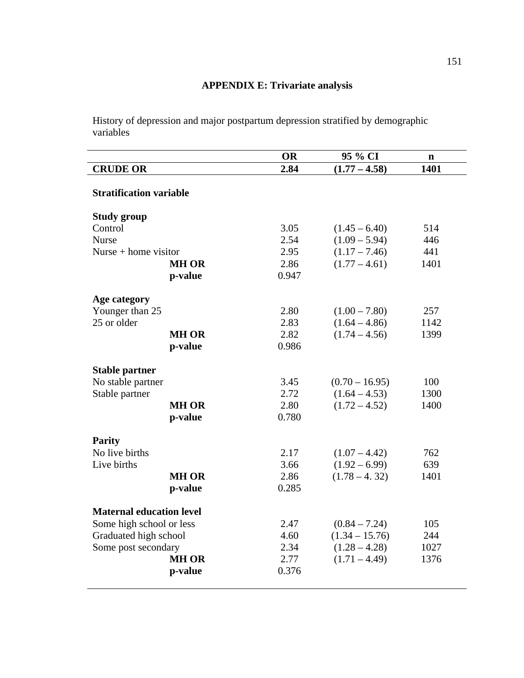## **APPENDIX E: Trivariate analysis**

History of depression and major postpartum depression stratified by demographic variables

|                                 |              | <b>OR</b> | 95 % CI          | $\mathbf n$ |
|---------------------------------|--------------|-----------|------------------|-------------|
| <b>CRUDE OR</b>                 |              | 2.84      | $(1.77 - 4.58)$  | 1401        |
| <b>Stratification variable</b>  |              |           |                  |             |
| <b>Study group</b>              |              |           |                  |             |
| Control                         |              | 3.05      | $(1.45 - 6.40)$  | 514         |
| <b>Nurse</b>                    |              | 2.54      | $(1.09 - 5.94)$  | 446         |
| Nurse $+$ home visitor          |              | 2.95      | $(1.17 - 7.46)$  | 441         |
|                                 | <b>MH OR</b> | 2.86      | $(1.77 - 4.61)$  | 1401        |
|                                 | p-value      | 0.947     |                  |             |
| Age category                    |              |           |                  |             |
| Younger than 25                 |              | 2.80      | $(1.00 - 7.80)$  | 257         |
| 25 or older                     |              | 2.83      | $(1.64 - 4.86)$  | 1142        |
|                                 | <b>MH OR</b> | 2.82      | $(1.74 - 4.56)$  | 1399        |
|                                 | p-value      | 0.986     |                  |             |
|                                 |              |           |                  |             |
| <b>Stable partner</b>           |              |           |                  |             |
| No stable partner               |              | 3.45      | $(0.70 - 16.95)$ | 100         |
| Stable partner                  |              | 2.72      | $(1.64 - 4.53)$  | 1300        |
|                                 | <b>MH OR</b> | 2.80      | $(1.72 - 4.52)$  | 1400        |
|                                 | p-value      | 0.780     |                  |             |
| <b>Parity</b>                   |              |           |                  |             |
| No live births                  |              | 2.17      | $(1.07 - 4.42)$  | 762         |
| Live births                     |              | 3.66      | $(1.92 - 6.99)$  | 639         |
|                                 | <b>MH OR</b> | 2.86      | $(1.78 - 4.32)$  | 1401        |
|                                 | p-value      | 0.285     |                  |             |
| <b>Maternal education level</b> |              |           |                  |             |
| Some high school or less        |              | 2.47      | $(0.84 - 7.24)$  | 105         |
| Graduated high school           |              | 4.60      | $(1.34 - 15.76)$ | 244         |
| Some post secondary             |              | 2.34      | $(1.28 - 4.28)$  | 1027        |
|                                 | <b>MH OR</b> | 2.77      | $(1.71 - 4.49)$  | 1376        |
|                                 | p-value      | 0.376     |                  |             |
|                                 |              |           |                  |             |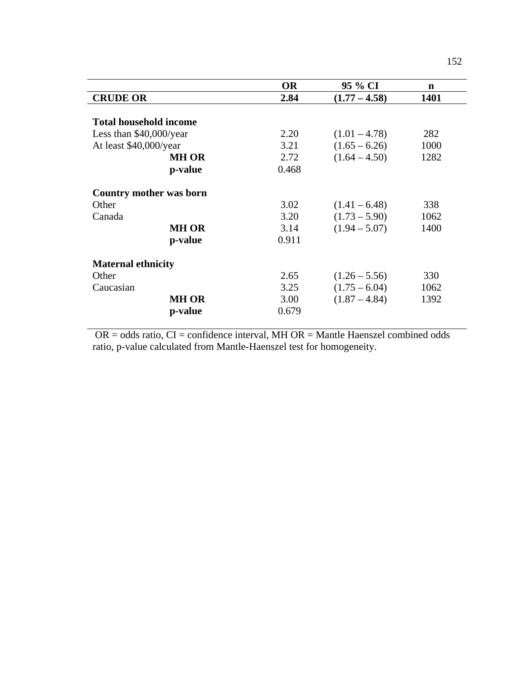|                               | <b>OR</b> | 95 % CI         | n    |
|-------------------------------|-----------|-----------------|------|
| <b>CRUDE OR</b>               | 2.84      | $(1.77 - 4.58)$ | 1401 |
|                               |           |                 |      |
| <b>Total household income</b> |           |                 |      |
| Less than \$40,000/year       | 2.20      | $(1.01 - 4.78)$ | 282  |
| At least \$40,000/year        | 3.21      | $(1.65 - 6.26)$ | 1000 |
| <b>MH OR</b>                  | 2.72      | $(1.64 - 4.50)$ | 1282 |
| p-value                       | 0.468     |                 |      |
| Country mother was born       |           |                 |      |
| Other                         | 3.02      | $(1.41 - 6.48)$ | 338  |
| Canada                        | 3.20      | $(1.73 - 5.90)$ | 1062 |
| <b>MH OR</b>                  | 3.14      | $(1.94 - 5.07)$ | 1400 |
| p-value                       | 0.911     |                 |      |
| <b>Maternal ethnicity</b>     |           |                 |      |
| Other                         | 2.65      | $(1.26 - 5.56)$ | 330  |
| Caucasian                     | 3.25      | $(1.75 - 6.04)$ | 1062 |
| <b>MH OR</b>                  | 3.00      | $(1.87 - 4.84)$ | 1392 |
| p-value                       | 0.679     |                 |      |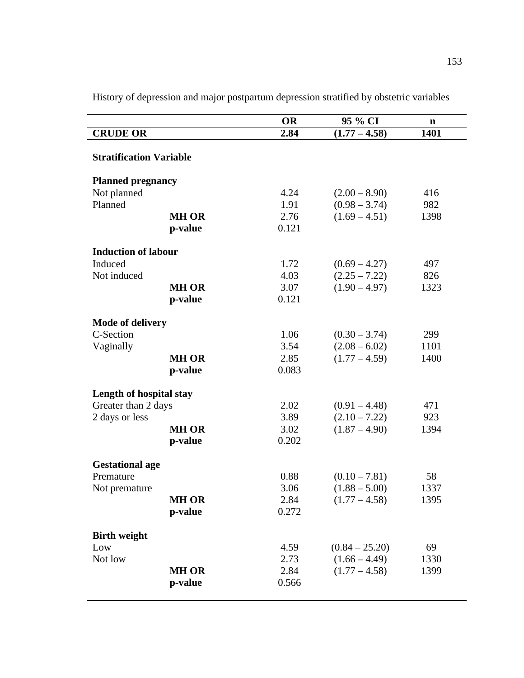|                                      |              | <b>OR</b>    | 95 % CI          | $\mathbf n$ |
|--------------------------------------|--------------|--------------|------------------|-------------|
| <b>CRUDE OR</b>                      |              | 2.84         | $(1.77 - 4.58)$  | 1401        |
| <b>Stratification Variable</b>       |              |              |                  |             |
| <b>Planned pregnancy</b>             |              |              |                  |             |
| Not planned                          |              | 4.24         | $(2.00 - 8.90)$  | 416         |
| Planned                              |              | 1.91         | $(0.98 - 3.74)$  | 982         |
|                                      | <b>MH OR</b> | 2.76         | $(1.69 - 4.51)$  | 1398        |
|                                      | p-value      | 0.121        |                  |             |
| <b>Induction of labour</b>           |              |              |                  |             |
| Induced                              |              | 1.72         | $(0.69 - 4.27)$  | 497         |
| Not induced                          |              | 4.03         | $(2.25 - 7.22)$  | 826         |
|                                      | <b>MH OR</b> | 3.07         | $(1.90 - 4.97)$  | 1323        |
|                                      | p-value      | 0.121        |                  |             |
|                                      |              |              |                  |             |
| <b>Mode of delivery</b><br>C-Section |              | 1.06         | $(0.30 - 3.74)$  | 299         |
| Vaginally                            |              | 3.54         | $(2.08 - 6.02)$  | 1101        |
|                                      | <b>MH OR</b> | 2.85         | $(1.77 - 4.59)$  | 1400        |
|                                      | p-value      | 0.083        |                  |             |
|                                      |              |              |                  |             |
| Length of hospital stay              |              |              |                  |             |
| Greater than 2 days                  |              | 2.02         | $(0.91 - 4.48)$  | 471         |
| 2 days or less                       |              | 3.89         | $(2.10 - 7.22)$  | 923         |
|                                      | <b>MH OR</b> | 3.02         | $(1.87 - 4.90)$  | 1394        |
|                                      | p-value      | 0.202        |                  |             |
| <b>Gestational age</b>               |              |              |                  |             |
| Premature                            |              | 0.88         | $(0.10 - 7.81)$  | 58          |
| Not premature                        |              | 3.06         | $(1.88 - 5.00)$  | 1337        |
|                                      | <b>MH OR</b> | 2.84         | $(1.77 - 4.58)$  | 1395        |
|                                      | p-value      | 0.272        |                  |             |
|                                      |              |              |                  |             |
| <b>Birth weight</b>                  |              |              | $(0.84 - 25.20)$ | 69          |
| Low<br>Not low                       |              | 4.59<br>2.73 | $(1.66 - 4.49)$  | 1330        |
|                                      | <b>MH OR</b> | 2.84         | $(1.77 - 4.58)$  | 1399        |
|                                      | p-value      | 0.566        |                  |             |
|                                      |              |              |                  |             |

History of depression and major postpartum depression stratified by obstetric variables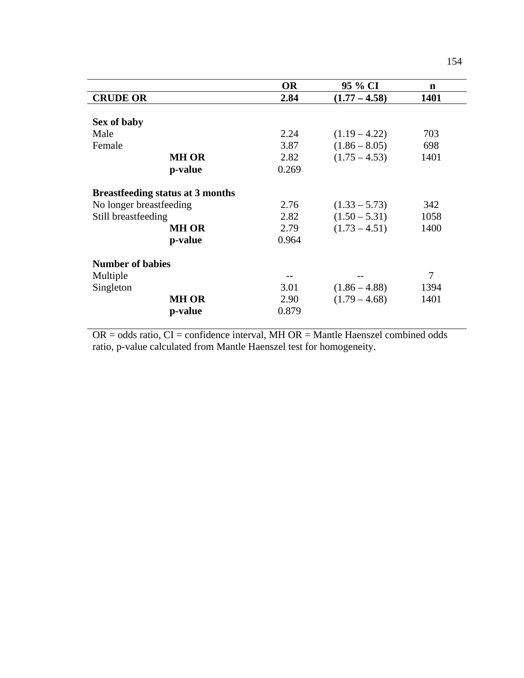|                                         | <b>OR</b> | 95 % CI         | n    |
|-----------------------------------------|-----------|-----------------|------|
| <b>CRUDE OR</b>                         | 2.84      | $(1.77 - 4.58)$ | 1401 |
|                                         |           |                 |      |
| Sex of baby                             |           |                 |      |
| Male                                    | 2.24      | $(1.19 - 4.22)$ | 703  |
| Female                                  | 3.87      | $(1.86 - 8.05)$ | 698  |
| <b>MH OR</b>                            | 2.82      | $(1.75 - 4.53)$ | 1401 |
| p-value                                 | 0.269     |                 |      |
| <b>Breastfeeding status at 3 months</b> |           |                 |      |
| No longer breastfeeding                 | 2.76      | $(1.33 - 5.73)$ | 342  |
| Still breastfeeding                     | 2.82      | $(1.50 - 5.31)$ | 1058 |
| MH OR                                   | 2.79      | $(1.73 - 4.51)$ | 1400 |
| p-value                                 | 0.964     |                 |      |
| <b>Number of babies</b>                 |           |                 |      |
| Multiple                                |           |                 | 7    |
| Singleton                               | 3.01      | $(1.86 - 4.88)$ | 1394 |
| <b>MH OR</b>                            | 2.90      | $(1.79 - 4.68)$ | 1401 |
| p-value                                 | 0.879     |                 |      |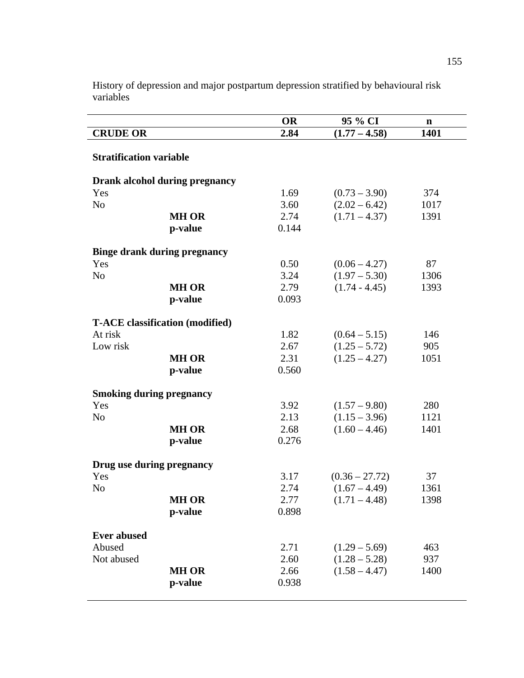|                                     |                                        | <b>OR</b>     | 95 % CI          | $\mathbf n$ |
|-------------------------------------|----------------------------------------|---------------|------------------|-------------|
| <b>CRUDE OR</b>                     |                                        | 2.84          | $(1.77 - 4.58)$  | 1401        |
| <b>Stratification variable</b>      |                                        |               |                  |             |
|                                     | Drank alcohol during pregnancy         |               |                  |             |
| Yes                                 |                                        | 1.69          | $(0.73 - 3.90)$  | 374         |
| N <sub>o</sub>                      |                                        | 3.60          | $(2.02 - 6.42)$  | 1017        |
|                                     | <b>MH OR</b>                           | 2.74          | $(1.71 - 4.37)$  | 1391        |
|                                     | p-value                                | 0.144         |                  |             |
| <b>Binge drank during pregnancy</b> |                                        |               |                  |             |
| Yes                                 |                                        | 0.50          | $(0.06 - 4.27)$  | 87          |
| N <sub>o</sub>                      |                                        | 3.24          | $(1.97 - 5.30)$  | 1306        |
|                                     | <b>MH OR</b>                           | 2.79          | $(1.74 - 4.45)$  | 1393        |
|                                     | p-value                                | 0.093         |                  |             |
|                                     |                                        |               |                  |             |
|                                     | <b>T-ACE</b> classification (modified) |               |                  |             |
| At risk                             |                                        | 1.82          | $(0.64 - 5.15)$  | 146         |
| Low risk                            | <b>MH OR</b>                           | 2.67          | $(1.25 - 5.72)$  | 905         |
|                                     | p-value                                | 2.31<br>0.560 | $(1.25 - 4.27)$  | 1051        |
|                                     |                                        |               |                  |             |
| <b>Smoking during pregnancy</b>     |                                        |               |                  |             |
| Yes                                 |                                        | 3.92          | $(1.57 - 9.80)$  | 280         |
| N <sub>0</sub>                      |                                        | 2.13          | $(1.15 - 3.96)$  | 1121        |
|                                     | <b>MH OR</b>                           | 2.68          | $(1.60 - 4.46)$  | 1401        |
|                                     | p-value                                | 0.276         |                  |             |
| Drug use during pregnancy           |                                        |               |                  |             |
| Yes                                 |                                        | 3.17          | $(0.36 - 27.72)$ | 37          |
| N <sub>o</sub>                      |                                        | 2.74          | $(1.67 - 4.49)$  | 1361        |
|                                     | <b>MH OR</b>                           | 2.77          | $(1.71 - 4.48)$  | 1398        |
|                                     | p-value                                | 0.898         |                  |             |
|                                     |                                        |               |                  |             |
| <b>Ever abused</b>                  |                                        |               |                  |             |
| Abused                              |                                        | 2.71          | $(1.29 - 5.69)$  | 463         |
| Not abused                          |                                        | 2.60          | $(1.28 - 5.28)$  | 937         |
|                                     | <b>MH OR</b>                           | 2.66          | $(1.58 - 4.47)$  | 1400        |
|                                     | p-value                                | 0.938         |                  |             |
|                                     |                                        |               |                  |             |

History of depression and major postpartum depression stratified by behavioural risk variables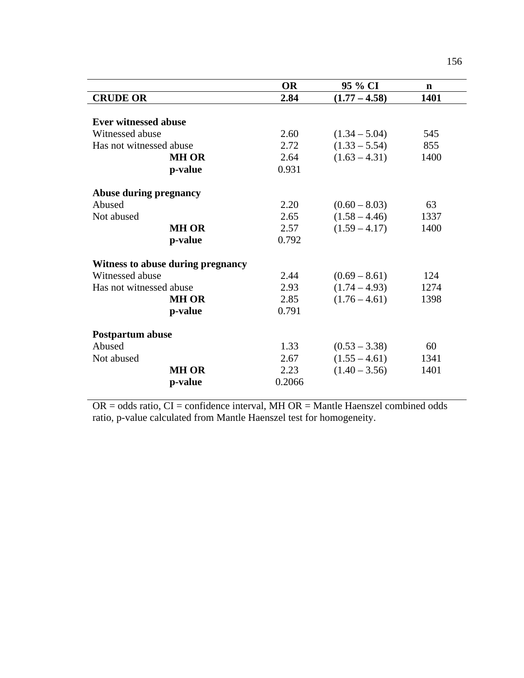|                                   | <b>OR</b> | 95 % CI         | $\mathbf n$ |
|-----------------------------------|-----------|-----------------|-------------|
| <b>CRUDE OR</b>                   | 2.84      | $(1.77 - 4.58)$ | 1401        |
|                                   |           |                 |             |
| <b>Ever witnessed abuse</b>       |           |                 |             |
| Witnessed abuse                   | 2.60      | $(1.34 - 5.04)$ | 545         |
| Has not witnessed abuse           | 2.72      | $(1.33 - 5.54)$ | 855         |
| <b>MH OR</b>                      | 2.64      | $(1.63 - 4.31)$ | 1400        |
| p-value                           | 0.931     |                 |             |
| <b>Abuse during pregnancy</b>     |           |                 |             |
| Abused                            | 2.20      | $(0.60 - 8.03)$ | 63          |
| Not abused                        | 2.65      | $(1.58 - 4.46)$ | 1337        |
| <b>MH OR</b>                      | 2.57      | $(1.59 - 4.17)$ | 1400        |
| p-value                           | 0.792     |                 |             |
| Witness to abuse during pregnancy |           |                 |             |
| Witnessed abuse                   | 2.44      | $(0.69 - 8.61)$ | 124         |
| Has not witnessed abuse           | 2.93      | $(1.74 - 4.93)$ | 1274        |
| <b>MH OR</b>                      | 2.85      | $(1.76 - 4.61)$ | 1398        |
|                                   |           |                 |             |
| p-value                           | 0.791     |                 |             |
| <b>Postpartum abuse</b>           |           |                 |             |
| Abused                            | 1.33      | $(0.53 - 3.38)$ | 60          |
| Not abused                        | 2.67      | $(1.55 - 4.61)$ | 1341        |
| <b>MH OR</b>                      | 2.23      | $(1.40 - 3.56)$ | 1401        |
| p-value                           | 0.2066    |                 |             |
|                                   |           |                 |             |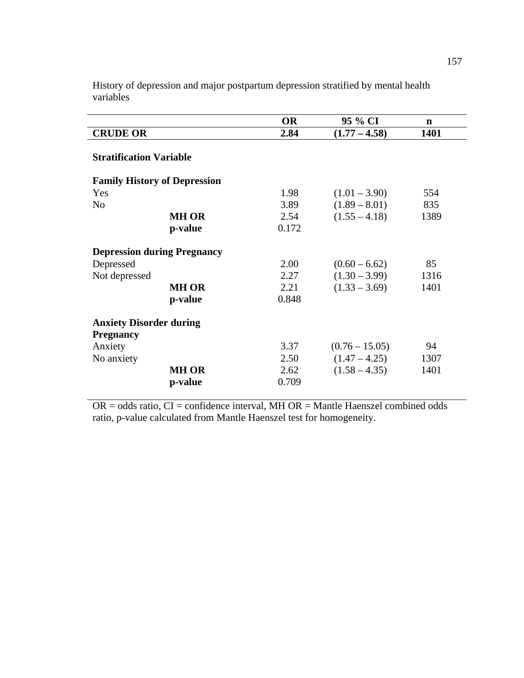|                                     |              | <b>OR</b> | 95 % CI          | $\mathbf n$ |
|-------------------------------------|--------------|-----------|------------------|-------------|
| <b>CRUDE OR</b>                     |              | 2.84      | $(1.77 - 4.58)$  | 1401        |
| <b>Stratification Variable</b>      |              |           |                  |             |
| <b>Family History of Depression</b> |              |           |                  |             |
| Yes                                 |              | 1.98      | $(1.01 - 3.90)$  | 554         |
| No                                  |              | 3.89      | $(1.89 - 8.01)$  | 835         |
|                                     | <b>MH OR</b> | 2.54      | $(1.55 - 4.18)$  | 1389        |
|                                     | p-value      | 0.172     |                  |             |
| <b>Depression during Pregnancy</b>  |              |           |                  |             |
| Depressed                           |              | 2.00      | $(0.60 - 6.62)$  | 85          |
| Not depressed                       |              | 2.27      | $(1.30 - 3.99)$  | 1316        |
|                                     | <b>MH OR</b> | 2.21      | $(1.33 - 3.69)$  | 1401        |
|                                     | p-value      | 0.848     |                  |             |
| <b>Anxiety Disorder during</b>      |              |           |                  |             |
| <b>Pregnancy</b>                    |              |           |                  |             |
| Anxiety                             |              | 3.37      | $(0.76 - 15.05)$ | 94          |
| No anxiety                          |              | 2.50      | $(1.47 - 4.25)$  | 1307        |
|                                     | <b>MH OR</b> | 2.62      | $(1.58 - 4.35)$  | 1401        |
|                                     | p-value      | 0.709     |                  |             |
|                                     |              |           |                  |             |

History of depression and major postpartum depression stratified by mental health variables